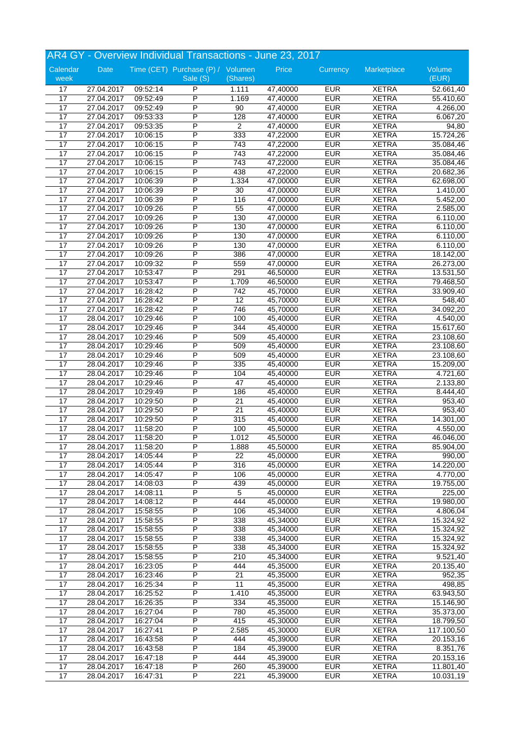|                  |                          |                      | AR4 GY - Overview Individual Transactions - June 23, 2017 |                 |                      |                          |                              |                      |
|------------------|--------------------------|----------------------|-----------------------------------------------------------|-----------------|----------------------|--------------------------|------------------------------|----------------------|
| Calendar<br>week | Date                     |                      | Time (CET) Purchase (P) / Volumen<br>Sale (S)             | (Shares)        | Price                | Currency                 | Marketplace                  | Volume<br>(EUR)      |
|                  |                          |                      |                                                           |                 |                      |                          |                              |                      |
| 17               | 27.04.2017               | 09:52:14             | P                                                         | 1.111           | 47,40000             | <b>EUR</b>               | <b>XETRA</b>                 | 52.661,40            |
| 17<br>17         | 27.04.2017<br>27.04.2017 | 09:52:49<br>09:52:49 | P<br>P                                                    | 1.169<br>$90\,$ | 47,40000             | <b>EUR</b><br><b>EUR</b> | <b>XETRA</b><br><b>XETRA</b> | 55.410,60            |
| 17               | 27.04.2017               | 09:53:33             | P                                                         | 128             | 47,40000<br>47,40000 | <b>EUR</b>               | <b>XETRA</b>                 | 4.266,00<br>6.067,20 |
| $\overline{17}$  | 27.04.2017               | 09:53:35             | P                                                         | $\overline{2}$  | 47,40000             | <b>EUR</b>               | <b>XETRA</b>                 | 94,80                |
|                  |                          |                      | P                                                         | 333             |                      | <b>EUR</b>               | <b>XETRA</b>                 |                      |
| 17               | 27.04.2017               | 10:06:15             | P                                                         |                 | 47,22000             | <b>EUR</b>               | <b>XETRA</b>                 | 15.724,26            |
| 17               | 27.04.2017               | 10:06:15             | P                                                         | 743             | 47,22000             |                          |                              | 35.084,46            |
| 17               | 27.04.2017               | 10:06:15             |                                                           | 743             | 47,22000             | <b>EUR</b>               | <b>XETRA</b>                 | 35.084,46            |
| 17               | 27.04.2017               | 10:06:15             | P                                                         | 743             | 47,22000             | <b>EUR</b>               | <b>XETRA</b>                 | 35.084,46            |
| 17               | 27.04.2017               | 10:06:15             | P                                                         | 438             | 47,22000             | <b>EUR</b>               | <b>XETRA</b>                 | 20.682,36            |
| 17               | 27.04.2017               | 10:06:39             | P                                                         | 1.334           | 47,00000             | <b>EUR</b>               | <b>XETRA</b>                 | 62.698,00            |
| 17               | 27.04.2017               | 10:06:39             | P                                                         | $\overline{30}$ | 47,00000             | <b>EUR</b>               | <b>XETRA</b>                 | 1.410,00             |
| 17               | 27.04.2017               | 10:06:39             | P                                                         | 116             | 47,00000             | <b>EUR</b>               | <b>XETRA</b>                 | 5.452,00             |
| 17               | 27.04.2017               | 10:09:26             | $\overline{P}$                                            | 55              | 47,00000             | <b>EUR</b>               | <b>XETRA</b>                 | 2.585,00             |
| 17               | 27.04.2017               | 10:09:26             | P                                                         | 130             | 47,00000             | <b>EUR</b>               | <b>XETRA</b>                 | 6.110,00             |
| 17               | 27.04.2017               | 10:09:26             | P                                                         | 130             | 47,00000             | <b>EUR</b>               | <b>XETRA</b>                 | 6.110,00             |
| $\overline{17}$  | 27.04.2017               | 10:09:26             | P                                                         | 130             | 47,00000             | <b>EUR</b>               | <b>XETRA</b>                 | 6.110,00             |
| 17               | 27.04.2017               | 10:09:26             | P                                                         | 130             | 47,00000             | <b>EUR</b>               | <b>XETRA</b>                 | 6.110,00             |
| 17               | 27.04.2017               | 10:09:26             | P                                                         | 386             | 47,00000             | <b>EUR</b>               | <b>XETRA</b>                 | 18.142,00            |
| 17               | 27.04.2017               | 10:09:32             | P                                                         | 559             | 47,00000             | <b>EUR</b>               | <b>XETRA</b>                 | 26.273,00            |
| $\overline{17}$  | 27.04.2017               | 10:53:47             | P                                                         | 291             | 46,50000             | <b>EUR</b>               | <b>XETRA</b>                 | 13.531,50            |
| 17               | 27.04.2017               | 10:53:47             | P                                                         | 1.709           | 46,50000             | <b>EUR</b>               | <b>XETRA</b>                 | 79.468,50            |
| 17               | 27.04.2017               | 16:28:42             | P                                                         | 742             | 45,70000             | <b>EUR</b>               | <b>XETRA</b>                 | 33.909,40            |
| 17               | 27.04.2017               | 16:28:42             | P                                                         | $\overline{12}$ | 45,70000             | <b>EUR</b>               | <b>XETRA</b>                 | 548,40               |
| 17               | 27.04.2017               | 16:28:42             | P                                                         | 746             | 45,70000             | <b>EUR</b>               | <b>XETRA</b>                 | 34.092,20            |
| 17               | 28.04.2017               | 10:29:46             | P                                                         | 100             | 45,40000             | <b>EUR</b>               | <b>XETRA</b>                 | 4.540,00             |
| 17               | 28.04.2017               | 10:29:46             | P                                                         | 344             | 45,40000             | <b>EUR</b>               | <b>XETRA</b>                 | 15.617,60            |
| 17               | 28.04.2017               | 10:29:46             | P                                                         | 509             | 45,40000             | <b>EUR</b>               | <b>XETRA</b>                 | 23.108,60            |
| 17               | 28.04.2017               | 10:29:46             | P                                                         | 509             | 45,40000             | <b>EUR</b>               | <b>XETRA</b>                 | 23.108,60            |
| 17               | 28.04.2017               | 10:29:46             | P                                                         | 509             | 45,40000             | <b>EUR</b>               | <b>XETRA</b>                 | 23.108,60            |
| 17               | 28.04.2017               | 10:29:46             | P                                                         | 335             | 45,40000             | <b>EUR</b>               | <b>XETRA</b>                 | 15.209,00            |
| 17               | 28.04.2017               | 10:29:46             | P                                                         | 104             | 45,40000             | <b>EUR</b>               | <b>XETRA</b>                 | 4.721,60             |
| 17               | 28.04.2017               | 10:29:46             | P                                                         | 47              | 45,40000             | <b>EUR</b>               | <b>XETRA</b>                 | 2.133,80             |
| 17               | 28.04.2017               | 10:29:49             | P                                                         | 186             | 45,40000             | <b>EUR</b>               | <b>XETRA</b>                 | 8.444,40             |
| 17               | 28.04.2017               | 10:29:50             | P                                                         | 21              | 45,40000             | <b>EUR</b>               | <b>XETRA</b>                 | 953,40               |
| 17               | 28.04.2017               | 10:29:50             | P                                                         | 21              | 45,40000             | <b>EUR</b>               | <b>XETRA</b>                 | 953,40               |
| 17               | 28.04.2017               | 10:29:50             | P                                                         | 315             | 45,40000             | <b>EUR</b>               | <b>XETRA</b>                 | 14.301,00            |
| 17               | 28.04.2017               | 11:58:20             | P                                                         | 100             | 45,50000             | <b>EUR</b>               | <b>XETRA</b>                 | 4.550,00             |
| 17               | 28.04.2017               | 11:58:20             | P                                                         | 1.012           | 45,50000             | <b>EUR</b>               | <b>XETRA</b>                 | 46.046,00            |
| 17               | 28.04.2017               | 11:58:20             | P                                                         | 1.888           | 45,50000             | <b>EUR</b>               | <b>XETRA</b>                 | 85.904,00            |
| 17               | 28.04.2017               | 14:05:44             | P                                                         | 22              | 45,00000             | <b>EUR</b>               | <b>XETRA</b>                 | 990,00               |
| $\overline{17}$  | 28.04.2017               | 14:05:44             | $\overline{\mathsf{P}}$                                   | 316             | 45,00000             | <b>EUR</b>               | <b>XETRA</b>                 | 14.220,00            |
| 17               | 28.04.2017               | 14:05:47             | $\overline{P}$                                            | 106             | 45,00000             | <b>EUR</b>               | <b>XETRA</b>                 | 4.770,00             |
| $\overline{17}$  | 28.04.2017               | 14:08:03             | P                                                         | 439             | 45,00000             | <b>EUR</b>               | <b>XETRA</b>                 | 19.755,00            |
| $\overline{17}$  | 28.04.2017               | 14:08:11             | P                                                         | 5               | 45,00000             | <b>EUR</b>               | <b>XETRA</b>                 | 225,00               |
| 17               | 28.04.2017               | 14:08:12             | $\overline{\mathsf{P}}$                                   | 444             | 45,00000             | <b>EUR</b>               | <b>XETRA</b>                 | 19.980,00            |
| 17               | 28.04.2017               | 15:58:55             | P                                                         | 106             | 45,34000             | <b>EUR</b>               | <b>XETRA</b>                 | 4.806,04             |
| 17               | 28.04.2017               | 15:58:55             | P                                                         | 338             | 45,34000             | <b>EUR</b>               | <b>XETRA</b>                 | 15.324,92            |
| 17               | 28.04.2017               | 15:58:55             | $\overline{P}$                                            | 338             | 45,34000             | <b>EUR</b>               | <b>XETRA</b>                 | 15.324,92            |
| 17               | 28.04.2017               | 15:58:55             | P                                                         | 338             | 45,34000             | <b>EUR</b>               | <b>XETRA</b>                 | 15.324,92            |
| 17               | 28.04.2017               | 15:58:55             | P                                                         | 338             | 45,34000             | <b>EUR</b>               | <b>XETRA</b>                 | 15.324,92            |
| 17               | 28.04.2017               | 15:58:55             | P                                                         | 210             | 45,34000             | <b>EUR</b>               | <b>XETRA</b>                 | 9.521,40             |
| $\overline{17}$  |                          |                      | P                                                         | 444             |                      | <b>EUR</b>               | <b>XETRA</b>                 |                      |
|                  | 28.04.2017               | 16:23:05             |                                                           |                 | 45,35000             |                          |                              | 20.135,40            |
| 17               | 28.04.2017               | 16:23:46             | P                                                         | $\overline{21}$ | 45,35000             | <b>EUR</b>               | <b>XETRA</b>                 | 952,35               |
| 17               | 28.04.2017               | 16:25:34             | P                                                         | 11              | 45,35000             | <b>EUR</b>               | <b>XETRA</b>                 | 498,85               |
| 17               | 28.04.2017               | 16:25:52             | P                                                         | 1.410           | 45,35000             | <b>EUR</b>               | <b>XETRA</b>                 | 63.943,50            |
| 17               | 28.04.2017               | 16:26:35             | P                                                         | 334             | 45,35000             | <b>EUR</b>               | <b>XETRA</b>                 | 15.146,90            |
| 17               | 28.04.2017               | 16:27:04             | $\overline{P}$                                            | 780             | 45,35000             | <b>EUR</b>               | <b>XETRA</b>                 | 35.373,00            |
| $\overline{17}$  | 28.04.2017               | 16:27:04             | P                                                         | 415             | 45,30000             | <b>EUR</b>               | <b>XETRA</b>                 | 18.799,50            |
| 17               | 28.04.2017               | 16:27:41             | P                                                         | 2.585           | 45,30000             | <b>EUR</b>               | <b>XETRA</b>                 | 117.100,50           |
| $\overline{17}$  | 28.04.2017               | 16:43:58             | P                                                         | 444             | 45,39000             | <b>EUR</b>               | <b>XETRA</b>                 | 20.153,16            |
| 17               | 28.04.2017               | 16:43:58             | $\overline{\mathsf{P}}$                                   | 184             | 45,39000             | <b>EUR</b>               | <b>XETRA</b>                 | 8.351,76             |
| 17               | 28.04.2017               | 16:47:18             | P                                                         | 444             | 45,39000             | <b>EUR</b>               | <b>XETRA</b>                 | 20.153,16            |
| 17               | 28.04.2017               | 16:47:18             | P                                                         | 260             | 45,39000             | <b>EUR</b>               | <b>XETRA</b>                 | 11.801,40            |
| 17               | 28.04.2017               | 16:47:31             | $\overline{P}$                                            | 221             | 45,39000             | <b>EUR</b>               | <b>XETRA</b>                 | 10.031,19            |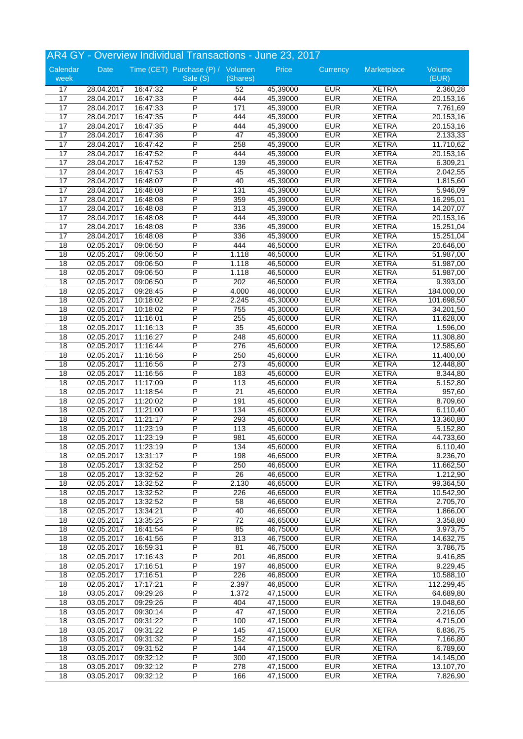|                 |            |          | AR4 GY - Overview Individual Transactions - June 23, 2017 |                 |          |            |              |            |
|-----------------|------------|----------|-----------------------------------------------------------|-----------------|----------|------------|--------------|------------|
| Calendar        | Date       |          | Time (CET) Purchase (P) / Volumen                         |                 | Price    | Currency   | Marketplace  | Volume     |
| week            |            |          | Sale (S)                                                  | (Shares)        |          |            |              | (EUR)      |
| 17              | 28.04.2017 | 16:47:32 | P                                                         | 52              | 45,39000 | <b>EUR</b> | <b>XETRA</b> | 2.360,28   |
| 17              | 28.04.2017 | 16:47:33 | P                                                         | 444             | 45,39000 | <b>EUR</b> | <b>XETRA</b> | 20.153,16  |
| 17              | 28.04.2017 | 16:47:33 | P                                                         | 171             | 45,39000 | <b>EUR</b> | <b>XETRA</b> | 7.761,69   |
| 17              | 28.04.2017 | 16:47:35 | P                                                         | 444             | 45,39000 | <b>EUR</b> | <b>XETRA</b> | 20.153,16  |
| $\overline{17}$ | 28.04.2017 | 16:47:35 | P                                                         | 444             | 45,39000 | <b>EUR</b> | <b>XETRA</b> | 20.153,16  |
| 17              | 28.04.2017 | 16:47:36 | P                                                         | 47              | 45,39000 | <b>EUR</b> | <b>XETRA</b> | 2.133,33   |
| 17              | 28.04.2017 | 16:47:42 | P                                                         | 258             | 45,39000 | <b>EUR</b> | <b>XETRA</b> | 11.710,62  |
| 17              | 28.04.2017 | 16:47:52 | P                                                         | 444             | 45,39000 | <b>EUR</b> | <b>XETRA</b> | 20.153,16  |
| 17              | 28.04.2017 | 16:47:52 | P                                                         | 139             | 45,39000 | <b>EUR</b> | <b>XETRA</b> | 6.309,21   |
| 17              | 28.04.2017 | 16:47:53 | P                                                         | 45              | 45,39000 | <b>EUR</b> | <b>XETRA</b> | 2.042,55   |
| 17              | 28.04.2017 | 16:48:07 | P                                                         | 40              | 45,39000 | <b>EUR</b> | <b>XETRA</b> | 1.815,60   |
| 17              | 28.04.2017 | 16:48:08 | P                                                         | 131             | 45,39000 | <b>EUR</b> | <b>XETRA</b> | 5.946,09   |
| 17              | 28.04.2017 | 16:48:08 | P                                                         | 359             | 45,39000 | <b>EUR</b> | <b>XETRA</b> | 16.295,01  |
| 17              | 28.04.2017 | 16:48:08 | P                                                         | 313             | 45,39000 | <b>EUR</b> | <b>XETRA</b> | 14.207,07  |
| 17              | 28.04.2017 | 16:48:08 | P                                                         | 444             | 45,39000 | <b>EUR</b> | <b>XETRA</b> | 20.153,16  |
| 17              | 28.04.2017 | 16:48:08 | P                                                         | 336             | 45,39000 | <b>EUR</b> | <b>XETRA</b> | 15.251,04  |
| 17              | 28.04.2017 | 16:48:08 | P                                                         | 336             | 45,39000 | <b>EUR</b> | <b>XETRA</b> | 15.251,04  |
| 18              | 02.05.2017 | 09:06:50 | P                                                         | 444             | 46,50000 | <b>EUR</b> | <b>XETRA</b> | 20.646,00  |
| $\overline{18}$ | 02.05.2017 | 09:06:50 | P                                                         | 1.118           | 46,50000 | <b>EUR</b> | <b>XETRA</b> | 51.987,00  |
| 18              | 02.05.2017 | 09:06:50 | P                                                         | 1.118           | 46,50000 | <b>EUR</b> | <b>XETRA</b> | 51.987,00  |
| 18              | 02.05.2017 | 09:06:50 | P                                                         | 1.118           | 46,50000 | <b>EUR</b> | <b>XETRA</b> | 51.987,00  |
| 18              | 02.05.2017 | 09:06:50 | P                                                         | 202             | 46,50000 | <b>EUR</b> | <b>XETRA</b> | 9.393,00   |
| 18              | 02.05.2017 | 09:28:45 | P                                                         | 4.000           | 46,00000 | <b>EUR</b> | <b>XETRA</b> | 184.000,00 |
| 18              | 02.05.2017 | 10:18:02 | P                                                         | 2.245           | 45,30000 | <b>EUR</b> | <b>XETRA</b> | 101.698,50 |
| 18              | 02.05.2017 | 10:18:02 | P                                                         | 755             | 45,30000 | <b>EUR</b> | <b>XETRA</b> | 34.201,50  |
| $\overline{18}$ | 02.05.2017 | 11:16:01 | P                                                         | 255             | 45,60000 | <b>EUR</b> | <b>XETRA</b> | 11.628,00  |
| $\overline{18}$ | 02.05.2017 | 11:16:13 | P                                                         | $\overline{35}$ | 45,60000 | <b>EUR</b> | <b>XETRA</b> | 1.596,00   |
| $\overline{18}$ | 02.05.2017 | 11:16:27 | P                                                         | 248             | 45,60000 | <b>EUR</b> | <b>XETRA</b> | 11.308,80  |
| 18              | 02.05.2017 | 11:16:44 | P                                                         | 276             | 45,60000 | <b>EUR</b> | <b>XETRA</b> | 12.585,60  |
| 18              | 02.05.2017 | 11:16:56 | P                                                         | 250             | 45,60000 | <b>EUR</b> | <b>XETRA</b> | 11.400,00  |
| 18              | 02.05.2017 | 11:16:56 | P                                                         | 273             | 45,60000 | <b>EUR</b> | <b>XETRA</b> | 12.448,80  |
| 18              | 02.05.2017 | 11:16:56 | P                                                         | 183             | 45,60000 | <b>EUR</b> | <b>XETRA</b> | 8.344,80   |
| 18              | 02.05.2017 | 11:17:09 | P                                                         | 113             | 45,60000 | <b>EUR</b> | <b>XETRA</b> | 5.152,80   |
| 18              | 02.05.2017 | 11:18:54 | P                                                         | 21              | 45,60000 | <b>EUR</b> | <b>XETRA</b> | 957,60     |
| 18              | 02.05.2017 | 11:20:02 | P                                                         | 191             | 45,60000 | <b>EUR</b> | <b>XETRA</b> | 8.709,60   |
| 18              | 02.05.2017 | 11:21:00 | P                                                         | 134             | 45,60000 | <b>EUR</b> | <b>XETRA</b> | 6.110,40   |
| 18              | 02.05.2017 | 11:21:17 | P                                                         | 293             | 45,60000 | <b>EUR</b> | <b>XETRA</b> | 13.360,80  |
| $\overline{18}$ | 02.05.2017 | 11:23:19 | P                                                         | 113             | 45,60000 | <b>EUR</b> | <b>XETRA</b> | 5.152,80   |
| 18              | 02.05.2017 | 11:23:19 | P                                                         | 981             | 45,60000 | <b>EUR</b> | <b>XETRA</b> | 44.733,60  |
| 18              | 02.05.2017 | 11:23:19 | P                                                         | 134             | 45,60000 | <b>EUR</b> | <b>XETRA</b> | 6.110,40   |
| 18              | 02.05.2017 | 13:31:17 | P                                                         | 198             | 46,65000 | <b>EUR</b> | <b>XETRA</b> | 9.236,70   |
| $\overline{18}$ | 02.05.2017 | 13:32:52 | P                                                         | 250             | 46,65000 | <b>EUR</b> | <b>XETRA</b> | 11.662,50  |
| 18              | 02.05.2017 | 13:32:52 | $\overline{P}$                                            | 26              | 46,65000 | <b>EUR</b> | <b>XETRA</b> | 1.212,90   |
| 18              | 02.05.2017 | 13:32:52 | P                                                         | 2.130           | 46,65000 | <b>EUR</b> | <b>XETRA</b> | 99.364,50  |
| $\overline{18}$ | 02.05.2017 | 13:32:52 | P                                                         | 226             | 46,65000 | <b>EUR</b> | <b>XETRA</b> | 10.542,90  |
| $\overline{18}$ | 02.05.2017 | 13:32:52 | P                                                         | 58              | 46,65000 | <b>EUR</b> | <b>XETRA</b> | 2.705,70   |
| $\overline{18}$ | 02.05.2017 | 13:34:21 | P                                                         | 40              | 46,65000 | <b>EUR</b> | <b>XETRA</b> | 1.866,00   |
| 18              | 02.05.2017 | 13:35:25 | P                                                         | $\overline{72}$ | 46,65000 | <b>EUR</b> | <b>XETRA</b> | 3.358,80   |
| 18              | 02.05.2017 | 16:41:54 | $\overline{P}$                                            | 85              | 46,75000 | <b>EUR</b> | <b>XETRA</b> | 3.973,75   |
| 18              | 02.05.2017 | 16:41:56 | P                                                         | 313             | 46,75000 | <b>EUR</b> | <b>XETRA</b> | 14.632,75  |
| $\overline{18}$ | 02.05.2017 | 16:59:31 | P                                                         | 81              | 46,75000 | <b>EUR</b> | <b>XETRA</b> | 3.786,75   |
| 18              | 02.05.2017 | 17:16:43 | P                                                         | 201             | 46,85000 | <b>EUR</b> | <b>XETRA</b> | 9.416,85   |
| $\overline{18}$ | 02.05.2017 | 17:16:51 | P                                                         | 197             | 46,85000 | <b>EUR</b> | <b>XETRA</b> | 9.229,45   |
| 18              | 02.05.2017 | 17:16:51 | $\overline{\mathsf{P}}$                                   | 226             | 46,85000 | <b>EUR</b> | <b>XETRA</b> | 10.588,10  |
| $\overline{18}$ | 02.05.2017 | 17:17:21 | P                                                         | 2.397           | 46,85000 | <b>EUR</b> | <b>XETRA</b> | 112.299,45 |
| 18              | 03.05.2017 | 09:29:26 | P                                                         | 1.372           | 47,15000 | <b>EUR</b> | <b>XETRA</b> | 64.689,80  |
| 18              | 03.05.2017 | 09:29:26 | $\overline{P}$                                            | 404             | 47,15000 | <b>EUR</b> | <b>XETRA</b> | 19.048,60  |
| 18              | 03.05.2017 | 09:30:14 | $\overline{\mathsf{P}}$                                   | 47              | 47,15000 | <b>EUR</b> | <b>XETRA</b> | 2.216,05   |
| 18              | 03.05.2017 | 09:31:22 | P                                                         | 100             | 47,15000 | <b>EUR</b> | <b>XETRA</b> | 4.715,00   |
| 18              | 03.05.2017 | 09:31:22 | P                                                         | 145             | 47,15000 | <b>EUR</b> | <b>XETRA</b> | 6.836,75   |
| $\overline{18}$ | 03.05.2017 | 09:31:32 | P                                                         | 152             | 47,15000 | <b>EUR</b> | <b>XETRA</b> | 7.166,80   |
| 18              | 03.05.2017 | 09:31:52 | $\overline{\mathsf{P}}$                                   | 144             | 47,15000 | <b>EUR</b> | <b>XETRA</b> | 6.789,60   |
| 18              | 03.05.2017 | 09:32:12 | P                                                         | 300             | 47,15000 | <b>EUR</b> | <b>XETRA</b> | 14.145,00  |
| 18              | 03.05.2017 | 09:32:12 | P                                                         | 278             | 47,15000 | <b>EUR</b> | <b>XETRA</b> | 13.107,70  |
| 18              | 03.05.2017 | 09:32:12 | $\overline{P}$                                            | 166             | 47,15000 | <b>EUR</b> | <b>XETRA</b> | 7.826,90   |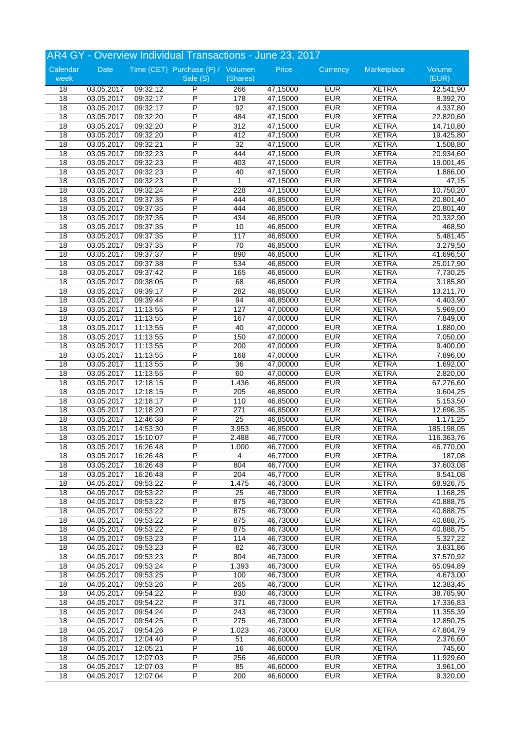|                       | AR4 GY - Overview Individual Transactions - June 23, 2017 |                      |                                               |                 |                      |                          |                              |                       |  |
|-----------------------|-----------------------------------------------------------|----------------------|-----------------------------------------------|-----------------|----------------------|--------------------------|------------------------------|-----------------------|--|
| Calendar<br>week      | Date                                                      |                      | Time (CET) Purchase (P) / Volumen<br>Sale (S) | (Shares)        | Price                | Currency                 | Marketplace                  | Volume<br>(EUR)       |  |
| 18                    | 03.05.2017                                                | 09:32:12             | P                                             | 266             | 47,15000             | <b>EUR</b>               | <b>XETRA</b>                 | 12.541,90             |  |
| 18                    | 03.05.2017                                                | 09:32:17             | P                                             | 178             | 47,15000             | <b>EUR</b>               | <b>XETRA</b>                 | 8.392,70              |  |
| 18                    | 03.05.2017                                                | 09:32:17             | P                                             | 92              | 47,15000             | <b>EUR</b>               | <b>XETRA</b>                 | 4.337,80              |  |
| 18                    | 03.05.2017                                                | 09:32:20             | P                                             | 484             | 47,15000             | <b>EUR</b>               | <b>XETRA</b>                 | 22.820,60             |  |
| 18                    | 03.05.2017                                                | 09:32:20             | P                                             | 312             | 47,15000             | <b>EUR</b>               | <b>XETRA</b>                 | 14.710,80             |  |
| 18                    | 03.05.2017                                                | 09:32:20             | P                                             | 412             | 47,15000             | <b>EUR</b>               | <b>XETRA</b>                 | 19.425,80             |  |
| 18                    | 03.05.2017                                                | 09:32:21             | P                                             | $\overline{32}$ | 47,15000             | <b>EUR</b>               | <b>XETRA</b>                 | 1.508,80              |  |
| 18                    | 03.05.2017                                                | 09:32:23             | P                                             | 444             | 47,15000             | <b>EUR</b>               | <b>XETRA</b>                 | 20.934,60             |  |
| 18                    | 03.05.2017                                                | 09:32:23             | P                                             | 403             | 47,15000             | <b>EUR</b>               | <b>XETRA</b>                 | 19.001,45             |  |
| 18                    | 03.05.2017                                                | 09:32:23             | P                                             | 40              | 47,15000             | <b>EUR</b>               | <b>XETRA</b>                 | 1.886,00              |  |
| 18                    | 03.05.2017                                                | 09:32:23             | $\overline{P}$                                | 1               | 47,15000             | <b>EUR</b>               | <b>XETRA</b>                 | 47,15                 |  |
| $\overline{18}$       | 03.05.2017                                                | 09:32:24             | P                                             | 228             | 47,15000             | <b>EUR</b>               | <b>XETRA</b>                 | 10.750,20             |  |
| 18                    | 03.05.2017                                                | 09:37:35             | P                                             | 444             | 46,85000             | <b>EUR</b>               | <b>XETRA</b>                 | 20.801,40             |  |
| 18                    | 03.05.2017                                                | 09:37:35             | P                                             | 444             | 46,85000             | <b>EUR</b>               | <b>XETRA</b>                 | 20.801,40             |  |
| $\overline{18}$       | 03.05.2017                                                | 09:37:35             | P                                             | 434             | 46,85000             | <b>EUR</b>               | <b>XETRA</b>                 | 20.332,90             |  |
| 18                    | 03.05.2017                                                | 09:37:35             | P                                             | 10              | 46,85000             | <b>EUR</b>               | <b>XETRA</b>                 | 468,50                |  |
| 18                    | 03.05.2017                                                | 09:37:35             | P                                             | 117             | 46,85000             | <b>EUR</b>               | <b>XETRA</b>                 | 5.481,45              |  |
| 18                    | 03.05.2017                                                | 09:37:35             | P                                             | 70              | 46,85000             | <b>EUR</b>               | <b>XETRA</b>                 | 3.279,50              |  |
| $\overline{18}$       | 03.05.2017                                                | 09:37:37             | P                                             | 890             | 46,85000             | <b>EUR</b>               | <b>XETRA</b>                 | 41.696,50             |  |
| 18                    | 03.05.2017                                                | 09:37:38             | P                                             | 534             | 46,85000             | <b>EUR</b>               | <b>XETRA</b>                 | 25.017,90             |  |
| 18                    | 03.05.2017                                                | 09:37:42             | Ρ                                             | 165             | 46,85000             | <b>EUR</b>               | <b>XETRA</b>                 | 7.730,25              |  |
| 18                    | 03.05.2017                                                | 09:38:05             | P                                             | 68              | 46,85000             | <b>EUR</b>               | <b>XETRA</b>                 | 3.185,80              |  |
| 18                    | 03.05.2017                                                | 09:39:17             | P                                             | 282             | 46,85000             | <b>EUR</b>               | <b>XETRA</b>                 | 13.211,70             |  |
| 18                    | 03.05.2017                                                | 09:39:44             | P                                             | 94              | 46,85000             | <b>EUR</b>               | <b>XETRA</b>                 | 4.403,90              |  |
| 18                    | 03.05.2017                                                | 11:13:55             | P                                             | 127             | 47,00000             | <b>EUR</b>               | <b>XETRA</b>                 | $\overline{5.969,00}$ |  |
| $\overline{18}$       | 03.05.2017                                                | 11:13:55             | P                                             | 167             | 47,00000             | <b>EUR</b>               | <b>XETRA</b>                 | 7.849,00              |  |
| 18                    | 03.05.2017                                                | 11:13:55             | P                                             | 40              | 47,00000             | <b>EUR</b>               | <b>XETRA</b>                 | 1.880,00              |  |
| 18                    | 03.05.2017                                                | 11:13:55             | P                                             | 150             | 47,00000             | <b>EUR</b>               | <b>XETRA</b>                 | 7.050,00              |  |
| 18                    | 03.05.2017                                                | 11:13:55             | P                                             | 200             | 47,00000             | <b>EUR</b>               | <b>XETRA</b>                 | 9.400,00              |  |
| 18                    | 03.05.2017                                                | 11:13:55             | P                                             | 168             | 47,00000             | <b>EUR</b>               | <b>XETRA</b>                 | 7.896,00              |  |
| 18                    | 03.05.2017                                                | 11:13:55             | P                                             | 36              | 47,00000             | <b>EUR</b>               | <b>XETRA</b>                 | 1.692,00              |  |
| 18                    | 03.05.2017                                                | 11:13:55             | P                                             | 60              | 47,00000             | <b>EUR</b>               | <b>XETRA</b>                 | 2.820,00              |  |
| 18                    | 03.05.2017                                                | 12:18:15             | P                                             | 1.436           | 46,85000             | <b>EUR</b>               | <b>XETRA</b>                 | 67.276,60             |  |
| 18                    | 03.05.2017                                                | 12:18:15             | P                                             | 205             | 46,85000             | <b>EUR</b>               | <b>XETRA</b>                 | 9.604,25              |  |
| 18                    | 03.05.2017                                                | 12:18:17             | P                                             | 110             | 46,85000             | <b>EUR</b>               | <b>XETRA</b>                 | 5.153,50              |  |
| 18                    | 03.05.2017                                                | 12:18:20             | P                                             | 271             | 46,85000             | <b>EUR</b>               | <b>XETRA</b>                 | 12.696,35             |  |
| 18                    | 03.05.2017                                                | 12:46:38             | P                                             | 25              | 46,85000             | <b>EUR</b>               | <b>XETRA</b>                 | 1.171,25              |  |
| $\overline{18}$       | 03.05.2017                                                | 14:53:30             | P                                             | 3.953           | 46,85000             | <b>EUR</b>               | <b>XETRA</b>                 | 185.198,05            |  |
| $\overline{18}$       | 03.05.2017                                                | 15:10:07             | P                                             | 2.488           | 46,77000             | <b>EUR</b>               | <b>XETRA</b>                 | 116.363,76            |  |
| 18                    | 03.05.2017                                                | 16:26:48             | P                                             | 1.000           | 46,77000             | <b>EUR</b>               | <b>XETRA</b>                 | 46.770,00             |  |
| 18                    | 03.05.2017                                                | 16:26:48             | P                                             | 4               | 46,77000             | <b>EUR</b>               | <b>XETRA</b>                 | 187,08                |  |
| $\overline{18}$       | 03.05.2017                                                | 16:26:48             | $\overline{\mathsf{P}}$                       | 804             | 46,77000             | <b>EUR</b>               | <b>XETRA</b>                 | 37.603,08             |  |
| 18                    | 03.05.2017                                                | 16:26:48             | P                                             | 204             | 46,77000             | <b>EUR</b>               | <b>XETRA</b>                 | 9.541,08              |  |
| 18                    | 04.05.2017                                                | 09:53:22             | P                                             | 1.475           | 46,73000             | <b>EUR</b>               | <b>XETRA</b>                 | 68.926,75             |  |
| $\overline{18}$       | 04.05.2017                                                | 09:53:22             | P                                             | $\overline{25}$ | 46,73000             | <b>EUR</b>               | <b>XETRA</b>                 | 1.168,25              |  |
| 18                    | 04.05.2017                                                | 09:53:22             | P                                             | 875             | 46,73000             | <b>EUR</b>               | <b>XETRA</b>                 | 40.888,75             |  |
| $\overline{18}$       | 04.05.2017                                                | 09:53:22             | P                                             | 875             | 46,73000             | <b>EUR</b>               | <b>XETRA</b>                 | 40.888,75             |  |
| 18                    | 04.05.2017                                                | 09:53:22             | P                                             | 875             | 46,73000             | <b>EUR</b>               | <b>XETRA</b>                 | 40.888,75             |  |
| 18                    | 04.05.2017                                                | 09:53:22             | $\overline{P}$                                | 875             | 46,73000             | <b>EUR</b>               | <b>XETRA</b>                 | 40.888,75             |  |
| 18                    | 04.05.2017                                                | 09:53:23             | $\overline{P}$                                | 114             | 46,73000             | <b>EUR</b>               | <b>XETRA</b>                 | 5.327,22              |  |
| 18                    | 04.05.2017                                                | 09:53:23             | P                                             | 82              | 46,73000             | <b>EUR</b>               | <b>XETRA</b>                 | 3.831,86              |  |
| 18                    | 04.05.2017                                                | 09:53:23             | P                                             | 804             | 46,73000             | <b>EUR</b>               | <b>XETRA</b>                 | 37.570,92             |  |
| 18                    | 04.05.2017                                                | 09:53:24             | P                                             | 1.393           | 46,73000             | <b>EUR</b>               | <b>XETRA</b>                 | 65.094,89             |  |
| 18                    | 04.05.2017                                                | 09:53:25             | $\overline{P}$                                | 100             | 46,73000             | <b>EUR</b>               | <b>XETRA</b>                 | 4.673,00              |  |
| 18                    | 04.05.2017                                                | 09:53:26             | P                                             | 265             | 46,73000             | <b>EUR</b>               | <b>XETRA</b>                 | 12.383,45             |  |
| 18                    | 04.05.2017                                                | 09:54:22             | P                                             | 830             | 46,73000             | <b>EUR</b>               | <b>XETRA</b>                 | 38.785,90             |  |
| 18                    | 04.05.2017                                                | 09:54:22             | P                                             | 371             | 46,73000             | <b>EUR</b>               | <b>XETRA</b>                 | 17.336,83             |  |
| 18                    | 04.05.2017                                                | 09:54:24             | $\overline{P}$                                | 243             | 46,73000             | <b>EUR</b>               | <b>XETRA</b>                 | 11.355,39             |  |
| 18                    | 04.05.2017                                                | 09:54:25             | P                                             | 275             | 46,73000             | <b>EUR</b>               | <b>XETRA</b>                 | 12.850,75             |  |
| 18<br>$\overline{18}$ | 04.05.2017<br>04.05.2017                                  | 09:54:26             | P<br>$\overline{P}$                           | 1.023<br>51     | 46,73000             | <b>EUR</b><br><b>EUR</b> | <b>XETRA</b><br><b>XETRA</b> | 47.804,79<br>2.376,60 |  |
| 18                    | 04.05.2017                                                | 12:04:40<br>12:05:21 | P                                             | 16              | 46,60000<br>46,60000 | <b>EUR</b>               | <b>XETRA</b>                 | 745,60                |  |
| 18                    | 04.05.2017                                                | 12:07:03             | P                                             | 256             | 46,60000             | <b>EUR</b>               | <b>XETRA</b>                 | 11.929,60             |  |
| 18                    | 04.05.2017                                                | 12:07:03             | P                                             | 85              | 46,60000             | <b>EUR</b>               | <b>XETRA</b>                 | 3.961,00              |  |
| $\overline{18}$       | 04.05.2017                                                | 12:07:04             | P                                             | 200             | 46,60000             | <b>EUR</b>               | <b>XETRA</b>                 | 9.320,00              |  |
|                       |                                                           |                      |                                               |                 |                      |                          |                              |                       |  |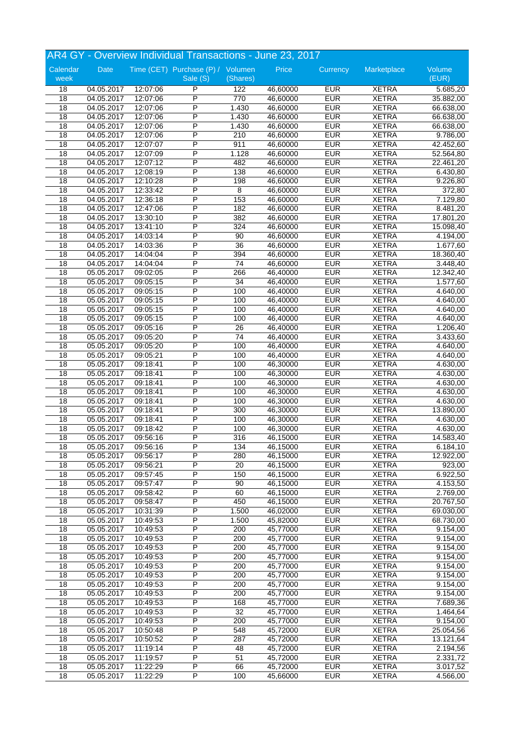|                  | AR4 GY - Overview Individual Transactions - June 23, 2017 |          |                                               |                 |          |            |              |                 |  |
|------------------|-----------------------------------------------------------|----------|-----------------------------------------------|-----------------|----------|------------|--------------|-----------------|--|
| Calendar<br>week | Date                                                      |          | Time (CET) Purchase (P) / Volumen<br>Sale (S) | (Shares)        | Price    | Currency   | Marketplace  | Volume<br>(EUR) |  |
| 18               | 04.05.2017                                                | 12:07:06 | P                                             | 122             | 46,60000 | <b>EUR</b> | <b>XETRA</b> | 5.685,20        |  |
| 18               | 04.05.2017                                                | 12:07:06 | P                                             | 770             | 46,60000 | <b>EUR</b> | <b>XETRA</b> | 35.882,00       |  |
| 18               | 04.05.2017                                                | 12:07:06 | P                                             | 1.430           | 46,60000 | <b>EUR</b> | <b>XETRA</b> | 66.638,00       |  |
| 18               | 04.05.2017                                                | 12:07:06 | P                                             | 1.430           | 46,60000 | <b>EUR</b> | <b>XETRA</b> | 66.638,00       |  |
| 18               | 04.05.2017                                                | 12:07:06 | P                                             | 1.430           | 46,60000 | <b>EUR</b> | <b>XETRA</b> | 66.638,00       |  |
| 18               | 04.05.2017                                                | 12:07:06 | P                                             | 210             | 46,60000 | <b>EUR</b> | <b>XETRA</b> | 9.786,00        |  |
| 18               | 04.05.2017                                                | 12:07:07 | P                                             | 911             | 46,60000 | <b>EUR</b> | <b>XETRA</b> | 42.452,60       |  |
| 18               | 04.05.2017                                                | 12:07:09 | P                                             | 1.128           | 46,60000 | <b>EUR</b> | <b>XETRA</b> | 52.564,80       |  |
| 18               | 04.05.2017                                                | 12:07:12 | P                                             | 482             | 46,60000 | <b>EUR</b> | <b>XETRA</b> | 22.461,20       |  |
| 18               | 04.05.2017                                                | 12:08:19 | P                                             | 138             | 46,60000 | <b>EUR</b> | <b>XETRA</b> | 6.430,80        |  |
| 18               | 04.05.2017                                                | 12:10:28 | P                                             | 198             | 46,60000 | <b>EUR</b> | <b>XETRA</b> | 9.226,80        |  |
| $\overline{18}$  | 04.05.2017                                                | 12:33:42 | P                                             | 8               | 46,60000 | <b>EUR</b> | <b>XETRA</b> | 372,80          |  |
| 18               | 04.05.2017                                                | 12:36:18 | P                                             | 153             | 46,60000 | <b>EUR</b> | <b>XETRA</b> | 7.129,80        |  |
| 18               | 04.05.2017                                                | 12:47:06 | P                                             | 182             | 46,60000 | <b>EUR</b> | <b>XETRA</b> | 8.481,20        |  |
| $\overline{18}$  | 04.05.2017                                                | 13:30:10 | P                                             | 382             | 46,60000 | <b>EUR</b> | <b>XETRA</b> | 17.801,20       |  |
| 18               | 04.05.2017                                                | 13:41:10 | P                                             | 324             | 46,60000 | <b>EUR</b> | <b>XETRA</b> | 15.098,40       |  |
| 18               | 04.05.2017                                                | 14:03:14 | P                                             | 90              | 46,60000 | <b>EUR</b> | <b>XETRA</b> | 4.194,00        |  |
| 18               | 04.05.2017                                                | 14:03:36 | P                                             | 36              | 46,60000 | <b>EUR</b> | <b>XETRA</b> | 1.677,60        |  |
| $\overline{18}$  | 04.05.2017                                                | 14:04:04 | P                                             | 394             | 46,60000 | <b>EUR</b> | <b>XETRA</b> | 18.360,40       |  |
| 18               | 04.05.2017                                                | 14:04:04 | P                                             | 74              | 46,60000 | <b>EUR</b> | <b>XETRA</b> | 3.448,40        |  |
| 18               | 05.05.2017                                                | 09:02:05 | P                                             | 266             | 46,40000 | <b>EUR</b> | <b>XETRA</b> | 12.342,40       |  |
| 18               | 05.05.2017                                                | 09:05:15 | P                                             | $\overline{34}$ | 46,40000 | <b>EUR</b> | <b>XETRA</b> | 1.577,60        |  |
| 18               | 05.05.2017                                                | 09:05:15 | P                                             | 100             | 46,40000 | <b>EUR</b> | <b>XETRA</b> | 4.640,00        |  |
| 18               | 05.05.2017                                                | 09:05:15 | P                                             | 100             | 46,40000 | <b>EUR</b> | <b>XETRA</b> | 4.640,00        |  |
| 18               | 05.05.2017                                                | 09:05:15 | P                                             | 100             | 46,40000 | <b>EUR</b> | <b>XETRA</b> | 4.640,00        |  |
| $\overline{18}$  | 05.05.2017                                                | 09:05:15 | P                                             | 100             | 46,40000 | <b>EUR</b> | <b>XETRA</b> | 4.640,00        |  |
| 18               | 05.05.2017                                                | 09:05:16 | P                                             | 26              | 46,40000 | <b>EUR</b> | <b>XETRA</b> | 1.206,40        |  |
| 18               | 05.05.2017                                                | 09:05:20 | P                                             | 74              | 46,40000 | <b>EUR</b> | <b>XETRA</b> | 3.433,60        |  |
| 18               | 05.05.2017                                                | 09:05:20 | P                                             | 100             | 46,40000 | <b>EUR</b> | <b>XETRA</b> | 4.640,00        |  |
| 18               | 05.05.2017                                                | 09:05:21 | P                                             | 100             | 46,40000 | <b>EUR</b> | <b>XETRA</b> | 4.640,00        |  |
| 18               | 05.05.2017                                                | 09:18:41 | P                                             | 100             | 46,30000 | <b>EUR</b> | <b>XETRA</b> | 4.630,00        |  |
| 18               | 05.05.2017                                                | 09:18:41 | P                                             | 100             | 46,30000 | <b>EUR</b> | <b>XETRA</b> | 4.630,00        |  |
| 18               | 05.05.2017                                                | 09:18:41 | P                                             | 100             | 46,30000 | <b>EUR</b> | <b>XETRA</b> | 4.630,00        |  |
| 18               | 05.05.2017                                                | 09:18:41 | P                                             | 100             | 46,30000 | <b>EUR</b> | <b>XETRA</b> | 4.630,00        |  |
| 18               | 05.05.2017                                                | 09:18:41 | P                                             | 100             | 46,30000 | <b>EUR</b> | <b>XETRA</b> | 4.630,00        |  |
| 18               | 05.05.2017                                                | 09:18:41 | P                                             | 300             | 46,30000 | <b>EUR</b> | <b>XETRA</b> | 13.890,00       |  |
| 18               | 05.05.2017                                                | 09:18:41 | P                                             | 100             | 46,30000 | <b>EUR</b> | <b>XETRA</b> | 4.630,00        |  |
| $\overline{18}$  | 05.05.2017                                                | 09:18:42 | P                                             | 100             | 46,30000 | <b>EUR</b> | <b>XETRA</b> | 4.630,00        |  |
| 18               | 05.05.2017                                                | 09:56:16 | P                                             | 316             | 46,15000 | <b>EUR</b> | <b>XETRA</b> | 14.583,40       |  |
| 18               | 05.05.2017                                                | 09:56:16 | P                                             | 134             | 46,15000 | <b>EUR</b> | <b>XETRA</b> | 6.184,10        |  |
| 18               | 05.05.2017                                                | 09:56:17 | P                                             | 280             | 46,15000 | <b>EUR</b> | <b>XETRA</b> | 12.922,00       |  |
| $\overline{18}$  | 05.05.2017                                                | 09:56:21 | $\overline{\mathsf{P}}$                       | 20              | 46,15000 | <b>EUR</b> | <b>XETRA</b> | 923,00          |  |
| 18               | 05.05.2017                                                | 09:57:45 | P                                             | 150             | 46,15000 | <b>EUR</b> | <b>XETRA</b> | 6.922,50        |  |
| 18               | 05.05.2017                                                | 09:57:47 | P                                             | 90              | 46,15000 | <b>EUR</b> | <b>XETRA</b> | 4.153,50        |  |
| $\overline{18}$  | 05.05.2017                                                | 09:58:42 | P                                             | 60              | 46,15000 | <b>EUR</b> | <b>XETRA</b> | 2.769,00        |  |
| 18               | 05.05.2017                                                | 09:58:47 | P                                             | 450             | 46,15000 | <b>EUR</b> | <b>XETRA</b> | 20.767,50       |  |
| $\overline{18}$  | 05.05.2017                                                | 10:31:39 | P                                             | 1.500           | 46,02000 | <b>EUR</b> | <b>XETRA</b> | 69.030,00       |  |
| 18               | 05.05.2017                                                | 10:49:53 | P                                             | 1.500           | 45,82000 | <b>EUR</b> | <b>XETRA</b> | 68.730,00       |  |
| 18               | 05.05.2017                                                | 10:49:53 | $\overline{P}$                                | 200             | 45,77000 | <b>EUR</b> | <b>XETRA</b> | 9.154,00        |  |
| 18               | 05.05.2017                                                | 10:49:53 | $\overline{P}$                                | 200             | 45,77000 | <b>EUR</b> | <b>XETRA</b> | 9.154,00        |  |
| 18               | 05.05.2017                                                | 10:49:53 | P                                             | 200             | 45,77000 | <b>EUR</b> | <b>XETRA</b> | 9.154,00        |  |
| 18               | 05.05.2017                                                | 10:49:53 | P                                             | 200             | 45,77000 | <b>EUR</b> | <b>XETRA</b> | 9.154,00        |  |
| 18               | 05.05.2017                                                | 10:49:53 | P                                             | 200             | 45,77000 | <b>EUR</b> | <b>XETRA</b> | 9.154,00        |  |
| 18               | 05.05.2017                                                | 10:49:53 | $\overline{P}$                                | 200             | 45,77000 | <b>EUR</b> | <b>XETRA</b> | 9.154,00        |  |
| 18               | 05.05.2017                                                | 10:49:53 | P                                             | 200             | 45,77000 | <b>EUR</b> | <b>XETRA</b> | 9.154,00        |  |
| 18               | 05.05.2017                                                | 10:49:53 | P                                             | 200             | 45,77000 | <b>EUR</b> | <b>XETRA</b> | 9.154,00        |  |
| 18               | 05.05.2017                                                | 10:49:53 | P                                             | 168             | 45,77000 | <b>EUR</b> | <b>XETRA</b> | 7.689,36        |  |
| 18               | 05.05.2017                                                | 10:49:53 | $\overline{\mathsf{P}}$                       | 32              | 45,77000 | <b>EUR</b> | <b>XETRA</b> | 1.464,64        |  |
| 18               | 05.05.2017                                                | 10:49:53 | P                                             | 200             | 45,77000 | <b>EUR</b> | XETRA        | 9.154,00        |  |
| 18               | 05.05.2017                                                | 10:50:48 | P                                             | 548             | 45,72000 | <b>EUR</b> | <b>XETRA</b> | 25.054,56       |  |
| $\overline{18}$  | 05.05.2017                                                | 10:50:52 | $\overline{P}$                                | 287             | 45,72000 | <b>EUR</b> | <b>XETRA</b> | 13.121,64       |  |
| 18               | 05.05.2017                                                | 11:19:14 | P                                             | 48              | 45,72000 | <b>EUR</b> | <b>XETRA</b> | 2.194,56        |  |
| 18               | 05.05.2017                                                | 11:19:57 | P                                             | 51              | 45,72000 | <b>EUR</b> | <b>XETRA</b> | 2.331,72        |  |
| 18               | 05.05.2017                                                | 11:22:29 | P                                             | 66              | 45,72000 | <b>EUR</b> | <b>XETRA</b> | 3.017,52        |  |
| $\overline{18}$  | 05.05.2017                                                | 11:22:29 | $\overline{P}$                                | 100             | 45,66000 | <b>EUR</b> | <b>XETRA</b> | 4.566,00        |  |
|                  |                                                           |          |                                               |                 |          |            |              |                 |  |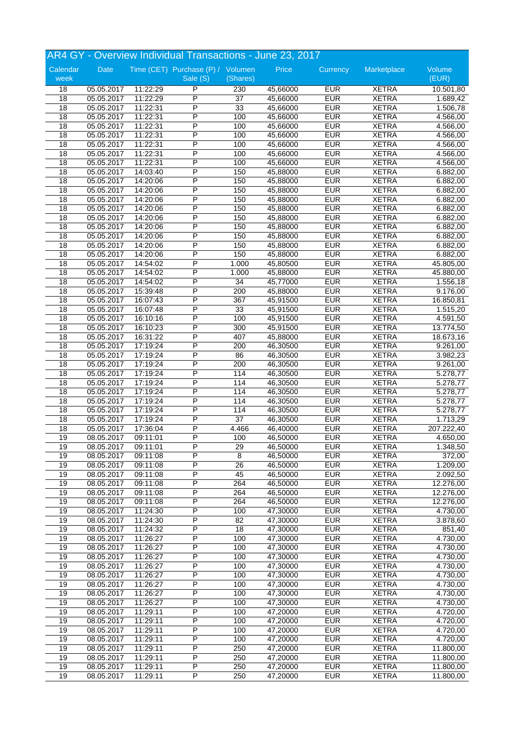|                  | AR4 GY - Overview Individual Transactions - June 23, 2017 |          |                                               |                 |          |            |              |                 |  |
|------------------|-----------------------------------------------------------|----------|-----------------------------------------------|-----------------|----------|------------|--------------|-----------------|--|
| Calendar<br>week | Date                                                      |          | Time (CET) Purchase (P) / Volumen<br>Sale (S) | (Shares)        | Price    | Currency   | Marketplace  | Volume<br>(EUR) |  |
| 18               | 05.05.2017                                                | 11:22:29 | P                                             | 230             | 45,66000 | <b>EUR</b> | <b>XETRA</b> | 10.501,80       |  |
| 18               | 05.05.2017                                                | 11:22:29 | P                                             | 37              | 45,66000 | <b>EUR</b> | <b>XETRA</b> | 1.689,42        |  |
| 18               | 05.05.2017                                                | 11:22:31 | P                                             | 33              | 45,66000 | <b>EUR</b> | <b>XETRA</b> | 1.506,78        |  |
| 18               | 05.05.2017                                                | 11:22:31 | P                                             | 100             | 45,66000 | <b>EUR</b> | <b>XETRA</b> | 4.566,00        |  |
| 18               | 05.05.2017                                                | 11:22:31 | P                                             | 100             | 45,66000 | <b>EUR</b> | <b>XETRA</b> | 4.566,00        |  |
| 18               | 05.05.2017                                                | 11:22:31 | P                                             | 100             | 45,66000 | <b>EUR</b> | <b>XETRA</b> | 4.566,00        |  |
| 18               | 05.05.2017                                                | 11:22:31 | P                                             | 100             | 45,66000 | <b>EUR</b> | <b>XETRA</b> | 4.566,00        |  |
| 18               | 05.05.2017                                                | 11:22:31 | P                                             | 100             | 45,66000 | <b>EUR</b> | <b>XETRA</b> | 4.566,00        |  |
| 18               | 05.05.2017                                                | 11:22:31 | P                                             | 100             | 45,66000 | <b>EUR</b> | <b>XETRA</b> | 4.566,00        |  |
| 18               | 05.05.2017                                                | 14:03:40 | P                                             | 150             | 45,88000 | <b>EUR</b> | <b>XETRA</b> | 6.882,00        |  |
| 18               | 05.05.2017                                                | 14:20:06 | P                                             | 150             | 45,88000 | <b>EUR</b> | <b>XETRA</b> | 6.882,00        |  |
| $\overline{18}$  | 05.05.2017                                                | 14:20:06 | P                                             | 150             | 45,88000 | <b>EUR</b> | <b>XETRA</b> | 6.882,00        |  |
| 18               | 05.05.2017                                                | 14:20:06 | P                                             | 150             | 45,88000 | <b>EUR</b> | <b>XETRA</b> | 6.882,00        |  |
| 18               | 05.05.2017                                                | 14:20:06 | P                                             | 150             | 45,88000 | <b>EUR</b> | <b>XETRA</b> | 6.882,00        |  |
| $\overline{18}$  | 05.05.2017                                                | 14:20:06 | P                                             | 150             | 45,88000 | <b>EUR</b> | <b>XETRA</b> | 6.882,00        |  |
| 18               | 05.05.2017                                                | 14:20:06 | P                                             | 150             | 45,88000 | <b>EUR</b> | <b>XETRA</b> | 6.882,00        |  |
| 18               | 05.05.2017                                                | 14:20:06 | P                                             | 150             | 45,88000 | <b>EUR</b> | <b>XETRA</b> | 6.882,00        |  |
| 18               | 05.05.2017                                                | 14:20:06 | P                                             | 150             | 45,88000 | <b>EUR</b> | <b>XETRA</b> | 6.882,00        |  |
| $\overline{18}$  | 05.05.2017                                                | 14:20:06 | P                                             | 150             | 45,88000 | <b>EUR</b> | <b>XETRA</b> | 6.882,00        |  |
| 18               | 05.05.2017                                                | 14:54:02 | P                                             | 1.000           | 45,80500 | <b>EUR</b> | <b>XETRA</b> | 45.805,00       |  |
| 18               | 05.05.2017                                                | 14:54:02 | Ρ                                             | 1.000           | 45,88000 | <b>EUR</b> | <b>XETRA</b> | 45.880,00       |  |
| 18               | 05.05.2017                                                | 14:54:02 | P                                             | $\overline{34}$ | 45,77000 | <b>EUR</b> | <b>XETRA</b> | 1.556,18        |  |
| 18               | 05.05.2017                                                | 15:39:48 | P                                             | 200             | 45,88000 | <b>EUR</b> | <b>XETRA</b> | 9.176,00        |  |
| 18               | 05.05.2017                                                | 16:07:43 | P                                             | 367             | 45,91500 | <b>EUR</b> | <b>XETRA</b> | 16.850,81       |  |
| 18               | 05.05.2017                                                | 16:07:48 | P                                             | 33              | 45,91500 | <b>EUR</b> | <b>XETRA</b> | 1.515,20        |  |
| $\overline{18}$  | 05.05.2017                                                | 16:10:16 | P                                             | 100             | 45,91500 | <b>EUR</b> | <b>XETRA</b> | 4.591,50        |  |
| 18               | 05.05.2017                                                | 16:10:23 | P                                             | 300             | 45,91500 | <b>EUR</b> | <b>XETRA</b> | 13.774,50       |  |
| 18               | 05.05.2017                                                | 16:31:22 | P                                             | 407             | 45,88000 | <b>EUR</b> | <b>XETRA</b> | 18.673,16       |  |
| 18               | 05.05.2017                                                | 17:19:24 | P                                             | 200             | 46,30500 | <b>EUR</b> | <b>XETRA</b> | 9.261,00        |  |
| 18               | 05.05.2017                                                | 17:19:24 | P                                             | 86              | 46,30500 | <b>EUR</b> | <b>XETRA</b> | 3.982,23        |  |
| 18               | 05.05.2017                                                | 17:19:24 | P                                             | 200             | 46,30500 | <b>EUR</b> | <b>XETRA</b> | 9.261,00        |  |
| 18               | 05.05.2017                                                | 17:19:24 | P                                             | 114             | 46,30500 | <b>EUR</b> | <b>XETRA</b> | 5.278,77        |  |
| 18               | 05.05.2017                                                | 17:19:24 | P                                             | 114             | 46,30500 | <b>EUR</b> | <b>XETRA</b> | 5.278,77        |  |
| 18               | 05.05.2017                                                | 17:19:24 | P                                             | 114             | 46,30500 | <b>EUR</b> | <b>XETRA</b> | 5.278,77        |  |
| 18               | 05.05.2017                                                | 17:19:24 | P                                             | 114             | 46,30500 | <b>EUR</b> | <b>XETRA</b> | 5.278,77        |  |
| 18               | 05.05.2017                                                | 17:19:24 | P                                             | 114             | 46,30500 | <b>EUR</b> | <b>XETRA</b> | 5.278,77        |  |
| 18               | 05.05.2017                                                | 17:19:24 | P                                             | 37              | 46,30500 | <b>EUR</b> | <b>XETRA</b> | 1.713,29        |  |
| $\overline{18}$  | 05.05.2017                                                | 17:36:04 | P                                             | 4.466           | 46,40000 | <b>EUR</b> | <b>XETRA</b> | 207.222,40      |  |
| 19               | 08.05.2017                                                | 09:11:01 | P                                             | 100             | 46.50000 | <b>EUR</b> | <b>XETRA</b> | 4.650,00        |  |
| 19               | 08.05.2017                                                | 09:11:01 | P                                             | 29              | 46,50000 | <b>EUR</b> | <b>XETRA</b> | 1.348,50        |  |
| 19               | 08.05.2017                                                | 09:11:08 | P                                             | 8               | 46,50000 | <b>EUR</b> | <b>XETRA</b> | 372,00          |  |
| 19               | 08.05.2017                                                | 09:11:08 | $\overline{\mathsf{P}}$                       | 26              | 46,50000 | <b>EUR</b> | <b>XETRA</b> | 1.209,00        |  |
| 19               | 08.05.2017                                                | 09:11:08 | P                                             | 45              | 46,50000 | <b>EUR</b> | <b>XETRA</b> | 2.092,50        |  |
| 19               | 08.05.2017                                                | 09:11:08 | P                                             | 264             | 46,50000 | <b>EUR</b> | <b>XETRA</b> | 12.276,00       |  |
| 19               | 08.05.2017                                                | 09:11:08 | P                                             | 264             | 46,50000 | <b>EUR</b> | <b>XETRA</b> | 12.276,00       |  |
| 19               | 08.05.2017                                                | 09:11:08 | P                                             | 264             | 46,50000 | <b>EUR</b> | <b>XETRA</b> | 12.276,00       |  |
| 19               | 08.05.2017                                                | 11:24:30 | P                                             | 100             | 47,30000 | <b>EUR</b> | <b>XETRA</b> | 4.730,00        |  |
| 19               | 08.05.2017                                                | 11:24:30 | P                                             | 82              | 47,30000 | <b>EUR</b> | <b>XETRA</b> | 3.878,60        |  |
| 19               | 08.05.2017                                                | 11:24:32 | $\overline{P}$                                | 18              | 47,30000 | <b>EUR</b> | <b>XETRA</b> | 851,40          |  |
| 19               | 08.05.2017                                                | 11:26:27 | $\overline{P}$                                | 100             | 47,30000 | <b>EUR</b> | <b>XETRA</b> | 4.730,00        |  |
| 19               | 08.05.2017                                                | 11:26:27 | P                                             | 100             | 47,30000 | <b>EUR</b> | <b>XETRA</b> | 4.730,00        |  |
| 19               | 08.05.2017                                                | 11:26:27 | P                                             | 100             | 47,30000 | <b>EUR</b> | <b>XETRA</b> | 4.730,00        |  |
| 19               | 08.05.2017                                                | 11:26:27 | P                                             | 100             | 47,30000 | <b>EUR</b> | <b>XETRA</b> | 4.730,00        |  |
| 19               | 08.05.2017                                                | 11:26:27 | $\overline{P}$                                | 100             | 47,30000 | <b>EUR</b> | <b>XETRA</b> | 4.730,00        |  |
| 19               | 08.05.2017                                                | 11:26:27 | P                                             | 100             | 47,30000 | <b>EUR</b> | <b>XETRA</b> | 4.730,00        |  |
| 19               | 08.05.2017                                                | 11:26:27 | P                                             | 100             | 47,30000 | <b>EUR</b> | <b>XETRA</b> | 4.730,00        |  |
| 19               | 08.05.2017                                                | 11:26:27 | P                                             | 100             | 47,30000 | <b>EUR</b> | <b>XETRA</b> | 4.730,00        |  |
| 19               | 08.05.2017                                                | 11:29:11 | $\overline{\mathsf{P}}$                       | 100             | 47,20000 | <b>EUR</b> | <b>XETRA</b> | 4.720,00        |  |
| 19               | 08.05.2017                                                | 11:29:11 | P                                             | 100             | 47,20000 | <b>EUR</b> | <b>XETRA</b> | 4.720,00        |  |
| 19               | 08.05.2017                                                | 11:29:11 | P                                             | 100             | 47,20000 | <b>EUR</b> | <b>XETRA</b> | 4.720,00        |  |
| 19               | 08.05.2017                                                | 11:29:11 | $\overline{P}$                                | 100             | 47,20000 | <b>EUR</b> | <b>XETRA</b> | 4.720,00        |  |
| 19               | 08.05.2017                                                | 11:29:11 | P                                             | 250             | 47,20000 | <b>EUR</b> | <b>XETRA</b> | 11.800,00       |  |
| 19               | 08.05.2017                                                | 11:29:11 | P                                             | 250             | 47,20000 | <b>EUR</b> | <b>XETRA</b> | 11.800,00       |  |
| 19               | 08.05.2017                                                | 11:29:11 | P                                             | 250             | 47,20000 | <b>EUR</b> | <b>XETRA</b> | 11.800,00       |  |
| 19               | 08.05.2017                                                | 11:29:11 | $\overline{P}$                                | 250             | 47,20000 | <b>EUR</b> | <b>XETRA</b> | 11.800,00       |  |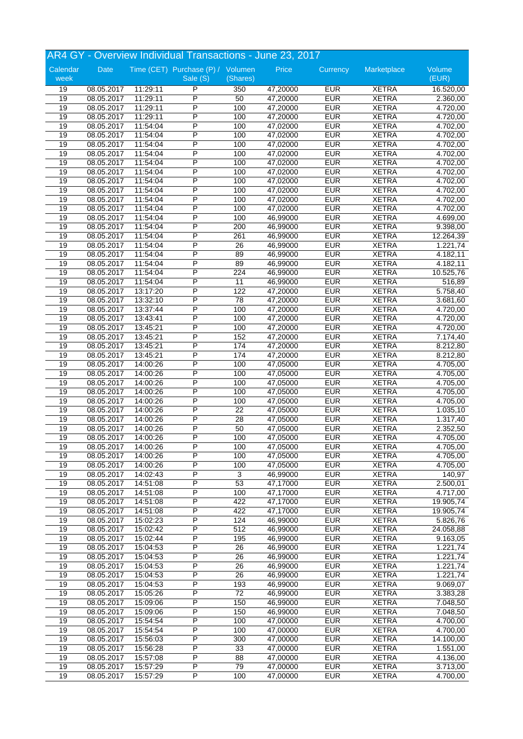|                  | AR4 GY - Overview Individual Transactions - June 23, 2017 |          |                                               |                  |          |            |              |                       |  |
|------------------|-----------------------------------------------------------|----------|-----------------------------------------------|------------------|----------|------------|--------------|-----------------------|--|
| Calendar<br>week | Date                                                      |          | Time (CET) Purchase (P) / Volumen<br>Sale (S) | (Shares)         | Price    | Currency   | Marketplace  | Volume<br>(EUR)       |  |
| 19               | 08.05.2017                                                | 11:29:11 | P                                             | 350              | 47,20000 | <b>EUR</b> | <b>XETRA</b> | 16.520,00             |  |
| 19               | 08.05.2017                                                | 11:29:11 | P                                             | 50               | 47,20000 | <b>EUR</b> | <b>XETRA</b> | 2.360,00              |  |
| 19               | 08.05.2017                                                | 11:29:11 | P                                             | 100              | 47,20000 | <b>EUR</b> | <b>XETRA</b> | 4.720,00              |  |
| 19               | 08.05.2017                                                | 11:29:11 | P                                             | 100              | 47,20000 | <b>EUR</b> | <b>XETRA</b> | 4.720,00              |  |
| 19               | 08.05.2017                                                | 11:54:04 | P                                             | 100              | 47,02000 | <b>EUR</b> | <b>XETRA</b> | 4.702,00              |  |
| 19               | 08.05.2017                                                | 11:54:04 | P                                             | 100              | 47,02000 | <b>EUR</b> | <b>XETRA</b> | 4.702,00              |  |
| 19               | 08.05.2017                                                | 11:54:04 | P                                             | 100              | 47,02000 | <b>EUR</b> | <b>XETRA</b> | 4.702,00              |  |
| 19               | 08.05.2017                                                | 11:54:04 | P                                             | 100              | 47,02000 | <b>EUR</b> | <b>XETRA</b> | 4.702,00              |  |
| 19               | 08.05.2017                                                | 11:54:04 | P                                             | 100              | 47,02000 | <b>EUR</b> | <b>XETRA</b> | 4.702,00              |  |
| 19               | 08.05.2017                                                | 11:54:04 | P                                             | 100              | 47,02000 | <b>EUR</b> | <b>XETRA</b> | 4.702,00              |  |
| 19               | 08.05.2017                                                | 11:54:04 | P                                             | 100              | 47,02000 | <b>EUR</b> | <b>XETRA</b> | 4.702,00              |  |
| 19               | 08.05.2017                                                | 11:54:04 | P                                             | 100              | 47,02000 | <b>EUR</b> | <b>XETRA</b> | 4.702,00              |  |
| 19               | 08.05.2017                                                | 11:54:04 | P                                             | 100              | 47,02000 | <b>EUR</b> | <b>XETRA</b> | 4.702,00              |  |
| 19               | 08.05.2017                                                | 11:54:04 | P                                             | 100              | 47,02000 | <b>EUR</b> | <b>XETRA</b> | 4.702,00              |  |
| 19               | 08.05.2017                                                | 11:54:04 | P                                             | 100              | 46,99000 | <b>EUR</b> | <b>XETRA</b> | 4.699,00              |  |
| 19               | 08.05.2017                                                | 11:54:04 | P                                             | 200              | 46,99000 | <b>EUR</b> | <b>XETRA</b> | 9.398,00              |  |
| 19               | 08.05.2017                                                | 11:54:04 | P                                             | 261              | 46,99000 | <b>EUR</b> | <b>XETRA</b> | 12.264,39             |  |
| 19               | 08.05.2017                                                | 11:54:04 | P                                             | 26               | 46,99000 | <b>EUR</b> | <b>XETRA</b> | 1.221,74              |  |
| 19               | 08.05.2017                                                | 11:54:04 | P                                             | 89               | 46,99000 | <b>EUR</b> | <b>XETRA</b> | 4.182,11              |  |
| 19               | 08.05.2017                                                | 11:54:04 | P                                             | 89               | 46,99000 | <b>EUR</b> | <b>XETRA</b> | 4.182,11              |  |
| 19               | 08.05.2017                                                | 11:54:04 | Ρ                                             | 224              | 46,99000 | <b>EUR</b> | <b>XETRA</b> | 10.525,76             |  |
| 19               | 08.05.2017                                                | 11:54:04 | P                                             | 11               | 46,99000 | <b>EUR</b> | <b>XETRA</b> | 516,89                |  |
| 19               | 08.05.2017                                                | 13:17:20 | P                                             | 122              | 47,20000 | <b>EUR</b> | <b>XETRA</b> | 5.758,40              |  |
| 19               | 08.05.2017                                                | 13:32:10 | P                                             | 78               | 47,20000 | <b>EUR</b> | <b>XETRA</b> | 3.681,60              |  |
| 19               | 08.05.2017                                                | 13:37:44 | P                                             | 100              | 47,20000 | <b>EUR</b> | <b>XETRA</b> | $\overline{4.720,00}$ |  |
| 19               | 08.05.2017                                                | 13:43:41 | P                                             | 100              | 47,20000 | <b>EUR</b> | <b>XETRA</b> | 4.720,00              |  |
| 19               | 08.05.2017                                                | 13:45:21 | P                                             | 100              | 47,20000 | <b>EUR</b> | <b>XETRA</b> | 4.720,00              |  |
| 19               | 08.05.2017                                                | 13:45:21 | P                                             | 152              | 47,20000 | <b>EUR</b> | <b>XETRA</b> | 7.174,40              |  |
| 19               | 08.05.2017                                                | 13:45:21 | P                                             | 174              | 47,20000 | <b>EUR</b> | <b>XETRA</b> | 8.212,80              |  |
| 19               | 08.05.2017                                                | 13:45:21 | P                                             | 174              | 47,20000 | <b>EUR</b> | <b>XETRA</b> | 8.212,80              |  |
| 19               | 08.05.2017                                                | 14:00:26 | P                                             | 100              | 47,05000 | <b>EUR</b> | <b>XETRA</b> | 4.705,00              |  |
| 19               | 08.05.2017                                                | 14:00:26 | P                                             | 100              | 47,05000 | <b>EUR</b> | <b>XETRA</b> | 4.705,00              |  |
| 19               | 08.05.2017                                                | 14:00:26 | P                                             | 100              | 47,05000 | <b>EUR</b> | <b>XETRA</b> | 4.705,00              |  |
| 19               | 08.05.2017                                                | 14:00:26 | P                                             | 100              | 47,05000 | <b>EUR</b> | <b>XETRA</b> | 4.705,00              |  |
| 19               | 08.05.2017                                                | 14:00:26 | P                                             | 100              | 47,05000 | <b>EUR</b> | <b>XETRA</b> | 4.705,00              |  |
| 19               | 08.05.2017                                                | 14:00:26 | P                                             | 22               | 47,05000 | <b>EUR</b> | <b>XETRA</b> | 1.035,10              |  |
| 19               | 08.05.2017                                                | 14:00:26 | P                                             | 28               | 47,05000 | <b>EUR</b> | <b>XETRA</b> | 1.317,40              |  |
| 19               | 08.05.2017                                                | 14:00:26 | P                                             | 50               | 47,05000 | <b>EUR</b> | <b>XETRA</b> | 2.352,50              |  |
| 19               | 08.05.2017                                                | 14:00:26 | P                                             | 100              | 47,05000 | <b>EUR</b> | <b>XETRA</b> | 4.705,00              |  |
| 19               | 08.05.2017                                                | 14:00:26 | P                                             | 100              | 47,05000 | <b>EUR</b> | <b>XETRA</b> | 4.705,00              |  |
| 19               | 08.05.2017                                                | 14:00:26 | P                                             | 100              | 47,05000 | <b>EUR</b> | <b>XETRA</b> | 4.705,00              |  |
| 19               | 08.05.2017                                                | 14:00:26 | $\overline{\mathsf{P}}$                       | 100              | 47,05000 | <b>EUR</b> | <b>XETRA</b> | 4.705,00              |  |
| 19               | 08.05.2017                                                | 14:02:43 | P                                             | 3                | 46,99000 | <b>EUR</b> | <b>XETRA</b> | 140,97                |  |
| 19               | 08.05.2017                                                | 14:51:08 | P                                             | 53               | 47,17000 | <b>EUR</b> | <b>XETRA</b> | 2.500,01              |  |
| 19               | 08.05.2017                                                | 14:51:08 | P                                             | 100              | 47,17000 | <b>EUR</b> | <b>XETRA</b> | 4.717,00              |  |
| 19               | 08.05.2017                                                | 14:51:08 | P                                             | 422              | 47,17000 | <b>EUR</b> | <b>XETRA</b> | 19.905,74             |  |
| 19               | 08.05.2017                                                | 14:51:08 | P                                             | 422              | 47,17000 | <b>EUR</b> | <b>XETRA</b> | 19.905,74             |  |
| 19               | 08.05.2017                                                | 15:02:23 | P                                             | 124              | 46,99000 | <b>EUR</b> | <b>XETRA</b> | 5.826,76              |  |
| 19               | 08.05.2017                                                | 15:02:42 | $\overline{P}$                                | 512              | 46,99000 | <b>EUR</b> | <b>XETRA</b> | 24.058,88             |  |
| 19               | 08.05.2017                                                | 15:02:44 | $\overline{P}$                                | 195              | 46,99000 | <b>EUR</b> | <b>XETRA</b> | 9.163,05              |  |
| 19               | 08.05.2017                                                | 15:04:53 | P                                             | 26               | 46,99000 | <b>EUR</b> | <b>XETRA</b> | 1.221,74              |  |
| 19               | 08.05.2017                                                | 15:04:53 | P                                             | 26               | 46,99000 | <b>EUR</b> | <b>XETRA</b> | 1.221,74              |  |
| 19               | 08.05.2017                                                | 15:04:53 | P                                             | $\overline{26}$  | 46,99000 | <b>EUR</b> | <b>XETRA</b> | 1.221,74              |  |
| 19               | 08.05.2017                                                | 15:04:53 | $\overline{P}$                                | 26               | 46,99000 | <b>EUR</b> | <b>XETRA</b> | 1.221,74              |  |
| 19               | 08.05.2017                                                | 15:04:53 | P                                             | 193              | 46,99000 | <b>EUR</b> | <b>XETRA</b> | 9.069,07              |  |
| 19               | 08.05.2017                                                | 15:05:26 | $\overline{P}$                                | 72               | 46,99000 | <b>EUR</b> | <b>XETRA</b> | 3.383,28              |  |
| 19               | 08.05.2017                                                | 15:09:06 | P                                             | $\overline{150}$ | 46,99000 | <b>EUR</b> | <b>XETRA</b> | 7.048,50              |  |
| 19               | 08.05.2017                                                | 15:09:06 | $\overline{P}$                                | 150              | 46,99000 | <b>EUR</b> | <b>XETRA</b> | 7.048,50              |  |
| 19               | 08.05.2017                                                | 15:54:54 | P                                             | 100              | 47,00000 | <b>EUR</b> | <b>XETRA</b> | 4.700,00              |  |
| 19               | 08.05.2017                                                | 15:54:54 | P                                             | 100              | 47,00000 | <b>EUR</b> | <b>XETRA</b> | 4.700,00              |  |
| 19               | 08.05.2017                                                | 15:56:03 | $\overline{P}$                                | $\overline{300}$ | 47,00000 | <b>EUR</b> | <b>XETRA</b> | 14.100,00             |  |
| 19               | 08.05.2017                                                | 15:56:28 | P                                             | 33               | 47,00000 | <b>EUR</b> | <b>XETRA</b> | 1.551,00              |  |
| 19               | 08.05.2017                                                | 15:57:08 | P                                             | 88               | 47,00000 | <b>EUR</b> | <b>XETRA</b> | 4.136,00              |  |
| 19               | 08.05.2017                                                | 15:57:29 | P                                             | 79               | 47,00000 | <b>EUR</b> | <b>XETRA</b> | 3.713,00              |  |
| 19               | 08.05.2017                                                | 15:57:29 | $\overline{P}$                                | 100              | 47,00000 | <b>EUR</b> | <b>XETRA</b> | 4.700,00              |  |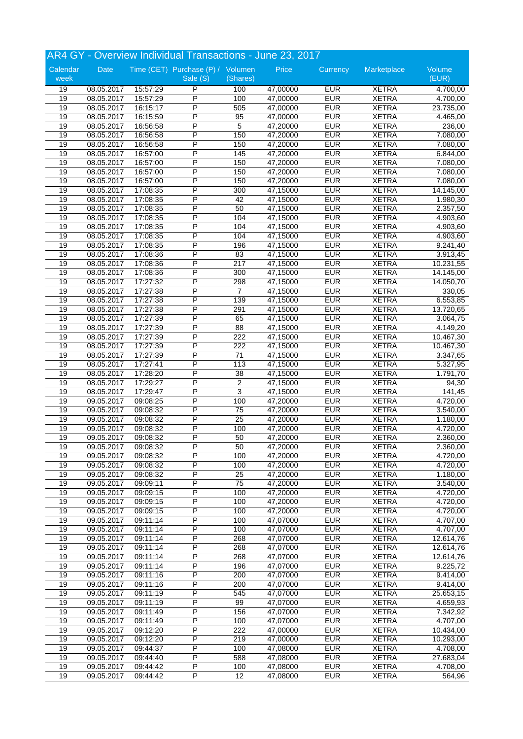|          |            |          | AR4 GY - Overview Individual Transactions - June 23, 2017 |                 |          |            |              |           |
|----------|------------|----------|-----------------------------------------------------------|-----------------|----------|------------|--------------|-----------|
| Calendar | Date       |          | Time (CET) Purchase (P) / Volumen                         |                 | Price    | Currency   | Marketplace  | Volume    |
| week     |            |          | Sale (S)                                                  | (Shares)        |          |            |              | (EUR)     |
| 19       | 08.05.2017 | 15:57:29 | P                                                         | 100             | 47,00000 | <b>EUR</b> | <b>XETRA</b> | 4.700,00  |
| 19       | 08.05.2017 | 15:57:29 | P                                                         | 100             | 47,00000 | <b>EUR</b> | <b>XETRA</b> | 4.700,00  |
| 19       | 08.05.2017 | 16:15:17 | P                                                         | 505             | 47,00000 | <b>EUR</b> | <b>XETRA</b> | 23.735,00 |
| 19       | 08.05.2017 | 16:15:59 | P                                                         | 95              | 47,00000 | <b>EUR</b> | <b>XETRA</b> | 4.465,00  |
| 19       | 08.05.2017 | 16:56:58 | P                                                         | 5               | 47,20000 | <b>EUR</b> | <b>XETRA</b> | 236,00    |
| 19       | 08.05.2017 | 16:56:58 | P                                                         | 150             | 47,20000 | <b>EUR</b> | <b>XETRA</b> | 7.080,00  |
| 19       | 08.05.2017 | 16:56:58 | P                                                         | 150             | 47,20000 | <b>EUR</b> | <b>XETRA</b> | 7.080,00  |
| 19       | 08.05.2017 | 16:57:00 | P                                                         | 145             | 47,20000 | <b>EUR</b> | <b>XETRA</b> | 6.844,00  |
| 19       | 08.05.2017 | 16:57:00 | P                                                         | 150             | 47,20000 | <b>EUR</b> | <b>XETRA</b> | 7.080,00  |
| 19       | 08.05.2017 | 16:57:00 | P                                                         | 150             | 47,20000 | <b>EUR</b> | <b>XETRA</b> | 7.080,00  |
| 19       | 08.05.2017 | 16:57:00 | P                                                         | 150             | 47,20000 | <b>EUR</b> | <b>XETRA</b> | 7.080,00  |
| 19       | 08.05.2017 | 17:08:35 | P                                                         | 300             | 47,15000 | <b>EUR</b> | <b>XETRA</b> | 14.145,00 |
| 19       | 08.05.2017 | 17:08:35 | P                                                         | 42              | 47,15000 | <b>EUR</b> | <b>XETRA</b> | 1.980,30  |
| 19       | 08.05.2017 | 17:08:35 | P                                                         | 50              | 47,15000 | <b>EUR</b> | <b>XETRA</b> | 2.357,50  |
| 19       | 08.05.2017 | 17:08:35 | P                                                         | 104             | 47,15000 | <b>EUR</b> | <b>XETRA</b> | 4.903,60  |
| 19       | 08.05.2017 | 17:08:35 | P                                                         | 104             | 47,15000 | <b>EUR</b> | <b>XETRA</b> | 4.903,60  |
| 19       | 08.05.2017 | 17:08:35 | P                                                         | 104             | 47,15000 | <b>EUR</b> | <b>XETRA</b> | 4.903,60  |
| 19       | 08.05.2017 | 17:08:35 | P                                                         | 196             | 47,15000 | <b>EUR</b> | <b>XETRA</b> | 9.241,40  |
| 19       | 08.05.2017 | 17:08:36 | P                                                         | 83              | 47,15000 | <b>EUR</b> | <b>XETRA</b> | 3.913,45  |
| 19       | 08.05.2017 | 17:08:36 | P                                                         | 217             | 47,15000 | <b>EUR</b> | <b>XETRA</b> | 10.231,55 |
| 19       | 08.05.2017 | 17:08:36 | P                                                         | 300             | 47,15000 | <b>EUR</b> | <b>XETRA</b> | 14.145,00 |
| 19       | 08.05.2017 | 17:27:32 | P                                                         | 298             | 47,15000 | <b>EUR</b> | <b>XETRA</b> | 14.050,70 |
| 19       | 08.05.2017 | 17:27:38 | P                                                         | $\overline{7}$  | 47,15000 | <b>EUR</b> | <b>XETRA</b> | 330,05    |
| 19       | 08.05.2017 | 17:27:38 | P                                                         | 139             | 47,15000 | <b>EUR</b> | <b>XETRA</b> | 6.553,85  |
| 19       | 08.05.2017 | 17:27:38 | P                                                         | 291             | 47,15000 | <b>EUR</b> | <b>XETRA</b> | 13.720,65 |
| 19       | 08.05.2017 | 17:27:39 | P                                                         | 65              | 47,15000 | <b>EUR</b> | <b>XETRA</b> | 3.064,75  |
| 19       | 08.05.2017 | 17:27:39 | $\overline{P}$                                            | $\overline{88}$ | 47,15000 | <b>EUR</b> | <b>XETRA</b> | 4.149,20  |
| 19       | 08.05.2017 | 17:27:39 | P                                                         | 222             | 47,15000 | <b>EUR</b> | <b>XETRA</b> | 10.467,30 |
| 19       | 08.05.2017 | 17:27:39 | P                                                         | 222             | 47,15000 | <b>EUR</b> | <b>XETRA</b> | 10.467,30 |
| 19       | 08.05.2017 | 17:27:39 | P                                                         | 71              | 47,15000 | <b>EUR</b> | <b>XETRA</b> | 3.347,65  |
| 19       | 08.05.2017 | 17:27:41 | P                                                         | 113             | 47,15000 | <b>EUR</b> | <b>XETRA</b> | 5.327,95  |
| 19       | 08.05.2017 | 17:28:20 | P                                                         | $\overline{38}$ | 47,15000 | <b>EUR</b> | <b>XETRA</b> | 1.791,70  |
| 19       | 08.05.2017 | 17:29:27 | P                                                         | 2               | 47,15000 | <b>EUR</b> | <b>XETRA</b> | 94,30     |
| 19       | 08.05.2017 | 17:29:47 | P                                                         | 3               | 47,15000 | <b>EUR</b> | <b>XETRA</b> | 141,45    |
| 19       | 09.05.2017 | 09:08:25 | P                                                         | 100             | 47,20000 | <b>EUR</b> | <b>XETRA</b> | 4.720,00  |
| 19       | 09.05.2017 | 09:08:32 | P                                                         | 75              | 47,20000 | <b>EUR</b> | <b>XETRA</b> | 3.540,00  |
| 19       | 09.05.2017 | 09:08:32 | P                                                         | 25              | 47,20000 | <b>EUR</b> | <b>XETRA</b> | 1.180,00  |
| 19       | 09.05.2017 | 09:08:32 | P                                                         | 100             | 47,20000 | <b>EUR</b> | <b>XETRA</b> | 4.720,00  |
| 19       | 09.05.2017 | 09:08:32 | P                                                         | 50              | 47,20000 | <b>EUR</b> | <b>XETRA</b> | 2.360,00  |
| 19       | 09.05.2017 | 09:08:32 | P                                                         | 50              | 47,20000 | <b>EUR</b> | <b>XETRA</b> | 2.360,00  |
| 19       | 09.05.2017 | 09:08:32 | P                                                         | 100             | 47,20000 | <b>EUR</b> | <b>XETRA</b> | 4.720,00  |
| 19       | 09.05.2017 | 09:08:32 | $\overline{\mathsf{P}}$                                   | 100             | 47,20000 | <b>EUR</b> | <b>XETRA</b> | 4.720,00  |
| 19       | 09.05.2017 | 09:08:32 | $\overline{P}$                                            | 25              | 47,20000 | <b>EUR</b> | <b>XETRA</b> | 1.180,00  |
| 19       | 09.05.2017 | 09:09:11 | P                                                         | 75              | 47,20000 | <b>EUR</b> | <b>XETRA</b> | 3.540,00  |
| 19       | 09.05.2017 | 09:09:15 | P                                                         | 100             | 47,20000 | <b>EUR</b> | <b>XETRA</b> | 4.720,00  |
| 19       | 09.05.2017 | 09:09:15 | P                                                         | 100             | 47,20000 | <b>EUR</b> | <b>XETRA</b> | 4.720,00  |
| 19       | 09.05.2017 | 09:09:15 | P                                                         | 100             | 47,20000 | <b>EUR</b> | <b>XETRA</b> | 4.720,00  |
| 19       | 09.05.2017 | 09:11:14 | P                                                         | 100             | 47,07000 | <b>EUR</b> | <b>XETRA</b> | 4.707,00  |
| 19       | 09.05.2017 | 09:11:14 | $\overline{P}$                                            | 100             | 47,07000 | <b>EUR</b> | <b>XETRA</b> | 4.707,00  |
| 19       | 09.05.2017 | 09:11:14 | P                                                         | 268             | 47,07000 | <b>EUR</b> | <b>XETRA</b> | 12.614,76 |
| 19       | 09.05.2017 | 09:11:14 | P                                                         | 268             | 47,07000 | <b>EUR</b> | <b>XETRA</b> | 12.614,76 |
| 19       | 09.05.2017 | 09:11:14 | P                                                         | 268             | 47,07000 | <b>EUR</b> | <b>XETRA</b> | 12.614,76 |
| 19       | 09.05.2017 | 09:11:14 | P                                                         | 196             | 47,07000 | <b>EUR</b> | <b>XETRA</b> | 9.225,72  |
| 19       | 09.05.2017 | 09:11:16 | $\overline{\mathsf{P}}$                                   | 200             | 47,07000 | <b>EUR</b> | <b>XETRA</b> | 9.414,00  |
| 19       | 09.05.2017 | 09:11:16 | P                                                         | 200             | 47,07000 | <b>EUR</b> | <b>XETRA</b> | 9.414,00  |
| 19       | 09.05.2017 | 09:11:19 | P                                                         | 545             | 47,07000 | <b>EUR</b> | <b>XETRA</b> | 25.653,15 |
| 19       | 09.05.2017 | 09:11:19 | $\overline{P}$                                            | 99              | 47,07000 | <b>EUR</b> | <b>XETRA</b> | 4.659,93  |
| 19       | 09.05.2017 | 09:11:49 | $\overline{\mathsf{P}}$                                   | 156             | 47,07000 | <b>EUR</b> | <b>XETRA</b> | 7.342,92  |
| 19       | 09.05.2017 | 09:11:49 | P                                                         | 100             | 47,07000 | <b>EUR</b> | <b>XETRA</b> | 4.707,00  |
| 19       | 09.05.2017 | 09:12:20 | P                                                         | 222             | 47,00000 | <b>EUR</b> | <b>XETRA</b> | 10.434,00 |
| 19       | 09.05.2017 | 09:12:20 | P                                                         | 219             | 47,00000 | <b>EUR</b> | <b>XETRA</b> | 10.293,00 |
| 19       | 09.05.2017 | 09:44:37 | $\overline{\mathsf{P}}$                                   | 100             | 47,08000 | <b>EUR</b> | <b>XETRA</b> | 4.708,00  |
| 19       | 09.05.2017 | 09:44:40 | ${\sf P}$                                                 | 588             | 47,08000 | <b>EUR</b> | <b>XETRA</b> | 27.683,04 |
| 19       | 09.05.2017 | 09:44:42 | P                                                         | 100             | 47,08000 | <b>EUR</b> | <b>XETRA</b> | 4.708,00  |
| 19       | 09.05.2017 | 09:44:42 | $\overline{\mathsf{P}}$                                   | 12              | 47,08000 | <b>EUR</b> | <b>XETRA</b> | 564,96    |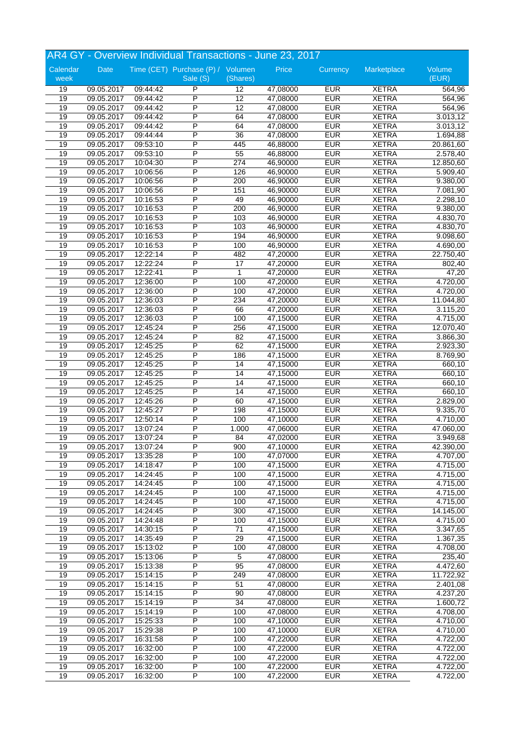|                  | AR4 GY - Overview Individual Transactions - June 23, 2017 |          |                                               |                 |          |            |              |                 |  |
|------------------|-----------------------------------------------------------|----------|-----------------------------------------------|-----------------|----------|------------|--------------|-----------------|--|
| Calendar<br>week | Date                                                      |          | Time (CET) Purchase (P) / Volumen<br>Sale (S) | (Shares)        | Price    | Currency   | Marketplace  | Volume<br>(EUR) |  |
| 19               | 09.05.2017                                                | 09:44:42 | P                                             | 12              | 47,08000 | <b>EUR</b> | <b>XETRA</b> | 564,96          |  |
| 19               | 09.05.2017                                                | 09:44:42 | P                                             | 12              | 47,08000 | <b>EUR</b> | <b>XETRA</b> | 564,96          |  |
| 19               | 09.05.2017                                                | 09:44:42 | P                                             | 12              | 47,08000 | <b>EUR</b> | <b>XETRA</b> | 564,96          |  |
| 19               | 09.05.2017                                                | 09:44:42 | P                                             | 64              | 47,08000 | <b>EUR</b> | <b>XETRA</b> | 3.013, 12       |  |
| 19               | 09.05.2017                                                | 09:44:42 | P                                             | 64              | 47,08000 | <b>EUR</b> | <b>XETRA</b> | 3.013,12        |  |
| 19               | 09.05.2017                                                | 09:44:44 | P                                             | $\overline{36}$ | 47,08000 | <b>EUR</b> | <b>XETRA</b> | 1.694,88        |  |
| 19               | 09.05.2017                                                | 09:53:10 | P                                             | 445             | 46,88000 | <b>EUR</b> | <b>XETRA</b> | 20.861,60       |  |
| 19               | 09.05.2017                                                | 09:53:10 | P                                             | 55              | 46,88000 | <b>EUR</b> | <b>XETRA</b> | 2.578,40        |  |
| 19               | 09.05.2017                                                | 10:04:30 | P                                             | 274             | 46,90000 | <b>EUR</b> | <b>XETRA</b> | 12.850,60       |  |
| 19               | 09.05.2017                                                | 10:06:56 | P                                             | 126             | 46,90000 | <b>EUR</b> | <b>XETRA</b> | 5.909,40        |  |
| 19               | 09.05.2017                                                | 10:06:56 | P                                             | 200             | 46,90000 | <b>EUR</b> | <b>XETRA</b> | 9.380,00        |  |
| 19               | 09.05.2017                                                | 10:06:56 | P                                             | 151             | 46,90000 | <b>EUR</b> | <b>XETRA</b> | 7.081,90        |  |
| 19               | 09.05.2017                                                | 10:16:53 | P                                             | 49              | 46,90000 | <b>EUR</b> | <b>XETRA</b> | 2.298,10        |  |
| 19               | 09.05.2017                                                | 10:16:53 | P                                             | 200             | 46,90000 | <b>EUR</b> | <b>XETRA</b> | 9.380,00        |  |
| 19               | 09.05.2017                                                | 10:16:53 | P                                             | 103             | 46,90000 | <b>EUR</b> | <b>XETRA</b> | 4.830,70        |  |
| 19               | 09.05.2017                                                | 10:16:53 | P                                             | 103             | 46,90000 | <b>EUR</b> | <b>XETRA</b> | 4.830,70        |  |
| 19               | 09.05.2017                                                | 10:16:53 | P                                             | 194             | 46,90000 | <b>EUR</b> | <b>XETRA</b> | 9.098,60        |  |
| 19               | 09.05.2017                                                | 10:16:53 | P                                             | 100             | 46,90000 | <b>EUR</b> | <b>XETRA</b> | 4.690,00        |  |
| 19               | 09.05.2017                                                | 12:22:14 | P                                             | 482             | 47,20000 | <b>EUR</b> | <b>XETRA</b> | 22.750,40       |  |
| 19               | 09.05.2017                                                | 12:22:24 | P                                             | 17              | 47,20000 | <b>EUR</b> | <b>XETRA</b> | 802,40          |  |
| 19               | 09.05.2017                                                | 12:22:41 | P                                             | 1               | 47,20000 | <b>EUR</b> | <b>XETRA</b> | 47,20           |  |
| 19               | 09.05.2017                                                | 12:36:00 | P                                             | 100             | 47,20000 | <b>EUR</b> | <b>XETRA</b> | 4.720,00        |  |
| 19               | 09.05.2017                                                | 12:36:00 | P                                             | 100             | 47,20000 | <b>EUR</b> | <b>XETRA</b> | 4.720,00        |  |
| 19               | 09.05.2017                                                | 12:36:03 | P                                             | 234             | 47,20000 | <b>EUR</b> | <b>XETRA</b> | 11.044,80       |  |
| 19               | 09.05.2017                                                | 12:36:03 | P                                             | 66              | 47,20000 | <b>EUR</b> | <b>XETRA</b> | 3.115,20        |  |
| 19               | 09.05.2017                                                | 12:36:03 | P                                             | 100             | 47,15000 | <b>EUR</b> | <b>XETRA</b> | 4.715,00        |  |
| 19               | 09.05.2017                                                | 12:45:24 | P                                             | 256             | 47,15000 | <b>EUR</b> | <b>XETRA</b> | 12.070,40       |  |
| 19               | 09.05.2017                                                | 12:45:24 | P                                             | 82              | 47,15000 | <b>EUR</b> | <b>XETRA</b> | 3.866,30        |  |
| 19               | 09.05.2017                                                | 12:45:25 | P                                             | 62              | 47,15000 | <b>EUR</b> | <b>XETRA</b> | 2.923,30        |  |
| 19               | 09.05.2017                                                | 12:45:25 | P                                             | 186             | 47,15000 | <b>EUR</b> | <b>XETRA</b> | 8.769,90        |  |
| 19               | 09.05.2017                                                | 12:45:25 | P                                             | 14              | 47,15000 | <b>EUR</b> | <b>XETRA</b> | 660,10          |  |
| 19               | 09.05.2017                                                | 12:45:25 | P                                             | 14              | 47,15000 | <b>EUR</b> | <b>XETRA</b> | 660,10          |  |
| 19               | 09.05.2017                                                | 12:45:25 | P                                             | 14              | 47,15000 | <b>EUR</b> | <b>XETRA</b> | 660,10          |  |
| 19               | 09.05.2017                                                | 12:45:25 | P                                             | 14              | 47,15000 | <b>EUR</b> | <b>XETRA</b> | 660,10          |  |
| 19               | 09.05.2017                                                | 12:45:26 | P                                             | 60              | 47,15000 | <b>EUR</b> | <b>XETRA</b> | 2.829,00        |  |
| 19               | 09.05.2017                                                | 12:45:27 | P                                             | 198             | 47,15000 | <b>EUR</b> | <b>XETRA</b> | 9.335,70        |  |
| 19               | 09.05.2017                                                | 12:50:14 | P                                             | 100             | 47,10000 | <b>EUR</b> | <b>XETRA</b> | 4.710,00        |  |
| 19               | 09.05.2017                                                | 13:07:24 | P                                             | 1.000           | 47,06000 | <b>EUR</b> | <b>XETRA</b> | 47.060,00       |  |
| 19               | 09.05.2017                                                | 13:07:24 | P                                             | 84              | 47,02000 | <b>EUR</b> | <b>XETRA</b> | 3.949,68        |  |
| 19               | 09.05.2017                                                | 13:07:24 | P                                             | 900             | 47,10000 | <b>EUR</b> | <b>XETRA</b> | 42.390,00       |  |
| 19               | 09.05.2017                                                | 13:35:28 | P                                             |                 | 47,07000 | <b>EUR</b> | <b>XETRA</b> | 4.707,00        |  |
|                  |                                                           |          | $\overline{\mathsf{P}}$                       | 100             |          |            |              |                 |  |
| 19               | 09.05.2017                                                | 14:18:47 |                                               | 100             | 47,15000 | <b>EUR</b> | <b>XETRA</b> | 4.715,00        |  |
| 19               | 09.05.2017                                                | 14:24:45 | P                                             | 100             | 47,15000 | <b>EUR</b> | <b>XETRA</b> | 4.715,00        |  |
| 19               | 09.05.2017                                                | 14:24:45 | P                                             | 100             | 47,15000 | <b>EUR</b> | <b>XETRA</b> | 4.715,00        |  |
| 19               | 09.05.2017                                                | 14:24:45 | P                                             | 100             | 47,15000 | <b>EUR</b> | <b>XETRA</b> | 4.715,00        |  |
| 19               | 09.05.2017                                                | 14:24:45 | P                                             | 100             | 47,15000 | <b>EUR</b> | <b>XETRA</b> | 4.715,00        |  |
| 19               | 09.05.2017                                                | 14:24:45 | P                                             | 300             | 47,15000 | <b>EUR</b> | <b>XETRA</b> | 14.145,00       |  |
| 19               | 09.05.2017                                                | 14:24:48 | P                                             | 100             | 47,15000 | <b>EUR</b> | <b>XETRA</b> | 4.715,00        |  |
| 19               | 09.05.2017                                                | 14:30:15 | $\overline{P}$                                | $71$            | 47,15000 | <b>EUR</b> | <b>XETRA</b> | 3.347,65        |  |
| 19               | 09.05.2017                                                | 14:35:49 | $\overline{P}$                                | 29              | 47,15000 | <b>EUR</b> | <b>XETRA</b> | 1.367,35        |  |
| 19               | 09.05.2017                                                | 15:13:02 | P                                             | 100             | 47,08000 | <b>EUR</b> | <b>XETRA</b> | 4.708,00        |  |
| 19               | 09.05.2017                                                | 15:13:06 | P                                             | 5               | 47,08000 | <b>EUR</b> | <b>XETRA</b> | 235,40          |  |
| 19               | 09.05.2017                                                | 15:13:38 | P                                             | 95              | 47,08000 | <b>EUR</b> | <b>XETRA</b> | 4.472,60        |  |
| 19               | 09.05.2017                                                | 15:14:15 | $\overline{P}$                                | 249             | 47,08000 | <b>EUR</b> | <b>XETRA</b> | 11.722,92       |  |
| 19               | 09.05.2017                                                | 15:14:15 | P                                             | 51              | 47,08000 | <b>EUR</b> | <b>XETRA</b> | 2.401,08        |  |
| 19               | 09.05.2017                                                | 15:14:15 | $\overline{P}$                                | 90              | 47,08000 | <b>EUR</b> | <b>XETRA</b> | 4.237,20        |  |
| 19               | 09.05.2017                                                | 15:14:19 | P                                             | 34              | 47,08000 | <b>EUR</b> | <b>XETRA</b> | 1.600,72        |  |
| 19               | 09.05.2017                                                | 15:14:19 | $\overline{\mathsf{P}}$                       | 100             | 47,08000 | <b>EUR</b> | <b>XETRA</b> | 4.708,00        |  |
| 19               | 09.05.2017                                                | 15:25:33 | P                                             | 100             | 47,10000 | <b>EUR</b> | XETRA        | 4.710,00        |  |
| 19               | 09.05.2017                                                | 15:29:38 | P                                             | 100             | 47,10000 | <b>EUR</b> | <b>XETRA</b> | 4.710,00        |  |
| 19               | 09.05.2017                                                | 16:31:58 | $\overline{P}$                                | 100             | 47,22000 | <b>EUR</b> | <b>XETRA</b> | 4.722,00        |  |
| 19               | 09.05.2017                                                | 16:32:00 | P                                             | 100             | 47,22000 | <b>EUR</b> | <b>XETRA</b> | 4.722,00        |  |
| 19               | 09.05.2017                                                | 16:32:00 | P                                             | 100             | 47,22000 | <b>EUR</b> | <b>XETRA</b> | 4.722,00        |  |
| 19               | 09.05.2017                                                | 16:32:00 | P                                             | 100             | 47,22000 | <b>EUR</b> | <b>XETRA</b> | 4.722,00        |  |
| 19               | 09.05.2017                                                | 16:32:00 | $\overline{P}$                                | 100             | 47,22000 | <b>EUR</b> | <b>XETRA</b> | 4.722,00        |  |
|                  |                                                           |          |                                               |                 |          |            |              |                 |  |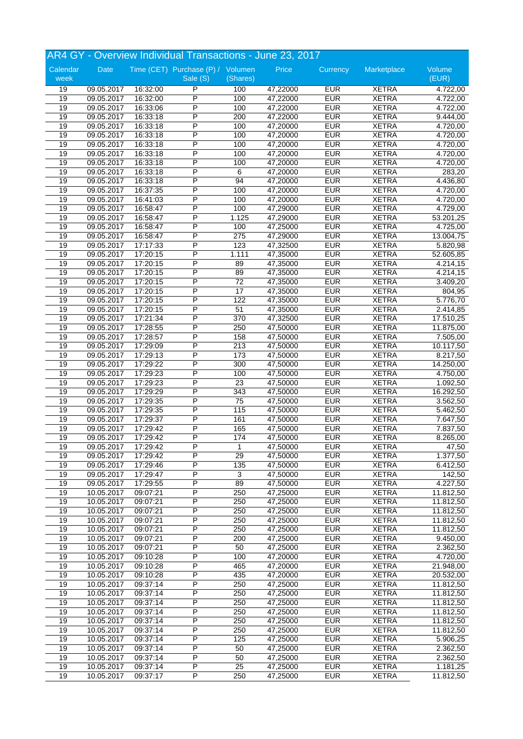|          |            |          | AR4 GY - Overview Individual Transactions - June 23, 2017 |                  |          |            |                              |                       |
|----------|------------|----------|-----------------------------------------------------------|------------------|----------|------------|------------------------------|-----------------------|
| Calendar | Date       |          | Time (CET) Purchase (P) / Volumen                         |                  | Price    | Currency   | Marketplace                  | Volume                |
| week     |            |          | Sale (S)                                                  | (Shares)         |          |            |                              | (EUR)                 |
| 19       | 09.05.2017 | 16:32:00 | P                                                         | 100              | 47,22000 | <b>EUR</b> | <b>XETRA</b>                 | 4.722,00              |
| 19       | 09.05.2017 | 16:32:00 | P                                                         | 100              | 47,22000 | <b>EUR</b> | <b>XETRA</b>                 | 4.722,00              |
| 19       | 09.05.2017 | 16:33:06 | P                                                         | 100              | 47,22000 | <b>EUR</b> | <b>XETRA</b>                 | 4.722,00              |
| 19       | 09.05.2017 | 16:33:18 | P                                                         | 200              | 47,22000 | <b>EUR</b> | <b>XETRA</b>                 | 9.444,00              |
| 19       | 09.05.2017 | 16:33:18 | P                                                         | 100              | 47,20000 | <b>EUR</b> | <b>XETRA</b>                 | 4.720,00              |
| 19       | 09.05.2017 | 16:33:18 | P                                                         | 100              | 47,20000 | <b>EUR</b> | <b>XETRA</b>                 | 4.720,00              |
| 19       |            | 16:33:18 | P                                                         | 100              |          | <b>EUR</b> | <b>XETRA</b>                 |                       |
|          | 09.05.2017 |          | P                                                         |                  | 47,20000 | <b>EUR</b> |                              | 4.720,00              |
| 19       | 09.05.2017 | 16:33:18 |                                                           | 100              | 47,20000 |            | <b>XETRA</b>                 | 4.720,00              |
| 19       | 09.05.2017 | 16:33:18 | P                                                         | 100              | 47,20000 | <b>EUR</b> | <b>XETRA</b>                 | 4.720,00              |
| 19       | 09.05.2017 | 16:33:18 | P                                                         | 6                | 47,20000 | <b>EUR</b> | <b>XETRA</b>                 | 283,20                |
| 19       | 09.05.2017 | 16:33:18 | P                                                         | 94               | 47,20000 | <b>EUR</b> | <b>XETRA</b>                 | 4.436,80              |
| 19       | 09.05.2017 | 16:37:35 | P                                                         | 100              | 47,20000 | <b>EUR</b> | <b>XETRA</b>                 | 4.720,00              |
| 19       | 09.05.2017 | 16:41:03 | P                                                         | 100              | 47,20000 | <b>EUR</b> | <b>XETRA</b>                 | 4.720,00              |
| 19       | 09.05.2017 | 16:58:47 | P                                                         | 100              | 47,29000 | <b>EUR</b> | <b>XETRA</b>                 | 4.729,00              |
| 19       | 09.05.2017 | 16:58:47 | P                                                         | 1.125            | 47,29000 | <b>EUR</b> | <b>XETRA</b>                 | 53.201,25             |
| 19       | 09.05.2017 | 16:58:47 | P                                                         | 100              | 47,25000 | <b>EUR</b> | <b>XETRA</b>                 | $\overline{4.725,00}$ |
| 19       | 09.05.2017 | 16:58:47 | P                                                         | 275              | 47,29000 | <b>EUR</b> | <b>XETRA</b>                 | 13.004,75             |
| 19       | 09.05.2017 | 17:17:33 | P                                                         | 123              | 47,32500 | <b>EUR</b> | <b>XETRA</b>                 | 5.820,98              |
| 19       | 09.05.2017 | 17:20:15 | P                                                         | 1.111            | 47,35000 | <b>EUR</b> | <b>XETRA</b>                 | 52.605,85             |
| 19       | 09.05.2017 | 17:20:15 | P                                                         | 89               | 47,35000 | <b>EUR</b> | <b>XETRA</b>                 | 4.214,15              |
| 19       | 09.05.2017 | 17:20:15 | P                                                         | 89               | 47,35000 | <b>EUR</b> | <b>XETRA</b>                 | 4.214,15              |
| 19       | 09.05.2017 | 17:20:15 | P                                                         | $\overline{72}$  | 47,35000 | <b>EUR</b> | <b>XETRA</b>                 | 3.409,20              |
| 19       | 09.05.2017 | 17:20:15 | P                                                         | $\overline{17}$  | 47,35000 | <b>EUR</b> | <b>XETRA</b>                 | 804,95                |
| 19       | 09.05.2017 | 17:20:15 | P                                                         | 122              | 47,35000 | <b>EUR</b> | <b>XETRA</b>                 | 5.776,70              |
| 19       | 09.05.2017 | 17:20:15 | P                                                         | 51               | 47,35000 | <b>EUR</b> | <b>XETRA</b>                 | 2.414,85              |
| 19       |            |          | P                                                         | 370              |          | <b>EUR</b> | <b>XETRA</b>                 |                       |
|          | 09.05.2017 | 17:21:34 | P                                                         |                  | 47,32500 |            |                              | 17.510,25             |
| 19       | 09.05.2017 | 17:28:55 |                                                           | 250              | 47,50000 | <b>EUR</b> | <b>XETRA</b>                 | 11.875,00             |
| 19       | 09.05.2017 | 17:28:57 | P                                                         | 158              | 47,50000 | <b>EUR</b> | <b>XETRA</b>                 | 7.505,00              |
| 19       | 09.05.2017 | 17:29:09 | P                                                         | 213              | 47,50000 | <b>EUR</b> | <b>XETRA</b>                 | 10.117,50             |
| 19       | 09.05.2017 | 17:29:13 | P                                                         | 173              | 47,50000 | <b>EUR</b> | <b>XETRA</b>                 | 8.217,50              |
| 19       | 09.05.2017 | 17:29:22 | P                                                         | 300              | 47,50000 | <b>EUR</b> | <b>XETRA</b>                 | 14.250,00             |
| 19       | 09.05.2017 | 17:29:23 | P                                                         | 100              | 47,50000 | <b>EUR</b> | <b>XETRA</b>                 | 4.750,00              |
| 19       | 09.05.2017 | 17:29:23 | P                                                         | 23               | 47,50000 | <b>EUR</b> | <b>XETRA</b>                 | 1.092,50              |
| 19       | 09.05.2017 | 17:29:29 | P                                                         | $\overline{343}$ | 47,50000 | <b>EUR</b> | <b>XETRA</b>                 | 16.292,50             |
| 19       | 09.05.2017 | 17:29:35 | P                                                         | 75               | 47,50000 | <b>EUR</b> | <b>XETRA</b>                 | 3.562,50              |
| 19       | 09.05.2017 | 17:29:35 | P                                                         | 115              | 47,50000 | <b>EUR</b> | <b>XETRA</b>                 | 5.462,50              |
| 19       | 09.05.2017 | 17:29:37 | P                                                         | 161              | 47,50000 | <b>EUR</b> | <b>XETRA</b>                 | 7.647,50              |
| 19       | 09.05.2017 | 17:29:42 | P                                                         | 165              | 47,50000 | <b>EUR</b> | <b>XETRA</b>                 | 7.837,50              |
| 19       | 09.05.2017 | 17:29:42 | P                                                         | 174              | 47,50000 | <b>EUR</b> | <b>XETRA</b>                 | 8.265,00              |
| 19       | 09.05.2017 | 17:29:42 | P                                                         | 1                | 47,50000 | <b>EUR</b> | <b>XETRA</b>                 | 47,50                 |
| 19       |            | 17:29:42 | $\overline{P}$                                            | 29               |          | <b>EUR</b> |                              |                       |
|          | 09.05.2017 |          | $\overline{\mathsf{P}}$                                   |                  | 47,50000 | <b>EUR</b> | <b>XETRA</b><br><b>XETRA</b> | 1.377,50              |
| 19       | 09.05.2017 | 17:29:46 |                                                           | $\overline{135}$ | 47,50000 |            |                              | 6.412,50              |
| 19       | 09.05.2017 | 17:29:47 | $\overline{P}$                                            | $\mathsf 3$      | 47,50000 | <b>EUR</b> | <b>XETRA</b>                 | 142,50                |
| 19       | 09.05.2017 | 17:29:55 | P                                                         | 89               | 47,50000 | <b>EUR</b> | <b>XETRA</b>                 | 4.227,50              |
| 19       | 10.05.2017 | 09:07:21 | P                                                         | 250              | 47,25000 | <b>EUR</b> | <b>XETRA</b>                 | 11.812,50             |
| 19       | 10.05.2017 | 09:07:21 | $\overline{\mathsf{P}}$                                   | 250              | 47,25000 | <b>EUR</b> | <b>XETRA</b>                 | 11.812,50             |
| 19       | 10.05.2017 | 09:07:21 | P                                                         | 250              | 47,25000 | <b>EUR</b> | <b>XETRA</b>                 | 11.812,50             |
| 19       | 10.05.2017 | 09:07:21 | P                                                         | 250              | 47,25000 | <b>EUR</b> | <b>XETRA</b>                 | 11.812,50             |
| 19       | 10.05.2017 | 09:07:21 | $\overline{P}$                                            | 250              | 47,25000 | <b>EUR</b> | <b>XETRA</b>                 | 11.812,50             |
| 19       | 10.05.2017 | 09:07:21 | P                                                         | 200              | 47,25000 | <b>EUR</b> | <b>XETRA</b>                 | 9.450,00              |
| 19       | 10.05.2017 | 09:07:21 | P                                                         | 50               | 47,25000 | <b>EUR</b> | <b>XETRA</b>                 | 2.362,50              |
| 19       | 10.05.2017 | 09:10:28 | P                                                         | 100              | 47,20000 | <b>EUR</b> | <b>XETRA</b>                 | 4.720,00              |
| 19       | 10.05.2017 | 09:10:28 | P                                                         | 465              | 47,20000 | <b>EUR</b> | <b>XETRA</b>                 | 21.948,00             |
| 19       | 10.05.2017 | 09:10:28 | $\overline{\mathsf{P}}$                                   | 435              | 47,20000 | <b>EUR</b> | <b>XETRA</b>                 | 20.532,00             |
| 19       | 10.05.2017 | 09:37:14 | P                                                         | 250              | 47,25000 | <b>EUR</b> | <b>XETRA</b>                 | 11.812,50             |
| 19       | 10.05.2017 | 09:37:14 | P                                                         | 250              | 47,25000 | <b>EUR</b> | <b>XETRA</b>                 | 11.812,50             |
| 19       | 10.05.2017 | 09:37:14 | $\overline{P}$                                            | 250              | 47,25000 | <b>EUR</b> | <b>XETRA</b>                 | 11.812,50             |
|          |            |          | $\overline{\mathsf{P}}$                                   |                  |          |            |                              |                       |
| 19       | 10.05.2017 | 09:37:14 |                                                           | 250              | 47,25000 | <b>EUR</b> | <b>XETRA</b>                 | 11.812,50             |
| 19       | 10.05.2017 | 09:37:14 | P                                                         | 250              | 47,25000 | <b>EUR</b> | <b>XETRA</b>                 | 11.812,50             |
| 19       | 10.05.2017 | 09:37:14 | P                                                         | 250              | 47,25000 | <b>EUR</b> | <b>XETRA</b>                 | 11.812,50             |
| 19       | 10.05.2017 | 09:37:14 | P                                                         | 125              | 47,25000 | <b>EUR</b> | <b>XETRA</b>                 | 5.906,25              |
| 19       | 10.05.2017 | 09:37:14 | $\overline{\mathsf{P}}$                                   | 50               | 47,25000 | <b>EUR</b> | <b>XETRA</b>                 | 2.362,50              |
| 19       | 10.05.2017 | 09:37:14 | P                                                         | 50               | 47,25000 | <b>EUR</b> | <b>XETRA</b>                 | 2.362,50              |
| 19       | 10.05.2017 | 09:37:14 | P                                                         | 25               | 47,25000 | <b>EUR</b> | <b>XETRA</b>                 | 1.181,25              |
| 19       | 10.05.2017 | 09:37:17 | $\overline{\mathsf{P}}$                                   | 250              | 47,25000 | <b>EUR</b> | <b>XETRA</b>                 | 11.812,50             |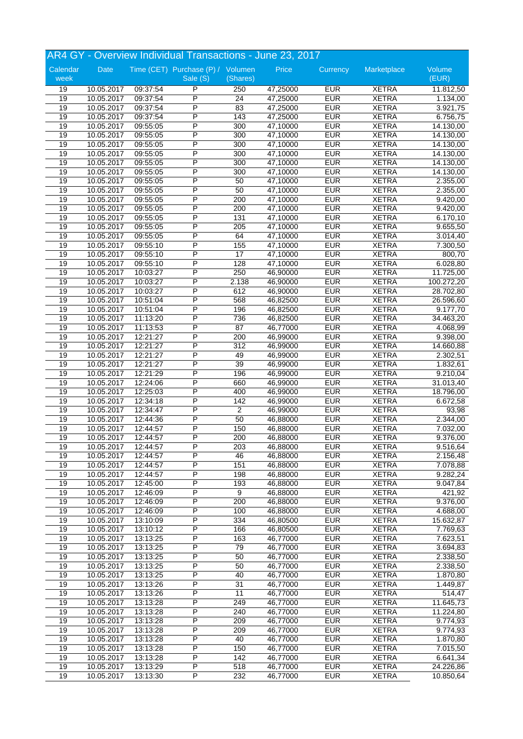|          | AR4 GY - Overview Individual Transactions - June 23, 2017 |          |                                   |                  |          |            |              |            |  |
|----------|-----------------------------------------------------------|----------|-----------------------------------|------------------|----------|------------|--------------|------------|--|
| Calendar | Date                                                      |          | Time (CET) Purchase (P) / Volumen |                  | Price    | Currency   | Marketplace  | Volume     |  |
| week     |                                                           |          | Sale (S)                          | (Shares)         |          |            |              | (EUR)      |  |
| 19       | 10.05.2017                                                | 09:37:54 | P                                 | 250              | 47,25000 | <b>EUR</b> | <b>XETRA</b> | 11.812,50  |  |
| 19       | 10.05.2017                                                | 09:37:54 | P                                 | 24               | 47,25000 | <b>EUR</b> | <b>XETRA</b> | 1.134,00   |  |
| 19       | 10.05.2017                                                | 09:37:54 | P                                 | 83               | 47,25000 | <b>EUR</b> | <b>XETRA</b> | 3.921,75   |  |
| 19       | 10.05.2017                                                | 09:37:54 | P                                 | 143              | 47,25000 | <b>EUR</b> | <b>XETRA</b> | 6.756,75   |  |
| 19       | 10.05.2017                                                | 09:55:05 | P                                 | 300              | 47,10000 | <b>EUR</b> | <b>XETRA</b> | 14.130,00  |  |
| 19       | 10.05.2017                                                | 09:55:05 | P                                 | 300              | 47,10000 | <b>EUR</b> | <b>XETRA</b> | 14.130,00  |  |
| 19       | 10.05.2017                                                | 09:55:05 | P                                 | 300              | 47,10000 | <b>EUR</b> | <b>XETRA</b> | 14.130,00  |  |
| 19       | 10.05.2017                                                | 09:55:05 | P                                 | 300              | 47,10000 | <b>EUR</b> | <b>XETRA</b> | 14.130,00  |  |
| 19       | 10.05.2017                                                | 09:55:05 | P                                 | 300              | 47,10000 | <b>EUR</b> | <b>XETRA</b> | 14.130,00  |  |
| 19       | 10.05.2017                                                | 09:55:05 | P                                 | 300              | 47,10000 | <b>EUR</b> | <b>XETRA</b> | 14.130,00  |  |
| 19       | 10.05.2017                                                | 09:55:05 | $\overline{P}$                    | 50               | 47,10000 | <b>EUR</b> | <b>XETRA</b> | 2.355,00   |  |
| 19       | 10.05.2017                                                | 09:55:05 | P                                 | 50               | 47,10000 | <b>EUR</b> | <b>XETRA</b> | 2.355,00   |  |
| 19       | 10.05.2017                                                | 09:55:05 | P                                 | 200              | 47,10000 | <b>EUR</b> | <b>XETRA</b> | 9.420,00   |  |
| 19       | 10.05.2017                                                | 09:55:05 | P                                 | 200              | 47,10000 | <b>EUR</b> | <b>XETRA</b> | 9.420,00   |  |
| 19       | 10.05.2017                                                | 09:55:05 | P                                 | 131              | 47,10000 | <b>EUR</b> | <b>XETRA</b> | 6.170,10   |  |
| 19       | 10.05.2017                                                | 09:55:05 | P                                 | 205              | 47,10000 | <b>EUR</b> | <b>XETRA</b> | 9.655,50   |  |
| 19       | 10.05.2017                                                | 09:55:05 | P                                 | 64               | 47,10000 | <b>EUR</b> | <b>XETRA</b> | 3.014,40   |  |
| 19       | 10.05.2017                                                | 09:55:10 | P                                 | 155              | 47,10000 | <b>EUR</b> | <b>XETRA</b> | 7.300,50   |  |
| 19       | 10.05.2017                                                | 09:55:10 | P                                 | 17               | 47,10000 | <b>EUR</b> | <b>XETRA</b> | 800,70     |  |
| 19       | 10.05.2017                                                | 09:55:10 | P                                 | 128              | 47,10000 | <b>EUR</b> | <b>XETRA</b> | 6.028,80   |  |
| 19       | 10.05.2017                                                | 10:03:27 | P                                 | 250              | 46,90000 | <b>EUR</b> | <b>XETRA</b> | 11.725,00  |  |
| 19       | 10.05.2017                                                | 10:03:27 | P                                 | 2.138            | 46,90000 | <b>EUR</b> | <b>XETRA</b> | 100.272,20 |  |
| 19       | 10.05.2017                                                | 10:03:27 | P                                 | 612              | 46,90000 | <b>EUR</b> | <b>XETRA</b> | 28.702,80  |  |
| 19       | 10.05.2017                                                | 10:51:04 | P                                 | 568              | 46,82500 | <b>EUR</b> | <b>XETRA</b> | 26.596,60  |  |
| 19       | 10.05.2017                                                | 10:51:04 | P                                 | 196              | 46,82500 | <b>EUR</b> | <b>XETRA</b> | 9.177,70   |  |
| 19       | 10.05.2017                                                | 11:13:20 | P                                 | 736              | 46,82500 | <b>EUR</b> | <b>XETRA</b> | 34.463,20  |  |
| 19       | 10.05.2017                                                | 11:13:53 | P                                 | 87               | 46,77000 | <b>EUR</b> | <b>XETRA</b> | 4.068,99   |  |
| 19       | 10.05.2017                                                | 12:21:27 | P                                 | 200              | 46,99000 | <b>EUR</b> | <b>XETRA</b> | 9.398,00   |  |
| 19       | 10.05.2017                                                | 12:21:27 | P                                 | 312              | 46,99000 | <b>EUR</b> | <b>XETRA</b> | 14.660,88  |  |
| 19       | 10.05.2017                                                | 12:21:27 | P                                 | 49               | 46,99000 | <b>EUR</b> | <b>XETRA</b> | 2.302,51   |  |
| 19       | 10.05.2017                                                | 12:21:27 | P                                 | 39               | 46,99000 | <b>EUR</b> | <b>XETRA</b> | 1.832,61   |  |
| 19       | 10.05.2017                                                | 12:21:29 | P                                 | 196              | 46,99000 | <b>EUR</b> | <b>XETRA</b> | 9.210,04   |  |
| 19       | 10.05.2017                                                | 12:24:06 | P                                 | 660              | 46,99000 | <b>EUR</b> | <b>XETRA</b> | 31.013,40  |  |
| 19       | 10.05.2017                                                | 12:25:03 | P                                 | 400              | 46,99000 | <b>EUR</b> | <b>XETRA</b> | 18.796,00  |  |
| 19       | 10.05.2017                                                | 12:34:18 | P                                 | 142              | 46,99000 | <b>EUR</b> | <b>XETRA</b> | 6.672,58   |  |
| 19       | 10.05.2017                                                | 12:34:47 | P                                 | $\boldsymbol{2}$ | 46,99000 | <b>EUR</b> | <b>XETRA</b> | 93,98      |  |
| 19       | 10.05.2017                                                | 12:44:36 | P                                 | 50               | 46,88000 | <b>EUR</b> | <b>XETRA</b> | 2.344,00   |  |
| 19       | 10.05.2017                                                | 12:44:57 | P                                 | 150              | 46,88000 | <b>EUR</b> | <b>XETRA</b> | 7.032,00   |  |
| 19       | 10.05.2017                                                | 12:44:57 | P                                 | 200              | 46,88000 | <b>EUR</b> | <b>XETRA</b> | 9.376,00   |  |
| 19       | 10.05.2017                                                | 12:44:57 | P                                 | 203              | 46,88000 | <b>EUR</b> | <b>XETRA</b> | 9.516,64   |  |
| 19       | 10.05.2017                                                | 12:44:57 | P                                 | 46               | 46,88000 | <b>EUR</b> | <b>XETRA</b> | 2.156,48   |  |
| 19       | 10.05.2017                                                | 12:44:57 | $\overline{\mathsf{P}}$           | 151              | 46,88000 | <b>EUR</b> | <b>XETRA</b> | 7.078,88   |  |
| 19       | 10.05.2017                                                | 12:44:57 | $\overline{P}$                    | 198              | 46,88000 | <b>EUR</b> | <b>XETRA</b> | 9.282,24   |  |
| 19       | 10.05.2017                                                | 12:45:00 | P                                 | 193              | 46,88000 | <b>EUR</b> | <b>XETRA</b> | 9.047,84   |  |
| 19       | 10.05.2017                                                | 12:46:09 | P                                 | $\overline{9}$   | 46,88000 | <b>EUR</b> | <b>XETRA</b> | 421,92     |  |
| 19       | 10.05.2017                                                | 12:46:09 | P                                 | 200              | 46,88000 | <b>EUR</b> | <b>XETRA</b> | 9.376,00   |  |
| 19       | 10.05.2017                                                | 12:46:09 | P                                 | 100              | 46,88000 | <b>EUR</b> | <b>XETRA</b> | 4.688,00   |  |
| 19       | 10.05.2017                                                | 13:10:09 | P                                 | 334              | 46,80500 | <b>EUR</b> | <b>XETRA</b> | 15.632,87  |  |
| 19       | 10.05.2017                                                | 13:10:12 | $\overline{P}$                    | 166              | 46,80500 | <b>EUR</b> | <b>XETRA</b> | 7.769,63   |  |
| 19       | 10.05.2017                                                | 13:13:25 | $\overline{P}$                    | 163              | 46,77000 | <b>EUR</b> | <b>XETRA</b> | 7.623,51   |  |
| 19       | 10.05.2017                                                | 13:13:25 | $\overline{P}$                    | 79               | 46,77000 | <b>EUR</b> | <b>XETRA</b> | 3.694,83   |  |
| 19       | 10.05.2017                                                | 13:13:25 | P                                 | 50               | 46,77000 | <b>EUR</b> | <b>XETRA</b> | 2.338,50   |  |
| 19       | 10.05.2017                                                | 13:13:25 | P                                 | 50               | 46,77000 | <b>EUR</b> | <b>XETRA</b> | 2.338,50   |  |
| 19       | 10.05.2017                                                | 13:13:25 | $\overline{P}$                    | 40               | 46,77000 | <b>EUR</b> | <b>XETRA</b> | 1.870, 80  |  |
| 19       | 10.05.2017                                                | 13:13:26 | $\overline{P}$                    | 31               | 46,77000 | <b>EUR</b> | <b>XETRA</b> | 1.449,87   |  |
| 19       | 10.05.2017                                                | 13:13:26 | $\overline{P}$                    | 11               | 46,77000 | <b>EUR</b> | <b>XETRA</b> | 514,47     |  |
| 19       |                                                           |          | P                                 |                  |          | <b>EUR</b> | <b>XETRA</b> |            |  |
|          | 10.05.2017                                                | 13:13:28 | $\overline{\mathsf{P}}$           | 249              | 46,77000 |            |              | 11.645,73  |  |
| 19       | 10.05.2017                                                | 13:13:28 |                                   | 240              | 46,77000 | <b>EUR</b> | <b>XETRA</b> | 11.224,80  |  |
| 19       | 10.05.2017                                                | 13:13:28 | P                                 | 209              | 46,77000 | <b>EUR</b> | XETRA        | 9.774,93   |  |
| 19       | 10.05.2017                                                | 13:13:28 | P                                 | 209              | 46,77000 | <b>EUR</b> | <b>XETRA</b> | 9.774,93   |  |
| 19       | 10.05.2017                                                | 13:13:28 | $\overline{P}$                    | 40               | 46,77000 | <b>EUR</b> | <b>XETRA</b> | 1.870,80   |  |
| 19       | 10.05.2017                                                | 13:13:28 | P                                 | 150              | 46,77000 | <b>EUR</b> | <b>XETRA</b> | 7.015,50   |  |
| 19       | 10.05.2017                                                | 13:13:28 | P                                 | 142              | 46,77000 | <b>EUR</b> | <b>XETRA</b> | 6.641,34   |  |
| 19       | 10.05.2017                                                | 13:13:29 | P                                 | 518              | 46,77000 | <b>EUR</b> | <b>XETRA</b> | 24.226,86  |  |
| 19       | 10.05.2017                                                | 13:13:30 | $\overline{P}$                    | 232              | 46,77000 | <b>EUR</b> | <b>XETRA</b> | 10.850,64  |  |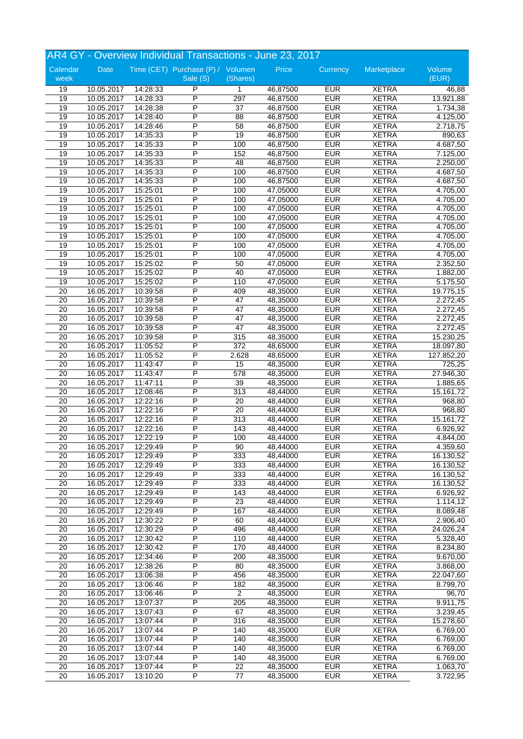|                 | AR4 GY - Overview Individual Transactions - June 23, 2017 |                      |                                   |                 |                      |                          |                              |                       |  |
|-----------------|-----------------------------------------------------------|----------------------|-----------------------------------|-----------------|----------------------|--------------------------|------------------------------|-----------------------|--|
| Calendar        | Date                                                      |                      | Time (CET) Purchase (P) / Volumen |                 | Price                | Currency                 | Marketplace                  | Volume                |  |
| week            |                                                           |                      | Sale (S)                          | (Shares)        |                      |                          |                              | (EUR)                 |  |
| 19              | 10.05.2017                                                | 14:28:33             | P                                 | $\mathbf{1}$    | 46,87500             | <b>EUR</b>               | <b>XETRA</b>                 | 46,88                 |  |
| 19              | 10.05.2017                                                | 14:28:33             | P                                 | 297             | 46,87500             | <b>EUR</b>               | <b>XETRA</b>                 | 13.921,88             |  |
| 19              | 10.05.2017                                                | 14:28:38             | P                                 | 37              | 46,87500             | <b>EUR</b>               | <b>XETRA</b>                 | 1.734,38              |  |
| 19              | 10.05.2017                                                | 14:28:40             | P                                 | 88              | 46,87500             | <b>EUR</b>               | <b>XETRA</b>                 | 4.125,00              |  |
| 19              | 10.05.2017                                                | 14:28:46             | P                                 | 58              | 46,87500             | <b>EUR</b>               | <b>XETRA</b>                 | 2.718,75              |  |
| 19              | 10.05.2017                                                | 14:35:33             | P                                 | 19              | 46,87500             | <b>EUR</b>               | <b>XETRA</b>                 | 890,63                |  |
| 19              | 10.05.2017                                                | 14:35:33             | P                                 | 100             | 46,87500             | <b>EUR</b>               | <b>XETRA</b>                 | 4.687,50              |  |
| 19              | 10.05.2017                                                | 14:35:33             | P                                 | 152             | 46,87500             | <b>EUR</b>               | <b>XETRA</b>                 | $\overline{7.125,00}$ |  |
| 19              | 10.05.2017                                                | 14:35:33             | P                                 | 48              | 46,87500             | <b>EUR</b>               | <b>XETRA</b>                 | 2.250,00              |  |
| 19              | 10.05.2017                                                | 14:35:33             | P<br>$\overline{P}$               | 100             | 46,87500             | <b>EUR</b>               | <b>XETRA</b>                 | 4.687,50              |  |
| 19              | 10.05.2017                                                | 14:35:33             | P                                 | 100             | 46,87500             | <b>EUR</b><br><b>EUR</b> | <b>XETRA</b><br><b>XETRA</b> | 4.687,50              |  |
| 19              | 10.05.2017                                                | 15:25:01             | P                                 | 100             | 47,05000             |                          |                              | 4.705,00              |  |
| 19              | 10.05.2017                                                | 15:25:01             |                                   | 100             | 47,05000             | <b>EUR</b><br><b>EUR</b> | <b>XETRA</b>                 | 4.705,00              |  |
| 19              | 10.05.2017                                                | 15:25:01             | P<br>P                            | 100             | 47,05000             | <b>EUR</b>               | <b>XETRA</b>                 | 4.705,00              |  |
| 19              | 10.05.2017                                                | 15:25:01             | P                                 | 100             | 47,05000             | <b>EUR</b>               | <b>XETRA</b>                 | 4.705,00              |  |
| 19              | 10.05.2017                                                | 15:25:01             | P                                 | 100             | 47,05000             | <b>EUR</b>               | <b>XETRA</b><br><b>XETRA</b> | 4.705,00              |  |
| 19<br>19        | 10.05.2017<br>10.05.2017                                  | 15:25:01<br>15:25:01 | P                                 | 100<br>100      | 47,05000<br>47,05000 | <b>EUR</b>               | <b>XETRA</b>                 | 4.705,00<br>4.705,00  |  |
| 19              | 10.05.2017                                                | 15:25:01             | P                                 | 100             | 47,05000             | <b>EUR</b>               | <b>XETRA</b>                 | 4.705,00              |  |
| 19              | 10.05.2017                                                | 15:25:02             | P                                 | 50              | 47,05000             | <b>EUR</b>               | <b>XETRA</b>                 | 2.352,50              |  |
| 19              | 10.05.2017                                                | 15:25:02             | P                                 | 40              | 47,05000             | <b>EUR</b>               | <b>XETRA</b>                 | 1.882,00              |  |
| 19              | 10.05.2017                                                | 15:25:02             | P                                 | 110             | 47,05000             | <b>EUR</b>               | <b>XETRA</b>                 | 5.175,50              |  |
| 20              | 16.05.2017                                                | 10:39:58             | P                                 | 409             | 48,35000             | <b>EUR</b>               | <b>XETRA</b>                 | 19.775,15             |  |
| $\overline{20}$ | 16.05.2017                                                | 10:39:58             | P                                 | 47              | 48,35000             | <b>EUR</b>               | <b>XETRA</b>                 | 2.272,45              |  |
| 20              | 16.05.2017                                                | 10:39:58             | P                                 | 47              | 48,35000             | <b>EUR</b>               | <b>XETRA</b>                 | 2.272,45              |  |
| $\overline{20}$ | 16.05.2017                                                | 10:39:58             | P                                 | 47              | 48,35000             | <b>EUR</b>               | <b>XETRA</b>                 | 2.272,45              |  |
| 20              | 16.05.2017                                                | 10:39:58             | P                                 | 47              | 48,35000             | <b>EUR</b>               | <b>XETRA</b>                 | 2.272,45              |  |
| $\overline{20}$ | 16.05.2017                                                | 10:39:58             | P                                 | 315             | 48,35000             | <b>EUR</b>               | <b>XETRA</b>                 | 15.230,25             |  |
| 20              | 16.05.2017                                                | 11:05:52             | P                                 | 372             | 48,65000             | <b>EUR</b>               | <b>XETRA</b>                 | 18.097,80             |  |
| 20              | 16.05.2017                                                | 11:05:52             | P                                 | 2.628           | 48,65000             | <b>EUR</b>               | <b>XETRA</b>                 | 127.852,20            |  |
| 20              | 16.05.2017                                                | 11:43:47             | P                                 | 15              | 48,35000             | <b>EUR</b>               | <b>XETRA</b>                 | 725,25                |  |
| 20              | 16.05.2017                                                | 11:43:47             | P                                 | 578             | 48,35000             | <b>EUR</b>               | <b>XETRA</b>                 | 27.946,30             |  |
| 20              | 16.05.2017                                                | 11:47:11             | P                                 | 39              | 48,35000             | <b>EUR</b>               | <b>XETRA</b>                 | 1.885,65              |  |
| 20              | 16.05.2017                                                | 12:08:46             | P                                 | 313             | 48,44000             | <b>EUR</b>               | <b>XETRA</b>                 | 15.161,72             |  |
| 20              | 16.05.2017                                                | 12:22:16             | P                                 | 20              | 48,44000             | <b>EUR</b>               | <b>XETRA</b>                 | 968,80                |  |
| 20              | 16.05.2017                                                | 12:22:16             | P                                 | 20              | 48,44000             | <b>EUR</b>               | <b>XETRA</b>                 | 968,80                |  |
| 20              | 16.05.2017                                                | 12:22:16             | P                                 | 313             | 48,44000             | <b>EUR</b>               | <b>XETRA</b>                 | 15.161,72             |  |
| $\overline{20}$ | 16.05.2017                                                | 12:22:16             | P                                 | 143             | 48,44000             | <b>EUR</b>               | <b>XETRA</b>                 | 6.926,92              |  |
| $\overline{20}$ | 16.05.2017                                                | 12:22:19             | P                                 | 100             | 48,44000             | <b>EUR</b>               | <b>XETRA</b>                 | 4.844,00              |  |
| 20              | 16.05.2017                                                | 12:29:49             | P                                 | 90              | 48,44000             | <b>EUR</b>               | <b>XETRA</b>                 | 4.359,60              |  |
| $\overline{20}$ | 16.05.2017                                                | 12:29:49             | P                                 | 333             | 48,44000             | <b>EUR</b>               | <b>XETRA</b>                 | 16.130,52             |  |
| $\overline{20}$ | 16.05.2017                                                | 12:29:49             | $\overline{\mathsf{P}}$           | 333             | 48,44000             | <b>EUR</b>               | <b>XETRA</b>                 | 16.130,52             |  |
| 20              | 16.05.2017                                                | 12:29:49             | P                                 | 333             | 48,44000             | <b>EUR</b>               | <b>XETRA</b>                 | 16.130,52             |  |
| 20              | 16.05.2017                                                | 12:29:49             | P                                 | 333             | 48,44000             | <b>EUR</b>               | <b>XETRA</b>                 | 16.130,52             |  |
| $\overline{20}$ | 16.05.2017                                                | 12:29:49             | P                                 | 143             | 48,44000             | <b>EUR</b>               | <b>XETRA</b>                 | 6.926,92              |  |
| 20              | 16.05.2017                                                | 12:29:49             | P                                 | $\overline{23}$ | 48,44000             | <b>EUR</b>               | <b>XETRA</b>                 | 1.114,12              |  |
| $\overline{20}$ | 16.05.2017                                                | 12:29:49             | P                                 | 167             | 48,44000             | <b>EUR</b>               | <b>XETRA</b>                 | 8.089,48              |  |
| 20              | 16.05.2017                                                | 12:30:22             | P                                 | 60              | 48,44000             | <b>EUR</b>               | <b>XETRA</b>                 | 2.906,40              |  |
| 20              | 16.05.2017                                                | 12:30:29             | $\overline{P}$                    | 496             | 48,44000             | <b>EUR</b>               | <b>XETRA</b>                 | 24.026,24             |  |
| 20              | 16.05.2017                                                | 12:30:42             | $\overline{P}$                    | 110             | 48,44000             | <b>EUR</b>               | <b>XETRA</b>                 | 5.328,40              |  |
| $\overline{20}$ | 16.05.2017                                                | 12:30:42             | $\overline{P}$                    | 170             | 48,44000             | <b>EUR</b>               | <b>XETRA</b>                 | 8.234,80              |  |
| 20              | 16.05.2017                                                | 12:34:46             | P                                 | 200             | 48,35000             | <b>EUR</b>               | <b>XETRA</b>                 | $\overline{9.67}0,00$ |  |
| $\overline{20}$ | 16.05.2017                                                | 12:38:26             | P                                 | 80              | 48,35000             | <b>EUR</b>               | <b>XETRA</b>                 | 3.868,00              |  |
| 20              | 16.05.2017                                                | 13:06:38             | $\overline{P}$                    | 456             | 48,35000             | <b>EUR</b>               | <b>XETRA</b>                 | 22.047,60             |  |
| $\overline{20}$ | 16.05.2017                                                | 13:06:46             | P                                 | 182             | 48,35000             | <b>EUR</b>               | <b>XETRA</b>                 | 8.799,70              |  |
| 20              | 16.05.2017                                                | 13:06:46             | $\overline{P}$                    | 2               | 48,35000             | <b>EUR</b>               | <b>XETRA</b>                 | 96,70                 |  |
| 20              | 16.05.2017                                                | 13:07:37             | P                                 | 205             | 48,35000             | <b>EUR</b>               | <b>XETRA</b>                 | 9.911,75              |  |
| 20              | 16.05.2017                                                | 13:07:43             | $\overline{\mathsf{P}}$           | 67              | 48,35000             | <b>EUR</b>               | <b>XETRA</b>                 | 3.239,45              |  |
| $\overline{20}$ | 16.05.2017                                                | 13:07:44             | P                                 | 316             | 48,35000             | <b>EUR</b>               | XETRA                        | 15.278,60             |  |
| 20              | 16.05.2017                                                | 13:07:44             | P                                 | 140             | 48,35000             | <b>EUR</b>               | <b>XETRA</b>                 | 6.769,00              |  |
| 20              | 16.05.2017                                                | 13:07:44             | $\overline{P}$                    | 140             | 48,35000             | <b>EUR</b>               | <b>XETRA</b>                 | 6.769,00              |  |
| 20              | 16.05.2017                                                | 13:07:44             | P                                 | 140             | 48,35000             | <b>EUR</b>               | <b>XETRA</b>                 | 6.769,00              |  |
| 20              | 16.05.2017                                                | 13:07:44             | P                                 | 140             | 48,35000             | <b>EUR</b>               | <b>XETRA</b>                 | 6.769,00              |  |
| 20              | 16.05.2017                                                | 13:07:44             | P                                 | 22              | 48,35000             | <b>EUR</b>               | <b>XETRA</b>                 | 1.063,70              |  |
| 20              | 16.05.2017                                                | 13:10:20             | $\overline{\mathsf{P}}$           | $\overline{77}$ | 48,35000             | <b>EUR</b>               | <b>XETRA</b>                 | 3.722,95              |  |
|                 |                                                           |                      |                                   |                 |                      |                          |                              |                       |  |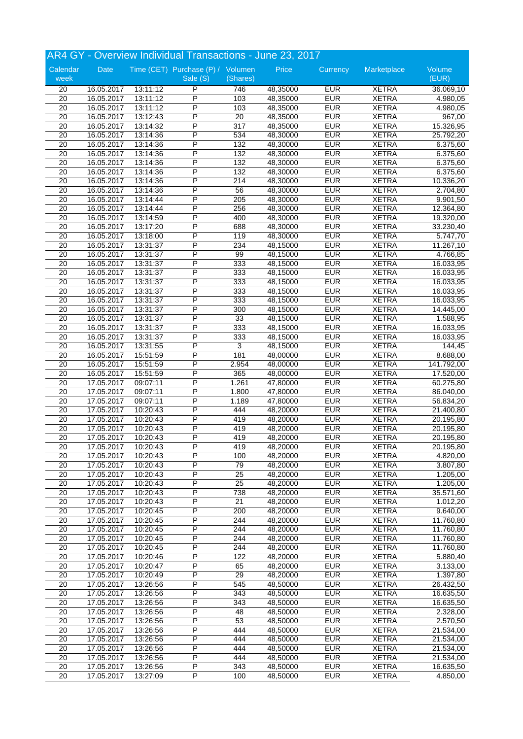|                 | AR4 GY - Overview Individual Transactions - June 23, 2017 |                      |                                   |                 |                      |                          |                              |                      |  |
|-----------------|-----------------------------------------------------------|----------------------|-----------------------------------|-----------------|----------------------|--------------------------|------------------------------|----------------------|--|
| Calendar        | Date                                                      |                      | Time (CET) Purchase (P) / Volumen |                 | Price                | Currency                 | Marketplace                  | Volume               |  |
| week            |                                                           |                      | Sale (S)                          | (Shares)        |                      |                          |                              | (EUR)                |  |
| 20              | 16.05.2017                                                | 13:11:12             | P                                 | 746             | 48,35000             | <b>EUR</b>               | <b>XETRA</b>                 | 36.069,10            |  |
| 20              | 16.05.2017                                                | 13:11:12             | P                                 | 103             | 48,35000             | <b>EUR</b>               | <b>XETRA</b>                 | 4.980,05             |  |
| 20              | 16.05.2017                                                | 13:11:12             | P                                 | 103             | 48,35000             | <b>EUR</b>               | <b>XETRA</b>                 | 4.980,05             |  |
| 20              | 16.05.2017                                                | 13:12:43             | P                                 | 20              | 48,35000             | <b>EUR</b>               | <b>XETRA</b>                 | 967,00               |  |
| $\overline{20}$ | 16.05.2017                                                | 13:14:32             | P                                 | 317             | 48,35000             | <b>EUR</b>               | <b>XETRA</b>                 | 15.326,95            |  |
| 20              | 16.05.2017                                                | 13:14:36             | P                                 | 534             | 48,30000             | <b>EUR</b>               | <b>XETRA</b>                 | 25.792,20            |  |
| 20              | 16.05.2017                                                | 13:14:36             | P                                 | 132             | 48,30000             | <b>EUR</b>               | <b>XETRA</b>                 | 6.375,60             |  |
| 20              | 16.05.2017                                                | 13:14:36             | P                                 | 132             | 48,30000             | <b>EUR</b>               | <b>XETRA</b>                 | 6.375,60             |  |
| 20              | 16.05.2017                                                | 13:14:36             | P                                 | 132             | 48,30000             | <b>EUR</b>               | <b>XETRA</b>                 | 6.375,60             |  |
| 20              | 16.05.2017                                                | 13:14:36             | P                                 | 132             | 48,30000             | <b>EUR</b>               | <b>XETRA</b>                 | 6.375,60             |  |
| $\overline{20}$ | 16.05.2017                                                | 13:14:36             | P                                 | 214             | 48,30000             | <b>EUR</b>               | <b>XETRA</b>                 | 10.336,20            |  |
| $\overline{20}$ | 16.05.2017                                                | 13:14:36             | P                                 | 56              | 48,30000             | <b>EUR</b>               | <b>XETRA</b>                 | 2.704,80             |  |
| $\overline{20}$ | 16.05.2017                                                | 13:14:44             | P                                 | 205             | 48,30000             | <b>EUR</b>               | <b>XETRA</b>                 | 9.901,50             |  |
| $\overline{20}$ | 16.05.2017                                                | 13:14:44             | P                                 | 256             | 48,30000             | <b>EUR</b>               | <b>XETRA</b>                 | 12.364,80            |  |
| $\overline{20}$ | 16.05.2017                                                | 13:14:59             | P                                 | 400             | 48,30000             | <b>EUR</b>               | <b>XETRA</b>                 | 19.320,00            |  |
| 20              | 16.05.2017                                                | 13:17:20             | P                                 | 688             | 48,30000             | <b>EUR</b>               | <b>XETRA</b>                 | 33.230,40            |  |
| 20              | 16.05.2017                                                | 13:18:00             | P                                 | 119             | 48,30000             | <b>EUR</b>               | <b>XETRA</b>                 | 5.747,70             |  |
| 20              | 16.05.2017                                                | 13:31:37             | P                                 | 234             | 48,15000             | <b>EUR</b>               | <b>XETRA</b>                 | 11.267,10            |  |
| $\overline{20}$ | 16.05.2017                                                | 13:31:37             | P                                 | 99              | 48,15000             | <b>EUR</b>               | <b>XETRA</b>                 | 4.766,85             |  |
| $\overline{20}$ | 16.05.2017                                                | 13:31:37             | P                                 | 333             | 48,15000             | <b>EUR</b>               | <b>XETRA</b>                 | 16.033,95            |  |
| 20              | 16.05.2017                                                | 13:31:37             | Ρ                                 | 333             | 48,15000             | <b>EUR</b>               | <b>XETRA</b>                 | 16.033,95            |  |
| $\overline{20}$ | 16.05.2017                                                | 13:31:37             | P                                 | 333             | 48,15000             | <b>EUR</b>               | <b>XETRA</b>                 | 16.033,95            |  |
| 20              | 16.05.2017                                                | 13:31:37             | P                                 | 333             | 48,15000             | <b>EUR</b>               | <b>XETRA</b>                 | 16.033,95            |  |
| $\overline{20}$ | 16.05.2017                                                | 13:31:37             | P                                 | 333             | 48,15000             | <b>EUR</b>               | <b>XETRA</b>                 | 16.033,95            |  |
| 20              | 16.05.2017                                                | 13:31:37             | P                                 | 300             | 48,15000             | <b>EUR</b>               | <b>XETRA</b>                 | 14.445,00            |  |
| $\overline{20}$ | 16.05.2017                                                | 13:31:37             | P                                 | 33              | 48,15000             | <b>EUR</b>               | <b>XETRA</b>                 | 1.588,95             |  |
| 20              | 16.05.2017                                                | 13:31:37             | P                                 | 333             | 48,15000             | <b>EUR</b>               | <b>XETRA</b>                 | 16.033,95            |  |
| $\overline{20}$ | 16.05.2017                                                | 13:31:37             | P                                 | 333             | 48,15000             | <b>EUR</b>               | <b>XETRA</b>                 | 16.033,95            |  |
| 20              | 16.05.2017                                                | 13:31:55             | P                                 | 3               | 48,15000             | <b>EUR</b>               | <b>XETRA</b>                 | 144,45               |  |
| 20              | 16.05.2017                                                | 15:51:59             | P                                 | 181             | 48,00000             | <b>EUR</b>               | <b>XETRA</b>                 | 8.688,00             |  |
| 20              | 16.05.2017                                                | 15:51:59             | P                                 | 2.954           | 48,00000             | <b>EUR</b>               | <b>XETRA</b>                 | 141.792,00           |  |
| 20              | 16.05.2017                                                | 15:51:59             | P                                 | 365             | 48,00000             | <b>EUR</b>               | <b>XETRA</b>                 | 17.520,00            |  |
| 20              | 17.05.2017                                                | 09:07:11             | P<br>P                            | 1.261           | 47,80000             | <b>EUR</b>               | <b>XETRA</b>                 | 60.275,80            |  |
| $\overline{20}$ | 17.05.2017                                                | 09:07:11             | P                                 | 1.800           | 47,80000             | <b>EUR</b>               | <b>XETRA</b>                 | 86.040,00            |  |
| $\overline{20}$ | 17.05.2017                                                | 09:07:11             |                                   | 1.189           | 47,80000             | <b>EUR</b>               | <b>XETRA</b>                 | 56.834,20            |  |
| 20              | 17.05.2017                                                | 10:20:43             | P                                 | 444             | 48,20000             | <b>EUR</b>               | <b>XETRA</b>                 | 21.400,80            |  |
| 20              | 17.05.2017                                                | 10:20:43             | P<br>P                            | 419             | 48,20000             | <b>EUR</b>               | <b>XETRA</b>                 | 20.195,80            |  |
| $\overline{20}$ | 17.05.2017                                                | 10:20:43             | P                                 | 419             | 48,20000             | <b>EUR</b>               | <b>XETRA</b>                 | 20.195,80            |  |
| 20              | 17.05.2017                                                | 10:20:43             |                                   | 419             | 48,20000             | <b>EUR</b>               | <b>XETRA</b>                 | 20.195,80            |  |
| 20              | 17.05.2017                                                | 10:20:43             | P                                 | 419             | 48,20000             | <b>EUR</b>               | <b>XETRA</b>                 | 20.195,80            |  |
| 20              | 17.05.2017                                                | 10:20:43             | P<br>$\overline{\mathsf{P}}$      | 100             | 48,20000             | <b>EUR</b>               | <b>XETRA</b>                 | 4.820,00             |  |
| 20<br>20        | 17.05.2017<br>17.05.2017                                  | 10:20:43<br>10:20:43 | $\overline{P}$                    | 79<br>25        | 48,20000<br>48,20000 | <b>EUR</b><br><b>EUR</b> | <b>XETRA</b><br><b>XETRA</b> | 3.807,80             |  |
| 20              | 17.05.2017                                                | 10:20:43             | P                                 | $\overline{25}$ | 48,20000             | <b>EUR</b>               | <b>XETRA</b>                 | 1.205,00<br>1.205,00 |  |
| $\overline{20}$ | 17.05.2017                                                | 10:20:43             | P                                 | 738             | 48,20000             | <b>EUR</b>               | <b>XETRA</b>                 | 35.571,60            |  |
| 20              | 17.05.2017                                                | 10:20:43             | P                                 | 21              | 48,20000             | <b>EUR</b>               | <b>XETRA</b>                 | 1.012,20             |  |
| $\overline{20}$ | 17.05.2017                                                | 10:20:45             | P                                 | 200             | 48,20000             | <b>EUR</b>               | <b>XETRA</b>                 | 9.640,00             |  |
| 20              | 17.05.2017                                                | 10:20:45             | P                                 | 244             | 48,20000             | <b>EUR</b>               | <b>XETRA</b>                 | 11.760,80            |  |
| 20              | 17.05.2017                                                | 10:20:45             | $\overline{P}$                    | 244             | 48,20000             | <b>EUR</b>               | <b>XETRA</b>                 | 11.760,80            |  |
| 20              | 17.05.2017                                                | 10:20:45             | $\overline{P}$                    | 244             | 48,20000             | <b>EUR</b>               | <b>XETRA</b>                 | 11.760,80            |  |
| $\overline{20}$ | 17.05.2017                                                | 10:20:45             | $\overline{P}$                    | 244             | 48,20000             | <b>EUR</b>               | <b>XETRA</b>                 | 11.760,80            |  |
| 20              | 17.05.2017                                                | 10:20:46             | P                                 | 122             | 48,20000             | <b>EUR</b>               | <b>XETRA</b>                 | 5.880,40             |  |
| $\overline{20}$ | 17.05.2017                                                | 10:20:47             | P                                 | 65              | 48,20000             | <b>EUR</b>               | <b>XETRA</b>                 | 3.133,00             |  |
| 20              | 17.05.2017                                                | 10:20:49             | $\overline{P}$                    | 29              | 48,20000             | <b>EUR</b>               | <b>XETRA</b>                 | 1.397,80             |  |
| $\overline{20}$ | 17.05.2017                                                | 13:26:56             | $\overline{P}$                    | 545             | 48,50000             | <b>EUR</b>               | <b>XETRA</b>                 | 26.432,50            |  |
| 20              | 17.05.2017                                                | 13:26:56             | $\overline{P}$                    | 343             | 48,50000             | <b>EUR</b>               | <b>XETRA</b>                 | 16.635,50            |  |
| 20              | 17.05.2017                                                | 13:26:56             | P                                 | 343             | 48,50000             | <b>EUR</b>               | <b>XETRA</b>                 | 16.635,50            |  |
| 20              | 17.05.2017                                                | 13:26:56             | $\overline{\mathsf{P}}$           | 48              | 48,50000             | <b>EUR</b>               | <b>XETRA</b>                 | 2.328,00             |  |
| 20              | 17.05.2017                                                | 13:26:56             | P                                 | 53              | 48,50000             | <b>EUR</b>               | XETRA                        | 2.570,50             |  |
| 20              | 17.05.2017                                                | 13:26:56             | P                                 | 444             | 48,50000             | <b>EUR</b>               | <b>XETRA</b>                 | 21.534,00            |  |
| 20              | 17.05.2017                                                | 13:26:56             | $\overline{P}$                    | 444             | 48,50000             | <b>EUR</b>               | <b>XETRA</b>                 | 21.534,00            |  |
| 20              | 17.05.2017                                                | 13:26:56             | P                                 | 444             | 48,50000             | <b>EUR</b>               | <b>XETRA</b>                 | 21.534,00            |  |
| 20              | 17.05.2017                                                | 13:26:56             | P                                 | 444             | 48,50000             | <b>EUR</b>               | XETRA                        | 21.534,00            |  |
| 20              | 17.05.2017                                                | 13:26:56             | P                                 | 343             | 48,50000             | <b>EUR</b>               | <b>XETRA</b>                 | 16.635,50            |  |
| 20              | 17.05.2017                                                | 13:27:09             | $\overline{P}$                    | 100             | 48,50000             | <b>EUR</b>               | <b>XETRA</b>                 | 4.850,00             |  |
|                 |                                                           |                      |                                   |                 |                      |                          |                              |                      |  |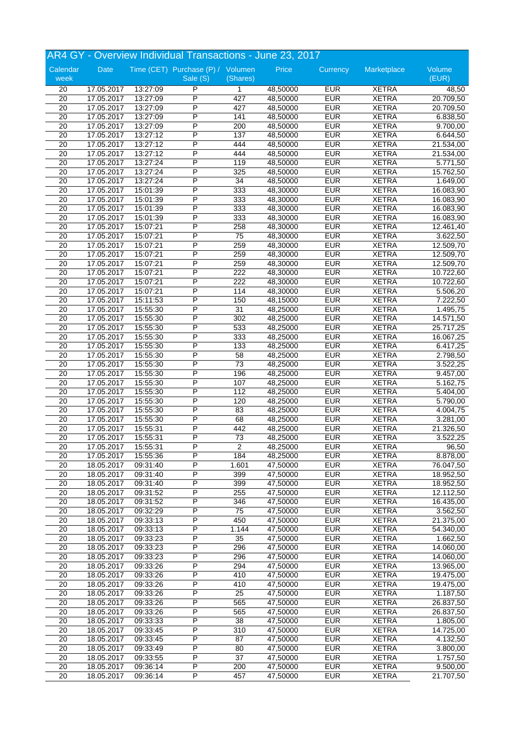|                                    | AR4 GY - Overview Individual Transactions - June 23, 2017 |                      |                                   |                        |                      |                          |                              |                        |  |
|------------------------------------|-----------------------------------------------------------|----------------------|-----------------------------------|------------------------|----------------------|--------------------------|------------------------------|------------------------|--|
| Calendar                           | Date                                                      |                      | Time (CET) Purchase (P) / Volumen |                        | Price                | Currency                 | Marketplace                  | Volume                 |  |
| week                               |                                                           |                      | Sale (S)                          | (Shares)               |                      |                          |                              | (EUR)                  |  |
| 20                                 | 17.05.2017                                                | 13:27:09             | P                                 | $\mathbf{1}$           | 48,50000             | <b>EUR</b>               | <b>XETRA</b>                 | 48,50                  |  |
| 20                                 | 17.05.2017                                                | 13:27:09             | P                                 | 427                    | 48,50000             | <b>EUR</b>               | <b>XETRA</b>                 | 20.709,50              |  |
| 20                                 | 17.05.2017                                                | 13:27:09             | P                                 | 427                    | 48,50000             | <b>EUR</b>               | <b>XETRA</b>                 | 20.709,50              |  |
| 20                                 | 17.05.2017                                                | 13:27:09             | P                                 | 141                    | 48,50000             | <b>EUR</b>               | <b>XETRA</b>                 | 6.838,50               |  |
| $\overline{20}$                    | 17.05.2017                                                | 13:27:09             | P                                 | 200                    | 48,50000             | <b>EUR</b>               | <b>XETRA</b>                 | 9.700,00               |  |
| 20                                 | 17.05.2017                                                | 13:27:12             | P                                 | 137                    | 48,50000             | <b>EUR</b>               | <b>XETRA</b>                 | 6.644,50               |  |
| 20                                 | 17.05.2017                                                | 13:27:12             | P                                 | 444                    | 48,50000             | <b>EUR</b>               | <b>XETRA</b>                 | 21.534,00              |  |
| 20                                 | 17.05.2017                                                | 13:27:12             | P                                 | 444                    | 48,50000             | <b>EUR</b>               | <b>XETRA</b>                 | 21.534,00              |  |
| 20                                 | 17.05.2017                                                | 13:27:24             | P                                 | 119                    | 48,50000             | <b>EUR</b>               | <b>XETRA</b>                 | 5.771,50               |  |
| 20                                 | 17.05.2017                                                | 13:27:24             | P<br>P                            | 325                    | 48,50000             | <b>EUR</b><br><b>EUR</b> | <b>XETRA</b>                 | 15.762,50              |  |
| $\overline{20}$<br>$\overline{20}$ | 17.05.2017<br>17.05.2017                                  | 13:27:24             | P                                 | $\overline{34}$<br>333 | 48,50000             | <b>EUR</b>               | <b>XETRA</b><br><b>XETRA</b> | 1.649,00               |  |
|                                    |                                                           | 15:01:39             | P                                 |                        | 48,30000             |                          |                              | 16.083,90              |  |
| $\overline{20}$                    | 17.05.2017                                                | 15:01:39             |                                   | 333                    | 48,30000             | <b>EUR</b><br><b>EUR</b> | <b>XETRA</b>                 | 16.083,90              |  |
| $\overline{20}$<br>$\overline{20}$ | 17.05.2017<br>17.05.2017                                  | 15:01:39<br>15:01:39 | P<br>P                            | 333<br>333             | 48,30000<br>48,30000 | <b>EUR</b>               | <b>XETRA</b><br><b>XETRA</b> | 16.083,90              |  |
|                                    |                                                           |                      | P                                 |                        |                      | <b>EUR</b>               | <b>XETRA</b>                 | 16.083,90              |  |
| 20                                 | 17.05.2017                                                | 15:07:21<br>15:07:21 | P                                 | 258                    | 48,30000             | <b>EUR</b>               | <b>XETRA</b>                 | 12.461,40              |  |
| 20<br>20                           | 17.05.2017<br>17.05.2017                                  | 15:07:21             | P                                 | 75<br>259              | 48,30000<br>48,30000 | <b>EUR</b>               | <b>XETRA</b>                 | 3.622,50<br>12.509,70  |  |
| $\overline{20}$                    | 17.05.2017                                                | 15:07:21             | P                                 | 259                    | 48,30000             | <b>EUR</b>               | <b>XETRA</b>                 | 12.509,70              |  |
| $\overline{20}$                    | 17.05.2017                                                | 15:07:21             | P                                 | 259                    |                      | <b>EUR</b>               | <b>XETRA</b>                 | 12.509,70              |  |
|                                    |                                                           |                      | P                                 | 222                    | 48,30000             | <b>EUR</b>               | <b>XETRA</b>                 |                        |  |
| 20<br>$\overline{20}$              | 17.05.2017<br>17.05.2017                                  | 15:07:21<br>15:07:21 | P                                 | 222                    | 48,30000<br>48,30000 | <b>EUR</b>               | <b>XETRA</b>                 | 10.722,60<br>10.722,60 |  |
| 20                                 | 17.05.2017                                                | 15:07:21             | P                                 | 114                    | 48,30000             | <b>EUR</b>               | <b>XETRA</b>                 | 5.506,20               |  |
| $\overline{20}$                    | 17.05.2017                                                | 15:11:53             | P                                 | 150                    | 48,15000             | <b>EUR</b>               | <b>XETRA</b>                 | 7.222,50               |  |
| 20                                 | 17.05.2017                                                | 15:55:30             | P                                 | 31                     | 48,25000             | <b>EUR</b>               | <b>XETRA</b>                 | $\overline{1.495,75}$  |  |
| $\overline{20}$                    | 17.05.2017                                                | 15:55:30             | P                                 | 302                    | 48,25000             | <b>EUR</b>               | <b>XETRA</b>                 | 14.571,50              |  |
| 20                                 | 17.05.2017                                                | 15:55:30             | P                                 | 533                    | 48,25000             | <b>EUR</b>               | <b>XETRA</b>                 | 25.717,25              |  |
| $\overline{20}$                    | 17.05.2017                                                | 15:55:30             | P                                 | 333                    | 48,25000             | <b>EUR</b>               | <b>XETRA</b>                 | 16.067,25              |  |
| 20                                 | 17.05.2017                                                | 15:55:30             | P                                 | 133                    | 48,25000             | <b>EUR</b>               | <b>XETRA</b>                 | 6.417,25               |  |
| 20                                 | 17.05.2017                                                | 15:55:30             | P                                 | 58                     | 48,25000             | <b>EUR</b>               | <b>XETRA</b>                 | 2.798,50               |  |
| 20                                 | 17.05.2017                                                | 15:55:30             | P                                 | 73                     | 48,25000             | <b>EUR</b>               | <b>XETRA</b>                 | 3.522,25               |  |
| $\overline{20}$                    | 17.05.2017                                                | 15:55:30             | P                                 | 196                    | 48,25000             | <b>EUR</b>               | <b>XETRA</b>                 | 9.457,00               |  |
| 20                                 | 17.05.2017                                                | 15:55:30             | P                                 | 107                    | 48,25000             | <b>EUR</b>               | <b>XETRA</b>                 | 5.162,75               |  |
| $\overline{20}$                    | 17.05.2017                                                | 15:55:30             | P                                 | 112                    | 48,25000             | <b>EUR</b>               | <b>XETRA</b>                 | 5.404,00               |  |
| $\overline{20}$                    | 17.05.2017                                                | 15:55:30             | P                                 | 120                    | 48,25000             | <b>EUR</b>               | <b>XETRA</b>                 | 5.790,00               |  |
| 20                                 | 17.05.2017                                                | 15:55:30             | P                                 | 83                     | 48,25000             | <b>EUR</b>               | <b>XETRA</b>                 | 4.004,75               |  |
| 20                                 | 17.05.2017                                                | 15:55:30             | P                                 | 68                     | 48,25000             | <b>EUR</b>               | <b>XETRA</b>                 | 3.281,00               |  |
| $\overline{20}$                    | 17.05.2017                                                | 15:55:31             | P                                 | 442                    | 48,25000             | <b>EUR</b>               | <b>XETRA</b>                 | 21.326,50              |  |
| 20                                 | 17.05.2017                                                | 15:55:31             | P                                 | 73                     | 48,25000             | <b>EUR</b>               | <b>XETRA</b>                 | 3.522,25               |  |
| 20                                 | 17.05.2017                                                | 15:55:31             | P                                 | 2                      | 48,25000             | <b>EUR</b>               | <b>XETRA</b>                 | 96,50                  |  |
| $\overline{20}$                    | 17.05.2017                                                | 15:55:36             | P                                 | 184                    | 48,25000             | <b>EUR</b>               | <b>XETRA</b>                 | 8.878,00               |  |
| 20                                 | 18.05.2017                                                | 09:31:40             | $\overline{\mathsf{P}}$           | 1.601                  | 47,50000             | <b>EUR</b>               | <b>XETRA</b>                 | 76.047,50              |  |
| 20                                 | 18.05.2017                                                | 09:31:40             | P                                 | 399                    | 47,50000             | <b>EUR</b>               | <b>XETRA</b>                 | 18.952,50              |  |
| 20                                 | 18.05.2017                                                | 09:31:40             | P                                 | 399                    | 47,50000             | <b>EUR</b>               | <b>XETRA</b>                 | 18.952,50              |  |
| $\overline{20}$                    | 18.05.2017                                                | 09:31:52             | P                                 | 255                    | 47,50000             | <b>EUR</b>               | <b>XETRA</b>                 | 12.112,50              |  |
| 20                                 | 18.05.2017                                                | 09:31:52             | P                                 | 346                    | 47,50000             | <b>EUR</b>               | <b>XETRA</b>                 | 16.435,00              |  |
| $\overline{20}$                    | 18.05.2017                                                | 09:32:29             | P                                 | $\overline{75}$        | 47,50000             | <b>EUR</b>               | <b>XETRA</b>                 | 3.562,50               |  |
| 20                                 | 18.05.2017                                                | 09:33:13             | P                                 | 450                    | 47,50000             | <b>EUR</b>               | <b>XETRA</b>                 | 21.375,00              |  |
| 20                                 | 18.05.2017                                                | 09:33:13             | $\overline{P}$                    | 1.144                  | 47,50000             | <b>EUR</b>               | <b>XETRA</b>                 | 54.340,00              |  |
| 20                                 | 18.05.2017                                                | 09:33:23             | $\overline{P}$                    | 35                     | 47,50000             | <b>EUR</b>               | <b>XETRA</b>                 | 1.662,50               |  |
| $\overline{20}$                    | 18.05.2017                                                | 09:33:23             | $\overline{P}$                    | 296                    | 47,50000             | <b>EUR</b>               | <b>XETRA</b>                 | 14.060,00              |  |
| 20                                 | 18.05.2017                                                | 09:33:23             | P                                 | 296                    | 47,50000             | <b>EUR</b>               | <b>XETRA</b>                 | 14.060,00              |  |
| $\overline{20}$                    | 18.05.2017                                                | 09:33:26             | P                                 | 294                    | 47,50000             | <b>EUR</b>               | <b>XETRA</b>                 | 13.965,00              |  |
| 20                                 | 18.05.2017                                                | 09:33:26             | $\overline{P}$                    | 410                    | 47,50000             | <b>EUR</b>               | <b>XETRA</b>                 | 19.475,00              |  |
| $\overline{20}$                    | 18.05.2017                                                | 09:33:26             | P                                 | 410                    | 47,50000             | <b>EUR</b>               | <b>XETRA</b>                 | 19.475,00              |  |
| 20                                 | 18.05.2017                                                | 09:33:26             | $\overline{P}$                    | 25                     | 47,50000             | <b>EUR</b>               | <b>XETRA</b>                 | 1.187,50               |  |
| 20                                 | 18.05.2017                                                | 09:33:26             | P                                 | 565                    | 47,50000             | <b>EUR</b>               | <b>XETRA</b>                 | 26.837,50              |  |
| 20                                 | 18.05.2017                                                | 09:33:26             | $\overline{\mathsf{P}}$           | 565                    | 47,50000             | <b>EUR</b>               | <b>XETRA</b>                 | 26.837,50              |  |
| $\overline{20}$                    | 18.05.2017                                                | 09:33:33             | P                                 | 38                     | 47,50000             | <b>EUR</b>               | XETRA                        | 1.805,00               |  |
| 20                                 | 18.05.2017                                                | 09:33:45             | P                                 | 310                    | 47,50000             | <b>EUR</b>               | <b>XETRA</b>                 | 14.725,00              |  |
| 20                                 | 18.05.2017                                                | 09:33:45             | $\overline{P}$                    | 87                     | 47,50000             | <b>EUR</b>               | <b>XETRA</b>                 | 4.132,50               |  |
| 20                                 | 18.05.2017                                                | 09:33:49             | P                                 | 80                     | 47,50000             | <b>EUR</b>               | <b>XETRA</b>                 | 3.800,00               |  |
| 20                                 | 18.05.2017                                                | 09:33:55             | P                                 | 37                     | 47,50000             | <b>EUR</b>               | <b>XETRA</b>                 | 1.757,50               |  |
| 20                                 | 18.05.2017                                                | 09:36:14             | P                                 | 200                    | 47,50000             | <b>EUR</b>               | <b>XETRA</b>                 | 9.500,00               |  |
| 20                                 | 18.05.2017                                                | 09:36:14             | $\overline{P}$                    | 457                    | 47,50000             | <b>EUR</b>               | <b>XETRA</b>                 | 21.707,50              |  |
|                                    |                                                           |                      |                                   |                        |                      |                          |                              |                        |  |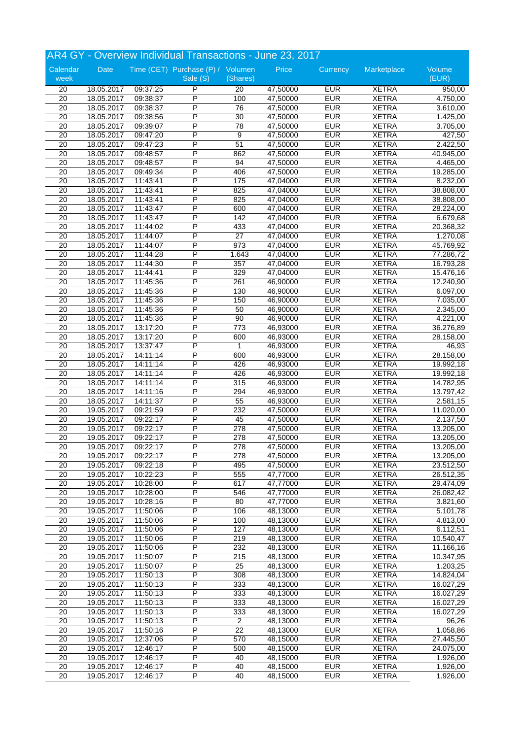|                                    | AR4 GY - Overview Individual Transactions - June 23, 2017 |                      |                                   |                        |                      |                          |                              |                        |  |
|------------------------------------|-----------------------------------------------------------|----------------------|-----------------------------------|------------------------|----------------------|--------------------------|------------------------------|------------------------|--|
| Calendar                           | Date                                                      |                      | Time (CET) Purchase (P) / Volumen |                        | Price                | Currency                 | Marketplace                  | Volume                 |  |
| week                               |                                                           |                      | Sale (S)                          | (Shares)               |                      |                          |                              | (EUR)                  |  |
| 20                                 | 18.05.2017                                                | 09:37:25             | P                                 | 20                     | 47,50000             | <b>EUR</b>               | <b>XETRA</b>                 | 950,00                 |  |
| 20                                 | 18.05.2017                                                | 09:38:37             | P                                 | 100                    | 47,50000             | <b>EUR</b>               | <b>XETRA</b>                 | 4.750,00               |  |
| 20                                 | 18.05.2017                                                | 09:38:37             | P                                 | 76                     | 47,50000             | <b>EUR</b>               | <b>XETRA</b>                 | 3.610,00               |  |
| 20                                 | 18.05.2017                                                | 09:38:56             | P                                 | 30                     | 47,50000             | <b>EUR</b>               | <b>XETRA</b>                 | 1.425,00               |  |
| $\overline{20}$                    | 18.05.2017                                                | 09:39:07             | P                                 | 78                     | 47,50000             | <b>EUR</b>               | <b>XETRA</b>                 | 3.705,00               |  |
| 20                                 | 18.05.2017                                                | 09:47:20             | P                                 | 9                      | 47,50000             | <b>EUR</b>               | <b>XETRA</b>                 | 427,50                 |  |
| 20                                 | 18.05.2017                                                | 09:47:23             | P                                 | 51                     | 47,50000             | <b>EUR</b>               | <b>XETRA</b>                 | 2.422,50               |  |
| 20                                 | 18.05.2017                                                | 09:48:57             | P                                 | 862                    | 47,50000             | <b>EUR</b>               | <b>XETRA</b>                 | 40.945,00              |  |
| 20                                 | 18.05.2017                                                | 09:48:57             | P                                 | 94                     | 47,50000             | <b>EUR</b>               | <b>XETRA</b>                 | 4.465,00               |  |
| 20                                 | 18.05.2017                                                | 09:49:34             | P<br>$\overline{P}$               | 406                    | 47,50000             | <b>EUR</b><br><b>EUR</b> | <b>XETRA</b>                 | 19.285,00              |  |
| $\overline{20}$                    | 18.05.2017                                                | 11:43:41             | P                                 | 175                    | 47,04000             | <b>EUR</b>               | <b>XETRA</b><br><b>XETRA</b> | 8.232,00               |  |
| $\overline{20}$                    | 18.05.2017                                                | 11:43:41             | P                                 | 825                    | 47,04000             |                          |                              | 38.808,00              |  |
| $\overline{20}$                    | 18.05.2017                                                | 11:43:41             |                                   | 825                    | 47,04000             | <b>EUR</b>               | <b>XETRA</b>                 | 38.808,00              |  |
| $\overline{20}$                    | 18.05.2017                                                | 11:43:47             | P<br>P                            | 600                    | 47,04000             | <b>EUR</b>               | <b>XETRA</b>                 | 28.224,00              |  |
| $\overline{20}$                    | 18.05.2017                                                | 11:43:47             | P                                 | 142                    | 47,04000             | <b>EUR</b>               | <b>XETRA</b>                 | 6.679,68               |  |
| 20                                 | 18.05.2017                                                | 11:44:02             |                                   | 433                    | 47,04000             | <b>EUR</b>               | <b>XETRA</b>                 | 20.368,32              |  |
| 20                                 | 18.05.2017                                                | 11:44:07             | P<br>P                            | $\overline{27}$<br>973 | 47,04000<br>47,04000 | <b>EUR</b><br><b>EUR</b> | <b>XETRA</b><br><b>XETRA</b> | 1.270,08               |  |
| 20<br>$\overline{20}$              | 18.05.2017                                                | 11:44:07<br>11:44:28 | P                                 | 1.643                  | 47,04000             | <b>EUR</b>               | <b>XETRA</b>                 | 45.769,92              |  |
|                                    | 18.05.2017                                                |                      | P                                 |                        |                      | <b>EUR</b>               | <b>XETRA</b>                 | 77.286,72              |  |
| $\overline{20}$                    | 18.05.2017                                                | 11:44:30             |                                   | 357                    | 47,04000             |                          |                              | 16.793,28              |  |
| 20                                 | 18.05.2017                                                | 11:44:41             | Ρ                                 | 329                    | 47,04000             | <b>EUR</b>               | <b>XETRA</b>                 | 15.476,16              |  |
| $\overline{20}$<br>20              | 18.05.2017                                                | 11:45:36             | P<br>P                            | 261                    | 46,90000             | <b>EUR</b><br><b>EUR</b> | <b>XETRA</b><br><b>XETRA</b> | 12.240,90              |  |
| $\overline{20}$                    | 18.05.2017                                                | 11:45:36             | P                                 | 130<br>150             | 46,90000             | <b>EUR</b>               | <b>XETRA</b>                 | 6.097,00               |  |
| 20                                 | 18.05.2017<br>18.05.2017                                  | 11:45:36<br>11:45:36 | P                                 | 50                     | 46,90000<br>46,90000 | <b>EUR</b>               | <b>XETRA</b>                 | 7.035,00<br>2.345,00   |  |
| $\overline{20}$                    | 18.05.2017                                                | 11:45:36             | P                                 | 90                     | 46,90000             | <b>EUR</b>               | <b>XETRA</b>                 | 4.221,00               |  |
| 20                                 | 18.05.2017                                                | 13:17:20             | P                                 | 773                    | 46,93000             | <b>EUR</b>               | <b>XETRA</b>                 | 36.276,89              |  |
| $\overline{20}$                    | 18.05.2017                                                | 13:17:20             | P                                 | 600                    | 46,93000             | <b>EUR</b>               | <b>XETRA</b>                 | 28.158,00              |  |
| 20                                 | 18.05.2017                                                | 13:37:47             | P                                 | 1                      | 46,93000             | <b>EUR</b>               | <b>XETRA</b>                 |                        |  |
| 20                                 |                                                           |                      | P                                 |                        |                      | <b>EUR</b>               | <b>XETRA</b>                 | 46,93                  |  |
| 20                                 | 18.05.2017<br>18.05.2017                                  | 14:11:14<br>14:11:14 | P                                 | 600<br>426             | 46,93000<br>46,93000 | <b>EUR</b>               | <b>XETRA</b>                 | 28.158,00              |  |
|                                    |                                                           |                      | P                                 | 426                    |                      | <b>EUR</b>               | <b>XETRA</b>                 | 19.992,18              |  |
| 20                                 | 18.05.2017                                                | 14:11:14             | P                                 |                        | 46,93000             | <b>EUR</b>               | <b>XETRA</b>                 | 19.992,18              |  |
| 20                                 | 18.05.2017                                                | 14:11:14             | P                                 | 315                    | 46,93000             | <b>EUR</b>               | <b>XETRA</b>                 | 14.782,95              |  |
| 20                                 | 18.05.2017                                                | 14:11:16             | P                                 | 294                    | 46,93000             |                          |                              | 13.797,42              |  |
| 20                                 | 18.05.2017                                                | 14:11:37             | P                                 | 55                     | 46,93000             | <b>EUR</b>               | <b>XETRA</b><br><b>XETRA</b> | 2.581,15               |  |
| $\overline{20}$                    | 19.05.2017                                                | 09:21:59             | P                                 | 232                    | 47,50000             | <b>EUR</b>               |                              | 11.020,00              |  |
| 20<br>$\overline{20}$              | 19.05.2017<br>19.05.2017                                  | 09:22:17             | P                                 | 45<br>278              | 47,50000<br>47,50000 | <b>EUR</b><br><b>EUR</b> | <b>XETRA</b><br><b>XETRA</b> | 2.137,50               |  |
| 20                                 |                                                           | 09:22:17<br>09:22:17 | P                                 | 278                    |                      | <b>EUR</b>               | <b>XETRA</b>                 | 13.205,00<br>13.205,00 |  |
|                                    | 19.05.2017                                                | 09:22:17             | P                                 |                        | 47,50000             |                          |                              |                        |  |
| 20                                 | 19.05.2017                                                |                      | P                                 | 278                    | 47,50000             | <b>EUR</b>               | <b>XETRA</b>                 | 13.205,00              |  |
| $\overline{20}$<br>$\overline{20}$ | 19.05.2017<br>19.05.2017                                  | 09:22:17<br>09:22:18 | $\overline{\mathsf{P}}$           | 278<br>495             | 47,50000<br>47,50000 | <b>EUR</b><br><b>EUR</b> | <b>XETRA</b><br><b>XETRA</b> | 13.205,00<br>23.512,50 |  |
|                                    |                                                           |                      |                                   |                        |                      |                          |                              |                        |  |
| 20                                 | 19.05.2017                                                | 10:22:23             | P<br>P                            | 555                    | 47,77000<br>47,77000 | <b>EUR</b><br><b>EUR</b> | <b>XETRA</b>                 | 26.512,35              |  |
| 20<br>$\overline{20}$              | 19.05.2017                                                | 10:28:00             | P                                 | 617                    | 47,77000             | <b>EUR</b>               | <b>XETRA</b><br><b>XETRA</b> | 29.474,09<br>26.082,42 |  |
| 20                                 | 19.05.2017<br>19.05.2017                                  | 10:28:00<br>10:28:16 | P                                 | 546<br>80              | 47,77000             | <b>EUR</b>               | <b>XETRA</b>                 |                        |  |
| $\overline{20}$                    | 19.05.2017                                                | 11:50:06             | P                                 | 106                    | 48,13000             | <b>EUR</b>               | <b>XETRA</b>                 | 3.821,60               |  |
|                                    |                                                           | 11:50:06             | P                                 |                        | 48,13000             |                          |                              | 5.101,78               |  |
| 20                                 | 19.05.2017                                                |                      | $\overline{P}$                    | 100                    |                      | <b>EUR</b>               | <b>XETRA</b>                 | 4.813,00               |  |
| 20                                 | 19.05.2017                                                | 11:50:06             | $\overline{P}$                    | 127                    | 48,13000             | <b>EUR</b>               | <b>XETRA</b>                 | 6.112,51               |  |
| 20<br>$\overline{20}$              | 19.05.2017                                                | 11:50:06             | $\overline{P}$                    | 219<br>232             | 48,13000<br>48,13000 | <b>EUR</b><br><b>EUR</b> | <b>XETRA</b><br><b>XETRA</b> | 10.540,47              |  |
|                                    | 19.05.2017                                                | 11:50:06<br>11:50:07 | P                                 |                        |                      |                          |                              | 11.166,16              |  |
| 20                                 | 19.05.2017                                                |                      |                                   | 215                    | 48,13000             | <b>EUR</b>               | <b>XETRA</b>                 | 10.347,95              |  |
| $\overline{20}$                    | 19.05.2017                                                | 11:50:07             | P                                 | 25                     | 48,13000             | <b>EUR</b>               | <b>XETRA</b>                 | 1.203,25               |  |
| 20                                 | 19.05.2017                                                | 11:50:13             | $\overline{P}$                    | 308                    | 48,13000             | <b>EUR</b>               | <b>XETRA</b>                 | 14.824,04              |  |
| $\overline{20}$                    | 19.05.2017                                                | 11:50:13             | P                                 | 333                    | 48,13000             | <b>EUR</b>               | <b>XETRA</b>                 | 16.027,29              |  |
| 20                                 | 19.05.2017                                                | 11:50:13             | $\overline{P}$                    | 333                    | 48,13000             | <b>EUR</b>               | <b>XETRA</b>                 | 16.027,29              |  |
| 20                                 | 19.05.2017                                                | 11:50:13             | P                                 | 333                    | 48,13000             | <b>EUR</b>               | <b>XETRA</b>                 | 16.027,29              |  |
| 20                                 | 19.05.2017                                                | 11:50:13             | $\overline{P}$                    | 333                    | 48,13000             | <b>EUR</b>               | <b>XETRA</b>                 | 16.027,29              |  |
| $\overline{20}$                    | 19.05.2017                                                | 11:50:13             | P                                 | $\overline{c}$         | 48,13000             | <b>EUR</b>               | <b>XETRA</b>                 | 96,26                  |  |
| 20                                 | 19.05.2017                                                | 11:50:16             | P                                 | $\overline{22}$        | 48,13000             | <b>EUR</b>               | <b>XETRA</b>                 | 1.058,86               |  |
| 20                                 | 19.05.2017                                                | 12:37:06             | $\overline{P}$                    | 570                    | 48,15000             | <b>EUR</b>               | <b>XETRA</b>                 | 27.445,50              |  |
| 20                                 | 19.05.2017                                                | 12:46:17             | P                                 | 500                    | 48,15000             | <b>EUR</b>               | <b>XETRA</b>                 | 24.075,00              |  |
| 20                                 | 19.05.2017                                                | 12:46:17             | P                                 | 40                     | 48,15000             | <b>EUR</b>               | <b>XETRA</b>                 | 1.926,00               |  |
| 20                                 | 19.05.2017                                                | 12:46:17             | P                                 | 40                     | 48,15000             | <b>EUR</b>               | <b>XETRA</b>                 | 1.926,00               |  |
| $\overline{20}$                    | 19.05.2017                                                | 12:46:17             | $\overline{P}$                    | 40                     | 48,15000             | <b>EUR</b>               | <b>XETRA</b>                 | 1.926,00               |  |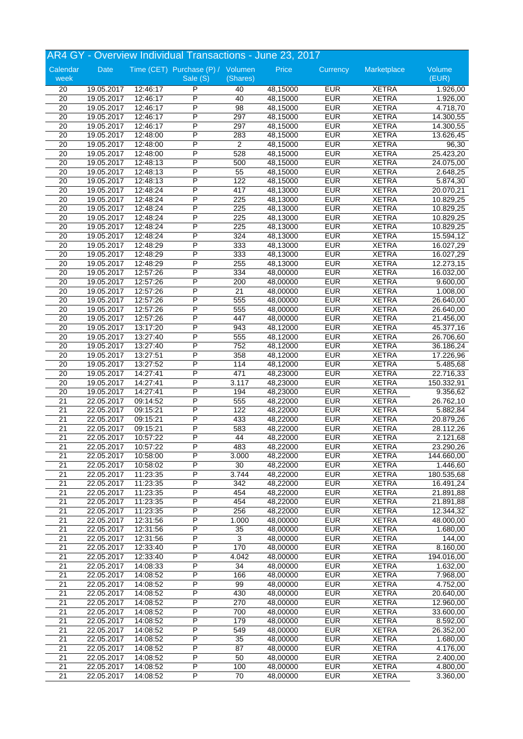|                       | AR4 GY - Overview Individual Transactions - June 23, 2017 |                      |                                   |                  |                      |                          |                              |                       |  |
|-----------------------|-----------------------------------------------------------|----------------------|-----------------------------------|------------------|----------------------|--------------------------|------------------------------|-----------------------|--|
| Calendar              | Date                                                      |                      | Time (CET) Purchase (P) / Volumen |                  | Price                | Currency                 | Marketplace                  | Volume                |  |
| week                  |                                                           |                      | Sale (S)                          | (Shares)         |                      |                          |                              | (EUR)                 |  |
| 20                    | 19.05.2017                                                | 12:46:17             | P                                 | 40               | 48,15000             | <b>EUR</b>               | <b>XETRA</b>                 | 1.926,00              |  |
| 20                    | 19.05.2017                                                | 12:46:17             | P                                 | 40               | 48,15000             | <b>EUR</b>               | <b>XETRA</b>                 | 1.926,00              |  |
| 20                    | 19.05.2017                                                | 12:46:17             | P                                 | 98               | 48,15000             | <b>EUR</b>               | <b>XETRA</b>                 | 4.718,70              |  |
| 20                    | 19.05.2017                                                | 12:46:17             | P                                 | 297              | 48,15000             | <b>EUR</b>               | <b>XETRA</b>                 | 14.300,55             |  |
| $\overline{20}$       | 19.05.2017                                                | 12:46:17             | P                                 | 297              | 48,15000             | <b>EUR</b>               | <b>XETRA</b>                 | 14.300,55             |  |
| 20                    | 19.05.2017                                                | 12:48:00             | P                                 | 283              | 48,15000             | <b>EUR</b>               | <b>XETRA</b>                 | 13.626,45             |  |
| 20                    | 19.05.2017                                                | 12:48:00             | P                                 | $\overline{2}$   | 48,15000             | <b>EUR</b>               | <b>XETRA</b>                 | 96,30                 |  |
| 20                    | 19.05.2017                                                | 12:48:00             | P                                 | 528              | 48,15000             | <b>EUR</b>               | <b>XETRA</b>                 | 25.423,20             |  |
| 20                    | 19.05.2017                                                | 12:48:13             | P                                 | 500              | 48,15000             | <b>EUR</b>               | <b>XETRA</b>                 | 24.075,00             |  |
| 20                    | 19.05.2017                                                | 12:48:13             | P                                 | 55               | 48,15000             | <b>EUR</b>               | <b>XETRA</b>                 | 2.648,25              |  |
| $\overline{20}$       | 19.05.2017                                                | 12:48:13             | P                                 | 122              | 48,15000             | <b>EUR</b>               | <b>XETRA</b>                 | 5.874,30              |  |
| $\overline{20}$       | 19.05.2017                                                | 12:48:24             | P                                 | 417              | 48,13000             | <b>EUR</b>               | <b>XETRA</b>                 | 20.070,21             |  |
| $\overline{20}$       | 19.05.2017                                                | 12:48:24             | P                                 | 225              | 48,13000             | <b>EUR</b>               | <b>XETRA</b>                 | 10.829,25             |  |
| $\overline{20}$       | 19.05.2017                                                | 12:48:24             | P                                 | $\overline{225}$ | 48,13000             | <b>EUR</b>               | <b>XETRA</b>                 | 10.829,25             |  |
| $\overline{20}$       | 19.05.2017                                                | 12:48:24             | P                                 | 225              | 48,13000             | <b>EUR</b>               | <b>XETRA</b>                 | 10.829,25             |  |
| 20                    | 19.05.2017                                                | 12:48:24             | P                                 | 225              | 48,13000             | <b>EUR</b>               | <b>XETRA</b>                 | 10.829,25             |  |
| 20                    | 19.05.2017                                                | 12:48:24             | P                                 | 324              | 48,13000             | <b>EUR</b>               | <b>XETRA</b>                 | 15.594,12             |  |
| 20                    | 19.05.2017                                                | 12:48:29             | P                                 | 333              | 48,13000             | <b>EUR</b>               | <b>XETRA</b>                 | 16.027,29             |  |
| $\overline{20}$       | 19.05.2017                                                | 12:48:29             | P                                 | 333              | 48,13000             | <b>EUR</b>               | <b>XETRA</b>                 | 16.027,29             |  |
| $\overline{20}$       | 19.05.2017                                                | 12:48:29             | P                                 | 255              | 48,13000             | <b>EUR</b>               | <b>XETRA</b>                 | 12.273,15             |  |
| 20                    | 19.05.2017                                                | 12:57:26             | Ρ                                 | 334              | 48,00000             | <b>EUR</b>               | <b>XETRA</b>                 | 16.032,00             |  |
| $\overline{20}$       | 19.05.2017                                                | 12:57:26             | P<br>P                            | 200              | 48,00000             | <b>EUR</b>               | <b>XETRA</b>                 | 9.600,00              |  |
| 20<br>$\overline{20}$ | 19.05.2017<br>19.05.2017                                  | 12:57:26<br>12:57:26 | P                                 | 21<br>555        | 48,00000<br>48,00000 | <b>EUR</b><br><b>EUR</b> | <b>XETRA</b><br><b>XETRA</b> | 1.008,00<br>26.640,00 |  |
| 20                    | 19.05.2017                                                | 12:57:26             | P                                 | 555              | 48,00000             | <b>EUR</b>               | <b>XETRA</b>                 | 26.640,00             |  |
| $\overline{20}$       | 19.05.2017                                                | 12:57:26             | P                                 | 447              | 48,00000             | <b>EUR</b>               | <b>XETRA</b>                 | 21.456,00             |  |
| 20                    | 19.05.2017                                                | 13:17:20             | P                                 | 943              | 48,12000             | <b>EUR</b>               | <b>XETRA</b>                 | 45.377,16             |  |
| $\overline{20}$       | 19.05.2017                                                | 13:27:40             | P                                 | 555              | 48,12000             | <b>EUR</b>               | <b>XETRA</b>                 | 26.706,60             |  |
| 20                    | 19.05.2017                                                | 13:27:40             | P                                 | 752              | 48,12000             | <b>EUR</b>               | <b>XETRA</b>                 | 36.186,24             |  |
| 20                    | 19.05.2017                                                | 13:27:51             | P                                 | 358              | 48,12000             | <b>EUR</b>               | <b>XETRA</b>                 | 17.226,96             |  |
| 20                    | 19.05.2017                                                | 13:27:52             | P                                 | 114              | 48,12000             | <b>EUR</b>               | <b>XETRA</b>                 | 5.485,68              |  |
| 20                    | 19.05.2017                                                | 14:27:41             | P                                 | 471              | 48,23000             | <b>EUR</b>               | <b>XETRA</b>                 | 22.716,33             |  |
| 20                    | 19.05.2017                                                | 14:27:41             | P                                 | 3.117            | 48,23000             | <b>EUR</b>               | <b>XETRA</b>                 | 150.332,91            |  |
| $\overline{20}$       | 19.05.2017                                                | 14:27:41             | P                                 | 194              | 48,23000             | <b>EUR</b>               | <b>XETRA</b>                 | 9.356,62              |  |
| $\overline{21}$       | 22.05.2017                                                | 09:14:52             | P                                 | 555              | 48,22000             | <b>EUR</b>               | <b>XETRA</b>                 | 26.762,10             |  |
| 21                    | 22.05.2017                                                | 09:15:21             | P                                 | 122              | 48,22000             | <b>EUR</b>               | <b>XETRA</b>                 | 5.882,84              |  |
| 21                    | 22.05.2017                                                | 09:15:21             | P                                 | 433              | 48,22000             | <b>EUR</b>               | <b>XETRA</b>                 | 20.879,26             |  |
| $\overline{21}$       | 22.05.2017                                                | 09:15:21             | P                                 | 583              | 48,22000             | <b>EUR</b>               | <b>XETRA</b>                 | 28.112,26             |  |
| 21                    | 22.05.2017                                                | 10:57:22             | P                                 | 44               | 48,22000             | <b>EUR</b>               | <b>XETRA</b>                 | 2.121,68              |  |
| 21                    | 22.05.2017                                                | 10:57:22             | P                                 | 483              | 48,22000             | <b>EUR</b>               | <b>XETRA</b>                 | 23.290,26             |  |
| 21                    | 22.05.2017                                                | 10:58:00             | P                                 | 3.000            | 48,22000             | <b>EUR</b>               | <b>XETRA</b>                 | 144.660,00            |  |
| 21                    | 22.05.2017                                                | 10:58:02             | $\overline{\mathsf{P}}$           | $\overline{30}$  | 48,22000             | <b>EUR</b>               | <b>XETRA</b>                 | 1.446,60              |  |
| 21                    | 22.05.2017                                                | 11:23:35             | $\overline{P}$                    | 3.744            | 48,22000             | <b>EUR</b>               | <b>XETRA</b>                 | 180.535,68            |  |
| 21                    | 22.05.2017                                                | 11:23:35             | P                                 | 342              | 48,22000             | <b>EUR</b>               | <b>XETRA</b>                 | 16.491,24             |  |
| $\overline{21}$       | 22.05.2017                                                | 11:23:35             | P                                 | 454              | 48,22000             | <b>EUR</b>               | <b>XETRA</b>                 | 21.891,88             |  |
| 21                    | 22.05.2017                                                | 11:23:35             | P                                 | 454              | 48,22000             | <b>EUR</b>               | <b>XETRA</b>                 | 21.891,88             |  |
| $\overline{21}$       | 22.05.2017                                                | 11:23:35             | P                                 | 256              | 48,22000             | <b>EUR</b>               | <b>XETRA</b>                 | 12.344,32             |  |
| 21                    | 22.05.2017                                                | 12:31:56             | P                                 | 1.000            | 48,00000             | <b>EUR</b>               | <b>XETRA</b>                 | 48.000,00             |  |
| 21                    | 22.05.2017                                                | 12:31:56             | $\overline{P}$                    | 35               | 48,00000             | <b>EUR</b>               | <b>XETRA</b>                 | 1.680,00              |  |
| 21                    | 22.05.2017                                                | 12:31:56             | $\overline{P}$                    | 3                | 48,00000             | <b>EUR</b>               | <b>XETRA</b>                 | 144,00                |  |
| $\overline{21}$       | 22.05.2017                                                | 12:33:40             | $\overline{P}$                    | 170              | 48,00000             | <b>EUR</b>               | <b>XETRA</b>                 | 8.160,00              |  |
| $\overline{21}$       | 22.05.2017                                                | 12:33:40             | P                                 | 4.042            | 48,00000             | <b>EUR</b>               | <b>XETRA</b>                 | 194.016,00            |  |
| $\overline{21}$       | 22.05.2017                                                | 14:08:33             | P                                 | 34               | 48,00000             | <b>EUR</b>               | <b>XETRA</b>                 | 1.632,00              |  |
| 21                    | 22.05.2017                                                | 14:08:52             | $\overline{P}$                    | 166              | 48,00000             | <b>EUR</b>               | <b>XETRA</b>                 | 7.968,00              |  |
| $\overline{21}$       | 22.05.2017                                                | 14:08:52             | $\overline{P}$                    | 99               | 48,00000             | <b>EUR</b>               | <b>XETRA</b>                 | 4.752,00              |  |
| 21                    | 22.05.2017                                                | 14:08:52             | P                                 | 430              | 48,00000             | <b>EUR</b>               | <b>XETRA</b>                 | 20.640,00             |  |
| 21                    | 22.05.2017                                                | 14:08:52             | P                                 | 270              | 48,00000             | <b>EUR</b>               | <b>XETRA</b>                 | 12.960,00             |  |
| 21                    | 22.05.2017                                                | 14:08:52             | $\overline{\mathsf{P}}$           | 700              | 48,00000             | <b>EUR</b>               | <b>XETRA</b>                 | 33.600,00             |  |
| $\overline{21}$       | 22.05.2017                                                | 14:08:52             | P                                 | 179              | 48,00000             | <b>EUR</b>               | XETRA                        | 8.592,00              |  |
| 21                    | 22.05.2017                                                | 14:08:52             | P                                 | 549              | 48,00000             | <b>EUR</b>               | <b>XETRA</b>                 | 26.352,00             |  |
| $\overline{21}$       | 22.05.2017                                                | 14:08:52             | $\overline{P}$                    | 35               | 48,00000             | <b>EUR</b>               | <b>XETRA</b>                 | 1.680,00              |  |
| $\overline{21}$       | 22.05.2017                                                | 14:08:52             | P                                 | 87               | 48,00000             | <b>EUR</b>               | <b>XETRA</b>                 | 4.176,00              |  |
| 21                    | 22.05.2017                                                | 14:08:52             | P                                 | 50               | 48,00000             | <b>EUR</b>               | XETRA                        | 2.400,00              |  |
| 21                    | 22.05.2017                                                | 14:08:52             | P                                 | 100              | 48,00000             | <b>EUR</b>               | <b>XETRA</b>                 | 4.800,00              |  |
| 21                    | 22.05.2017                                                | 14:08:52             | $\overline{P}$                    | 70               | 48,00000             | <b>EUR</b>               | <b>XETRA</b>                 | 3.360,00              |  |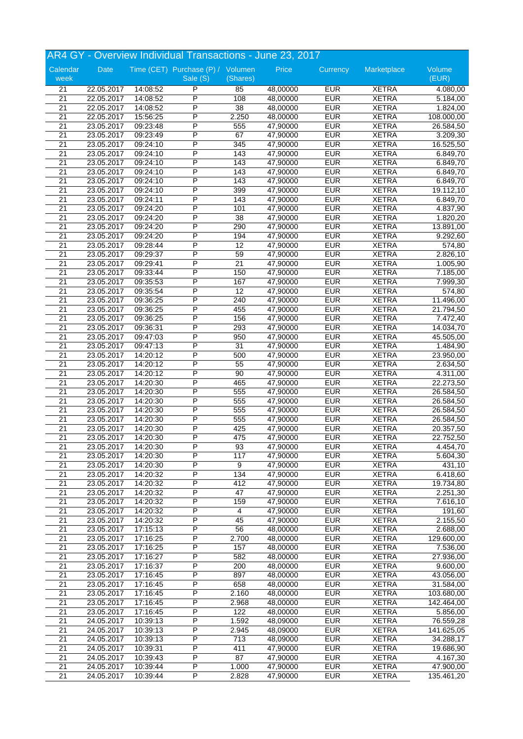|                  | AR4 GY - Overview Individual Transactions - June 23, 2017 |          |                                               |                 |          |            |              |                       |  |
|------------------|-----------------------------------------------------------|----------|-----------------------------------------------|-----------------|----------|------------|--------------|-----------------------|--|
| Calendar<br>week | Date                                                      |          | Time (CET) Purchase (P) / Volumen<br>Sale (S) | (Shares)        | Price    | Currency   | Marketplace  | Volume<br>(EUR)       |  |
| 21               | 22.05.2017                                                | 14:08:52 | P                                             | 85              | 48,00000 | <b>EUR</b> | <b>XETRA</b> | 4.080,00              |  |
| 21               | 22.05.2017                                                | 14:08:52 | P                                             | 108             | 48,00000 | <b>EUR</b> | <b>XETRA</b> | $\overline{5.184,00}$ |  |
| $\overline{21}$  | 22.05.2017                                                | 14:08:52 | P                                             | 38              | 48,00000 | <b>EUR</b> | <b>XETRA</b> | 1.824,00              |  |
| $\overline{21}$  | 22.05.2017                                                | 15:56:25 | P                                             | 2.250           | 48,00000 | <b>EUR</b> | <b>XETRA</b> | 108.000,00            |  |
| $\overline{21}$  | 23.05.2017                                                | 09:23:48 | P                                             | 555             | 47,90000 | <b>EUR</b> | <b>XETRA</b> | 26.584,50             |  |
| 21               | 23.05.2017                                                | 09:23:49 | P                                             | 67              | 47,90000 | <b>EUR</b> | <b>XETRA</b> | 3.209,30              |  |
| $\overline{21}$  | 23.05.2017                                                | 09:24:10 | P                                             | 345             | 47,90000 | <b>EUR</b> | <b>XETRA</b> | 16.525,50             |  |
| 21               | 23.05.2017                                                | 09:24:10 | P                                             | 143             | 47,90000 | <b>EUR</b> | <b>XETRA</b> | 6.849,70              |  |
| 21               | 23.05.2017                                                | 09:24:10 | P                                             | 143             | 47,90000 | <b>EUR</b> | <b>XETRA</b> | 6.849,70              |  |
| 21               | 23.05.2017                                                | 09:24:10 | P                                             | 143             | 47,90000 | <b>EUR</b> | <b>XETRA</b> | 6.849,70              |  |
| $\overline{21}$  | 23.05.2017                                                | 09:24:10 | P                                             | 143             | 47,90000 | <b>EUR</b> | <b>XETRA</b> | 6.849,70              |  |
| $\overline{21}$  | 23.05.2017                                                | 09:24:10 | P                                             | 399             | 47,90000 | <b>EUR</b> | <b>XETRA</b> | 19.112,10             |  |
| $\overline{21}$  | 23.05.2017                                                | 09:24:11 | P                                             | 143             | 47,90000 | <b>EUR</b> | <b>XETRA</b> | 6.849,70              |  |
| $\overline{21}$  | 23.05.2017                                                | 09:24:20 | P                                             | 101             | 47,90000 | <b>EUR</b> | <b>XETRA</b> | 4.837,90              |  |
| $\overline{21}$  | 23.05.2017                                                | 09:24:20 | P                                             | $\overline{38}$ | 47,90000 | <b>EUR</b> | <b>XETRA</b> | 1.820,20              |  |
| 21               | 23.05.2017                                                | 09:24:20 | P                                             | 290             | 47,90000 | <b>EUR</b> | <b>XETRA</b> | 13.891,00             |  |
| 21               | 23.05.2017                                                | 09:24:20 | P                                             | 194             | 47,90000 | <b>EUR</b> | <b>XETRA</b> | 9.292,60              |  |
| $\overline{21}$  | 23.05.2017                                                | 09:28:44 | P                                             | 12              | 47,90000 | <b>EUR</b> | <b>XETRA</b> | 574,80                |  |
| 21               | 23.05.2017                                                | 09:29:37 | P                                             | 59              | 47,90000 | <b>EUR</b> | <b>XETRA</b> | 2.826,10              |  |
| $\overline{21}$  | 23.05.2017                                                | 09:29:41 | P                                             | $\overline{21}$ | 47,90000 | <b>EUR</b> | <b>XETRA</b> | 1.005,90              |  |
| $\overline{21}$  | 23.05.2017                                                | 09:33:44 | P                                             | 150             | 47,90000 | <b>EUR</b> | <b>XETRA</b> | 7.185,00              |  |
| $\overline{21}$  | 23.05.2017                                                | 09:35:53 | P                                             | 167             | 47,90000 | <b>EUR</b> | <b>XETRA</b> | 7.999,30              |  |
| 21               | 23.05.2017                                                | 09:35:54 | P                                             | 12              | 47,90000 | <b>EUR</b> | <b>XETRA</b> | 574,80                |  |
| $\overline{21}$  | 23.05.2017                                                | 09:36:25 | P                                             | 240             | 47,90000 | <b>EUR</b> | <b>XETRA</b> | 11.496,00             |  |
| 21               | 23.05.2017                                                | 09:36:25 | P                                             | 455             | 47,90000 | <b>EUR</b> | <b>XETRA</b> | 21.794,50             |  |
| $\overline{21}$  | 23.05.2017                                                | 09:36:25 | P                                             | 156             | 47,90000 | <b>EUR</b> | <b>XETRA</b> | 7.472,40              |  |
| $\overline{21}$  | 23.05.2017                                                | 09:36:31 | P                                             | 293             | 47,90000 | <b>EUR</b> | <b>XETRA</b> | 14.034,70             |  |
| $\overline{21}$  | 23.05.2017                                                | 09:47:03 | P                                             | 950             | 47,90000 | <b>EUR</b> | <b>XETRA</b> | 45.505,00             |  |
| 21               | 23.05.2017                                                | 09:47:13 | P                                             | 31              | 47,90000 | <b>EUR</b> | <b>XETRA</b> | 1.484,90              |  |
| 21               | 23.05.2017                                                | 14:20:12 | P                                             | 500             | 47,90000 | <b>EUR</b> | <b>XETRA</b> | 23.950,00             |  |
| 21               | 23.05.2017                                                | 14:20:12 | P                                             | 55              | 47,90000 | <b>EUR</b> | <b>XETRA</b> | 2.634,50              |  |
| 21               | 23.05.2017                                                | 14:20:12 | P                                             | 90              | 47,90000 | <b>EUR</b> | <b>XETRA</b> | 4.311,00              |  |
| 21               | 23.05.2017                                                | 14:20:30 | P                                             | 465             | 47,90000 | <b>EUR</b> | <b>XETRA</b> | 22.273,50             |  |
| $\overline{21}$  | 23.05.2017                                                | 14:20:30 | P                                             | 555             | 47,90000 | <b>EUR</b> | <b>XETRA</b> | 26.584,50             |  |
| $\overline{21}$  | 23.05.2017                                                | 14:20:30 | P                                             | 555             | 47,90000 | <b>EUR</b> | <b>XETRA</b> | 26.584,50             |  |
| 21               | 23.05.2017                                                | 14:20:30 | P                                             | 555             | 47,90000 | <b>EUR</b> | <b>XETRA</b> | 26.584,50             |  |
| 21               | 23.05.2017                                                | 14:20:30 | P                                             | 555             | 47,90000 | <b>EUR</b> | <b>XETRA</b> | 26.584,50             |  |
| $\overline{21}$  | 23.05.2017                                                | 14:20:30 | P                                             | 425             | 47,90000 | <b>EUR</b> | <b>XETRA</b> | 20.357,50             |  |
| 21               | 23.05.2017                                                | 14:20:30 | P                                             | 475             | 47,90000 | <b>EUR</b> | <b>XETRA</b> | 22.752,50             |  |
| 21               | 23.05.2017                                                | 14:20:30 | P                                             | 93              | 47,90000 | <b>EUR</b> | <b>XETRA</b> | 4.454,70              |  |
| $\overline{21}$  | 23.05.2017                                                | 14:20:30 | P                                             | 117             | 47,90000 | <b>EUR</b> | <b>XETRA</b> | 5.604,30              |  |
| 21               | 23.05.2017                                                | 14:20:30 | $\overline{\mathsf{P}}$                       | 9               | 47,90000 | <b>EUR</b> | <b>XETRA</b> | 431,10                |  |
| 21               | 23.05.2017                                                | 14:20:32 | P                                             | 134             | 47,90000 | <b>EUR</b> | <b>XETRA</b> | 6.418,60              |  |
| $\overline{21}$  | 23.05.2017                                                | 14:20:32 | P                                             | 412             | 47,90000 | <b>EUR</b> | <b>XETRA</b> | 19.734,80             |  |
| $\overline{21}$  | 23.05.2017                                                | 14:20:32 | P                                             | 47              | 47,90000 | <b>EUR</b> | <b>XETRA</b> | 2.251,30              |  |
| 21               | 23.05.2017                                                | 14:20:32 | P                                             | 159             | 47,90000 | <b>EUR</b> | <b>XETRA</b> | 7.616,10              |  |
| $\overline{21}$  | 23.05.2017                                                | 14:20:32 | P                                             | 4               | 47,90000 | <b>EUR</b> | <b>XETRA</b> | 191,60                |  |
| 21               | 23.05.2017                                                | 14:20:32 | P                                             | 45              | 47,90000 | <b>EUR</b> | <b>XETRA</b> | 2.155,50              |  |
| 21               | 23.05.2017                                                | 17:15:13 | $\overline{P}$                                | 56              | 48,00000 | <b>EUR</b> | <b>XETRA</b> | 2.688,00              |  |
| 21               | 23.05.2017                                                | 17:16:25 | $\overline{P}$                                | 2.700           | 48,00000 | <b>EUR</b> | <b>XETRA</b> | 129.600,00            |  |
| $\overline{21}$  | 23.05.2017                                                | 17:16:25 | P                                             | 157             | 48,00000 | <b>EUR</b> | <b>XETRA</b> | 7.536,00              |  |
| $\overline{21}$  | 23.05.2017                                                | 17:16:27 | P                                             | 582             | 48,00000 | <b>EUR</b> | <b>XETRA</b> | 27.936,00             |  |
| $\overline{21}$  | 23.05.2017                                                | 17:16:37 | P                                             | 200             | 48,00000 | <b>EUR</b> | <b>XETRA</b> | 9.600,00              |  |
| 21               | 23.05.2017                                                | 17:16:45 | $\overline{P}$                                | 897             | 48,00000 | <b>EUR</b> | <b>XETRA</b> | 43.056,00             |  |
| $\overline{21}$  | 23.05.2017                                                | 17:16:45 | P                                             | 658             | 48,00000 | <b>EUR</b> | <b>XETRA</b> | 31.584,00             |  |
| 21               | 23.05.2017                                                | 17:16:45 | P                                             | 2.160           | 48,00000 | <b>EUR</b> | <b>XETRA</b> | 103.680,00            |  |
| 21               | 23.05.2017                                                | 17:16:45 | P                                             | 2.968           | 48,00000 | <b>EUR</b> | <b>XETRA</b> | 142.464,00            |  |
| 21               | 23.05.2017                                                | 17:16:45 | P                                             | 122             | 48,00000 | <b>EUR</b> | <b>XETRA</b> | 5.856,00              |  |
| $\overline{21}$  | 24.05.2017                                                | 10:39:13 | P                                             | 1.592           | 48,09000 | <b>EUR</b> | <b>XETRA</b> | 76.559,28             |  |
| 21               | 24.05.2017                                                | 10:39:13 | P                                             | 2.945           | 48,09000 | <b>EUR</b> | <b>XETRA</b> | 141.625,05            |  |
| $\overline{21}$  | 24.05.2017                                                | 10:39:13 | $\overline{P}$                                | 713             | 48,09000 | <b>EUR</b> | <b>XETRA</b> | 34.288,17             |  |
| $\overline{21}$  | 24.05.2017                                                | 10:39:31 | P                                             | 411             | 47,90000 | <b>EUR</b> | <b>XETRA</b> | 19.686,90             |  |
| 21               | 24.05.2017                                                | 10:39:43 | P                                             | 87              | 47,90000 | <b>EUR</b> | <b>XETRA</b> | 4.167,30              |  |
| 21               | 24.05.2017                                                | 10:39:44 | P                                             | 1.000           | 47,90000 | <b>EUR</b> | <b>XETRA</b> | 47.900,00             |  |
| 21               | 24.05.2017                                                | 10:39:44 | $\overline{P}$                                | 2.828           | 47,90000 | <b>EUR</b> | <b>XETRA</b> | 135.461,20            |  |
|                  |                                                           |          |                                               |                 |          |            |              |                       |  |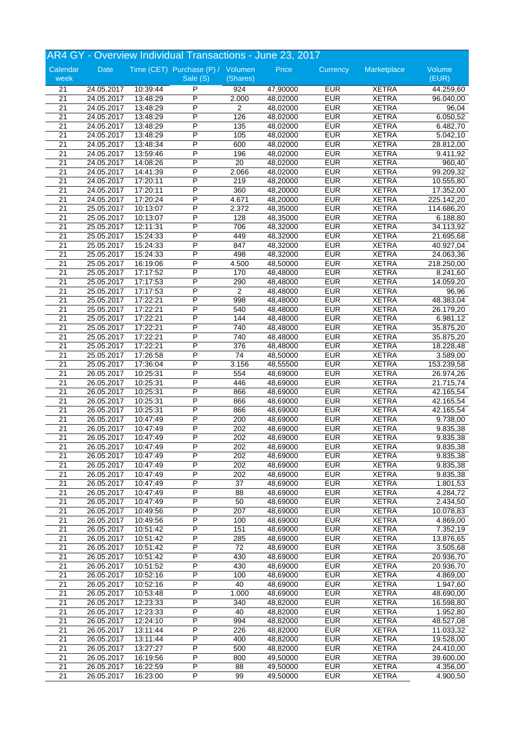|                  | AR4 GY - Overview Individual Transactions - June 23, 2017 |          |                                               |          |          |            |              |                        |  |
|------------------|-----------------------------------------------------------|----------|-----------------------------------------------|----------|----------|------------|--------------|------------------------|--|
| Calendar<br>week | Date                                                      |          | Time (CET) Purchase (P) / Volumen<br>Sale (S) | (Shares) | Price    | Currency   | Marketplace  | Volume<br>(EUR)        |  |
| 21               | 24.05.2017                                                | 10:39:44 | P                                             | 924      | 47,90000 | <b>EUR</b> | <b>XETRA</b> | 44.259,60              |  |
| 21               | 24.05.2017                                                | 13:48:29 | P                                             | 2.000    | 48,02000 | <b>EUR</b> | <b>XETRA</b> | 96.040,00              |  |
| $\overline{21}$  | 24.05.2017                                                | 13:48:29 | P                                             | 2        | 48,02000 | <b>EUR</b> | <b>XETRA</b> | 96,04                  |  |
| $\overline{21}$  | 24.05.2017                                                | 13:48:29 | P                                             | 126      | 48,02000 | <b>EUR</b> | <b>XETRA</b> | 6.050,52               |  |
| $\overline{21}$  | 24.05.2017                                                | 13:48:29 | P                                             | 135      | 48,02000 | <b>EUR</b> | <b>XETRA</b> | 6.482,70               |  |
| 21               | 24.05.2017                                                | 13:48:29 | P                                             | 105      | 48,02000 | <b>EUR</b> | <b>XETRA</b> | 5.042,10               |  |
| $\overline{21}$  | 24.05.2017                                                | 13:48:34 | P                                             | 600      | 48,02000 | <b>EUR</b> | <b>XETRA</b> | 28.812,00              |  |
| 21               | 24.05.2017                                                | 13:59:46 | P                                             | 196      | 48,02000 | <b>EUR</b> | <b>XETRA</b> | $\overline{9.41}$ 1,92 |  |
| 21               | 24.05.2017                                                | 14:08:26 | P                                             | 20       | 48,02000 | <b>EUR</b> | <b>XETRA</b> | 960,40                 |  |
| 21               | 24.05.2017                                                | 14:41:39 | P                                             | 2.066    | 48,02000 | <b>EUR</b> | <b>XETRA</b> | 99.209,32              |  |
| $\overline{21}$  | 24.05.2017                                                | 17:20:11 | P                                             | 219      | 48,20000 | <b>EUR</b> | <b>XETRA</b> | 10.555,80              |  |
| $\overline{21}$  | 24.05.2017                                                | 17:20:11 | P                                             | 360      | 48,20000 | <b>EUR</b> | <b>XETRA</b> | 17.352,00              |  |
| $\overline{21}$  | 24.05.2017                                                | 17:20:24 | Ρ                                             | 4.671    | 48,20000 | <b>EUR</b> | <b>XETRA</b> | 225.142,20             |  |
| $\overline{21}$  | 25.05.2017                                                | 10:13:07 | P                                             | 2.372    | 48,35000 | <b>EUR</b> | <b>XETRA</b> | 114.686,20             |  |
| $\overline{21}$  | 25.05.2017                                                | 10:13:07 | P                                             | 128      | 48,35000 | <b>EUR</b> | <b>XETRA</b> | 6.188,80               |  |
| 21               | 25.05.2017                                                | 12:11:31 | P                                             | 706      | 48,32000 | <b>EUR</b> | <b>XETRA</b> | 34.113,92              |  |
| 21               | 25.05.2017                                                | 15:24:33 | P                                             | 449      | 48,32000 | <b>EUR</b> | <b>XETRA</b> | 21.695,68              |  |
| 21               | 25.05.2017                                                | 15:24:33 | P                                             | 847      | 48,32000 | <b>EUR</b> | <b>XETRA</b> | 40.927,04              |  |
| 21               | 25.05.2017                                                | 15:24:33 | P                                             | 498      | 48,32000 | <b>EUR</b> | <b>XETRA</b> | 24.063,36              |  |
| $\overline{21}$  | 25.05.2017                                                | 16:19:06 | P                                             | 4.500    | 48,50000 | <b>EUR</b> | <b>XETRA</b> | 218.250,00             |  |
| 21               | 25.05.2017                                                | 17:17:52 | Ρ                                             | 170      | 48,48000 | <b>EUR</b> | <b>XETRA</b> | 8.241,60               |  |
| $\overline{21}$  | 25.05.2017                                                | 17:17:53 | P                                             | 290      | 48,48000 | <b>EUR</b> | <b>XETRA</b> | 14.059,20              |  |
| 21               | 25.05.2017                                                | 17:17:53 | P                                             | 2        | 48,48000 | <b>EUR</b> | <b>XETRA</b> | 96,96                  |  |
| $\overline{21}$  | 25.05.2017                                                | 17:22:21 | P                                             | 998      | 48,48000 | <b>EUR</b> | <b>XETRA</b> | 48.383,04              |  |
| 21               | 25.05.2017                                                | 17:22:21 | P                                             | 540      | 48,48000 | <b>EUR</b> | <b>XETRA</b> | 26.179,20              |  |
| $\overline{21}$  | 25.05.2017                                                | 17:22:21 | P                                             | 144      | 48,48000 | <b>EUR</b> | <b>XETRA</b> | 6.981,12               |  |
| 21               | 25.05.2017                                                | 17:22:21 | P                                             | 740      | 48,48000 | <b>EUR</b> | <b>XETRA</b> | 35.875,20              |  |
| $\overline{21}$  | 25.05.2017                                                | 17:22:21 | P                                             | 740      | 48,48000 | <b>EUR</b> | <b>XETRA</b> | 35.875,20              |  |
| 21               | 25.05.2017                                                | 17:22:21 | P                                             | 376      | 48,48000 | <b>EUR</b> | <b>XETRA</b> | 18.228,48              |  |
| 21               | 25.05.2017                                                | 17:26:58 | P                                             | 74       | 48,50000 | <b>EUR</b> | <b>XETRA</b> | 3.589,00               |  |
| 21               | 25.05.2017                                                | 17:36:04 | P                                             | 3.156    | 48,55500 | <b>EUR</b> | <b>XETRA</b> | 153.239,58             |  |
| $\overline{21}$  | 26.05.2017                                                | 10:25:31 | P                                             | 554      | 48,69000 | <b>EUR</b> | <b>XETRA</b> | 26.974,26              |  |
| 21               | 26.05.2017                                                | 10:25:31 | P                                             | 446      | 48,69000 | <b>EUR</b> | <b>XETRA</b> | 21.715,74              |  |
| 21               | 26.05.2017                                                | 10:25:31 | P                                             | 866      | 48,69000 | <b>EUR</b> | <b>XETRA</b> | 42.165,54              |  |
| $\overline{21}$  | 26.05.2017                                                | 10:25:31 | P                                             | 866      | 48,69000 | <b>EUR</b> | <b>XETRA</b> | 42.165,54              |  |
|                  |                                                           |          | P                                             |          |          | <b>EUR</b> | <b>XETRA</b> |                        |  |
| 21               | 26.05.2017                                                | 10:25:31 | P                                             | 866      | 48,69000 |            |              | 42.165,54              |  |
| 21               | 26.05.2017                                                | 10:47:49 | P                                             | 200      | 48,69000 | <b>EUR</b> | <b>XETRA</b> | 9.738,00               |  |
| $\overline{21}$  | 26.05.2017                                                | 10:47:49 |                                               | 202      | 48,69000 | <b>EUR</b> | <b>XETRA</b> | 9.835,38               |  |
| 21               | 26.05.2017                                                | 10:47:49 | P                                             | 202      | 48,69000 | <b>EUR</b> | <b>XETRA</b> | 9.835,38               |  |
| 21               | 26.05.2017                                                | 10:47:49 | P                                             | 202      | 48,69000 | <b>EUR</b> | <b>XETRA</b> | 9.835,38               |  |
| 21               | 26.05.2017                                                | 10:47:49 | P                                             | 202      | 48,69000 | <b>EUR</b> | <b>XETRA</b> | 9.835,38               |  |
| 21               | 26.05.2017                                                | 10:47:49 | $\overline{\mathsf{P}}$                       | 202      | 48,69000 | <b>EUR</b> | <b>XETRA</b> | 9.835,38               |  |
| 21               | 26.05.2017                                                | 10:47:49 | P                                             | 202      | 48,69000 | <b>EUR</b> | <b>XETRA</b> | 9.835,38               |  |
| $\overline{21}$  | 26.05.2017                                                | 10:47:49 | P                                             | 37       | 48,69000 | <b>EUR</b> | <b>XETRA</b> | 1.801,53               |  |
| $\overline{21}$  | 26.05.2017                                                | 10:47:49 | P                                             | 88       | 48,69000 | <b>EUR</b> | <b>XETRA</b> | 4.284,72               |  |
| 21               | 26.05.2017                                                | 10:47:49 | P                                             | 50       | 48,69000 | <b>EUR</b> | <b>XETRA</b> | 2.434,50               |  |
| $\overline{21}$  | 26.05.2017                                                | 10:49:56 | P                                             | 207      | 48,69000 | <b>EUR</b> | <b>XETRA</b> | 10.078,83              |  |
| 21               | 26.05.2017                                                | 10:49:56 | P                                             | 100      | 48,69000 | <b>EUR</b> | <b>XETRA</b> | 4.869,00               |  |
| 21               | 26.05.2017                                                | 10:51:42 | $\overline{P}$                                | 151      | 48,69000 | <b>EUR</b> | <b>XETRA</b> | 7.352,19               |  |
| 21               | 26.05.2017                                                | 10:51:42 | $\overline{P}$                                | 285      | 48,69000 | <b>EUR</b> | <b>XETRA</b> | 13.876,65              |  |
| $\overline{21}$  | 26.05.2017                                                | 10:51:42 | P                                             | 72       | 48,69000 | <b>EUR</b> | <b>XETRA</b> | 3.505,68               |  |
| $\overline{21}$  | 26.05.2017                                                | 10:51:42 | P                                             | 430      | 48,69000 | <b>EUR</b> | <b>XETRA</b> | 20.936,70              |  |
| $\overline{21}$  | 26.05.2017                                                | 10:51:52 | P                                             | 430      | 48,69000 | <b>EUR</b> | <b>XETRA</b> | 20.936,70              |  |
| 21               | 26.05.2017                                                | 10:52:16 | $\overline{P}$                                | 100      | 48,69000 | <b>EUR</b> | <b>XETRA</b> | 4.869,00               |  |
| $\overline{21}$  | 26.05.2017                                                | 10:52:16 | P                                             | 40       | 48,69000 | <b>EUR</b> | <b>XETRA</b> | 1.947,60               |  |
| 21               | 26.05.2017                                                | 10:53:48 | P                                             | 1.000    | 48,69000 | <b>EUR</b> | <b>XETRA</b> | 48.690,00              |  |
| 21               | 26.05.2017                                                | 12:23:33 | P                                             | 340      | 48,82000 | <b>EUR</b> | <b>XETRA</b> | 16.598,80              |  |
| 21               | 26.05.2017                                                | 12:23:33 | $\overline{\mathsf{P}}$                       | 40       | 48,82000 | <b>EUR</b> | <b>XETRA</b> | 1.952,80               |  |
| $\overline{21}$  | 26.05.2017                                                | 12:24:10 | P                                             | 994      | 48,82000 | <b>EUR</b> | XETRA        | 48.527,08              |  |
| 21               | 26.05.2017                                                | 13:11:44 | P                                             | 226      | 48,82000 | <b>EUR</b> | <b>XETRA</b> | 11.033,32              |  |
| $\overline{21}$  | 26.05.2017                                                | 13:11:44 | $\overline{P}$                                | 400      | 48,82000 | <b>EUR</b> | <b>XETRA</b> | 19.528,00              |  |
| $\overline{21}$  | 26.05.2017                                                | 13:27:27 | P                                             | 500      | 48,82000 | <b>EUR</b> | <b>XETRA</b> | 24.410,00              |  |
| 21               | 26.05.2017                                                | 16:19:56 | P                                             | 800      | 49,50000 | <b>EUR</b> | <b>XETRA</b> | 39.600,00              |  |
| 21               | 26.05.2017                                                | 16:22:59 | P                                             | 88       | 49,50000 | <b>EUR</b> | <b>XETRA</b> | 4.356,00               |  |
| 21               | 26.05.2017                                                | 16:23:00 | $\overline{\mathsf{P}}$                       | 99       | 49,50000 | <b>EUR</b> | <b>XETRA</b> | 4.900,50               |  |
|                  |                                                           |          |                                               |          |          |            |              |                        |  |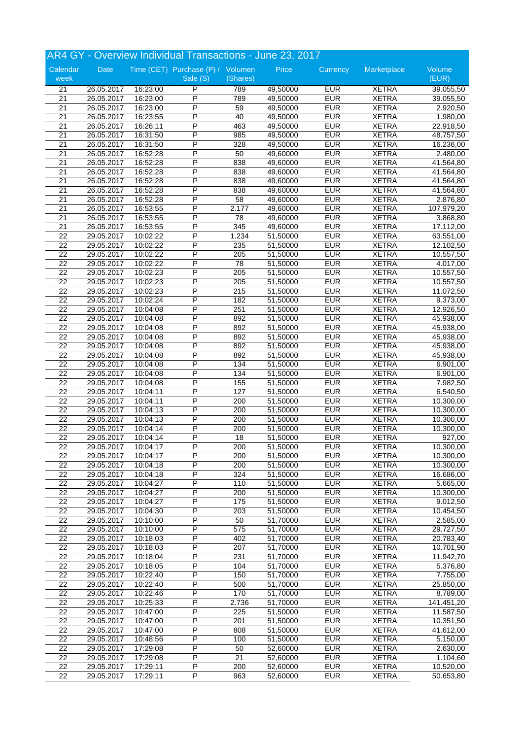|                 |            |          | AR4 GY - Overview Individual Transactions - June 23, 2017 |          |          |            |              |                     |
|-----------------|------------|----------|-----------------------------------------------------------|----------|----------|------------|--------------|---------------------|
| Calendar        | Date       |          | Time (CET) Purchase (P) / Volumen                         |          | Price    | Currency   | Marketplace  | Volume              |
| week            |            |          | Sale (S)                                                  | (Shares) |          |            |              | (EUR)               |
| 21              | 26.05.2017 | 16:23:00 | P                                                         | 789      | 49,50000 | <b>EUR</b> | <b>XETRA</b> | 39.055,50           |
| 21              | 26.05.2017 | 16:23:00 | P                                                         | 789      | 49,50000 | <b>EUR</b> | <b>XETRA</b> | 39.055,50           |
| 21              | 26.05.2017 | 16:23:00 | P                                                         | 59       | 49,50000 | <b>EUR</b> | <b>XETRA</b> | 2.920,50            |
| 21              | 26.05.2017 | 16:23:55 | P                                                         | 40       | 49,50000 | <b>EUR</b> | <b>XETRA</b> | 1.980,00            |
| $\overline{21}$ | 26.05.2017 | 16:26:11 | P                                                         | 463      | 49,50000 | <b>EUR</b> | <b>XETRA</b> | 22.918,50           |
| 21              | 26.05.2017 | 16:31:50 | P                                                         | 985      | 49,50000 | <b>EUR</b> | <b>XETRA</b> | 48.757,50           |
| $\overline{21}$ | 26.05.2017 | 16:31:50 | P                                                         | 328      | 49,50000 | <b>EUR</b> | <b>XETRA</b> | 16.236,00           |
| $\overline{21}$ | 26.05.2017 | 16:52:28 | P                                                         | 50       | 49,60000 | <b>EUR</b> | <b>XETRA</b> | 2.480,00            |
| 21              | 26.05.2017 | 16:52:28 | P                                                         | 838      | 49,60000 | <b>EUR</b> | <b>XETRA</b> | 41.564,80           |
| 21              | 26.05.2017 | 16:52:28 | P                                                         | 838      | 49,60000 | <b>EUR</b> | <b>XETRA</b> | 41.564,80           |
| $\overline{21}$ | 26.05.2017 | 16:52:28 | P                                                         | 838      | 49,60000 | <b>EUR</b> | <b>XETRA</b> | 41.564,80           |
| 21              | 26.05.2017 | 16:52:28 | P                                                         | 838      | 49,60000 | <b>EUR</b> | <b>XETRA</b> | 41.564,80           |
| 21              | 26.05.2017 | 16:52:28 | P                                                         | 58       | 49,60000 | <b>EUR</b> | <b>XETRA</b> | 2.876,80            |
| 21              | 26.05.2017 | 16:53:55 | P                                                         | 2.177    | 49,60000 | <b>EUR</b> | <b>XETRA</b> | 107.979,20          |
| $\overline{21}$ | 26.05.2017 | 16:53:55 | P                                                         | 78       | 49,60000 | <b>EUR</b> | <b>XETRA</b> | 3.868,80            |
| 21              | 26.05.2017 | 16:53:55 | P                                                         | 345      | 49,60000 | <b>EUR</b> | <b>XETRA</b> | 17.112,00           |
| 22              | 29.05.2017 | 10:02:22 | P                                                         | 1.234    | 51,50000 | <b>EUR</b> | <b>XETRA</b> | 63.551,00           |
| 22              | 29.05.2017 | 10:02:22 | P                                                         | 235      | 51,50000 | <b>EUR</b> | <b>XETRA</b> | 12.102,50           |
| $\overline{22}$ | 29.05.2017 | 10:02:22 | P                                                         | 205      | 51,50000 | <b>EUR</b> | <b>XETRA</b> | 10.557,50           |
| $\overline{22}$ | 29.05.2017 | 10:02:22 | P                                                         | 78       | 51,50000 | <b>EUR</b> | <b>XETRA</b> | 4.017,00            |
| $\overline{22}$ | 29.05.2017 | 10:02:23 | P                                                         | 205      | 51,50000 | <b>EUR</b> | <b>XETRA</b> | 10.557,50           |
| $\overline{22}$ | 29.05.2017 | 10:02:23 | P                                                         | 205      | 51,50000 | <b>EUR</b> | <b>XETRA</b> | 10.557,50           |
| $\overline{22}$ | 29.05.2017 | 10:02:23 | P                                                         | 215      | 51,50000 | <b>EUR</b> | <b>XETRA</b> | 11.072,50           |
| $\overline{22}$ | 29.05.2017 | 10:02:24 | P                                                         | 182      | 51,50000 | <b>EUR</b> | <b>XETRA</b> | 9.373,00            |
| 22              | 29.05.2017 | 10:04:08 | P                                                         | 251      | 51,50000 | <b>EUR</b> | <b>XETRA</b> | 12.926,50           |
| $\overline{22}$ | 29.05.2017 | 10:04:08 | P                                                         | 892      | 51,50000 | <b>EUR</b> | <b>XETRA</b> | 45.938,00           |
| 22              | 29.05.2017 | 10:04:08 | $\overline{P}$                                            | 892      | 51,50000 | <b>EUR</b> | <b>XETRA</b> | 45.938,00           |
| $\overline{22}$ | 29.05.2017 | 10:04:08 | P                                                         | 892      | 51,50000 | <b>EUR</b> | <b>XETRA</b> | 45.938,00           |
| 22              | 29.05.2017 | 10:04:08 | P                                                         | 892      | 51,50000 | <b>EUR</b> | <b>XETRA</b> | 45.938,00           |
| 22              | 29.05.2017 | 10:04:08 | P                                                         | 892      | 51,50000 | <b>EUR</b> | <b>XETRA</b> | 45.938,00           |
| 22              | 29.05.2017 | 10:04:08 | P                                                         | 134      | 51,50000 | <b>EUR</b> | <b>XETRA</b> | 6.901,00            |
| 22              | 29.05.2017 | 10:04:08 | P                                                         | 134      | 51,50000 | <b>EUR</b> | <b>XETRA</b> | 6.901,00            |
| $\overline{22}$ | 29.05.2017 | 10:04:08 | P                                                         | 155      | 51,50000 | <b>EUR</b> | <b>XETRA</b> | 7.982,50            |
| $\overline{22}$ | 29.05.2017 | 10:04:11 | P                                                         | 127      | 51,50000 | <b>EUR</b> | <b>XETRA</b> | 6.540,50            |
| 22              | 29.05.2017 | 10:04:11 | P                                                         | 200      | 51,50000 | <b>EUR</b> | <b>XETRA</b> | 10.300,00           |
| 22              | 29.05.2017 | 10:04:13 | P                                                         | 200      | 51,50000 | <b>EUR</b> | <b>XETRA</b> | 10.300,00           |
| 22              | 29.05.2017 | 10:04:13 | P                                                         | 200      | 51,50000 | <b>EUR</b> | <b>XETRA</b> | 10.300.00           |
| $\overline{22}$ | 29.05.2017 | 10:04:14 | P                                                         | 200      | 51,50000 | <b>EUR</b> | <b>XETRA</b> | 10.300,00           |
| 22              | 29.05.2017 | 10:04:14 | P                                                         | 18       | 51,50000 | <b>EUR</b> | <b>XETRA</b> | $\overline{927,00}$ |
| 22              | 29.05.2017 | 10:04:17 | P                                                         | 200      | 51,50000 | <b>EUR</b> | <b>XETRA</b> | 10.300,00           |
| 22              | 29.05.2017 | 10:04:17 | P                                                         | 200      | 51,50000 | <b>EUR</b> | <b>XETRA</b> | 10.300,00           |
| 22              | 29.05.2017 | 10:04:18 | $\overline{\mathsf{P}}$                                   | 200      | 51,50000 | <b>EUR</b> | <b>XETRA</b> | 10.300,00           |
| 22              | 29.05.2017 | 10:04:18 | $\overline{P}$                                            | 324      | 51,50000 | <b>EUR</b> | <b>XETRA</b> | 16.686,00           |
| $\overline{22}$ | 29.05.2017 | 10:04:27 | P                                                         | 110      | 51,50000 | <b>EUR</b> | <b>XETRA</b> | 5.665,00            |
| $\overline{22}$ | 29.05.2017 | 10:04:27 | P                                                         | 200      | 51,50000 | <b>EUR</b> | <b>XETRA</b> | 10.300,00           |
| 22              | 29.05.2017 | 10:04:27 | P                                                         | 175      | 51,50000 | <b>EUR</b> | <b>XETRA</b> | 9.012,50            |
| $\overline{22}$ | 29.05.2017 | 10:04:30 | P                                                         | 203      | 51,50000 | <b>EUR</b> | <b>XETRA</b> | 10.454,50           |
| $\overline{22}$ | 29.05.2017 | 10:10:00 | P                                                         | 50       | 51,70000 | <b>EUR</b> | <b>XETRA</b> | 2.585,00            |
| 22              | 29.05.2017 | 10:10:00 | $\overline{P}$                                            | 575      | 51,70000 | <b>EUR</b> | <b>XETRA</b> | 29.727,50           |
| 22              | 29.05.2017 | 10:18:03 | P                                                         | 402      | 51,70000 | <b>EUR</b> | <b>XETRA</b> | 20.783,40           |
| $\overline{22}$ | 29.05.2017 | 10:18:03 | P                                                         | 207      | 51,70000 | <b>EUR</b> | <b>XETRA</b> | 10.701,90           |
| 22              | 29.05.2017 | 10:18:04 | P                                                         | 231      | 51,70000 | <b>EUR</b> | <b>XETRA</b> | 11.942,70           |
| $\overline{22}$ | 29.05.2017 | 10:18:05 | P                                                         | 104      | 51,70000 | <b>EUR</b> | <b>XETRA</b> | 5.376,80            |
| $\overline{22}$ | 29.05.2017 | 10:22:40 | $\overline{\mathsf{P}}$                                   | 150      | 51,70000 | <b>EUR</b> | <b>XETRA</b> | 7.755,00            |
| 22              | 29.05.2017 | 10:22:40 | P                                                         | 500      | 51,70000 | <b>EUR</b> | <b>XETRA</b> | 25.850,00           |
| 22              | 29.05.2017 | 10:22:46 | P                                                         | 170      | 51,70000 | <b>EUR</b> | <b>XETRA</b> | 8.789,00            |
| 22              | 29.05.2017 | 10:25:33 | $\overline{P}$                                            | 2.736    | 51,70000 | <b>EUR</b> | <b>XETRA</b> | 141.451,20          |
| $\overline{22}$ |            |          | $\overline{\mathsf{P}}$                                   | 225      |          | <b>EUR</b> |              |                     |
|                 | 29.05.2017 | 10:47:00 | P                                                         |          | 51,50000 |            | <b>XETRA</b> | 11.587,50           |
| 22              | 29.05.2017 | 10:47:00 |                                                           | 201      | 51,50000 | <b>EUR</b> | <b>XETRA</b> | 10.351,50           |
| $\overline{22}$ | 29.05.2017 | 10:47:00 | P                                                         | 808      | 51,50000 | <b>EUR</b> | <b>XETRA</b> | 41.612,00           |
| $\overline{22}$ | 29.05.2017 | 10:48:56 | P                                                         | 100      | 51,50000 | <b>EUR</b> | <b>XETRA</b> | 5.150,00            |
| 22              | 29.05.2017 | 17:29:08 | $\overline{\mathsf{P}}$                                   | 50       | 52,60000 | <b>EUR</b> | <b>XETRA</b> | 2.630,00            |
| 22              | 29.05.2017 | 17:29:08 | P                                                         | 21       | 52,60000 | <b>EUR</b> | <b>XETRA</b> | 1.104,60            |
| 22              | 29.05.2017 | 17:29:11 | P                                                         | 200      | 52,60000 | <b>EUR</b> | <b>XETRA</b> | 10.520,00           |
| $\overline{22}$ | 29.05.2017 | 17:29:11 | $\overline{P}$                                            | 963      | 52,60000 | <b>EUR</b> | <b>XETRA</b> | 50.653,80           |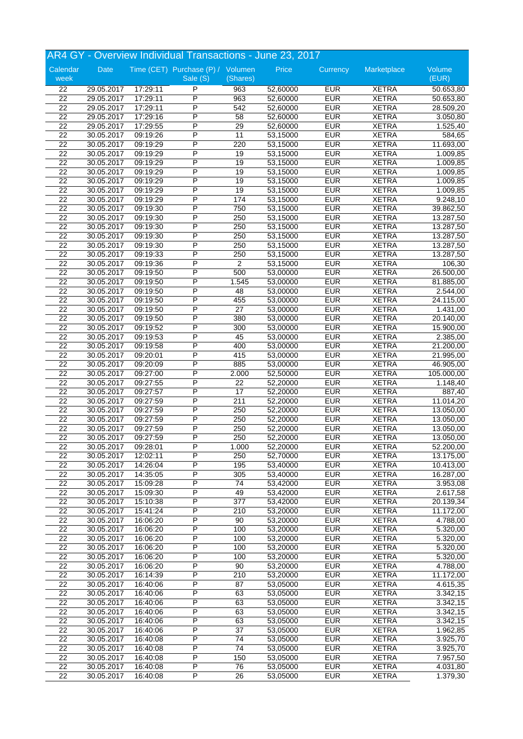|                       | AR4 GY - Overview Individual Transactions - June 23, 2017 |                      |                                   |                        |                      |                          |                              |                        |  |
|-----------------------|-----------------------------------------------------------|----------------------|-----------------------------------|------------------------|----------------------|--------------------------|------------------------------|------------------------|--|
| Calendar              | Date                                                      |                      | Time (CET) Purchase (P) / Volumen |                        | Price                | Currency                 | Marketplace                  | Volume                 |  |
| week                  |                                                           |                      | Sale (S)                          | (Shares)               |                      |                          |                              | (EUR)                  |  |
| 22                    | 29.05.2017                                                | 17:29:11             | P                                 | 963                    | 52,60000             | <b>EUR</b>               | <b>XETRA</b>                 | 50.653,80              |  |
| 22                    | 29.05.2017                                                | 17:29:11             | P                                 | 963                    | 52,60000             | <b>EUR</b>               | <b>XETRA</b>                 | 50.653,80              |  |
| $\overline{22}$       | 29.05.2017                                                | 17:29:11             | P                                 | 542                    | 52,60000             | <b>EUR</b>               | <b>XETRA</b>                 | 28.509,20              |  |
| 22                    | 29.05.2017                                                | 17:29:16             | P                                 | 58                     | 52,60000             | <b>EUR</b>               | <b>XETRA</b>                 | 3.050,80               |  |
| 22                    | 29.05.2017                                                | 17:29:55             | P                                 | 29                     | 52,60000             | <b>EUR</b>               | <b>XETRA</b>                 | 1.525,40               |  |
| 22                    | 30.05.2017                                                | 09:19:26             | P                                 | 11                     | 53,15000             | <b>EUR</b>               | <b>XETRA</b>                 | 584,65                 |  |
| 22                    | 30.05.2017                                                | 09:19:29             | P                                 | 220                    | 53,15000             | <b>EUR</b>               | <b>XETRA</b>                 | 11.693,00              |  |
| 22                    | 30.05.2017                                                | 09:19:29             | P                                 | 19                     | 53,15000             | <b>EUR</b>               | <b>XETRA</b>                 | 1.009,85               |  |
| 22                    | 30.05.2017                                                | 09:19:29             | P                                 | 19                     | 53,15000             | <b>EUR</b>               | <b>XETRA</b>                 | 1.009,85               |  |
| 22                    | 30.05.2017                                                | 09:19:29             | P<br>$\overline{P}$               | 19                     | 53,15000             | <b>EUR</b>               | <b>XETRA</b>                 | 1.009,85               |  |
| $\overline{22}$       | 30.05.2017                                                | 09:19:29             | P                                 | 19                     | 53,15000             | <b>EUR</b>               | <b>XETRA</b>                 | 1.009,85               |  |
| 22                    | 30.05.2017                                                | 09:19:29             |                                   | 19                     | 53,15000             | <b>EUR</b>               | <b>XETRA</b>                 | 1.009,85               |  |
| $\overline{22}$       | 30.05.2017                                                | 09:19:29             | P                                 | 174                    | 53,15000             | <b>EUR</b>               | <b>XETRA</b>                 | 9.248,10               |  |
| $\overline{22}$       | 30.05.2017                                                | 09:19:30             | P                                 | 750                    | 53,15000             | <b>EUR</b>               | <b>XETRA</b>                 | 39.862,50              |  |
| $\overline{22}$       | 30.05.2017                                                | 09:19:30             | P                                 | 250                    | 53,15000             | <b>EUR</b>               | <b>XETRA</b>                 | 13.287,50              |  |
| 22                    | 30.05.2017                                                | 09:19:30             | P                                 | 250                    | 53,15000             | <b>EUR</b>               | <b>XETRA</b>                 | 13.287,50              |  |
| 22                    | 30.05.2017                                                | 09:19:30             | P                                 | 250                    | 53,15000             | <b>EUR</b>               | <b>XETRA</b>                 | 13.287,50              |  |
| $\overline{22}$       | 30.05.2017                                                | 09:19:30             | P<br>P                            | 250                    | 53,15000             | <b>EUR</b>               | <b>XETRA</b>                 | 13.287,50              |  |
| $\overline{22}$       | 30.05.2017                                                | 09:19:33             |                                   | 250                    | 53,15000             | <b>EUR</b>               | <b>XETRA</b>                 | 13.287,50              |  |
| 22                    | 30.05.2017                                                | 09:19:36             | P                                 | $\overline{2}$         | 53,15000             | <b>EUR</b>               | <b>XETRA</b>                 | 106,30                 |  |
| $\overline{22}$       | 30.05.2017                                                | 09:19:50             | Ρ                                 | 500                    | 53,00000             | <b>EUR</b>               | <b>XETRA</b>                 | 26.500,00              |  |
| $\overline{22}$       | 30.05.2017                                                | 09:19:50             | P<br>P                            | 1.545                  | 53,00000             | <b>EUR</b>               | <b>XETRA</b>                 | 81.885,00              |  |
| 22                    | 30.05.2017                                                | 09:19:50             |                                   | 48                     | 53,00000             | <b>EUR</b>               | <b>XETRA</b>                 | 2.544,00               |  |
| 22                    | 30.05.2017                                                | 09:19:50             | P<br>P                            | 455                    | 53,00000             | <b>EUR</b>               | <b>XETRA</b>                 | 24.115,00              |  |
| 22                    | 30.05.2017                                                | 09:19:50             | P                                 | 27                     | 53,00000             | <b>EUR</b>               | <b>XETRA</b>                 | 1.431,00               |  |
| $\overline{22}$<br>22 | 30.05.2017                                                | 09:19:50             | P                                 | 380                    | 53,00000             | <b>EUR</b><br><b>EUR</b> | <b>XETRA</b>                 | 20.140,00              |  |
| 22                    | 30.05.2017                                                | 09:19:52             | P                                 | 300                    | 53,00000             | <b>EUR</b>               | <b>XETRA</b>                 | 15.900,00              |  |
|                       | 30.05.2017                                                | 09:19:53             |                                   | 45                     | 53,00000             |                          | <b>XETRA</b>                 | 2.385,00               |  |
| 22                    | 30.05.2017                                                | 09:19:58             | P                                 | 400                    | 53,00000             | <b>EUR</b>               | <b>XETRA</b>                 | 21.200,00              |  |
| 22                    | 30.05.2017                                                | 09:20:01             | P<br>P                            | 415                    | 53,00000             | <b>EUR</b>               | <b>XETRA</b>                 | 21.995,00              |  |
| 22                    | 30.05.2017                                                | 09:20:09             | P                                 | 885                    | 53,00000             | <b>EUR</b>               | <b>XETRA</b>                 | 46.905,00              |  |
| 22                    | 30.05.2017                                                | 09:27:00             |                                   | 2.000                  | 52,50000             | <b>EUR</b>               | <b>XETRA</b>                 | 105.000,00             |  |
| 22                    | 30.05.2017                                                | 09:27:55             | P<br>P                            | 22                     | 52,20000             | <b>EUR</b>               | <b>XETRA</b>                 | 1.148,40               |  |
| 22                    | 30.05.2017                                                | 09:27:57             | P                                 | 17                     | 52,20000             | <b>EUR</b>               | <b>XETRA</b>                 | 887,40                 |  |
| 22                    | 30.05.2017                                                | 09:27:59             |                                   | 211                    | 52,20000             | <b>EUR</b>               | <b>XETRA</b>                 | 11.014,20              |  |
| 22                    | 30.05.2017                                                | 09:27:59             | P                                 | 250                    | 52,20000             | <b>EUR</b>               | <b>XETRA</b>                 | 13.050,00              |  |
| 22                    | 30.05.2017                                                | 09:27:59             | P<br>P                            | 250                    | 52,20000             | <b>EUR</b>               | <b>XETRA</b>                 | 13.050,00              |  |
| $\overline{22}$       | 30.05.2017                                                | 09:27:59             | P                                 | 250                    | 52,20000             | <b>EUR</b>               | <b>XETRA</b>                 | 13.050,00              |  |
| 22                    | 30.05.2017                                                | 09:27:59             |                                   | 250                    | 52,20000             | <b>EUR</b>               | <b>XETRA</b>                 | 13.050,00              |  |
| 22                    | 30.05.2017                                                | 09:28:01             | P                                 | 1.000                  | 52,20000             | <b>EUR</b>               | <b>XETRA</b>                 | 52.200,00              |  |
| $\overline{22}$       | 30.05.2017<br>30.05.2017                                  | 12:02:11             | P<br>$\overline{\mathsf{P}}$      | 250                    | 52,70000             | <b>EUR</b>               | <b>XETRA</b>                 | 13.175,00<br>10.413,00 |  |
| 22                    |                                                           | 14:26:04             |                                   | 195                    | 53,40000             | <b>EUR</b>               | <b>XETRA</b>                 |                        |  |
| 22<br>$\overline{22}$ | 30.05.2017                                                | 14:35:05             | P<br>P                            | 305                    | 53,40000<br>53,42000 | <b>EUR</b>               | <b>XETRA</b><br><b>XETRA</b> | 16.287,00              |  |
| $\overline{22}$       | 30.05.2017                                                | 15:09:28             | P                                 | 74                     |                      | <b>EUR</b><br><b>EUR</b> | <b>XETRA</b>                 | 3.953,08               |  |
| $\overline{22}$       | 30.05.2017<br>30.05.2017                                  | 15:09:30<br>15:10:38 | P                                 | 49<br>$\overline{377}$ | 53,42000<br>53,42000 | <b>EUR</b>               | <b>XETRA</b>                 | 2.617,58               |  |
|                       |                                                           |                      |                                   |                        |                      |                          | <b>XETRA</b>                 | 20.139,34              |  |
| 22                    | 30.05.2017<br>30.05.2017                                  | 15:41:24             | P<br>P                            | 210                    | 53,20000<br>53,20000 | <b>EUR</b>               |                              | 11.172,00<br>4.788,00  |  |
| 22<br>22              |                                                           | 16:06:20             | P                                 | 90                     |                      | <b>EUR</b><br><b>EUR</b> | <b>XETRA</b><br><b>XETRA</b> | $\overline{5.320,00}$  |  |
| 22                    | 30.05.2017                                                | 16:06:20<br>16:06:20 | $\overline{P}$                    | 100                    | 53,20000<br>53,20000 | <b>EUR</b>               | <b>XETRA</b>                 | 5.320,00               |  |
| 22                    | 30.05.2017<br>30.05.2017                                  | 16:06:20             | P                                 | 100<br>100             | 53,20000             | <b>EUR</b>               | <b>XETRA</b>                 | 5.320,00               |  |
| $\overline{22}$       | 30.05.2017                                                | 16:06:20             | P                                 | 100                    | 53,20000             | <b>EUR</b>               | <b>XETRA</b>                 | 5.320,00               |  |
| $\overline{22}$       |                                                           |                      | P                                 | 90                     | 53,20000             | <b>EUR</b>               | <b>XETRA</b>                 |                        |  |
| 22                    | 30.05.2017<br>30.05.2017                                  | 16:06:20             | $\overline{P}$                    | 210                    | 53,20000             | <b>EUR</b>               | <b>XETRA</b>                 | 4.788,00               |  |
|                       |                                                           | 16:14:39             | P                                 |                        |                      | <b>EUR</b>               |                              | 11.172,00              |  |
| 22                    | 30.05.2017                                                | 16:40:06             | $\overline{P}$                    | 87                     | 53,05000             |                          | <b>XETRA</b>                 | 4.615,35               |  |
| 22                    | 30.05.2017                                                | 16:40:06             | $\overline{P}$                    | 63                     | 53,05000             | <b>EUR</b>               | <b>XETRA</b>                 | 3.342,15               |  |
| 22                    | 30.05.2017                                                | 16:40:06             | P                                 | 63                     | 53,05000             | <b>EUR</b>               | <b>XETRA</b>                 | 3.342,15               |  |
| 22                    | 30.05.2017                                                | 16:40:06             |                                   | 63                     | 53,05000             | <b>EUR</b>               | <b>XETRA</b>                 | 3.342,15               |  |
| 22                    | 30.05.2017                                                | 16:40:06             | P<br>P                            | 63                     | 53,05000             | <b>EUR</b>               | <b>XETRA</b>                 | 3.342,15               |  |
| 22                    | 30.05.2017                                                | 16:40:06             | $\overline{P}$                    | 37                     | 53,05000             | <b>EUR</b>               | <b>XETRA</b>                 | 1.962,85               |  |
| 22                    | 30.05.2017                                                | 16:40:08             |                                   | $\overline{74}$        | 53,05000             | <b>EUR</b>               | <b>XETRA</b>                 | 3.925,70               |  |
| 22                    | 30.05.2017                                                | 16:40:08             | P                                 | 74                     | 53,05000             | <b>EUR</b>               | <b>XETRA</b>                 | 3.925,70               |  |
| 22<br>$\overline{22}$ | 30.05.2017                                                | 16:40:08             | P<br>P                            | 150                    | 53,05000             | <b>EUR</b><br><b>EUR</b> | <b>XETRA</b>                 | 7.957,50               |  |
| $\overline{22}$       | 30.05.2017                                                | 16:40:08             | $\overline{P}$                    | 76                     | 53,05000             |                          | <b>XETRA</b>                 | 4.031,80               |  |
|                       | 30.05.2017                                                | 16:40:08             |                                   | $\overline{26}$        | 53,05000             | <b>EUR</b>               | <b>XETRA</b>                 | 1.379,30               |  |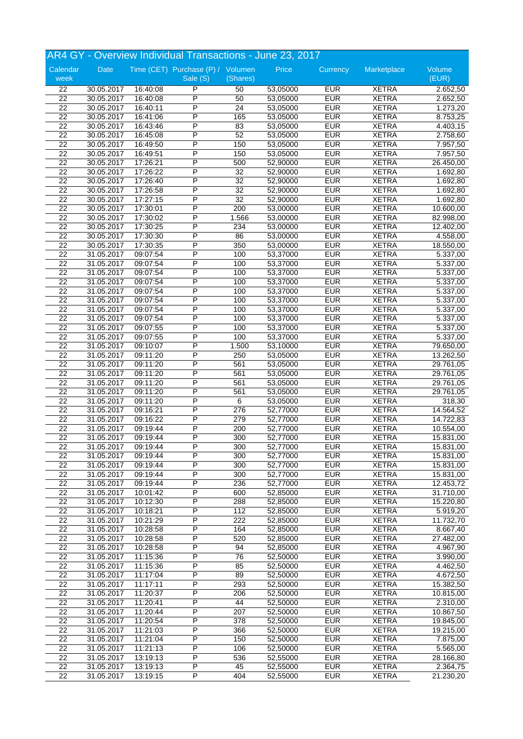|                  |                          |                      | AR4 GY - Overview Individual Transactions - June 23, 2017 |                 |                      |            |              |                       |
|------------------|--------------------------|----------------------|-----------------------------------------------------------|-----------------|----------------------|------------|--------------|-----------------------|
| Calendar<br>week | Date                     |                      | Time (CET) Purchase (P) / Volumen<br>Sale (S)             | (Shares)        | Price                | Currency   | Marketplace  | Volume<br>(EUR)       |
| 22               |                          |                      | $\overline{P}$                                            | 50              |                      | <b>EUR</b> | <b>XETRA</b> | 2.652,50              |
| 22               | 30.05.2017<br>30.05.2017 | 16:40:08<br>16:40:08 | P                                                         | 50              | 53,05000<br>53,05000 | <b>EUR</b> | <b>XETRA</b> | 2.652,50              |
| 22               | 30.05.2017               | 16:40:11             | P                                                         | 24              | 53,05000             | <b>EUR</b> | <b>XETRA</b> | 1.273,20              |
| 22               | 30.05.2017               | 16:41:06             | P                                                         | 165             | 53,05000             | <b>EUR</b> | <b>XETRA</b> | 8.753,25              |
| $\overline{22}$  | 30.05.2017               | 16:43:46             | P                                                         | 83              | 53,05000             | <b>EUR</b> | <b>XETRA</b> | 4.403,15              |
| 22               | 30.05.2017               | 16:45:08             | Ρ                                                         | 52              | 53,05000             | <b>EUR</b> | <b>XETRA</b> | 2.758,60              |
| 22               | 30.05.2017               | 16:49:50             | P                                                         | 150             | 53,05000             | <b>EUR</b> | <b>XETRA</b> | 7.957,50              |
| 22               | 30.05.2017               | 16:49:51             | P                                                         | 150             | 53,05000             | <b>EUR</b> | <b>XETRA</b> | 7.957,50              |
| 22               | 30.05.2017               | 17:26:21             | P                                                         | 500             | 52,90000             | <b>EUR</b> | <b>XETRA</b> | 26.450,00             |
| 22               | 30.05.2017               | 17:26:22             | P                                                         | 32              | 52,90000             | <b>EUR</b> | <b>XETRA</b> | 1.692,80              |
| $\overline{22}$  | 30.05.2017               | 17:26:40             | $\overline{P}$                                            | 32              | 52,90000             | <b>EUR</b> | <b>XETRA</b> | 1.692,80              |
| $\overline{22}$  | 30.05.2017               | 17:26:58             | P                                                         | $\overline{32}$ | 52,90000             | <b>EUR</b> | <b>XETRA</b> | 1.692,80              |
| $\overline{22}$  | 30.05.2017               | 17:27:15             | P                                                         | $\overline{32}$ | 52,90000             | <b>EUR</b> | <b>XETRA</b> | 1.692,80              |
| $\overline{22}$  | 30.05.2017               | 17:30:01             | P                                                         | 200             | 53,00000             | <b>EUR</b> | <b>XETRA</b> | 10.600,00             |
| $\overline{22}$  | 30.05.2017               | 17:30:02             | P                                                         | 1.566           | 53,00000             | <b>EUR</b> | <b>XETRA</b> | 82.998,00             |
| 22               | 30.05.2017               | 17:30:25             | P                                                         | 234             | 53,00000             | <b>EUR</b> | <b>XETRA</b> | 12.402,00             |
| 22               | 30.05.2017               | 17:30:30             | P                                                         | 86              | 53,00000             | <b>EUR</b> | <b>XETRA</b> | 4.558,00              |
| $\overline{22}$  | 30.05.2017               | 17:30:35             | P                                                         | 350             | 53,00000             | <b>EUR</b> | <b>XETRA</b> | 18.550,00             |
| 22               | 31.05.2017               | 09:07:54             | $\overline{P}$                                            | 100             | 53,37000             | <b>EUR</b> | <b>XETRA</b> | 5.337,00              |
| 22               | 31.05.2017               | 09:07:54             | P                                                         | 100             | 53,37000             | <b>EUR</b> | <b>XETRA</b> | 5.337,00              |
| 22               | 31.05.2017               | 09:07:54             | P                                                         | 100             | 53,37000             | <b>EUR</b> | <b>XETRA</b> | 5.337,00              |
| $\overline{22}$  | 31.05.2017               | 09:07:54             | P                                                         | 100             | 53,37000             | <b>EUR</b> | <b>XETRA</b> | 5.337,00              |
| 22               | 31.05.2017               | 09:07:54             | P                                                         | 100             | 53,37000             | <b>EUR</b> | <b>XETRA</b> | $\overline{5.337,00}$ |
| $\overline{22}$  | 31.05.2017               | 09:07:54             | P                                                         | 100             | 53,37000             | <b>EUR</b> | <b>XETRA</b> | 5.337,00              |
| 22               | 31.05.2017               | 09:07:54             | P                                                         | 100             | 53,37000             | <b>EUR</b> | <b>XETRA</b> | $\overline{5.337,00}$ |
| $\overline{22}$  | 31.05.2017               | 09:07:54             | P                                                         | 100             | 53,37000             | <b>EUR</b> | <b>XETRA</b> | 5.337,00              |
| 22               | 31.05.2017               | 09:07:55             | $\overline{P}$                                            | 100             | 53,37000             | <b>EUR</b> | <b>XETRA</b> | 5.337,00              |
| 22               | 31.05.2017               | 09:07:55             | P                                                         | 100             | 53,37000             | <b>EUR</b> | <b>XETRA</b> | 5.337,00              |
| 22               | 31.05.2017               | 09:10:07             | P                                                         | 1.500           | 53,10000             | <b>EUR</b> | <b>XETRA</b> | 79.650,00             |
| 22               | 31.05.2017               | 09:11:20             | P                                                         | 250             | 53,05000             | <b>EUR</b> | <b>XETRA</b> | 13.262,50             |
| 22               | 31.05.2017               | 09:11:20             | P                                                         | 561             | 53,05000             | <b>EUR</b> | <b>XETRA</b> | 29.761,05             |
| 22               | 31.05.2017               | 09:11:20             | P                                                         | 561             | 53,05000             | <b>EUR</b> | <b>XETRA</b> | 29.761,05             |
| 22               | 31.05.2017               | 09:11:20             | P                                                         | 561             | 53,05000             | <b>EUR</b> | <b>XETRA</b> | 29.761,05             |
| 22               | 31.05.2017               | 09:11:20             | P                                                         | 561             | 53,05000             | <b>EUR</b> | <b>XETRA</b> | 29.761,05             |
| 22               | 31.05.2017               | 09:11:20             | P                                                         | 6               | 53,05000             | <b>EUR</b> | <b>XETRA</b> | 318,30                |
| 22               | 31.05.2017               | 09:16:21             | P                                                         | 276             | 52,77000             | <b>EUR</b> | <b>XETRA</b> | 14.564,52             |
| 22               | 31.05.2017               | 09:16:22             | P                                                         | 279             | 52,77000             | <b>EUR</b> | <b>XETRA</b> | 14.722,83             |
| $\overline{22}$  | 31.05.2017               | 09:19:44             | $\overline{P}$                                            | 200             | 52,77000             | <b>EUR</b> | <b>XETRA</b> | 10.554,00             |
| $\overline{22}$  | 31.05.2017               | 09:19:44             | P                                                         | 300             | 52,77000             | <b>EUR</b> | <b>XETRA</b> | 15.831,00             |
| 22               | 31.05.2017               | 09:19:44             | P                                                         | 300             | 52,77000             | <b>EUR</b> | <b>XETRA</b> | 15.831,00             |
| $\overline{22}$  | 31.05.2017               | 09:19:44             | P                                                         | 300             | 52,77000             | <b>EUR</b> | <b>XETRA</b> | 15.831,00             |
| 22               | 31.05.2017               | 09:19:44             | $\overline{\mathsf{P}}$                                   | 300             | 52,77000             | <b>EUR</b> | <b>XETRA</b> | 15.831,00             |
| 22               | 31.05.2017               | 09:19:44             | $\overline{P}$                                            | 300             | 52,77000             | <b>EUR</b> | <b>XETRA</b> | 15.831,00             |
| $\overline{22}$  | 31.05.2017               | 09:19:44             | P                                                         | 236             | 52,77000             | <b>EUR</b> | <b>XETRA</b> | 12.453,72             |
| $\overline{22}$  | 31.05.2017               | 10:01:42             | $\overline{P}$                                            | 600             | 52,85000             | <b>EUR</b> | <b>XETRA</b> | 31.710,00             |
| 22               | 31.05.2017               | 10:12:30             | P                                                         | 288             | 52,85000             | <b>EUR</b> | <b>XETRA</b> | 15.220,80             |
| 22               | 31.05.2017               | 10:18:21             | $\overline{P}$                                            | 112             | 52,85000             | <b>EUR</b> | <b>XETRA</b> | 5.919,20              |
| 22               | 31.05.2017               | 10:21:29             | P                                                         | 222             | 52,85000             | <b>EUR</b> | <b>XETRA</b> | 11.732,70             |
| 22               | 31.05.2017               | 10:28:58             | P                                                         | 164             | 52,85000             | <b>EUR</b> | <b>XETRA</b> | 8.667,40              |
| 22               | 31.05.2017               | 10:28:58             | P                                                         | 520             | 52,85000             | <b>EUR</b> | <b>XETRA</b> | 27.482,00             |
| 22               | 31.05.2017               | 10:28:58             | P                                                         | 94              | 52,85000             | <b>EUR</b> | <b>XETRA</b> | 4.967,90              |
| 22               | 31.05.2017               | 11:15:36             | P                                                         | 76              | 52,50000             | <b>EUR</b> | <b>XETRA</b> | 3.990,00              |
| 22               | 31.05.2017               | 11:15:36             | $\overline{P}$                                            | 85              | 52,50000             | <b>EUR</b> | <b>XETRA</b> | 4.462,50              |
| 22               | 31.05.2017               | 11:17:04             | $\overline{\mathsf{P}}$                                   | 89              | 52,50000             | <b>EUR</b> | <b>XETRA</b> | 4.672,50              |
| 22               | 31.05.2017               | 11:17:11             | P                                                         | 293             | 52,50000             | <b>EUR</b> | <b>XETRA</b> | 15.382,50             |
| 22               | 31.05.2017               | 11:20:37             | P                                                         | 206             | 52,50000             | EUR        | <b>XETRA</b> | 10.815,00             |
| 22               | 31.05.2017               | 11:20:41             | P                                                         | 44              | 52,50000             | <b>EUR</b> | <b>XETRA</b> | 2.310,00              |
| 22               | 31.05.2017               | 11:20:44             | P                                                         | 207             | 52,50000             | <b>EUR</b> | <b>XETRA</b> | 10.867,50             |
| 22               | 31.05.2017               | 11:20:54             | P                                                         | 378             | 52,50000             | <b>EUR</b> | <b>XETRA</b> | 19.845,00             |
| 22               | 31.05.2017               | 11:21:03             | P                                                         | 366             | 52,50000             | <b>EUR</b> | <b>XETRA</b> | 19.215,00             |
| 22               | 31.05.2017               | 11:21:04             | P                                                         | 150             | 52,50000             | <b>EUR</b> | <b>XETRA</b> | 7.875,00              |
| 22               | 31.05.2017               | 11:21:13             | $\overline{\mathsf{P}}$                                   | 106             | 52,50000             | <b>EUR</b> | <b>XETRA</b> | 5.565,00              |
| 22               | 31.05.2017               | 13:19:13             | P                                                         | 536             | 52,55000             | <b>EUR</b> | <b>XETRA</b> | 28.166,80             |
| $\overline{22}$  | 31.05.2017               | 13:19:13             | P                                                         | 45              | 52,55000             | <b>EUR</b> | <b>XETRA</b> | 2.364,75              |
| $\overline{22}$  | 31.05.2017               | 13:19:15             | $\overline{\mathsf{P}}$                                   | 404             | 52,55000             | <b>EUR</b> | <b>XETRA</b> | 21.230,20             |
|                  |                          |                      |                                                           |                 |                      |            |              |                       |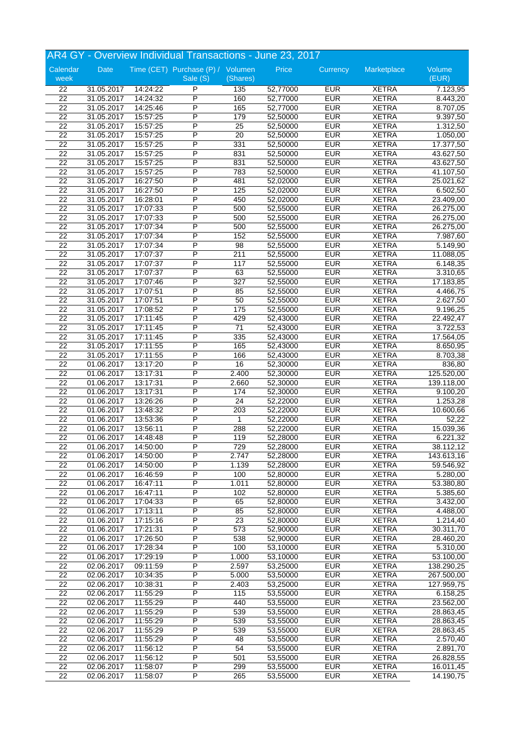|                 |            |          | AR4 GY - Overview Individual Transactions - June 23, 2017 |                 |          |            |              |            |
|-----------------|------------|----------|-----------------------------------------------------------|-----------------|----------|------------|--------------|------------|
| Calendar        | Date       |          | Time (CET) Purchase (P) / Volumen                         |                 | Price    | Currency   | Marketplace  | Volume     |
| week            |            |          | Sale (S)                                                  | (Shares)        |          |            |              | (EUR)      |
| $\overline{22}$ | 31.05.2017 | 14:24:22 | P                                                         | 135             | 52,77000 | <b>EUR</b> | <b>XETRA</b> | 7.123,95   |
| 22              | 31.05.2017 | 14:24:32 | P                                                         | 160             | 52,77000 | <b>EUR</b> | <b>XETRA</b> | 8.443,20   |
| 22              | 31.05.2017 | 14:25:46 | P                                                         | 165             | 52,77000 | <b>EUR</b> | <b>XETRA</b> | 8.707,05   |
| $\overline{22}$ | 31.05.2017 | 15:57:25 | P                                                         | 179             | 52,50000 | <b>EUR</b> | <b>XETRA</b> | 9.397,50   |
| 22              | 31.05.2017 | 15:57:25 | P                                                         | $\overline{25}$ | 52,50000 | <b>EUR</b> | <b>XETRA</b> | 1.312,50   |
| $\overline{22}$ | 31.05.2017 | 15:57:25 | P                                                         | 20              | 52,50000 | <b>EUR</b> | <b>XETRA</b> | 1.050,00   |
| $\overline{22}$ | 31.05.2017 | 15:57:25 | P                                                         | 331             | 52,50000 | <b>EUR</b> | <b>XETRA</b> | 17.377,50  |
| $\overline{22}$ | 31.05.2017 | 15:57:25 | P                                                         | 831             | 52,50000 | <b>EUR</b> | <b>XETRA</b> | 43.627,50  |
| 22              | 31.05.2017 | 15:57:25 | P                                                         | 831             | 52,50000 | <b>EUR</b> | <b>XETRA</b> | 43.627,50  |
| 22              | 31.05.2017 | 15:57:25 | P                                                         | 783             | 52,50000 | <b>EUR</b> | <b>XETRA</b> | 41.107,50  |
| 22              | 31.05.2017 | 16:27:50 | P                                                         | 481             | 52,02000 | <b>EUR</b> | <b>XETRA</b> | 25.021,62  |
| 22              | 31.05.2017 | 16:27:50 | P                                                         | 125             | 52,02000 | <b>EUR</b> | <b>XETRA</b> | 6.502,50   |
| 22              | 31.05.2017 | 16:28:01 | P                                                         | 450             | 52,02000 | <b>EUR</b> | <b>XETRA</b> | 23.409,00  |
| 22              | 31.05.2017 | 17:07:33 | $\overline{P}$                                            | 500             | 52,55000 | <b>EUR</b> | <b>XETRA</b> | 26.275,00  |
| 22              | 31.05.2017 | 17:07:33 | P                                                         | 500             | 52,55000 | <b>EUR</b> | <b>XETRA</b> | 26.275,00  |
| 22              | 31.05.2017 | 17:07:34 | P                                                         | 500             | 52,55000 | <b>EUR</b> | <b>XETRA</b> | 26.275,00  |
| $\overline{22}$ | 31.05.2017 | 17:07:34 | P                                                         | 152             | 52,55000 | <b>EUR</b> | <b>XETRA</b> | 7.987,60   |
| $\overline{22}$ | 31.05.2017 | 17:07:34 | P                                                         | 98              | 52,55000 | <b>EUR</b> | <b>XETRA</b> | 5.149,90   |
| $\overline{22}$ | 31.05.2017 | 17:07:37 | P                                                         | 211             | 52,55000 | <b>EUR</b> | <b>XETRA</b> | 11.088,05  |
| $\overline{22}$ | 31.05.2017 | 17:07:37 | P                                                         | 117             | 52,55000 | <b>EUR</b> | <b>XETRA</b> | 6.148,35   |
| $\overline{22}$ | 31.05.2017 | 17:07:37 | P                                                         | 63              | 52,55000 | <b>EUR</b> | <b>XETRA</b> | 3.310,65   |
| $\overline{22}$ | 31.05.2017 | 17:07:46 | P                                                         | 327             | 52,55000 | <b>EUR</b> | <b>XETRA</b> | 17.183,85  |
| $\overline{22}$ | 31.05.2017 | 17:07:51 | P                                                         | 85              | 52,55000 | <b>EUR</b> | <b>XETRA</b> | 4.466,75   |
| $\overline{22}$ | 31.05.2017 | 17:07:51 | P                                                         | 50              | 52,55000 | <b>EUR</b> | <b>XETRA</b> | 2.627,50   |
| 22              | 31.05.2017 | 17:08:52 | P                                                         | 175             | 52,55000 | <b>EUR</b> | <b>XETRA</b> | 9.196,25   |
| $\overline{22}$ | 31.05.2017 | 17:11:45 | P                                                         | 429             | 52,43000 | <b>EUR</b> | <b>XETRA</b> | 22.492,47  |
| 22              | 31.05.2017 | 17:11:45 | $\overline{P}$                                            | 71              | 52,43000 | <b>EUR</b> | <b>XETRA</b> | 3.722,53   |
| $\overline{22}$ | 31.05.2017 | 17:11:45 | P                                                         | 335             | 52,43000 | <b>EUR</b> | <b>XETRA</b> | 17.564,05  |
| 22              | 31.05.2017 | 17:11:55 | P                                                         | 165             | 52,43000 | <b>EUR</b> | <b>XETRA</b> | 8.650,95   |
| 22              | 31.05.2017 | 17:11:55 | P                                                         | 166             | 52,43000 | <b>EUR</b> | <b>XETRA</b> | 8.703,38   |
| $\overline{22}$ | 01.06.2017 | 13:17:20 | P                                                         | 16              | 52,30000 | <b>EUR</b> | <b>XETRA</b> | 836,80     |
| 22              | 01.06.2017 | 13:17:31 | P                                                         | 2.400           | 52,30000 | <b>EUR</b> | <b>XETRA</b> | 125.520,00 |
| $\overline{22}$ | 01.06.2017 | 13:17:31 | P                                                         | 2.660           | 52,30000 | <b>EUR</b> | <b>XETRA</b> | 139.118,00 |
| $\overline{22}$ | 01.06.2017 | 13:17:31 | P                                                         | 174             | 52,30000 | <b>EUR</b> | <b>XETRA</b> | 9.100,20   |
| 22              | 01.06.2017 | 13:26:26 | P                                                         | 24              | 52,22000 | <b>EUR</b> | <b>XETRA</b> | 1.253,28   |
| 22              | 01.06.2017 | 13:48:32 | P                                                         | 203             | 52,22000 | <b>EUR</b> | <b>XETRA</b> | 10.600,66  |
| 22              | 01.06.2017 | 13:53:36 | P                                                         | 1               | 52,22000 | <b>EUR</b> | <b>XETRA</b> | 52,22      |
| $\overline{22}$ | 01.06.2017 | 13:56:11 | P                                                         | 288             | 52,22000 | <b>EUR</b> | <b>XETRA</b> | 15.039,36  |
| 22              | 01.06.2017 | 14:48:48 | P                                                         | 119             | 52,28000 | <b>EUR</b> | <b>XETRA</b> | 6.221,32   |
| 22              | 01.06.2017 | 14:50:00 | P                                                         | 729             | 52,28000 | <b>EUR</b> | <b>XETRA</b> | 38.112,12  |
| 22              | 01.06.2017 | 14:50:00 | P                                                         | 2.747           | 52,28000 | <b>EUR</b> | <b>XETRA</b> | 143.613,16 |
| 22              | 01.06.2017 | 14:50:00 | $\overline{\mathsf{P}}$                                   | 1.139           | 52,28000 | <b>EUR</b> | <b>XETRA</b> | 59.546,92  |
| 22              | 01.06.2017 | 16:46:59 | $\overline{P}$                                            | 100             | 52,80000 | <b>EUR</b> | <b>XETRA</b> | 5.280,00   |
| $\overline{22}$ | 01.06.2017 | 16:47:11 | P                                                         | 1.011           | 52,80000 | <b>EUR</b> | <b>XETRA</b> | 53.380,80  |
| $\overline{22}$ | 01.06.2017 | 16:47:11 | P                                                         | 102             | 52,80000 | <b>EUR</b> | <b>XETRA</b> | 5.385,60   |
| 22              | 01.06.2017 | 17:04:33 | P                                                         | 65              | 52,80000 | <b>EUR</b> | <b>XETRA</b> | 3.432,00   |
| 22              | 01.06.2017 | 17:13:11 | P                                                         | 85              | 52,80000 | <b>EUR</b> | <b>XETRA</b> | 4.488,00   |
| 22              | 01.06.2017 | 17:15:16 | P                                                         | $\overline{23}$ | 52,80000 | <b>EUR</b> | <b>XETRA</b> | 1.214,40   |
| 22              | 01.06.2017 | 17:21:31 | $\overline{P}$                                            | 573             | 52,90000 | <b>EUR</b> | <b>XETRA</b> | 30.311,70  |
| 22              | 01.06.2017 | 17:26:50 | P                                                         | 538             | 52,90000 | <b>EUR</b> | <b>XETRA</b> | 28.460,20  |
| $\overline{22}$ | 01.06.2017 | 17:28:34 | P                                                         | 100             | 53,10000 | <b>EUR</b> | <b>XETRA</b> | 5.310,00   |
| 22              | 01.06.2017 | 17:29:19 | P                                                         | 1.000           | 53,10000 | <b>EUR</b> | <b>XETRA</b> | 53.100,00  |
| 22              | 02.06.2017 | 09:11:59 | P                                                         | 2.597           | 53,25000 | <b>EUR</b> | <b>XETRA</b> | 138.290,25 |
| $\overline{22}$ | 02.06.2017 | 10:34:35 | $\overline{P}$                                            | 5.000           | 53,50000 | <b>EUR</b> | <b>XETRA</b> | 267.500,00 |
| 22              | 02.06.2017 | 10:38:31 | P                                                         | 2.403           | 53,25000 | <b>EUR</b> | <b>XETRA</b> | 127.959,75 |
| 22              | 02.06.2017 | 11:55:29 | P                                                         | 115             | 53,55000 | <b>EUR</b> | <b>XETRA</b> | 6.158,25   |
| 22              | 02.06.2017 | 11:55:29 | $\overline{P}$                                            | 440             | 53,55000 | <b>EUR</b> | <b>XETRA</b> | 23.562,00  |
| 22              | 02.06.2017 | 11:55:29 | $\overline{\mathsf{P}}$                                   | 539             | 53,55000 | <b>EUR</b> | <b>XETRA</b> | 28.863,45  |
| 22              | 02.06.2017 | 11:55:29 | P                                                         | 539             | 53,55000 | <b>EUR</b> | <b>XETRA</b> | 28.863,45  |
| $\overline{22}$ | 02.06.2017 | 11:55:29 | P                                                         | 539             | 53,55000 | <b>EUR</b> | <b>XETRA</b> | 28.863,45  |
| $\overline{22}$ | 02.06.2017 | 11:55:29 | P                                                         | 48              | 53,55000 | <b>EUR</b> | <b>XETRA</b> | 2.570,40   |
| 22              | 02.06.2017 | 11:56:12 | $\overline{\mathsf{P}}$                                   | 54              | 53,55000 | <b>EUR</b> | <b>XETRA</b> | 2.891,70   |
| 22              | 02.06.2017 | 11:56:12 | P                                                         | 501             | 53,55000 | <b>EUR</b> | <b>XETRA</b> | 26.828,55  |
| 22              | 02.06.2017 | 11:58:07 | P                                                         | 299             | 53,55000 | <b>EUR</b> | <b>XETRA</b> | 16.011,45  |
| $\overline{22}$ | 02.06.2017 | 11:58:07 | $\overline{P}$                                            | 265             | 53,55000 | <b>EUR</b> | <b>XETRA</b> | 14.190,75  |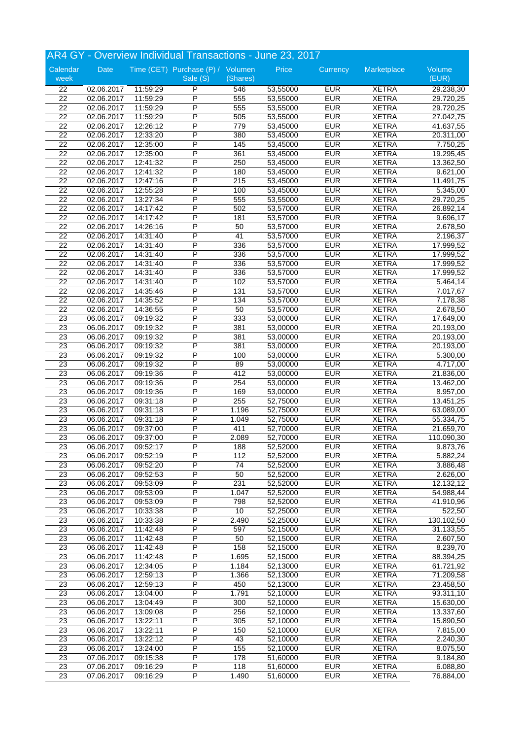|                 |            |          | AR4 GY - Overview Individual Transactions - June 23, 2017 |          |          |            |              |            |
|-----------------|------------|----------|-----------------------------------------------------------|----------|----------|------------|--------------|------------|
| Calendar        | Date       |          | Time (CET) Purchase (P) / Volumen                         |          | Price    | Currency   | Marketplace  | Volume     |
| week            |            |          | Sale (S)                                                  | (Shares) |          |            |              | (EUR)      |
| $\overline{22}$ | 02.06.2017 | 11:59:29 | P                                                         | 546      | 53,55000 | <b>EUR</b> | <b>XETRA</b> | 29.238,30  |
| 22              | 02.06.2017 | 11:59:29 | P                                                         | 555      | 53,55000 | <b>EUR</b> | <b>XETRA</b> | 29.720,25  |
| 22              | 02.06.2017 | 11:59:29 | P                                                         | 555      | 53,55000 | <b>EUR</b> | <b>XETRA</b> | 29.720,25  |
| 22              | 02.06.2017 | 11:59:29 | $\overline{P}$                                            | 505      | 53,55000 | <b>EUR</b> | <b>XETRA</b> | 27.042,75  |
| $\overline{22}$ | 02.06.2017 | 12:26:12 | P                                                         | 779      | 53,45000 | <b>EUR</b> | <b>XETRA</b> | 41.637,55  |
| 22              | 02.06.2017 | 12:33:20 | P                                                         | 380      | 53,45000 | <b>EUR</b> | <b>XETRA</b> | 20.311,00  |
| $\overline{22}$ | 02.06.2017 | 12:35:00 | P                                                         | 145      | 53,45000 | <b>EUR</b> | <b>XETRA</b> | 7.750,25   |
| 22              | 02.06.2017 | 12:35:00 | P                                                         | 361      | 53,45000 | <b>EUR</b> | <b>XETRA</b> | 19.295,45  |
| 22              | 02.06.2017 | 12:41:32 | P                                                         | 250      | 53,45000 | <b>EUR</b> | <b>XETRA</b> | 13.362,50  |
| 22              | 02.06.2017 | 12:41:32 | P                                                         | 180      | 53,45000 | <b>EUR</b> | <b>XETRA</b> | 9.621,00   |
| $\overline{22}$ | 02.06.2017 | 12:47:16 | P                                                         | 215      | 53,45000 | <b>EUR</b> | <b>XETRA</b> | 11.491,75  |
| 22              | 02.06.2017 | 12:55:28 | P                                                         | 100      | 53,45000 | <b>EUR</b> | <b>XETRA</b> | 5.345,00   |
| 22              | 02.06.2017 | 13:27:34 | P                                                         | 555      | 53,55000 | <b>EUR</b> | <b>XETRA</b> | 29.720,25  |
| 22              | 02.06.2017 | 14:17:42 | P                                                         | 502      | 53,57000 | <b>EUR</b> | <b>XETRA</b> | 26.892,14  |
| $\overline{22}$ | 02.06.2017 | 14:17:42 | P                                                         | 181      | 53,57000 | <b>EUR</b> | <b>XETRA</b> | 9.696,17   |
| 22              | 02.06.2017 | 14:26:16 | P                                                         | 50       | 53,57000 | <b>EUR</b> | <b>XETRA</b> | 2.678,50   |
| $\overline{22}$ | 02.06.2017 | 14:31:40 | P                                                         | 41       | 53,57000 | <b>EUR</b> | <b>XETRA</b> | 2.196,37   |
| $\overline{22}$ | 02.06.2017 | 14:31:40 | P                                                         | 336      | 53,57000 | <b>EUR</b> | <b>XETRA</b> | 17.999,52  |
| $\overline{22}$ | 02.06.2017 | 14:31:40 | $\overline{P}$                                            | 336      | 53,57000 | <b>EUR</b> | <b>XETRA</b> | 17.999,52  |
| 22              | 02.06.2017 | 14:31:40 | P                                                         | 336      | 53,57000 | <b>EUR</b> | <b>XETRA</b> | 17.999,52  |
| $\overline{22}$ | 02.06.2017 | 14:31:40 | P                                                         | 336      | 53,57000 | <b>EUR</b> | <b>XETRA</b> | 17.999,52  |
| $\overline{22}$ | 02.06.2017 | 14:31:40 | P                                                         | 102      | 53,57000 | <b>EUR</b> | <b>XETRA</b> | 5.464,14   |
| 22              | 02.06.2017 | 14:35:46 | P                                                         | 131      | 53,57000 | <b>EUR</b> | <b>XETRA</b> | 7.017,67   |
| 22              | 02.06.2017 | 14:35:52 | P                                                         | 134      | 53,57000 | <b>EUR</b> | <b>XETRA</b> | 7.178,38   |
| $\overline{22}$ | 02.06.2017 | 14:36:55 | P                                                         | 50       | 53,57000 | <b>EUR</b> | <b>XETRA</b> | 2.678,50   |
| $\overline{23}$ | 06.06.2017 | 09:19:32 | P                                                         | 333      | 53,00000 | <b>EUR</b> | <b>XETRA</b> | 17.649,00  |
| 23              | 06.06.2017 | 09:19:32 | $\overline{P}$                                            | 381      | 53,00000 | <b>EUR</b> | <b>XETRA</b> | 20.193,00  |
| 23              | 06.06.2017 | 09:19:32 | P                                                         | 381      | 53,00000 | <b>EUR</b> | <b>XETRA</b> | 20.193,00  |
| 23              | 06.06.2017 | 09:19:32 | P                                                         | 381      | 53,00000 | <b>EUR</b> | <b>XETRA</b> | 20.193,00  |
| 23              | 06.06.2017 | 09:19:32 | P                                                         | 100      | 53,00000 | <b>EUR</b> | <b>XETRA</b> | 5.300,00   |
| $\overline{23}$ | 06.06.2017 | 09:19:32 | $\overline{P}$                                            | 89       | 53,00000 | <b>EUR</b> | <b>XETRA</b> | 4.717,00   |
| $\overline{23}$ | 06.06.2017 | 09:19:36 | P                                                         | 412      | 53,00000 | <b>EUR</b> | <b>XETRA</b> | 21.836,00  |
| 23              | 06.06.2017 | 09:19:36 | P                                                         | 254      | 53,00000 | <b>EUR</b> | <b>XETRA</b> | 13.462,00  |
| $\overline{23}$ | 06.06.2017 | 09:19:36 | P                                                         | 169      | 53,00000 | <b>EUR</b> | <b>XETRA</b> | 8.957,00   |
| 23              | 06.06.2017 | 09:31:18 | P                                                         | 255      | 52,75000 | <b>EUR</b> | <b>XETRA</b> | 13.451,25  |
| 23              | 06.06.2017 | 09:31:18 | P                                                         | 1.196    | 52,75000 | <b>EUR</b> | <b>XETRA</b> | 63.089,00  |
| 23              | 06.06.2017 | 09:31:18 | P                                                         | 1.049    | 52,75000 | <b>EUR</b> | <b>XETRA</b> | 55.334,75  |
| 23              | 06.06.2017 | 09:37:00 | P                                                         | 411      | 52,70000 | <b>EUR</b> | <b>XETRA</b> | 21.659,70  |
| 23              | 06.06.2017 | 09:37:00 | P                                                         | 2.089    | 52,70000 | <b>EUR</b> | <b>XETRA</b> | 110.090,30 |
| $\overline{23}$ | 06.06.2017 | 09:52:17 | P                                                         | 188      | 52,52000 | <b>EUR</b> | <b>XETRA</b> | 9.873,76   |
| 23              | 06.06.2017 | 09:52:19 | P                                                         | 112      | 52,52000 | <b>EUR</b> | <b>XETRA</b> | 5.882,24   |
| $\overline{23}$ | 06.06.2017 | 09:52:20 | $\overline{\mathsf{P}}$                                   | 74       | 52,52000 | <b>EUR</b> | <b>XETRA</b> | 3.886,48   |
| 23              | 06.06.2017 | 09:52:53 | P                                                         | 50       | 52,52000 | <b>EUR</b> | <b>XETRA</b> | 2.626,00   |
| $\overline{23}$ | 06.06.2017 | 09:53:09 | P                                                         | 231      | 52,52000 | <b>EUR</b> | <b>XETRA</b> | 12.132,12  |
| $\overline{23}$ | 06.06.2017 | 09:53:09 | P                                                         | 1.047    | 52,52000 | <b>EUR</b> | <b>XETRA</b> | 54.988,44  |
| $\overline{23}$ | 06.06.2017 | 09:53:09 | P                                                         | 798      | 52,52000 | <b>EUR</b> | <b>XETRA</b> | 41.910,96  |
| $\overline{23}$ | 06.06.2017 | 10:33:38 | P                                                         | 10       | 52,25000 | <b>EUR</b> | <b>XETRA</b> | 522,50     |
| 23              | 06.06.2017 | 10:33:38 | P                                                         | 2.490    | 52,25000 | <b>EUR</b> | <b>XETRA</b> | 130.102,50 |
| 23              | 06.06.2017 | 11:42:48 | $\overline{P}$                                            | 597      | 52,15000 | <b>EUR</b> | <b>XETRA</b> | 31.133,55  |
| 23              | 06.06.2017 | 11:42:48 | P                                                         | 50       | 52,15000 | <b>EUR</b> | <b>XETRA</b> | 2.607,50   |
| $\overline{23}$ | 06.06.2017 | 11:42:48 | P                                                         | 158      | 52,15000 | <b>EUR</b> | <b>XETRA</b> | 8.239,70   |
| $\overline{23}$ | 06.06.2017 | 11:42:48 | Ρ                                                         | 1.695    | 52,15000 | <b>EUR</b> | <b>XETRA</b> | 88.394,25  |
| $\overline{23}$ | 06.06.2017 | 12:34:05 | $\overline{P}$                                            | 1.184    | 52,13000 | <b>EUR</b> | <b>XETRA</b> | 61.721,92  |
| 23              | 06.06.2017 | 12:59:13 | P                                                         | 1.366    | 52,13000 | <b>EUR</b> | <b>XETRA</b> | 71.209,58  |
| $\overline{23}$ | 06.06.2017 | 12:59:13 | P                                                         | 450      | 52,13000 | <b>EUR</b> | <b>XETRA</b> | 23.458,50  |
| 23              | 06.06.2017 | 13:04:00 | Ρ                                                         | 1.791    | 52,10000 | <b>EUR</b> | <b>XETRA</b> | 93.311,10  |
| 23              | 06.06.2017 | 13:04:49 | P                                                         | 300      | 52,10000 | <b>EUR</b> | <b>XETRA</b> | 15.630,00  |
| 23              | 06.06.2017 | 13:09:08 | P                                                         | 256      | 52,10000 | <b>EUR</b> | <b>XETRA</b> | 13.337,60  |
| $\overline{23}$ | 06.06.2017 | 13:22:11 | P                                                         | 305      | 52,10000 | <b>EUR</b> | <b>XETRA</b> | 15.890,50  |
| 23              | 06.06.2017 | 13:22:11 | P                                                         | 150      | 52,10000 | <b>EUR</b> | <b>XETRA</b> | 7.815,00   |
| $\overline{23}$ | 06.06.2017 | 13:22:12 | $\overline{P}$                                            | 43       | 52,10000 | <b>EUR</b> | <b>XETRA</b> | 2.240,30   |
| 23              | 06.06.2017 | 13:24:00 | $\overline{\mathsf{P}}$                                   | 155      | 52,10000 | <b>EUR</b> | <b>XETRA</b> | 8.075,50   |
| $\overline{23}$ | 07.06.2017 | 09:15:38 | P                                                         | 178      | 51,60000 | <b>EUR</b> | <b>XETRA</b> | 9.184,80   |
| 23              | 07.06.2017 | 09:16:29 | P                                                         | 118      | 51,60000 | <b>EUR</b> | <b>XETRA</b> | 6.088,80   |
| 23              | 07.06.2017 | 09:16:29 | P                                                         | 1.490    | 51,60000 | <b>EUR</b> | <b>XETRA</b> | 76.884,00  |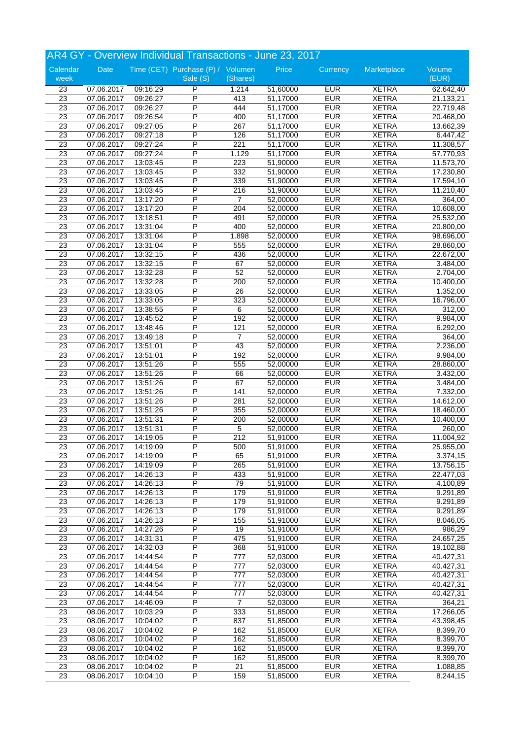|                 |            |                      | AR4 GY - Overview Individual Transactions - June 23, 2017 |                  |          |            |              |            |
|-----------------|------------|----------------------|-----------------------------------------------------------|------------------|----------|------------|--------------|------------|
| Calendar        | Date       |                      | Time (CET) Purchase (P) / Volumen                         |                  | Price    | Currency   | Marketplace  | Volume     |
| week            |            |                      | Sale (S)                                                  | (Shares)         |          |            |              | (EUR)      |
| 23              | 07.06.2017 | 09:16:29             | P                                                         | 1.214            | 51,60000 | <b>EUR</b> | <b>XETRA</b> | 62.642,40  |
| 23              | 07.06.2017 | 09:26:27             | P                                                         | 413              | 51,17000 | <b>EUR</b> | <b>XETRA</b> | 21.133,21  |
| 23              | 07.06.2017 | 09:26:27             | P                                                         | 444              | 51,17000 | <b>EUR</b> | <b>XETRA</b> | 22.719,48  |
| 23              | 07.06.2017 | 09:26:54             | P                                                         | 400              | 51,17000 | <b>EUR</b> | <b>XETRA</b> | 20.468,00  |
| $\overline{23}$ | 07.06.2017 | 09:27:05             | P                                                         | 267              | 51,17000 | <b>EUR</b> | <b>XETRA</b> | 13.662,39  |
| $\overline{23}$ | 07.06.2017 | 09:27:18             | P                                                         | 126              | 51,17000 | <b>EUR</b> | <b>XETRA</b> | 6.447,42   |
| $\overline{23}$ | 07.06.2017 | 09:27:24             | P                                                         | 221              | 51,17000 | <b>EUR</b> | <b>XETRA</b> | 11.308,57  |
| 23              | 07.06.2017 | 09:27:24             | P                                                         | 1.129            | 51,17000 | <b>EUR</b> | <b>XETRA</b> | 57.770,93  |
| 23              | 07.06.2017 | 13:03:45             | P                                                         | 223              | 51,90000 | <b>EUR</b> | <b>XETRA</b> | 11.573,70  |
| 23              | 07.06.2017 | 13:03:45             | P                                                         | 332              | 51,90000 | <b>EUR</b> | <b>XETRA</b> | 17.230,80  |
| $\overline{23}$ | 07.06.2017 | 13:03:45             | P                                                         | 339              | 51,90000 | <b>EUR</b> | <b>XETRA</b> | 17.594, 10 |
| 23              | 07.06.2017 | 13:03:45             | P                                                         | 216              | 51,90000 | <b>EUR</b> | <b>XETRA</b> | 11.210,40  |
| $\overline{23}$ | 07.06.2017 | 13:17:20             | P                                                         | 7                | 52,00000 | <b>EUR</b> | <b>XETRA</b> | 364,00     |
| 23              | 07.06.2017 | 13:17:20             | P                                                         | 204              | 52,00000 | <b>EUR</b> | <b>XETRA</b> | 10.608,00  |
| $\overline{23}$ | 07.06.2017 | 13:18:51             | P                                                         | 491              | 52,00000 | <b>EUR</b> | <b>XETRA</b> | 25.532,00  |
| 23              | 07.06.2017 | 13:31:04             | P                                                         | 400              | 52,00000 | <b>EUR</b> | <b>XETRA</b> | 20.800,00  |
| $\overline{23}$ | 07.06.2017 | 13:31:04             | P                                                         | 1.898            | 52,00000 | <b>EUR</b> | <b>XETRA</b> | 98.696,00  |
| $\overline{23}$ | 07.06.2017 | 13:31:04             | P                                                         | 555              | 52,00000 | <b>EUR</b> | <b>XETRA</b> | 28.860,00  |
| 23              | 07.06.2017 | 13:32:15             | P                                                         | 436              | 52,00000 | <b>EUR</b> | <b>XETRA</b> | 22.672,00  |
| $\overline{23}$ | 07.06.2017 | 13:32:15             | P                                                         | 67               | 52,00000 | <b>EUR</b> | <b>XETRA</b> | 3.484,00   |
| $\overline{23}$ | 07.06.2017 | 13:32:28             | P                                                         | 52               | 52,00000 | <b>EUR</b> | <b>XETRA</b> | 2.704,00   |
| $\overline{23}$ | 07.06.2017 | 13:32:28             | P                                                         | 200              | 52,00000 | <b>EUR</b> | <b>XETRA</b> | 10.400,00  |
| 23              | 07.06.2017 | 13:33:05             | P                                                         | 26               | 52,00000 | <b>EUR</b> | <b>XETRA</b> | 1.352,00   |
| $\overline{23}$ | 07.06.2017 | 13:33:05             | P                                                         | 323              | 52,00000 | <b>EUR</b> | <b>XETRA</b> | 16.796,00  |
| 23              | 07.06.2017 | 13:38:55             | P                                                         | 6                | 52,00000 | <b>EUR</b> | <b>XETRA</b> | 312,00     |
| 23              | 07.06.2017 | 13:45:52             | P                                                         | 192              | 52,00000 | <b>EUR</b> | <b>XETRA</b> | 9.984,00   |
| $\overline{23}$ | 07.06.2017 | 13:48:46             | $\overline{P}$                                            | 121              | 52,00000 | <b>EUR</b> | <b>XETRA</b> | 6.292,00   |
| 23              | 07.06.2017 | 13:49:18             | P                                                         | $\overline{7}$   | 52,00000 | <b>EUR</b> | <b>XETRA</b> | 364,00     |
| 23              | 07.06.2017 | 13:51:01             | P                                                         | 43               | 52,00000 | <b>EUR</b> | <b>XETRA</b> | 2.236,00   |
| 23              | 07.06.2017 | 13:51:01             | P                                                         | 192              | 52,00000 | <b>EUR</b> | <b>XETRA</b> | 9.984,00   |
| 23              | 07.06.2017 | 13:51:26             | P                                                         | 555              | 52,00000 | <b>EUR</b> | <b>XETRA</b> | 28.860,00  |
| $\overline{23}$ | 07.06.2017 | 13:51:26             | P                                                         | 66               | 52,00000 | <b>EUR</b> | <b>XETRA</b> | 3.432,00   |
| $\overline{23}$ | 07.06.2017 | 13:51:26             | P                                                         | 67               | 52,00000 | <b>EUR</b> | <b>XETRA</b> | 3.484,00   |
| $\overline{23}$ | 07.06.2017 | 13:51:26             | P                                                         | 141              | 52,00000 | <b>EUR</b> | <b>XETRA</b> | 7.332,00   |
| 23              | 07.06.2017 | 13:51:26             | P                                                         | 281              | 52,00000 | <b>EUR</b> | <b>XETRA</b> | 14.612,00  |
| 23              | 07.06.2017 | 13:51:26             | P                                                         | 355              | 52,00000 | <b>EUR</b> | <b>XETRA</b> | 18.460,00  |
| 23              | 07.06.2017 | 13:51:31             | P                                                         | 200              | 52,00000 | <b>EUR</b> | <b>XETRA</b> | 10.400,00  |
| $\overline{23}$ | 07.06.2017 | 13:51:31             | P                                                         | 5                | 52,00000 | <b>EUR</b> | <b>XETRA</b> | 260,00     |
| 23              | 07.06.2017 | 14:19:05             | P                                                         | 212              | 51,91000 | <b>EUR</b> | <b>XETRA</b> | 11.004,92  |
| 23              | 07.06.2017 | 14:19:09             | P                                                         | 500              | 51,91000 | <b>EUR</b> | <b>XETRA</b> | 25.955,00  |
| 23              | 07.06.2017 | 14:19:09             | P                                                         | 65               | 51,91000 | <b>EUR</b> | <b>XETRA</b> | 3.374,15   |
| $\overline{23}$ | 07.06.2017 | 14:19:09             | P                                                         | 265              | 51,91000 | <b>EUR</b> | <b>XETRA</b> | 13.756,15  |
| 23              | 07.06.2017 | 14:26:13             | $\overline{P}$                                            | 433              | 51,91000 | <b>EUR</b> | <b>XETRA</b> | 22.477,03  |
| $\overline{23}$ | 07.06.2017 | 14:26:13             | P                                                         | 79               | 51,91000 | <b>EUR</b> | <b>XETRA</b> | 4.100,89   |
| 23              | 07.06.2017 | 14:26:13             | P                                                         | 179              | 51,91000 | <b>EUR</b> | <b>XETRA</b> | 9.291,89   |
| $\overline{23}$ | 07.06.2017 | 14:26:13             | P                                                         | 179              | 51,91000 | <b>EUR</b> | <b>XETRA</b> | 9.291,89   |
| 23              | 07.06.2017 | 14:26:13             | P                                                         | 179              | 51,91000 | <b>EUR</b> | <b>XETRA</b> | 9.291,89   |
| $\overline{23}$ | 07.06.2017 | 14:26:13             | P                                                         | 155              | 51,91000 | <b>EUR</b> | <b>XETRA</b> | 8.046,05   |
| 23              | 07.06.2017 | 14:27:26             | $\overline{P}$                                            | 19               | 51,91000 | <b>EUR</b> | <b>XETRA</b> | 986,29     |
| 23              | 07.06.2017 | 14:31:31             | P                                                         | 475              | 51,91000 | <b>EUR</b> | <b>XETRA</b> | 24.657,25  |
| 23              | 07.06.2017 | 14:32:03             | P                                                         | 368              | 51,91000 | <b>EUR</b> | <b>XETRA</b> | 19.102,88  |
| $\overline{23}$ | 07.06.2017 | 14:44:54             | P                                                         | 777              | 52,03000 | <b>EUR</b> | <b>XETRA</b> | 40.427,31  |
| 23              | 07.06.2017 | 14:44:54             | P                                                         | 777              | 52,03000 | <b>EUR</b> | <b>XETRA</b> | 40.427,31  |
| 23              | 07.06.2017 | 14:44:54             | $\overline{\mathsf{P}}$                                   | 777              | 52,03000 | <b>EUR</b> | <b>XETRA</b> | 40.427,31  |
| $\overline{23}$ | 07.06.2017 | 14:44:54             | P                                                         | $\overline{777}$ | 52,03000 | <b>EUR</b> | <b>XETRA</b> | 40.427,31  |
| 23              | 07.06.2017 | 14:44:54             | P                                                         | 777              | 52,03000 | <b>EUR</b> | <b>XETRA</b> | 40.427,31  |
| 23              | 07.06.2017 | 14:46:09             | $\overline{P}$                                            | 7                | 52,03000 | <b>EUR</b> | <b>XETRA</b> | 364,21     |
| 23              | 08.06.2017 | 10:03:29             | $\overline{\mathsf{P}}$                                   | 333              | 51,85000 | <b>EUR</b> | <b>XETRA</b> | 17.266,05  |
| $\overline{23}$ | 08.06.2017 | 10:04:02             | P                                                         | 837              | 51,85000 | <b>EUR</b> | <b>XETRA</b> | 43.398,45  |
| $\overline{23}$ | 08.06.2017 | 10:04:02             | P                                                         | 162              | 51,85000 | <b>EUR</b> | <b>XETRA</b> | 8.399,70   |
| $\overline{23}$ |            |                      | P                                                         | 162              |          | <b>EUR</b> | <b>XETRA</b> |            |
| 23              | 08.06.2017 | 10:04:02<br>10:04:02 | $\overline{\mathsf{P}}$                                   | 162              | 51,85000 | <b>EUR</b> | <b>XETRA</b> | 8.399,70   |
|                 | 08.06.2017 |                      | P                                                         |                  | 51,85000 |            |              | 8.399,70   |
| 23              | 08.06.2017 | 10:04:02             |                                                           | 162              | 51,85000 | <b>EUR</b> | <b>XETRA</b> | 8.399,70   |
| 23              | 08.06.2017 | 10:04:02             | P<br>$\overline{P}$                                       | 21               | 51,85000 | <b>EUR</b> | <b>XETRA</b> | 1.088,85   |
| 23              | 08.06.2017 | 10:04:10             |                                                           | 159              | 51,85000 | <b>EUR</b> | <b>XETRA</b> | 8.244,15   |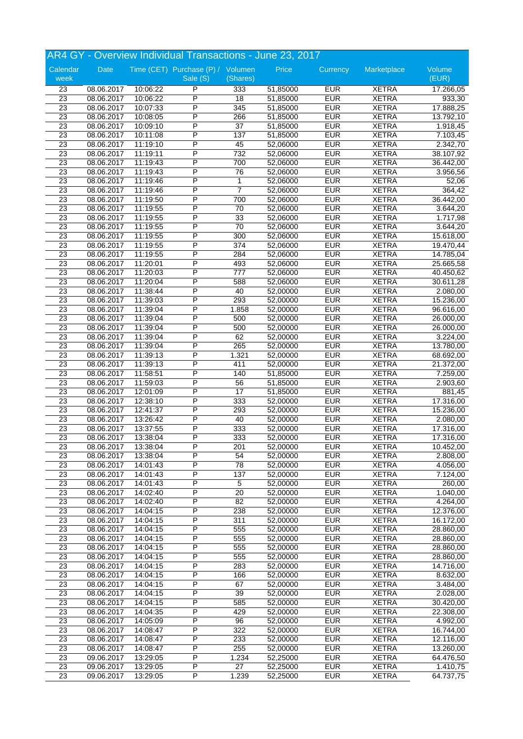|                 |            |          | AR4 GY - Overview Individual Transactions - June 23, 2017 |                 |          |            |              |           |
|-----------------|------------|----------|-----------------------------------------------------------|-----------------|----------|------------|--------------|-----------|
| Calendar        | Date       |          | Time (CET) Purchase (P) / Volumen                         |                 | Price    | Currency   | Marketplace  | Volume    |
| week            |            |          | Sale (S)                                                  | (Shares)        |          |            |              | (EUR)     |
| $\overline{23}$ | 08.06.2017 | 10:06:22 | P                                                         | 333             | 51,85000 | <b>EUR</b> | <b>XETRA</b> | 17.266,05 |
| 23              | 08.06.2017 | 10:06:22 | P                                                         | 18              | 51,85000 | <b>EUR</b> | <b>XETRA</b> | 933,30    |
| 23              | 08.06.2017 | 10:07:33 | P                                                         | 345             | 51,85000 | <b>EUR</b> | <b>XETRA</b> | 17.888,25 |
| 23              | 08.06.2017 | 10:08:05 | $\overline{P}$                                            | 266             | 51,85000 | <b>EUR</b> | <b>XETRA</b> | 13.792,10 |
| $\overline{23}$ | 08.06.2017 | 10:09:10 | P                                                         | $\overline{37}$ | 51,85000 | <b>EUR</b> | <b>XETRA</b> | 1.918,45  |
| 23              | 08.06.2017 | 10:11:08 | P                                                         | 137             | 51,85000 | <b>EUR</b> | <b>XETRA</b> | 7.103,45  |
| $\overline{23}$ | 08.06.2017 | 11:19:10 | P                                                         | 45              | 52,06000 | <b>EUR</b> | <b>XETRA</b> | 2.342,70  |
| $\overline{23}$ | 08.06.2017 | 11:19:11 | P                                                         | 732             | 52,06000 | <b>EUR</b> | <b>XETRA</b> | 38.107,92 |
| 23              | 08.06.2017 | 11:19:43 | P                                                         | 700             | 52,06000 | <b>EUR</b> | <b>XETRA</b> | 36.442,00 |
| 23              | 08.06.2017 | 11:19:43 | P                                                         | 76              | 52,06000 | <b>EUR</b> | <b>XETRA</b> | 3.956,56  |
| 23              | 08.06.2017 | 11:19:46 | P                                                         | 1               | 52,06000 | <b>EUR</b> | <b>XETRA</b> | 52,06     |
| 23              | 08.06.2017 | 11:19:46 | P                                                         | $\overline{7}$  | 52,06000 | <b>EUR</b> | <b>XETRA</b> | 364,42    |
| $\overline{23}$ | 08.06.2017 | 11:19:50 | P                                                         | 700             | 52,06000 | <b>EUR</b> | <b>XETRA</b> | 36.442,00 |
| 23              | 08.06.2017 | 11:19:55 | P                                                         | 70              | 52,06000 | <b>EUR</b> | <b>XETRA</b> | 3.644,20  |
| 23              | 08.06.2017 | 11:19:55 | P                                                         | 33              | 52,06000 | <b>EUR</b> | <b>XETRA</b> | 1.717,98  |
| 23              | 08.06.2017 | 11:19:55 | P                                                         | 70              | 52,06000 | <b>EUR</b> | <b>XETRA</b> | 3.644,20  |
| $\overline{23}$ | 08.06.2017 | 11:19:55 | P                                                         | 300             | 52,06000 | <b>EUR</b> | <b>XETRA</b> | 15.618,00 |
| $\overline{23}$ | 08.06.2017 | 11:19:55 | P                                                         | 374             | 52,06000 | <b>EUR</b> | <b>XETRA</b> | 19.470,44 |
| $\overline{23}$ | 08.06.2017 | 11:19:55 | $\overline{P}$                                            | 284             | 52,06000 | <b>EUR</b> | <b>XETRA</b> | 14.785,04 |
| $\overline{23}$ | 08.06.2017 | 11:20:01 | P                                                         | 493             | 52,06000 | <b>EUR</b> | <b>XETRA</b> | 25.665,58 |
| $\overline{23}$ | 08.06.2017 | 11:20:03 | P                                                         | 777             | 52,06000 | <b>EUR</b> | <b>XETRA</b> | 40.450,62 |
| $\overline{23}$ | 08.06.2017 | 11:20:04 | P                                                         | 588             | 52,06000 | <b>EUR</b> | <b>XETRA</b> | 30.611,28 |
| 23              | 08.06.2017 | 11:38:44 | P                                                         | 40              | 52,00000 | <b>EUR</b> | <b>XETRA</b> | 2.080,00  |
| $\overline{23}$ | 08.06.2017 | 11:39:03 | P                                                         | 293             | 52,00000 | <b>EUR</b> | <b>XETRA</b> | 15.236,00 |
| 23              | 08.06.2017 | 11:39:04 | P                                                         | 1.858           | 52,00000 | <b>EUR</b> | <b>XETRA</b> | 96.616,00 |
| $\overline{23}$ | 08.06.2017 | 11:39:04 | P                                                         | 500             | 52,00000 | <b>EUR</b> | <b>XETRA</b> | 26.000,00 |
| 23              | 08.06.2017 | 11:39:04 | $\overline{P}$                                            | 500             | 52,00000 | <b>EUR</b> | <b>XETRA</b> | 26.000,00 |
| 23              | 08.06.2017 | 11:39:04 | P                                                         | 62              | 52,00000 | <b>EUR</b> | <b>XETRA</b> | 3.224,00  |
| 23              | 08.06.2017 | 11:39:04 | P                                                         | 265             | 52,00000 | <b>EUR</b> | <b>XETRA</b> | 13.780,00 |
| 23              | 08.06.2017 | 11:39:13 | P                                                         | 1.321           | 52,00000 | <b>EUR</b> | <b>XETRA</b> | 68.692,00 |
| $\overline{23}$ | 08.06.2017 | 11:39:13 | P                                                         | 411             | 52,00000 | <b>EUR</b> | <b>XETRA</b> | 21.372,00 |
| $\overline{23}$ | 08.06.2017 | 11:58:51 | P                                                         | 140             | 51,85000 | <b>EUR</b> | <b>XETRA</b> | 7.259,00  |
| 23              | 08.06.2017 | 11:59:03 | P                                                         | 56              | 51,85000 | <b>EUR</b> | <b>XETRA</b> | 2.903,60  |
| $\overline{23}$ | 08.06.2017 | 12:01:09 | P                                                         | 17              | 51,85000 | <b>EUR</b> | <b>XETRA</b> | 881,45    |
| 23              | 08.06.2017 | 12:38:10 | P                                                         | 333             | 52,00000 | <b>EUR</b> | <b>XETRA</b> | 17.316,00 |
| 23              | 08.06.2017 | 12:41:37 | P                                                         | 293             | 52,00000 | <b>EUR</b> | <b>XETRA</b> | 15.236,00 |
| 23              | 08.06.2017 | 13:26:42 | P                                                         | 40              | 52,00000 | <b>EUR</b> | <b>XETRA</b> | 2.080,00  |
| 23              | 08.06.2017 | 13:37:55 | P                                                         | 333             | 52,00000 | <b>EUR</b> | <b>XETRA</b> | 17.316,00 |
| 23              | 08.06.2017 | 13:38:04 | P                                                         | 333             | 52,00000 | <b>EUR</b> | <b>XETRA</b> | 17.316,00 |
| $\overline{23}$ | 08.06.2017 | 13:38:04 | P                                                         | 201             | 52,00000 | <b>EUR</b> | <b>XETRA</b> | 10.452,00 |
| 23              | 08.06.2017 | 13:38:04 | P                                                         | 54              | 52,00000 | <b>EUR</b> | <b>XETRA</b> | 2.808,00  |
| $\overline{23}$ | 08.06.2017 | 14:01:43 | $\overline{\mathsf{P}}$                                   | 78              | 52,00000 | <b>EUR</b> | <b>XETRA</b> | 4.056,00  |
| 23              | 08.06.2017 | 14:01:43 | P                                                         | 137             | 52,00000 | <b>EUR</b> | <b>XETRA</b> | 7.124,00  |
| $\overline{23}$ | 08.06.2017 | 14:01:43 | P                                                         | 5               | 52,00000 | <b>EUR</b> | <b>XETRA</b> | 260,00    |
| $\overline{23}$ | 08.06.2017 | 14:02:40 | P                                                         | $\overline{20}$ | 52,00000 | <b>EUR</b> | <b>XETRA</b> | 1.040,00  |
| $\overline{23}$ | 08.06.2017 | 14:02:40 | P                                                         | 82              | 52,00000 | <b>EUR</b> | <b>XETRA</b> | 4.264,00  |
| 23              | 08.06.2017 | 14:04:15 | P                                                         | 238             | 52,00000 | <b>EUR</b> | <b>XETRA</b> | 12.376,00 |
| $\overline{23}$ | 08.06.2017 | 14:04:15 | P                                                         | 311             | 52,00000 | <b>EUR</b> | <b>XETRA</b> | 16.172,00 |
| 23              | 08.06.2017 | 14:04:15 | $\overline{P}$                                            | 555             | 52,00000 | <b>EUR</b> | <b>XETRA</b> | 28.860,00 |
| 23              | 08.06.2017 | 14:04:15 | P                                                         | 555             | 52,00000 | <b>EUR</b> | <b>XETRA</b> | 28.860,00 |
| $\overline{23}$ | 08.06.2017 | 14:04:15 | P                                                         | 555             | 52,00000 | <b>EUR</b> | <b>XETRA</b> | 28.860,00 |
| $\overline{23}$ | 08.06.2017 | 14:04:15 | Ρ                                                         | 555             | 52,00000 | <b>EUR</b> | <b>XETRA</b> | 28.860,00 |
| $\overline{23}$ | 08.06.2017 | 14:04:15 | Ρ                                                         | 283             | 52,00000 | <b>EUR</b> | <b>XETRA</b> | 14.716,00 |
| 23              | 08.06.2017 | 14:04:15 | P                                                         | 166             | 52,00000 | <b>EUR</b> | <b>XETRA</b> | 8.632,00  |
| 23              | 08.06.2017 | 14:04:15 | P                                                         | 67              | 52,00000 | <b>EUR</b> | <b>XETRA</b> | 3.484,00  |
| 23              | 08.06.2017 | 14:04:15 | P                                                         | 39              | 52,00000 | <b>EUR</b> | <b>XETRA</b> | 2.028,00  |
| 23              | 08.06.2017 | 14:04:15 | P                                                         | 585             | 52,00000 | <b>EUR</b> | <b>XETRA</b> | 30.420,00 |
| 23              | 08.06.2017 | 14:04:35 | P                                                         | 429             | 52,00000 | <b>EUR</b> | <b>XETRA</b> | 22.308,00 |
| $\overline{23}$ | 08.06.2017 | 14:05:09 | P                                                         | 96              | 52,00000 | <b>EUR</b> | <b>XETRA</b> | 4.992,00  |
| 23              | 08.06.2017 | 14:08:47 | P                                                         | 322             | 52,00000 | <b>EUR</b> | <b>XETRA</b> | 16.744,00 |
| $\overline{23}$ | 08.06.2017 | 14:08:47 | P                                                         | 233             | 52,00000 | <b>EUR</b> | <b>XETRA</b> | 12.116,00 |
| 23              | 08.06.2017 | 14:08:47 | $\overline{\mathsf{P}}$                                   | 255             | 52,00000 | <b>EUR</b> | <b>XETRA</b> | 13.260,00 |
| $\overline{23}$ | 09.06.2017 | 13:29:05 | P                                                         | 1.234           | 52,25000 | <b>EUR</b> | <b>XETRA</b> | 64.476,50 |
| 23              | 09.06.2017 | 13:29:05 | P                                                         | $\overline{27}$ | 52,25000 | <b>EUR</b> | <b>XETRA</b> | 1.410,75  |
| 23              | 09.06.2017 | 13:29:05 | P                                                         | 1.239           | 52,25000 | <b>EUR</b> | <b>XETRA</b> | 64.737,75 |
|                 |            |          |                                                           |                 |          |            |              |           |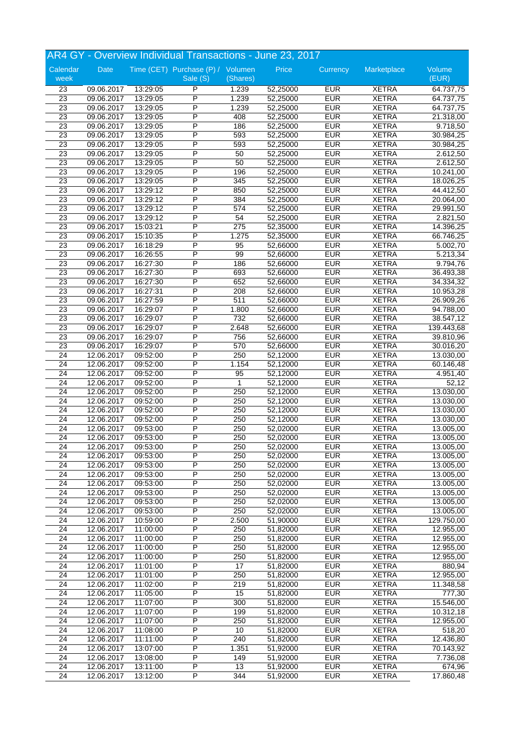|                 |            |          | AR4 GY - Overview Individual Transactions - June 23, 2017 |                 |          |            |              |                        |
|-----------------|------------|----------|-----------------------------------------------------------|-----------------|----------|------------|--------------|------------------------|
| Calendar        | Date       |          | Time (CET) Purchase (P) / Volumen                         |                 | Price    | Currency   | Marketplace  | Volume                 |
| week            |            |          | Sale (S)                                                  | (Shares)        |          |            |              | (EUR)                  |
| $\overline{23}$ | 09.06.2017 | 13:29:05 | P                                                         | 1.239           | 52,25000 | <b>EUR</b> | <b>XETRA</b> | 64.737,75              |
| 23              | 09.06.2017 | 13:29:05 | P                                                         | 1.239           | 52,25000 | <b>EUR</b> | <b>XETRA</b> | 64.737,75              |
| 23              | 09.06.2017 | 13:29:05 | P                                                         | 1.239           | 52,25000 | <b>EUR</b> | <b>XETRA</b> | 64.737,75              |
| 23              | 09.06.2017 | 13:29:05 | $\overline{P}$                                            | 408             | 52,25000 | <b>EUR</b> | <b>XETRA</b> | 21.318,00              |
| $\overline{23}$ | 09.06.2017 | 13:29:05 | P                                                         | 186             | 52,25000 | <b>EUR</b> | <b>XETRA</b> | 9.718,50               |
| 23              | 09.06.2017 | 13:29:05 | P                                                         | 593             | 52,25000 | <b>EUR</b> | <b>XETRA</b> | 30.984,25              |
| $\overline{23}$ | 09.06.2017 | 13:29:05 | P                                                         | 593             | 52,25000 | <b>EUR</b> | <b>XETRA</b> | 30.984,25              |
| $\overline{23}$ | 09.06.2017 | 13:29:05 | P                                                         | 50              | 52,25000 | <b>EUR</b> | <b>XETRA</b> | 2.612,50               |
| 23              | 09.06.2017 | 13:29:05 | P                                                         | 50              | 52,25000 | <b>EUR</b> | <b>XETRA</b> | 2.612,50               |
| 23              | 09.06.2017 | 13:29:05 | P                                                         | 196             | 52,25000 | <b>EUR</b> | <b>XETRA</b> | 10.241,00              |
| $\overline{23}$ | 09.06.2017 | 13:29:05 | P                                                         | 345             | 52,25000 | <b>EUR</b> | <b>XETRA</b> | 18.026,25              |
| $\overline{23}$ | 09.06.2017 | 13:29:12 | P                                                         | 850             | 52,25000 | <b>EUR</b> | <b>XETRA</b> | 44.412,50              |
| $\overline{23}$ | 09.06.2017 | 13:29:12 | P                                                         | 384             | 52,25000 | <b>EUR</b> | <b>XETRA</b> | 20.064,00              |
| 23              | 09.06.2017 | 13:29:12 | P                                                         | 574             | 52,25000 | <b>EUR</b> | <b>XETRA</b> | $\overline{29.991,50}$ |
| $\overline{23}$ | 09.06.2017 | 13:29:12 | P                                                         | 54              | 52,25000 | <b>EUR</b> | <b>XETRA</b> | 2.821,50               |
| 23              | 09.06.2017 | 15:03:21 | P                                                         | 275             | 52,35000 | <b>EUR</b> | <b>XETRA</b> | 14.396,25              |
| $\overline{23}$ | 09.06.2017 | 15:10:35 | P                                                         | 1.275           | 52,35000 | <b>EUR</b> | <b>XETRA</b> | 66.746,25              |
| $\overline{23}$ | 09.06.2017 | 16:18:29 | P                                                         | 95              | 52,66000 | <b>EUR</b> | <b>XETRA</b> | 5.002,70               |
| $\overline{23}$ | 09.06.2017 | 16:26:55 | $\overline{P}$                                            | 99              | 52,66000 | <b>EUR</b> | <b>XETRA</b> | 5.213,34               |
| $\overline{23}$ | 09.06.2017 | 16:27:30 | P                                                         | 186             | 52,66000 | <b>EUR</b> | <b>XETRA</b> | 9.794,76               |
| $\overline{23}$ | 09.06.2017 | 16:27:30 | P                                                         | 693             | 52,66000 | <b>EUR</b> | <b>XETRA</b> | 36.493,38              |
| $\overline{23}$ | 09.06.2017 | 16:27:30 | P                                                         | 652             | 52,66000 | <b>EUR</b> | <b>XETRA</b> | 34.334,32              |
| 23              | 09.06.2017 | 16:27:31 | P                                                         | 208             | 52,66000 | <b>EUR</b> | <b>XETRA</b> | 10.953,28              |
| $\overline{23}$ | 09.06.2017 | 16:27:59 | P                                                         | 511             | 52,66000 | <b>EUR</b> | <b>XETRA</b> | 26.909,26              |
| $\overline{23}$ | 09.06.2017 | 16:29:07 | P                                                         | 1.800           | 52,66000 | <b>EUR</b> | <b>XETRA</b> | 94.788,00              |
| $\overline{23}$ | 09.06.2017 | 16:29:07 | P                                                         | 732             | 52,66000 | <b>EUR</b> | <b>XETRA</b> | 38.547,12              |
| 23              | 09.06.2017 | 16:29:07 | $\overline{P}$                                            | 2.648           | 52,66000 | <b>EUR</b> | <b>XETRA</b> | 139.443,68             |
| 23              | 09.06.2017 | 16:29:07 | P                                                         | 756             | 52,66000 | <b>EUR</b> | <b>XETRA</b> | 39.810,96              |
| 23              | 09.06.2017 | 16:29:07 | P                                                         | 570             | 52,66000 | <b>EUR</b> | <b>XETRA</b> | 30.016,20              |
| $\overline{24}$ | 12.06.2017 | 09:52:00 | P                                                         | 250             | 52,12000 | <b>EUR</b> | <b>XETRA</b> | 13.030,00              |
| 24              | 12.06.2017 | 09:52:00 | $\overline{P}$                                            | 1.154           | 52,12000 | <b>EUR</b> | <b>XETRA</b> | 60.146,48              |
| $\overline{24}$ | 12.06.2017 | 09:52:00 | P                                                         | 95              | 52,12000 | <b>EUR</b> | <b>XETRA</b> | 4.951,40               |
| 24              | 12.06.2017 | 09:52:00 | P                                                         | 1               | 52,12000 | <b>EUR</b> | <b>XETRA</b> | 52,12                  |
| $\overline{24}$ | 12.06.2017 | 09:52:00 | P                                                         | 250             | 52,12000 | <b>EUR</b> | <b>XETRA</b> | 13.030,00              |
| 24              | 12.06.2017 | 09:52:00 | P                                                         | 250             | 52,12000 | <b>EUR</b> | <b>XETRA</b> | 13.030,00              |
| 24              | 12.06.2017 | 09:52:00 | P                                                         | 250             | 52,12000 | <b>EUR</b> | <b>XETRA</b> | 13.030,00              |
| 24              | 12.06.2017 | 09:52:00 | P                                                         | 250             | 52,12000 | <b>EUR</b> | <b>XETRA</b> | 13.030,00              |
| $\overline{24}$ | 12.06.2017 | 09:53:00 | P                                                         | 250             | 52,02000 | <b>EUR</b> | <b>XETRA</b> | 13.005,00              |
| 24              | 12.06.2017 | 09:53:00 | P                                                         | 250             | 52,02000 | <b>EUR</b> | <b>XETRA</b> | 13.005,00              |
| 24              | 12.06.2017 | 09:53:00 | P                                                         | 250             | 52,02000 | <b>EUR</b> | <b>XETRA</b> | 13.005,00              |
| 24              | 12.06.2017 | 09:53:00 | P                                                         | 250             | 52,02000 | <b>EUR</b> | <b>XETRA</b> | 13.005,00              |
| 24              | 12.06.2017 | 09:53:00 | P                                                         | 250             | 52,02000 | <b>EUR</b> | <b>XETRA</b> | 13.005,00              |
| 24              | 12.06.2017 | 09:53:00 | P                                                         | 250             | 52,02000 | <b>EUR</b> | <b>XETRA</b> | 13.005,00              |
| 24              | 12.06.2017 | 09:53:00 | P                                                         | 250             | 52,02000 | <b>EUR</b> | <b>XETRA</b> | 13.005,00              |
| $\overline{24}$ | 12.06.2017 | 09:53:00 | P                                                         | 250             | 52,02000 | <b>EUR</b> | <b>XETRA</b> | 13.005,00              |
| 24              | 12.06.2017 | 09:53:00 | P                                                         | 250             | 52,02000 | <b>EUR</b> | <b>XETRA</b> | 13.005,00              |
| $\overline{24}$ | 12.06.2017 | 09:53:00 | P                                                         | 250             | 52,02000 | <b>EUR</b> | <b>XETRA</b> | 13.005,00              |
| 24              | 12.06.2017 | 10:59:00 | Ρ                                                         | 2.500           | 51,90000 | <b>EUR</b> | <b>XETRA</b> | 129.750,00             |
| 24              | 12.06.2017 | 11:00:00 | $\overline{P}$                                            | 250             | 51,82000 | <b>EUR</b> | <b>XETRA</b> | 12.955,00              |
| 24              | 12.06.2017 | 11:00:00 | P                                                         | 250             | 51,82000 | <b>EUR</b> | <b>XETRA</b> | 12.955,00              |
| 24              | 12.06.2017 | 11:00:00 | P                                                         | 250             | 51,82000 | <b>EUR</b> | <b>XETRA</b> | 12.955,00              |
| 24              | 12.06.2017 | 11:00:00 | Ρ                                                         | 250             | 51,82000 | <b>EUR</b> | <b>XETRA</b> | 12.955,00              |
| 24              | 12.06.2017 | 11:01:00 | Ρ                                                         | $\overline{17}$ | 51,82000 | <b>EUR</b> | <b>XETRA</b> | 880,94                 |
| 24              | 12.06.2017 | 11:01:00 | P                                                         | 250             | 51,82000 | <b>EUR</b> | <b>XETRA</b> | 12.955,00              |
| $\overline{24}$ | 12.06.2017 | 11:02:00 | P                                                         | 219             | 51,82000 | <b>EUR</b> | <b>XETRA</b> | 11.348,58              |
| 24              | 12.06.2017 | 11:05:00 | P                                                         | 15              | 51,82000 | <b>EUR</b> | <b>XETRA</b> | 777,30                 |
| 24              | 12.06.2017 | 11:07:00 | P                                                         | 300             | 51,82000 | <b>EUR</b> | <b>XETRA</b> | 15.546,00              |
| 24              | 12.06.2017 | 11:07:00 | P                                                         | 199             | 51,82000 | <b>EUR</b> | <b>XETRA</b> | 10.312,18              |
| 24              | 12.06.2017 | 11:07:00 | P                                                         | 250             | 51,82000 | <b>EUR</b> | <b>XETRA</b> | 12.955,00              |
| 24              | 12.06.2017 | 11:08:00 | P                                                         | 10              | 51,82000 | <b>EUR</b> | <b>XETRA</b> | 518,20                 |
| 24              | 12.06.2017 | 11:11:00 | $\overline{P}$                                            | 240             | 51,82000 | <b>EUR</b> | <b>XETRA</b> | 12.436,80              |
| 24              | 12.06.2017 | 13:07:00 | $\overline{\mathsf{P}}$                                   | 1.351           | 51,92000 | <b>EUR</b> | <b>XETRA</b> | 70.143,92              |
| 24              |            | 13:08:00 | P                                                         | 149             | 51,92000 | <b>EUR</b> | <b>XETRA</b> | 7.736,08               |
|                 | 12.06.2017 |          | P                                                         |                 |          | <b>EUR</b> | <b>XETRA</b> |                        |
| 24<br>24        | 12.06.2017 | 13:11:00 | P                                                         | 13<br>344       | 51,92000 | <b>EUR</b> |              | 674,96                 |
|                 | 12.06.2017 | 13:12:00 |                                                           |                 | 51,92000 |            | <b>XETRA</b> | 17.860,48              |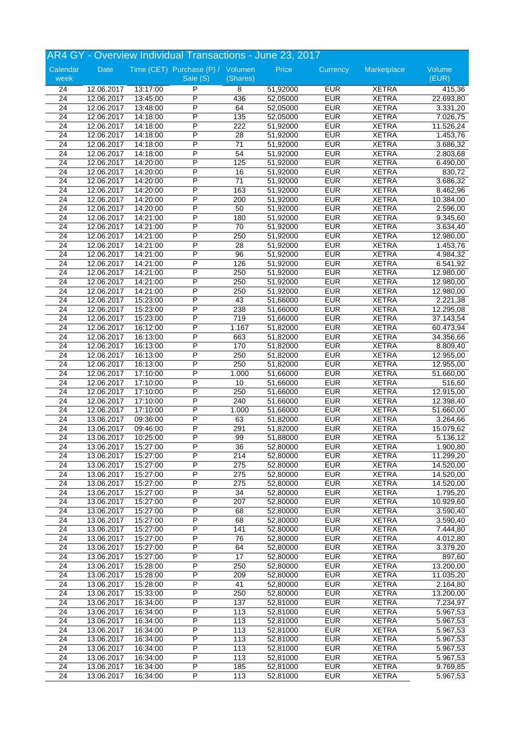|                       | AR4 GY - Overview Individual Transactions - June 23, 2017 |                      |                                   |                       |                      |                          |                              |                    |  |
|-----------------------|-----------------------------------------------------------|----------------------|-----------------------------------|-----------------------|----------------------|--------------------------|------------------------------|--------------------|--|
| Calendar              | Date                                                      |                      | Time (CET) Purchase (P) / Volumen |                       | Price                | Currency                 | Marketplace                  | Volume             |  |
| week                  |                                                           |                      | Sale (S)                          | (Shares)              |                      |                          |                              | (EUR)              |  |
| 24                    | 12.06.2017                                                | 13:17:00             | P                                 | 8                     | 51,92000             | <b>EUR</b>               | <b>XETRA</b>                 | 415,36             |  |
| 24                    | 12.06.2017                                                | 13:45:00             | P                                 | 436                   | 52,05000             | <b>EUR</b>               | <b>XETRA</b>                 | 22.693,80          |  |
| 24                    | 12.06.2017                                                | 13:48:00             | P                                 | 64                    | 52,05000             | <b>EUR</b>               | <b>XETRA</b>                 | 3.331,20           |  |
| $\overline{24}$       | 12.06.2017                                                | 14:18:00             | P                                 | 135                   | 52,05000             | <b>EUR</b>               | <b>XETRA</b>                 | 7.026,75           |  |
| $\overline{24}$       | 12.06.2017                                                | 14:18:00             | P                                 | 222                   | 51,92000             | <b>EUR</b>               | <b>XETRA</b>                 | 11.526,24          |  |
| 24                    | 12.06.2017                                                | 14:18:00             | P<br>P                            | 28                    | 51,92000             | <b>EUR</b>               | <b>XETRA</b>                 | 1.453,76           |  |
| 24<br>$\overline{24}$ | 12.06.2017                                                | 14:18:00             | P                                 | 71<br>54              | 51,92000             | <b>EUR</b><br><b>EUR</b> | <b>XETRA</b><br><b>XETRA</b> | 3.686,32           |  |
|                       | 12.06.2017<br>12.06.2017                                  | 14:18:00             | P                                 |                       | 51,92000             | <b>EUR</b>               |                              | 2.803,68           |  |
| 24                    |                                                           | 14:20:00             | P                                 | 125                   | 51,92000             | <b>EUR</b>               | <b>XETRA</b>                 | 6.490,00<br>830,72 |  |
| 24<br>$\overline{24}$ | 12.06.2017<br>12.06.2017                                  | 14:20:00<br>14:20:00 | $\overline{P}$                    | 16<br>$\overline{71}$ | 51,92000<br>51,92000 | <b>EUR</b>               | <b>XETRA</b><br><b>XETRA</b> | 3.686,32           |  |
| $\overline{24}$       | 12.06.2017                                                | 14:20:00             | P                                 | 163                   | 51,92000             | <b>EUR</b>               | <b>XETRA</b>                 | 8.462,96           |  |
| $\overline{24}$       | 12.06.2017                                                | 14:20:00             | P                                 | 200                   | 51,92000             | <b>EUR</b>               | <b>XETRA</b>                 | 10.384,00          |  |
| $\overline{24}$       | 12.06.2017                                                | 14:20:00             | P                                 | 50                    | 51,92000             | <b>EUR</b>               | <b>XETRA</b>                 | 2.596,00           |  |
| $\overline{24}$       | 12.06.2017                                                | 14:21:00             | P                                 | 180                   | 51,92000             | <b>EUR</b>               | <b>XETRA</b>                 | 9.345,60           |  |
| 24                    | 12.06.2017                                                | 14:21:00             | P                                 | 70                    | 51,92000             | <b>EUR</b>               | <b>XETRA</b>                 | 3.634,40           |  |
| 24                    | 12.06.2017                                                | 14:21:00             | P                                 | 250                   | 51,92000             | <b>EUR</b>               | <b>XETRA</b>                 | 12.980,00          |  |
| 24                    | 12.06.2017                                                | 14:21:00             | P                                 | 28                    | 51,92000             | <b>EUR</b>               | <b>XETRA</b>                 | 1.453,76           |  |
| 24                    | 12.06.2017                                                | 14:21:00             | P                                 | 96                    | 51,92000             | <b>EUR</b>               | <b>XETRA</b>                 | 4.984,32           |  |
| $\overline{24}$       | 12.06.2017                                                | 14:21:00             | P                                 | 126                   | 51,92000             | <b>EUR</b>               | <b>XETRA</b>                 | 6.541,92           |  |
| 24                    | 12.06.2017                                                | 14:21:00             | Ρ                                 | 250                   | 51,92000             | <b>EUR</b>               | <b>XETRA</b>                 | 12.980,00          |  |
| 24                    | 12.06.2017                                                | 14:21:00             | P                                 | 250                   | 51,92000             | <b>EUR</b>               | <b>XETRA</b>                 | 12.980,00          |  |
| 24                    | 12.06.2017                                                | 14:21:00             | P                                 | 250                   | 51,92000             | <b>EUR</b>               | <b>XETRA</b>                 | 12.980,00          |  |
| $\overline{24}$       | 12.06.2017                                                | 15:23:00             | P                                 | 43                    | 51,66000             | <b>EUR</b>               | <b>XETRA</b>                 | 2.221,38           |  |
| 24                    | 12.06.2017                                                | 15:23:00             | P                                 | 238                   | 51,66000             | <b>EUR</b>               | <b>XETRA</b>                 | 12.295,08          |  |
| $\overline{24}$       | 12.06.2017                                                | 15:23:00             | P                                 | 719                   | 51,66000             | <b>EUR</b>               | <b>XETRA</b>                 | 37.143,54          |  |
| 24                    | 12.06.2017                                                | 16:12:00             | P                                 | 1.167                 | 51,82000             | <b>EUR</b>               | <b>XETRA</b>                 | 60.473,94          |  |
| $\overline{24}$       | 12.06.2017                                                | 16:13:00             | P                                 | 663                   | 51,82000             | <b>EUR</b>               | <b>XETRA</b>                 | 34.356,66          |  |
| 24                    | 12.06.2017                                                | 16:13:00             | P                                 | 170                   | 51,82000             | <b>EUR</b>               | <b>XETRA</b>                 | 8.809,40           |  |
| 24                    | 12.06.2017                                                | 16:13:00             | P                                 | 250                   | 51,82000             | <b>EUR</b>               | <b>XETRA</b>                 | 12.955,00          |  |
| $\overline{24}$       | 12.06.2017                                                | 16:13:00             | P                                 | 250                   | 51,82000             | <b>EUR</b>               | <b>XETRA</b>                 | 12.955,00          |  |
| $\overline{24}$       | 12.06.2017                                                | 17:10:00             | P                                 | 1.000                 | 51,66000             | <b>EUR</b>               | <b>XETRA</b>                 | 51.660,00          |  |
| 24                    | 12.06.2017                                                | 17:10:00             | P                                 | 10                    | 51,66000             | <b>EUR</b>               | <b>XETRA</b>                 | 516,60             |  |
| $\overline{24}$       | 12.06.2017                                                | 17:10:00             | P                                 | 250                   | 51,66000             | <b>EUR</b>               | <b>XETRA</b>                 | 12.915,00          |  |
| 24                    | 12.06.2017                                                | 17:10:00             | P                                 | 240                   | 51,66000             | <b>EUR</b>               | <b>XETRA</b>                 | 12.398,40          |  |
| 24                    | 12.06.2017                                                | 17:10:00             | P                                 | 1.000                 | 51,66000             | <b>EUR</b>               | <b>XETRA</b>                 | 51.660,00          |  |
| 24                    | 13.06.2017                                                | 09:36:00             | $\sf P$                           | 63                    | 51,82000             | <b>EUR</b>               | <b>XETRA</b>                 | 3.264,66           |  |
| $\overline{24}$       | 13.06.2017                                                | 09:46:00             | P                                 | 291                   | 51,82000             | <b>EUR</b>               | <b>XETRA</b>                 | 15.079,62          |  |
| $\overline{24}$       | 13.06.2017                                                | 10:25:00             | P                                 | 99                    | 51,88000             | <b>EUR</b>               | <b>XETRA</b>                 | 5.136,12           |  |
| 24                    | 13.06.2017                                                | 15:27:00             | P                                 | 36                    | 52,80000             | <b>EUR</b>               | <b>XETRA</b>                 | 1.900,80           |  |
| 24                    | 13.06.2017                                                | 15:27:00             | P                                 | 214                   | 52,80000             | <b>EUR</b>               | <b>XETRA</b>                 | 11.299,20          |  |
| 24                    | 13.06.2017                                                | 15:27:00             | $\overline{\mathsf{P}}$           | 275                   | 52,80000             | <b>EUR</b>               | <b>XETRA</b>                 | 14.520,00          |  |
| 24                    | 13.06.2017                                                | 15:27:00             | P                                 | 275                   | 52,80000             | <b>EUR</b>               | <b>XETRA</b>                 | 14.520,00          |  |
| 24                    | 13.06.2017                                                | 15:27:00             | P                                 | 275                   | 52,80000             | <b>EUR</b>               | <b>XETRA</b>                 | 14.520,00          |  |
| $\overline{24}$       | 13.06.2017                                                | 15:27:00             | P                                 | $\overline{34}$       | 52,80000             | <b>EUR</b>               | <b>XETRA</b>                 | 1.795,20           |  |
| 24                    | 13.06.2017                                                | 15:27:00             | P                                 | 207                   | 52,80000             | <b>EUR</b>               | <b>XETRA</b>                 | 10.929,60          |  |
| $\overline{24}$       | 13.06.2017                                                | 15:27:00             | P                                 | 68                    | 52,80000             | <b>EUR</b>               | <b>XETRA</b>                 | 3.590,40           |  |
| 24                    | 13.06.2017                                                | 15:27:00             | P                                 | 68                    | 52,80000             | <b>EUR</b>               | <b>XETRA</b>                 | 3.590,40           |  |
| 24                    | 13.06.2017                                                | 15:27:00             | $\overline{P}$                    | 141                   | 52,80000             | <b>EUR</b>               | <b>XETRA</b>                 | 7.444,80           |  |
| 24                    | 13.06.2017                                                | 15:27:00             | $\overline{P}$                    | 76                    | 52,80000             | <b>EUR</b>               | <b>XETRA</b>                 | 4.012,80           |  |
| 24                    | 13.06.2017                                                | 15:27:00             | $\overline{P}$                    | 64                    | 52,80000             | <b>EUR</b>               | <b>XETRA</b>                 | 3.379,20           |  |
| 24                    | 13.06.2017                                                | 15:27:00             | P                                 | 17                    | 52,80000             | <b>EUR</b>               | <b>XETRA</b>                 | 897,60             |  |
| 24                    | 13.06.2017                                                | 15:28:00             | P                                 | 250                   | 52,80000             | <b>EUR</b>               | <b>XETRA</b>                 | 13.200,00          |  |
| 24                    | 13.06.2017                                                | 15:28:00             | $\overline{P}$                    | 209                   | 52,80000             | <b>EUR</b>               | <b>XETRA</b>                 | 11.035,20          |  |
| 24                    | 13.06.2017                                                | 15:28:00             | $\overline{P}$                    | 41                    | 52,80000             | <b>EUR</b>               | <b>XETRA</b>                 | 2.164,80           |  |
| 24                    | 13.06.2017                                                | 15:33:00             | $\overline{P}$                    | 250                   | 52,80000             | <b>EUR</b>               | <b>XETRA</b>                 | 13.200,00          |  |
| 24                    | 13.06.2017                                                | 16:34:00             | P                                 | 137                   | 52,81000             | <b>EUR</b>               | <b>XETRA</b>                 | 7.234,97           |  |
| 24                    | 13.06.2017                                                | 16:34:00             | $\overline{\mathsf{P}}$           | 113                   | 52,81000             | <b>EUR</b>               | <b>XETRA</b>                 | 5.967,53           |  |
| $\overline{24}$       | 13.06.2017                                                | 16:34:00             | P                                 | 113                   | 52,81000             | <b>EUR</b>               | XETRA                        | 5.967,53           |  |
| $\overline{24}$       | 13.06.2017                                                | 16:34:00             | P                                 | 113                   | 52,81000             | <b>EUR</b>               | <b>XETRA</b>                 | 5.967,53           |  |
| 24                    | 13.06.2017                                                | 16:34:00             | $\overline{P}$                    | 113                   | 52,81000             | <b>EUR</b>               | <b>XETRA</b>                 | 5.967,53           |  |
| 24                    | 13.06.2017                                                | 16:34:00             | P                                 | 113                   | 52,81000             | <b>EUR</b>               | <b>XETRA</b>                 | 5.967,53           |  |
| 24                    | 13.06.2017                                                | 16:34:00             | P                                 | 113                   | 52,81000             | <b>EUR</b>               | <b>XETRA</b>                 | 5.967,53           |  |
| $\overline{24}$       | 13.06.2017                                                | 16:34:00             | P                                 | 185                   | 52,81000             | <b>EUR</b>               | <b>XETRA</b>                 | 9.769,85           |  |
| 24                    | 13.06.2017                                                | 16:34:00             | $\overline{P}$                    | 113                   | 52,81000             | <b>EUR</b>               | <b>XETRA</b>                 | 5.967,53           |  |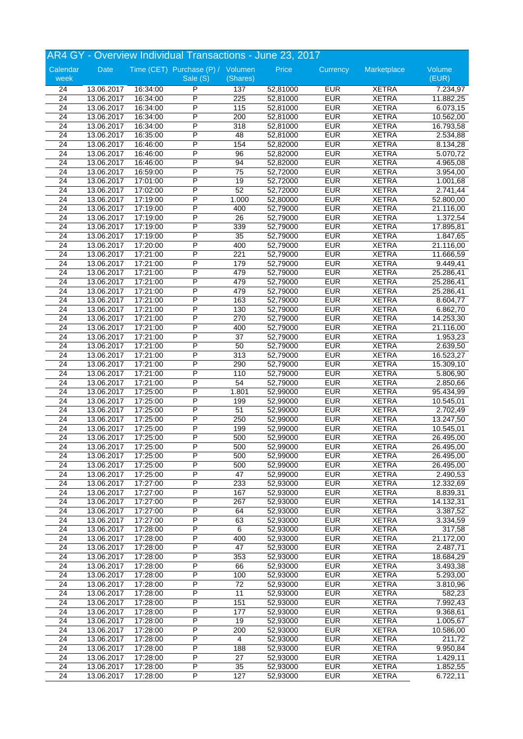|                       | AR4 GY - Overview Individual Transactions - June 23, 2017 |                      |                                   |                 |                      |                          |                              |                        |  |
|-----------------------|-----------------------------------------------------------|----------------------|-----------------------------------|-----------------|----------------------|--------------------------|------------------------------|------------------------|--|
| Calendar              | Date                                                      |                      | Time (CET) Purchase (P) / Volumen |                 | Price                | Currency                 | Marketplace                  | Volume                 |  |
| week                  |                                                           |                      | Sale (S)                          | (Shares)        |                      |                          |                              | (EUR)                  |  |
| 24                    | 13.06.2017                                                | 16:34:00             | P                                 | 137             | 52,81000             | <b>EUR</b>               | <b>XETRA</b>                 | 7.234,97               |  |
| 24                    | 13.06.2017                                                | 16:34:00             | P                                 | 225             | 52,81000             | <b>EUR</b>               | <b>XETRA</b>                 | 11.882,25              |  |
| 24                    | 13.06.2017                                                | 16:34:00             | P                                 | 115             | 52,81000             | <b>EUR</b>               | <b>XETRA</b>                 | 6.073,15               |  |
| $\overline{24}$       | 13.06.2017                                                | 16:34:00             | P                                 | 200             | 52,81000             | <b>EUR</b>               | <b>XETRA</b>                 | 10.562,00              |  |
| $\overline{24}$       | 13.06.2017                                                | 16:34:00             | P                                 | 318             | 52,81000             | <b>EUR</b>               | <b>XETRA</b>                 | 16.793,58              |  |
| 24                    | 13.06.2017                                                | 16:35:00             | P                                 | 48              | 52,81000             | <b>EUR</b>               | <b>XETRA</b>                 | 2.534,88               |  |
| 24                    | 13.06.2017                                                | 16:46:00             | P                                 | 154             | 52,82000             | <b>EUR</b>               | <b>XETRA</b>                 | 8.134,28               |  |
| $\overline{24}$       | 13.06.2017                                                | 16:46:00             | P                                 | 96              | 52,82000             | <b>EUR</b>               | <b>XETRA</b>                 | 5.070,72               |  |
| 24                    | 13.06.2017                                                | 16:46:00             | P                                 | 94              | 52,82000             | <b>EUR</b>               | <b>XETRA</b>                 | 4.965,08               |  |
| 24                    | 13.06.2017                                                | 16:59:00             | P                                 | 75              | 52,72000             | <b>EUR</b>               | <b>XETRA</b>                 | 3.954,00               |  |
| $\overline{24}$       | 13.06.2017                                                | 17:01:00             | $\overline{P}$                    | 19              | 52,72000             | <b>EUR</b>               | <b>XETRA</b>                 | 1.001,68               |  |
| $\overline{24}$       | 13.06.2017                                                | 17:02:00             | P                                 | 52              | 52,72000             | <b>EUR</b>               | <b>XETRA</b>                 | 2.741,44               |  |
| $\overline{24}$       | 13.06.2017                                                | 17:19:00             | P                                 | 1.000           | 52,80000             | <b>EUR</b>               | <b>XETRA</b>                 | 52.800,00              |  |
| $\overline{24}$       | 13.06.2017                                                | 17:19:00             | P                                 | 400             | 52,79000             | <b>EUR</b>               | <b>XETRA</b>                 | 21.116,00              |  |
| $\overline{24}$       | 13.06.2017                                                | 17:19:00             | P                                 | $\overline{26}$ | 52,79000             | <b>EUR</b>               | <b>XETRA</b>                 | 1.372,54               |  |
| 24                    | 13.06.2017                                                | 17:19:00             | P                                 | 339             | 52,79000             | <b>EUR</b>               | <b>XETRA</b>                 | 17.895,81              |  |
| 24                    | 13.06.2017                                                | 17:19:00             | P                                 | $\overline{35}$ | 52,79000             | <b>EUR</b>               | <b>XETRA</b>                 | 1.847,65               |  |
| 24                    | 13.06.2017                                                | 17:20:00             | P                                 | 400             | 52,79000             | <b>EUR</b>               | <b>XETRA</b>                 | 21.116,00              |  |
| 24                    | 13.06.2017                                                | 17:21:00             | P                                 | 221             | 52,79000             | <b>EUR</b>               | <b>XETRA</b>                 | 11.666,59              |  |
| $\overline{24}$       | 13.06.2017                                                | 17:21:00             | P                                 | 179             | 52,79000             | <b>EUR</b>               | <b>XETRA</b>                 | 9.449,41               |  |
| $\overline{24}$       | 13.06.2017                                                | 17:21:00             | Ρ                                 | 479             | 52,79000             | <b>EUR</b>               | <b>XETRA</b>                 | 25.286,41              |  |
| $\overline{24}$       | 13.06.2017                                                | 17:21:00             | P                                 | 479             | 52,79000             | <b>EUR</b>               | <b>XETRA</b>                 | 25.286,41              |  |
| 24                    | 13.06.2017                                                | 17:21:00             | P                                 | 479             | 52,79000             | <b>EUR</b>               | <b>XETRA</b>                 | 25.286,41              |  |
| $\overline{24}$       | 13.06.2017                                                | 17:21:00             | P                                 | 163             | 52,79000             | <b>EUR</b>               | <b>XETRA</b>                 | 8.604,77               |  |
| 24                    | 13.06.2017                                                | 17:21:00             | P                                 | 130             | 52,79000             | <b>EUR</b>               | <b>XETRA</b>                 | 6.862,70               |  |
| $\overline{24}$       | 13.06.2017                                                | 17:21:00             | P                                 | 270             | 52,79000             | <b>EUR</b>               | <b>XETRA</b>                 | 14.253,30              |  |
| 24                    | 13.06.2017                                                | 17:21:00             | P                                 | 400             | 52,79000             | <b>EUR</b>               | <b>XETRA</b>                 | 21.116,00              |  |
| $\overline{24}$       | 13.06.2017                                                | 17:21:00             | P                                 | 37              | 52,79000             | <b>EUR</b>               | <b>XETRA</b>                 | 1.953,23               |  |
| 24                    | 13.06.2017                                                | 17:21:00             | P                                 | 50              | 52,79000             | <b>EUR</b>               | <b>XETRA</b>                 | 2.639,50               |  |
| 24                    | 13.06.2017                                                | 17:21:00             | P<br>P                            | 313             | 52,79000             | <b>EUR</b>               | <b>XETRA</b>                 | 16.523,27              |  |
| $\overline{24}$       | 13.06.2017                                                | 17:21:00             | P                                 | 290             | 52,79000             | <b>EUR</b>               | <b>XETRA</b>                 | 15.309,10              |  |
| $\overline{24}$       | 13.06.2017                                                | 17:21:00             |                                   | 110             | 52,79000             | <b>EUR</b>               | <b>XETRA</b>                 | 5.806,90               |  |
| 24                    | 13.06.2017                                                | 17:21:00             | P<br>P                            | 54              | 52,79000             | <b>EUR</b>               | <b>XETRA</b><br><b>XETRA</b> | 2.850,66               |  |
| $\overline{24}$       | 13.06.2017                                                | 17:25:00             | P                                 | 1.801           | 52,99000             | <b>EUR</b><br><b>EUR</b> |                              | 95.434,99              |  |
| 24                    | 13.06.2017                                                | 17:25:00             | P                                 | 199             | 52,99000             |                          | <b>XETRA</b>                 | 10.545,01              |  |
| 24                    | 13.06.2017                                                | 17:25:00<br>17:25:00 | P                                 | 51              | 52,99000<br>52,99000 | <b>EUR</b><br><b>EUR</b> | <b>XETRA</b>                 | 2.702,49               |  |
| 24<br>$\overline{24}$ | 13.06.2017<br>13.06.2017                                  | 17:25:00             | P                                 | 250<br>199      | 52,99000             | <b>EUR</b>               | <b>XETRA</b><br><b>XETRA</b> | 13.247,50<br>10.545,01 |  |
| $\overline{24}$       | 13.06.2017                                                | 17:25:00             | P                                 | 500             | 52,99000             | <b>EUR</b>               | <b>XETRA</b>                 | 26.495,00              |  |
| 24                    | 13.06.2017                                                | 17:25:00             | P                                 | 500             | 52,99000             | <b>EUR</b>               | <b>XETRA</b>                 | 26.495,00              |  |
| 24                    | 13.06.2017                                                | 17:25:00             | P                                 | 500             | 52,99000             | <b>EUR</b>               | <b>XETRA</b>                 | 26.495,00              |  |
| 24                    | 13.06.2017                                                | 17:25:00             | $\overline{\mathsf{P}}$           | 500             | 52,99000             | <b>EUR</b>               | <b>XETRA</b>                 | 26.495,00              |  |
| 24                    | 13.06.2017                                                | 17:25:00             | $\overline{P}$                    | 47              | 52,99000             | <b>EUR</b>               | <b>XETRA</b>                 | 2.490,53               |  |
| 24                    | 13.06.2017                                                | 17:27:00             | P                                 | 233             | 52,93000             | <b>EUR</b>               | <b>XETRA</b>                 | 12.332,69              |  |
| $\overline{24}$       | 13.06.2017                                                | 17:27:00             | P                                 | 167             | 52,93000             | <b>EUR</b>               | <b>XETRA</b>                 | 8.839,31               |  |
| 24                    | 13.06.2017                                                | 17:27:00             | P                                 | 267             | 52,93000             | <b>EUR</b>               | <b>XETRA</b>                 | 14.132,31              |  |
| $\overline{24}$       | 13.06.2017                                                | 17:27:00             | P                                 | 64              | 52,93000             | <b>EUR</b>               | <b>XETRA</b>                 | 3.387,52               |  |
| 24                    | 13.06.2017                                                | 17:27:00             | P                                 | 63              | 52,93000             | <b>EUR</b>               | <b>XETRA</b>                 | 3.334,59               |  |
| 24                    | 13.06.2017                                                | 17:28:00             | $\overline{P}$                    | 6               | 52,93000             | <b>EUR</b>               | <b>XETRA</b>                 | 317,58                 |  |
| 24                    | 13.06.2017                                                | 17:28:00             | $\overline{P}$                    | 400             | 52,93000             | <b>EUR</b>               | <b>XETRA</b>                 | 21.172,00              |  |
| 24                    | 13.06.2017                                                | 17:28:00             | $\overline{P}$                    | 47              | 52,93000             | <b>EUR</b>               | <b>XETRA</b>                 | 2.487,71               |  |
| 24                    | 13.06.2017                                                | 17:28:00             | P                                 | 353             | 52,93000             | <b>EUR</b>               | <b>XETRA</b>                 | 18.684,29              |  |
| 24                    | 13.06.2017                                                | 17:28:00             | P                                 | 66              | 52,93000             | <b>EUR</b>               | <b>XETRA</b>                 | 3.493,38               |  |
| 24                    | 13.06.2017                                                | 17:28:00             | $\overline{P}$                    | 100             | 52,93000             | <b>EUR</b>               | <b>XETRA</b>                 | 5.293,00               |  |
| 24                    | 13.06.2017                                                | 17:28:00             | $\overline{P}$                    | 72              | 52,93000             | <b>EUR</b>               | <b>XETRA</b>                 | 3.810,96               |  |
| 24                    | 13.06.2017                                                | 17:28:00             | $\overline{P}$                    | 11              | 52,93000             | <b>EUR</b>               | <b>XETRA</b>                 | 582,23                 |  |
| 24                    | 13.06.2017                                                | 17:28:00             | P                                 | 151             | 52,93000             | <b>EUR</b>               | <b>XETRA</b>                 | 7.992,43               |  |
| 24                    | 13.06.2017                                                | 17:28:00             | $\overline{\mathsf{P}}$           | 177             | 52,93000             | <b>EUR</b>               | <b>XETRA</b>                 | 9.368,61               |  |
| $\overline{24}$       | 13.06.2017                                                | 17:28:00             | P                                 | 19              | 52,93000             | <b>EUR</b>               | XETRA                        | 1.005,67               |  |
| $\overline{24}$       | 13.06.2017                                                | 17:28:00             | P                                 | 200             | 52,93000             | <b>EUR</b>               | <b>XETRA</b>                 | 10.586,00              |  |
| 24                    | 13.06.2017                                                | 17:28:00             | $\overline{P}$                    | 4               | 52,93000             | <b>EUR</b>               | <b>XETRA</b>                 | 211,72                 |  |
| 24                    | 13.06.2017                                                | 17:28:00             | P                                 | 188             | 52,93000             | <b>EUR</b>               | <b>XETRA</b>                 | 9.950,84               |  |
| 24                    | 13.06.2017                                                | 17:28:00             | P                                 | 27              | 52,93000             | <b>EUR</b>               | <b>XETRA</b>                 | 1.429,11               |  |
| $\overline{24}$       | 13.06.2017                                                | 17:28:00             | P                                 | 35              | 52,93000             | <b>EUR</b>               | <b>XETRA</b>                 | 1.852,55               |  |
| 24                    | 13.06.2017                                                | 17:28:00             | $\overline{P}$                    | 127             | 52,93000             | <b>EUR</b>               | <b>XETRA</b>                 | 6.722,11               |  |
|                       |                                                           |                      |                                   |                 |                      |                          |                              |                        |  |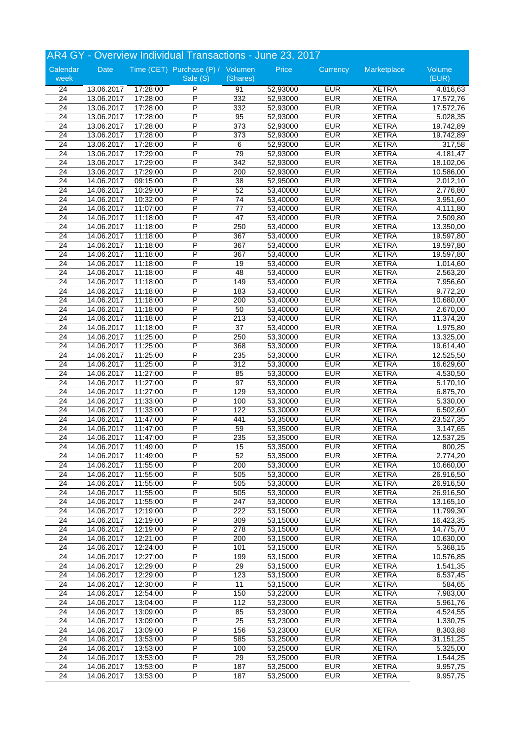|                       |                          |                      | AR4 GY - Overview Individual Transactions - June 23, 2017 |                 |                      |                          |                              |                        |
|-----------------------|--------------------------|----------------------|-----------------------------------------------------------|-----------------|----------------------|--------------------------|------------------------------|------------------------|
| Calendar              | Date                     |                      | Time (CET) Purchase (P) / Volumen                         |                 | Price                | Currency                 | Marketplace                  | Volume                 |
| week                  |                          |                      | Sale (S)                                                  | (Shares)        |                      |                          |                              | (EUR)                  |
| 24                    | 13.06.2017               | 17:28:00             | P                                                         | 91              | 52,93000             | <b>EUR</b>               | <b>XETRA</b>                 | 4.816,63               |
| 24                    | 13.06.2017               | 17:28:00             | P                                                         | 332             | 52,93000             | <b>EUR</b>               | <b>XETRA</b>                 | 17.572,76              |
| 24                    | 13.06.2017               | 17:28:00             | P                                                         | 332             | 52,93000             | <b>EUR</b>               | <b>XETRA</b>                 | 17.572,76              |
| $\overline{24}$       | 13.06.2017               | 17:28:00             | P                                                         | 95              | 52,93000             | <b>EUR</b>               | <b>XETRA</b>                 | 5.028,35               |
| $\overline{24}$       | 13.06.2017               | 17:28:00             | P<br>P                                                    | 373             | 52,93000             | <b>EUR</b>               | <b>XETRA</b>                 | 19.742,89              |
| 24                    | 13.06.2017               | 17:28:00             | P                                                         | 373             | 52,93000             | <b>EUR</b><br><b>EUR</b> | <b>XETRA</b>                 | 19.742,89              |
| 24<br>$\overline{24}$ | 13.06.2017               | 17:28:00<br>17:29:00 | P                                                         | 6<br>79         | 52,93000             | <b>EUR</b>               | <b>XETRA</b><br><b>XETRA</b> | 317,58                 |
|                       | 13.06.2017               | 17:29:00             | P                                                         | 342             | 52,93000             | <b>EUR</b>               | <b>XETRA</b>                 | 4.181,47               |
| 24<br>24              | 13.06.2017<br>13.06.2017 | 17:29:00             | P                                                         | 200             | 52,93000<br>52,93000 | <b>EUR</b>               | <b>XETRA</b>                 | 18.102,06              |
| 24                    | 14.06.2017               | 09:15:00             | $\overline{P}$                                            | $\overline{38}$ | 52,95000             | <b>EUR</b>               | <b>XETRA</b>                 | 10.586,00<br>2.012,10  |
| $\overline{24}$       | 14.06.2017               | 10:29:00             | P                                                         | 52              | 53,40000             | <b>EUR</b>               | <b>XETRA</b>                 | 2.776,80               |
| $\overline{24}$       | 14.06.2017               | 10:32:00             | P                                                         | 74              | 53,40000             | <b>EUR</b>               | <b>XETRA</b>                 | 3.951,60               |
| $\overline{24}$       | 14.06.2017               | 11:07:00             | P                                                         | $\overline{77}$ | 53,40000             | <b>EUR</b>               | <b>XETRA</b>                 | 4.111,80               |
| $\overline{24}$       | 14.06.2017               | 11:18:00             | P                                                         | 47              | 53,40000             | <b>EUR</b>               | <b>XETRA</b>                 | 2.509,80               |
| 24                    | 14.06.2017               | 11:18:00             | P                                                         | 250             | 53,40000             | <b>EUR</b>               | <b>XETRA</b>                 | 13.350,00              |
| 24                    | 14.06.2017               | 11:18:00             | P                                                         | 367             | 53,40000             | <b>EUR</b>               | <b>XETRA</b>                 | 19.597,80              |
| 24                    | 14.06.2017               | 11:18:00             | P                                                         | 367             | 53,40000             | <b>EUR</b>               | <b>XETRA</b>                 | 19.597,80              |
| 24                    | 14.06.2017               | 11:18:00             | P                                                         | 367             | 53,40000             | <b>EUR</b>               | <b>XETRA</b>                 | 19.597,80              |
| $\overline{24}$       | 14.06.2017               | 11:18:00             | P                                                         | 19              | 53,40000             | <b>EUR</b>               | <b>XETRA</b>                 | 1.014,60               |
| $\overline{24}$       | 14.06.2017               | 11:18:00             | P                                                         | 48              | 53,40000             | <b>EUR</b>               | <b>XETRA</b>                 | 2.563,20               |
| $\overline{24}$       | 14.06.2017               | 11:18:00             | P                                                         | 149             | 53,40000             | <b>EUR</b>               | <b>XETRA</b>                 | 7.956,60               |
| 24                    | 14.06.2017               | 11:18:00             | P                                                         | 183             | 53,40000             | <b>EUR</b>               | <b>XETRA</b>                 | 9.772,20               |
| $\overline{24}$       | 14.06.2017               | 11:18:00             | P                                                         | 200             | 53,40000             | <b>EUR</b>               | <b>XETRA</b>                 | 10.680,00              |
| 24                    | 14.06.2017               | 11:18:00             | P                                                         | 50              | 53,40000             | <b>EUR</b>               | <b>XETRA</b>                 | 2.670,00               |
| $\overline{24}$       | 14.06.2017               | 11:18:00             | P                                                         | 213             | 53,40000             | <b>EUR</b>               | <b>XETRA</b>                 | 11.374,20              |
| 24                    | 14.06.2017               | 11:18:00             | P                                                         | 37              | 53,40000             | <b>EUR</b>               | <b>XETRA</b>                 | 1.975,80               |
| 24                    | 14.06.2017               | 11:25:00             | P                                                         | 250             | 53,30000             | <b>EUR</b>               | <b>XETRA</b>                 | 13.325,00              |
| 24                    | 14.06.2017               | 11:25:00             | P                                                         | 368             | 53,30000             | <b>EUR</b>               | <b>XETRA</b>                 | 19.614,40              |
| 24                    | 14.06.2017               | 11:25:00             | P                                                         | 235             | 53,30000             | <b>EUR</b>               | <b>XETRA</b>                 | 12.525,50              |
| $\overline{24}$       | 14.06.2017               | 11:25:00             | P                                                         | 312             | 53,30000             | <b>EUR</b>               | <b>XETRA</b>                 | 16.629,60              |
| $\overline{24}$       | 14.06.2017               | 11:27:00             | P                                                         | 85              | 53,30000             | <b>EUR</b>               | <b>XETRA</b>                 | 4.530,50               |
| 24                    | 14.06.2017               | 11:27:00             | P                                                         | 97              | 53,30000             | <b>EUR</b>               | <b>XETRA</b>                 | 5.170,10               |
| $\overline{24}$       | 14.06.2017               | 11:27:00             | P                                                         | 129             | 53,30000             | <b>EUR</b>               | <b>XETRA</b>                 | 6.875,70               |
| 24                    | 14.06.2017               | 11:33:00             | P                                                         | 100             | 53,30000             | <b>EUR</b>               | <b>XETRA</b>                 | 5.330,00               |
| 24                    | 14.06.2017               | 11:33:00             | P                                                         | 122             | 53,30000             | <b>EUR</b>               | <b>XETRA</b>                 | 6.502,60               |
| 24                    | 14.06.2017               | 11:47:00             | P                                                         | 441             | 53,35000             | <b>EUR</b>               | <b>XETRA</b>                 | 23.527,35              |
| $\overline{24}$       | 14.06.2017               | 11:47:00             | P                                                         | 59              | 53,35000             | <b>EUR</b>               | <b>XETRA</b>                 | 3.147,65               |
| $\overline{24}$       | 14.06.2017               | 11:47:00             | P                                                         | 235             | 53,35000             | <b>EUR</b>               | <b>XETRA</b>                 | 12.537,25              |
| 24                    | 14.06.2017               | 11:49:00             | P                                                         | 15              | 53,35000             | <b>EUR</b>               | <b>XETRA</b>                 | 800,25                 |
| 24                    | 14.06.2017               | 11:49:00             | P                                                         | 52              | 53,35000             | <b>EUR</b>               | <b>XETRA</b>                 | 2.774,20               |
| 24                    | 14.06.2017               | 11:55:00             | $\overline{\mathsf{P}}$                                   | 200             | 53,30000             | <b>EUR</b>               | <b>XETRA</b>                 | 10.660,00              |
| 24                    | 14.06.2017               | 11:55:00             | P                                                         | 505             | 53,30000             | <b>EUR</b>               | <b>XETRA</b>                 | $\overline{26.916,50}$ |
| 24                    | 14.06.2017               | 11:55:00             | P<br>P                                                    | 505             | 53,30000             | <b>EUR</b>               | <b>XETRA</b><br><b>XETRA</b> | 26.916,50              |
| $\overline{24}$<br>24 | 14.06.2017               | 11:55:00<br>11:55:00 | P                                                         | 505<br>247      | 53,30000<br>53,30000 | <b>EUR</b><br><b>EUR</b> | <b>XETRA</b>                 | 26.916,50<br>13.165,10 |
| $\overline{24}$       | 14.06.2017               | 12:19:00             | P                                                         | 222             | 53,15000             | <b>EUR</b>               | <b>XETRA</b>                 | 11.799,30              |
| 24                    | 14.06.2017<br>14.06.2017 | 12:19:00             | P                                                         | 309             | 53,15000             | <b>EUR</b>               | <b>XETRA</b>                 | 16.423,35              |
| 24                    | 14.06.2017               | 12:19:00             | $\overline{P}$                                            | 278             | 53,15000             | <b>EUR</b>               | <b>XETRA</b>                 | 14.775,70              |
| 24                    | 14.06.2017               | 12:21:00             | $\overline{P}$                                            | 200             | 53,15000             | <b>EUR</b>               | <b>XETRA</b>                 | 10.630,00              |
| 24                    | 14.06.2017               | 12:24:00             | P                                                         | 101             | 53,15000             | <b>EUR</b>               | <b>XETRA</b>                 | 5.368,15               |
| 24                    | 14.06.2017               | 12:27:00             | P                                                         | 199             | 53,15000             | <b>EUR</b>               | <b>XETRA</b>                 | 10.576,85              |
| 24                    | 14.06.2017               | 12:29:00             | P                                                         | 29              | 53,15000             | <b>EUR</b>               | <b>XETRA</b>                 | 1.541,35               |
| 24                    | 14.06.2017               | 12:29:00             | $\overline{P}$                                            | 123             | 53,15000             | <b>EUR</b>               | <b>XETRA</b>                 | 6.537,45               |
| 24                    | 14.06.2017               | 12:30:00             | P                                                         | 11              | 53,15000             | <b>EUR</b>               | <b>XETRA</b>                 | 584,65                 |
| 24                    | 14.06.2017               | 12:54:00             | $\overline{P}$                                            | 150             | 53,22000             | <b>EUR</b>               | <b>XETRA</b>                 | 7.983,00               |
| 24                    | 14.06.2017               | 13:04:00             | $\overline{P}$                                            | 112             | 53,23000             | <b>EUR</b>               | <b>XETRA</b>                 | 5.961,76               |
| 24                    | 14.06.2017               | 13:09:00             | $\overline{P}$                                            | 85              | 53,23000             | <b>EUR</b>               | <b>XETRA</b>                 | 4.524,55               |
| $\overline{24}$       | 14.06.2017               | 13:09:00             | P                                                         | 25              | 53,23000             | <b>EUR</b>               | XETRA                        | 1.330,75               |
| $\overline{24}$       | 14.06.2017               | 13:09:00             | P                                                         | 156             | 53,23000             | <b>EUR</b>               | <b>XETRA</b>                 | 8.303,88               |
| 24                    | 14.06.2017               | 13:53:00             | $\overline{P}$                                            | 585             | 53,25000             | <b>EUR</b>               | <b>XETRA</b>                 | 31.151,25              |
| 24                    | 14.06.2017               | 13:53:00             | P                                                         | 100             | 53,25000             | <b>EUR</b>               | <b>XETRA</b>                 | 5.325,00               |
| 24                    | 14.06.2017               | 13:53:00             | P                                                         | 29              | 53,25000             | <b>EUR</b>               | <b>XETRA</b>                 | 1.544,25               |
| $\overline{24}$       | 14.06.2017               | 13:53:00             | P                                                         | 187             | 53,25000             | <b>EUR</b>               | <b>XETRA</b>                 | 9.957,75               |
| 24                    | 14.06.2017               | 13:53:00             | $\overline{\mathsf{P}}$                                   | 187             | 53,25000             | <b>EUR</b>               | <b>XETRA</b>                 | 9.957,75               |
|                       |                          |                      |                                                           |                 |                      |                          |                              |                        |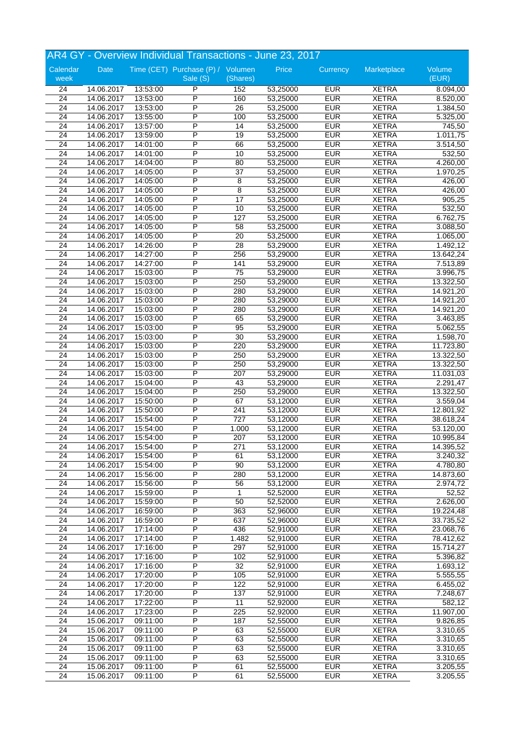|                                    |                          |                      | AR4 GY - Overview Individual Transactions - June 23, 2017 |                 |                      |                          |                              |                      |
|------------------------------------|--------------------------|----------------------|-----------------------------------------------------------|-----------------|----------------------|--------------------------|------------------------------|----------------------|
| Calendar                           | Date                     |                      | Time (CET) Purchase (P) / Volumen                         |                 | Price                | Currency                 | Marketplace                  | Volume               |
| week                               |                          |                      | Sale (S)                                                  | (Shares)        |                      |                          |                              | (EUR)                |
| 24                                 | 14.06.2017               | 13:53:00             | P                                                         | 152             | 53,25000             | <b>EUR</b>               | <b>XETRA</b>                 | 8.094,00             |
| 24                                 | 14.06.2017               | 13:53:00             | P                                                         | 160             | 53,25000             | <b>EUR</b>               | <b>XETRA</b>                 | 8.520,00             |
| 24                                 | 14.06.2017               | 13:53:00             | P                                                         | 26              | 53,25000             | <b>EUR</b>               | <b>XETRA</b>                 | 1.384,50             |
| $\overline{24}$                    | 14.06.2017               | 13:55:00             | P                                                         | 100             | 53,25000             | <b>EUR</b>               | <b>XETRA</b>                 | 5.325,00             |
| $\overline{24}$                    | 14.06.2017               | 13:57:00             | P                                                         | 14              | 53,25000             | <b>EUR</b>               | <b>XETRA</b>                 | 745,50               |
| 24                                 | 14.06.2017               | 13:59:00             | P                                                         | 19              | 53,25000             | <b>EUR</b>               | <b>XETRA</b>                 | 1.011,75             |
| 24                                 | 14.06.2017               | 14:01:00             | P                                                         | 66              | 53,25000             | <b>EUR</b>               | <b>XETRA</b>                 | 3.514,50             |
| $\overline{24}$                    | 14.06.2017               | 14:01:00             | P                                                         | 10              | 53,25000             | <b>EUR</b>               | <b>XETRA</b>                 | 532,50               |
| 24                                 | 14.06.2017               | 14:04:00             | P                                                         | 80              | 53,25000             | <b>EUR</b>               | <b>XETRA</b>                 | 4.260,00             |
| 24                                 | 14.06.2017               | 14:05:00             | P<br>$\overline{P}$                                       | 37              | 53,25000             | <b>EUR</b><br><b>EUR</b> | <b>XETRA</b>                 | 1.970,25             |
| $\overline{24}$                    | 14.06.2017               | 14:05:00             | P                                                         | 8               | 53,25000             | <b>EUR</b>               | <b>XETRA</b><br><b>XETRA</b> | 426,00               |
| $\overline{24}$                    | 14.06.2017               | 14:05:00             | P                                                         | 8               | 53,25000             |                          |                              | 426,00               |
| $\overline{24}$                    | 14.06.2017               | 14:05:00             |                                                           | $\overline{17}$ | 53,25000             | <b>EUR</b><br><b>EUR</b> | <b>XETRA</b>                 | 905,25               |
| $\overline{24}$<br>$\overline{24}$ | 14.06.2017<br>14.06.2017 | 14:05:00             | P<br>P                                                    | 10<br>127       | 53,25000             | <b>EUR</b>               | <b>XETRA</b><br><b>XETRA</b> | 532,50               |
| 24                                 |                          | 14:05:00             | P                                                         |                 | 53,25000             | <b>EUR</b>               | <b>XETRA</b>                 | 6.762,75             |
|                                    | 14.06.2017               | 14:05:00<br>14:05:00 | P                                                         | 58              | 53,25000             | <b>EUR</b>               |                              | 3.088,50             |
| 24<br>24                           | 14.06.2017<br>14.06.2017 | 14:26:00             | P                                                         | 20<br>28        | 53,25000<br>53,29000 | <b>EUR</b>               | <b>XETRA</b><br><b>XETRA</b> | 1.065,00<br>1.492,12 |
| 24                                 | 14.06.2017               | 14:27:00             | P                                                         | 256             | 53,29000             | <b>EUR</b>               | <b>XETRA</b>                 | 13.642,24            |
| $\overline{24}$                    | 14.06.2017               | 14:27:00             | P                                                         | 141             | 53,29000             | <b>EUR</b>               | <b>XETRA</b>                 | 7.513,89             |
| $\overline{24}$                    | 14.06.2017               | 15:03:00             | P                                                         | $\overline{75}$ | 53,29000             | <b>EUR</b>               | <b>XETRA</b>                 | 3.996,75             |
| $\overline{24}$                    | 14.06.2017               | 15:03:00             | P                                                         | 250             | 53,29000             | <b>EUR</b>               | <b>XETRA</b>                 | 13.322,50            |
| 24                                 | 14.06.2017               | 15:03:00             | P                                                         | 280             | 53,29000             | <b>EUR</b>               | <b>XETRA</b>                 | 14.921,20            |
| $\overline{24}$                    | 14.06.2017               | 15:03:00             | P                                                         | 280             | 53,29000             | <b>EUR</b>               | <b>XETRA</b>                 | 14.921,20            |
| 24                                 | 14.06.2017               | 15:03:00             | P                                                         | 280             | 53,29000             | <b>EUR</b>               | <b>XETRA</b>                 | 14.921,20            |
| $\overline{24}$                    | 14.06.2017               | 15:03:00             | P                                                         | 65              | 53,29000             | <b>EUR</b>               | <b>XETRA</b>                 | 3.463,85             |
| 24                                 | 14.06.2017               | 15:03:00             | P                                                         | 95              | 53,29000             | <b>EUR</b>               | <b>XETRA</b>                 | 5.062,55             |
| 24                                 | 14.06.2017               | 15:03:00             | P                                                         | 30              | 53,29000             | <b>EUR</b>               | <b>XETRA</b>                 | 1.598,70             |
| 24                                 | 14.06.2017               | 15:03:00             | P                                                         | 220             | 53,29000             | <b>EUR</b>               | <b>XETRA</b>                 | 11.723,80            |
| 24                                 | 14.06.2017               | 15:03:00             | P                                                         | 250             | 53,29000             | <b>EUR</b>               | <b>XETRA</b>                 | 13.322,50            |
| $\overline{24}$                    | 14.06.2017               | 15:03:00             | P                                                         | 250             | 53,29000             | <b>EUR</b>               | <b>XETRA</b>                 | 13.322,50            |
| $\overline{24}$                    | 14.06.2017               | 15:03:00             | P                                                         | 207             | 53,29000             | <b>EUR</b>               | <b>XETRA</b>                 | 11.031,03            |
| 24                                 | 14.06.2017               | 15:04:00             | P                                                         | 43              | 53,29000             | <b>EUR</b>               | <b>XETRA</b>                 | 2.291,47             |
| $\overline{24}$                    | 14.06.2017               | 15:04:00             | P                                                         | 250             | 53,29000             | <b>EUR</b>               | <b>XETRA</b>                 | 13.322,50            |
| 24                                 | 14.06.2017               | 15:50:00             | P                                                         | 67              | 53,12000             | <b>EUR</b>               | <b>XETRA</b>                 | 3.559,04             |
| 24                                 | 14.06.2017               | 15:50:00             | P                                                         | 241             | 53,12000             | <b>EUR</b>               | <b>XETRA</b>                 | 12.801,92            |
| 24                                 | 14.06.2017               | 15:54:00             | P                                                         | 727             | 53,12000             | <b>EUR</b>               | <b>XETRA</b>                 | 38.618,24            |
| $\overline{24}$                    | 14.06.2017               | 15:54:00             | P                                                         | 1.000           | 53,12000             | <b>EUR</b>               | <b>XETRA</b>                 | 53.120,00            |
| $\overline{24}$                    | 14.06.2017               | 15:54:00             | P                                                         | 207             | 53,12000             | <b>EUR</b>               | <b>XETRA</b>                 | 10.995,84            |
| 24                                 | 14.06.2017               | 15:54:00             | P                                                         | 271             | 53,12000             | <b>EUR</b>               | <b>XETRA</b>                 | 14.395,52            |
| 24                                 | 14.06.2017               | 15:54:00             | P                                                         | 61              | 53,12000             | <b>EUR</b>               | <b>XETRA</b>                 | 3.240,32             |
| 24                                 | 14.06.2017               | 15:54:00             | $\overline{\mathsf{P}}$                                   | 90              | 53,12000             | <b>EUR</b>               | <b>XETRA</b>                 | 4.780,80             |
| 24                                 | 14.06.2017               | 15:56:00             | $\overline{P}$                                            | 280             | 53,12000             | <b>EUR</b>               | <b>XETRA</b>                 | 14.873,60            |
| 24                                 | 14.06.2017               | 15:56:00             | P                                                         | 56              | 53,12000             | <b>EUR</b>               | <b>XETRA</b>                 | 2.974,72             |
| $\overline{24}$                    | 14.06.2017               | 15:59:00             | P                                                         | $\mathbf{1}$    | 52,52000             | <b>EUR</b>               | <b>XETRA</b>                 | 52,52                |
| 24                                 | 14.06.2017               | 15:59:00             | P                                                         | 50              | 52,52000             | <b>EUR</b>               | <b>XETRA</b>                 | 2.626,00             |
| $\overline{24}$                    | 14.06.2017               | 16:59:00             | P                                                         | 363             | 52,96000             | <b>EUR</b>               | <b>XETRA</b>                 | 19.224,48            |
| 24                                 | 14.06.2017               | 16:59:00             | P                                                         | 637             | 52,96000             | <b>EUR</b>               | <b>XETRA</b>                 | 33.735,52            |
| 24                                 | 14.06.2017               | 17:14:00             | $\overline{P}$                                            | 436             | 52,91000             | <b>EUR</b>               | <b>XETRA</b>                 | 23.068,76            |
| 24                                 | 14.06.2017               | 17:14:00             | $\overline{P}$                                            | 1.482           | 52,91000             | <b>EUR</b>               | <b>XETRA</b>                 | 78.412,62            |
| 24                                 | 14.06.2017               | 17:16:00             | $\overline{P}$                                            | 297             | 52,91000             | <b>EUR</b>               | <b>XETRA</b>                 | 15.714,27            |
| $\overline{24}$                    | 14.06.2017               | 17:16:00             | P                                                         | 102             | 52,91000             | <b>EUR</b>               | <b>XETRA</b>                 | 5.396,82             |
| 24                                 | 14.06.2017               | 17:16:00             | P                                                         | $\overline{32}$ | 52,91000             | <b>EUR</b>               | <b>XETRA</b>                 | 1.693,12             |
| 24                                 | 14.06.2017               | 17:20:00             | $\overline{P}$                                            | 105             | 52,91000             | <b>EUR</b>               | <b>XETRA</b>                 | 5.555,55             |
| 24                                 | 14.06.2017               | 17:20:00             | P                                                         | 122             | 52,91000             | <b>EUR</b>               | <b>XETRA</b>                 | 6.455,02             |
| 24                                 | 14.06.2017               | 17:20:00             | $\overline{P}$                                            | 137             | 52,91000             | <b>EUR</b>               | <b>XETRA</b>                 | 7.248,67             |
| 24                                 | 14.06.2017               | 17:22:00             | P                                                         | 11              | 52,92000             | <b>EUR</b>               | <b>XETRA</b>                 | 582,12               |
| 24                                 | 14.06.2017               | 17:23:00             | $\overline{P}$                                            | 225             | 52,92000             | <b>EUR</b>               | <b>XETRA</b>                 | 11.907,00            |
| $\overline{24}$                    | 15.06.2017               | 09:11:00             | P                                                         | 187             | 52,55000             | <b>EUR</b>               | <b>XETRA</b>                 | 9.826,85             |
| $\overline{24}$                    | 15.06.2017               | 09:11:00             | P                                                         | 63              | 52,55000             | <b>EUR</b>               | <b>XETRA</b>                 | 3.310,65             |
| $\overline{24}$                    | 15.06.2017               | 09:11:00             | $\overline{P}$                                            | 63              | 52,55000             | <b>EUR</b>               | <b>XETRA</b>                 | 3.310,65             |
| 24                                 | 15.06.2017               | 09:11:00             | $\overline{P}$                                            | 63              | 52,55000             | <b>EUR</b>               | <b>XETRA</b>                 | 3.310,65             |
| 24                                 | 15.06.2017               | 09:11:00             | P                                                         | 63              | 52,55000             | <b>EUR</b>               | <b>XETRA</b>                 | 3.310,65             |
| $\overline{24}$                    | 15.06.2017               | 09:11:00             | P                                                         | 61              | 52,55000             | <b>EUR</b>               | <b>XETRA</b>                 | 3.205,55             |
| 24                                 | 15.06.2017               | 09:11:00             | $\overline{\mathsf{P}}$                                   | 61              | 52,55000             | <b>EUR</b>               | <b>XETRA</b>                 | 3.205,55             |
|                                    |                          |                      |                                                           |                 |                      |                          |                              |                      |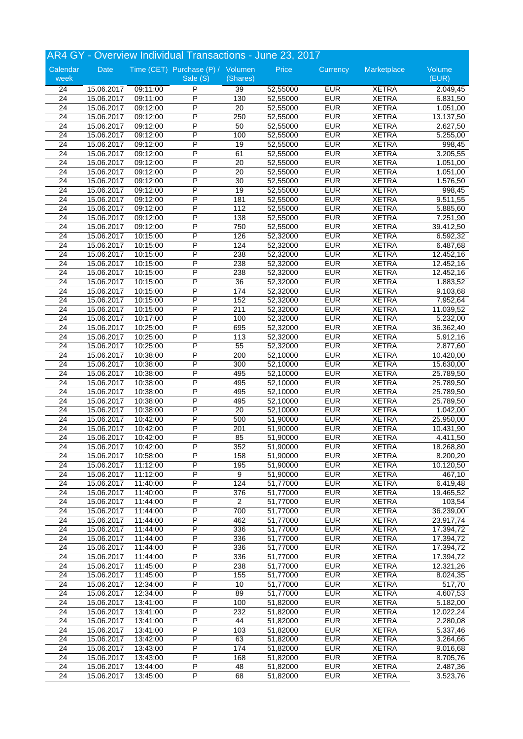|                 |            |          | AR4 GY - Overview Individual Transactions - June 23, 2017 |                |          |            |              |                       |
|-----------------|------------|----------|-----------------------------------------------------------|----------------|----------|------------|--------------|-----------------------|
| Calendar        | Date       |          | Time (CET) Purchase (P) / Volumen                         |                | Price    | Currency   | Marketplace  | Volume                |
| week            |            |          | Sale (S)                                                  | (Shares)       |          |            |              | (EUR)                 |
| 24              | 15.06.2017 | 09:11:00 | P                                                         | 39             | 52,55000 | <b>EUR</b> | <b>XETRA</b> | 2.049,45              |
| 24              | 15.06.2017 | 09:11:00 | P                                                         | 130            | 52,55000 | <b>EUR</b> | <b>XETRA</b> | 6.831,50              |
| 24              | 15.06.2017 | 09:12:00 | P                                                         | 20             | 52,55000 | <b>EUR</b> | <b>XETRA</b> | 1.051,00              |
| $\overline{24}$ | 15.06.2017 | 09:12:00 | P                                                         | 250            | 52,55000 | <b>EUR</b> | <b>XETRA</b> | 13.137,50             |
| $\overline{24}$ | 15.06.2017 | 09:12:00 | P                                                         | 50             | 52,55000 | <b>EUR</b> | <b>XETRA</b> | 2.627,50              |
| 24              | 15.06.2017 | 09:12:00 | P                                                         | 100            | 52,55000 | <b>EUR</b> | <b>XETRA</b> | 5.255,00              |
| 24              | 15.06.2017 | 09:12:00 | P                                                         | 19             | 52,55000 | <b>EUR</b> | <b>XETRA</b> | 998,45                |
| $\overline{24}$ | 15.06.2017 | 09:12:00 | P                                                         | 61             | 52,55000 | <b>EUR</b> | <b>XETRA</b> | 3.205,55              |
| 24              | 15.06.2017 | 09:12:00 | P                                                         | 20             | 52,55000 | <b>EUR</b> | <b>XETRA</b> | 1.051,00              |
| 24              | 15.06.2017 | 09:12:00 | P                                                         | 20             | 52,55000 | <b>EUR</b> | <b>XETRA</b> | 1.051,00              |
| $\overline{24}$ | 15.06.2017 | 09:12:00 | $\overline{P}$                                            | 30             | 52,55000 | <b>EUR</b> | <b>XETRA</b> | 1.576,50              |
| $\overline{24}$ | 15.06.2017 | 09:12:00 | P                                                         | 19             | 52,55000 | <b>EUR</b> | <b>XETRA</b> | 998,45                |
| $\overline{24}$ | 15.06.2017 | 09:12:00 | P                                                         | 181            | 52,55000 | <b>EUR</b> | <b>XETRA</b> | 9.511,55              |
| $\overline{24}$ | 15.06.2017 | 09:12:00 | P                                                         | 112            | 52,55000 | <b>EUR</b> | <b>XETRA</b> | 5.885,60              |
| $\overline{24}$ | 15.06.2017 | 09:12:00 | P                                                         | 138            | 52,55000 | <b>EUR</b> | <b>XETRA</b> | 7.251,90              |
| 24              | 15.06.2017 | 09:12:00 | P                                                         | 750            | 52,55000 | <b>EUR</b> | <b>XETRA</b> | 39.412,50             |
| 24              | 15.06.2017 | 10:15:00 | P                                                         | 126            | 52,32000 | <b>EUR</b> | <b>XETRA</b> | 6.592,32              |
| 24              | 15.06.2017 | 10:15:00 | P                                                         | 124            | 52,32000 | <b>EUR</b> | <b>XETRA</b> | 6.487,68              |
| 24              | 15.06.2017 | 10:15:00 | P                                                         | 238            | 52,32000 | <b>EUR</b> | <b>XETRA</b> | 12.452,16             |
| $\overline{24}$ | 15.06.2017 | 10:15:00 | P                                                         | 238            | 52,32000 | <b>EUR</b> | <b>XETRA</b> | 12.452,16             |
| $\overline{24}$ | 15.06.2017 | 10:15:00 | Ρ                                                         | 238            | 52,32000 | <b>EUR</b> | <b>XETRA</b> | 12.452,16             |
| $\overline{24}$ | 15.06.2017 | 10:15:00 | P                                                         | 36             | 52,32000 | <b>EUR</b> | <b>XETRA</b> | 1.883,52              |
| 24              | 15.06.2017 | 10:15:00 | P                                                         | 174            | 52,32000 | <b>EUR</b> | <b>XETRA</b> | 9.103,68              |
| $\overline{24}$ | 15.06.2017 | 10:15:00 | P                                                         | 152            | 52,32000 | <b>EUR</b> | <b>XETRA</b> | 7.952,64              |
| 24              | 15.06.2017 | 10:15:00 | P                                                         | 211            | 52,32000 | <b>EUR</b> | <b>XETRA</b> | 11.039,52             |
| $\overline{24}$ | 15.06.2017 | 10:17:00 | P                                                         | 100            | 52,32000 | <b>EUR</b> | <b>XETRA</b> | 5.232,00              |
| 24              | 15.06.2017 | 10:25:00 | P                                                         | 695            | 52,32000 | <b>EUR</b> | <b>XETRA</b> | 36.362,40             |
| $\overline{24}$ | 15.06.2017 | 10:25:00 | P                                                         | 113            | 52,32000 | <b>EUR</b> | <b>XETRA</b> | 5.912,16              |
| 24              | 15.06.2017 | 10:25:00 | P                                                         | 55             | 52,32000 | <b>EUR</b> | <b>XETRA</b> | 2.877,60              |
| 24              | 15.06.2017 | 10:38:00 | P                                                         | 200            | 52,10000 | <b>EUR</b> | <b>XETRA</b> | 10.420,00             |
| $\overline{24}$ | 15.06.2017 | 10:38:00 | P                                                         | 300            | 52,10000 | <b>EUR</b> | <b>XETRA</b> | 15.630,00             |
| $\overline{24}$ | 15.06.2017 | 10:38:00 | P                                                         | 495            | 52,10000 | <b>EUR</b> | <b>XETRA</b> | 25.789,50             |
| 24              | 15.06.2017 | 10:38:00 | P                                                         | 495            | 52,10000 | <b>EUR</b> | <b>XETRA</b> | 25.789,50             |
| $\overline{24}$ | 15.06.2017 | 10:38:00 | P                                                         | 495            | 52,10000 | <b>EUR</b> | <b>XETRA</b> | 25.789,50             |
| 24              | 15.06.2017 | 10:38:00 | P                                                         | 495            | 52,10000 | <b>EUR</b> | <b>XETRA</b> | 25.789,50             |
| 24              | 15.06.2017 | 10:38:00 | P                                                         | 20             | 52,10000 | <b>EUR</b> | <b>XETRA</b> | 1.042,00              |
| 24              | 15.06.2017 | 10:42:00 | P                                                         | 500            | 51,90000 | <b>EUR</b> | <b>XETRA</b> | 25.950,00             |
| $\overline{24}$ | 15.06.2017 | 10:42:00 | P                                                         | 201            | 51,90000 | <b>EUR</b> | <b>XETRA</b> | 10.431,90             |
| $\overline{24}$ | 15.06.2017 | 10:42:00 | P                                                         | 85             | 51,90000 | <b>EUR</b> | <b>XETRA</b> | 4.411,50              |
| 24              | 15.06.2017 | 10:42:00 | P                                                         | 352            | 51,90000 | <b>EUR</b> | <b>XETRA</b> | 18.268,80             |
| 24              | 15.06.2017 | 10:58:00 | P                                                         | 158            | 51,90000 | <b>EUR</b> | <b>XETRA</b> | 8.200,20              |
| 24              | 15.06.2017 | 11:12:00 | $\overline{\mathsf{P}}$                                   | 195            | 51,90000 | <b>EUR</b> | <b>XETRA</b> | 10.120,50             |
| 24              | 15.06.2017 | 11:12:00 | $\overline{P}$                                            | 9              | 51,90000 | <b>EUR</b> | <b>XETRA</b> | $\overline{467}$ , 10 |
| 24              | 15.06.2017 | 11:40:00 | P                                                         | 124            | 51,77000 | <b>EUR</b> | <b>XETRA</b> | 6.419,48              |
| $\overline{24}$ | 15.06.2017 | 11:40:00 | P                                                         | 376            | 51,77000 | <b>EUR</b> | <b>XETRA</b> | 19.465,52             |
| 24              | 15.06.2017 | 11:44:00 | P                                                         | $\overline{c}$ | 51,77000 | <b>EUR</b> | <b>XETRA</b> | 103,54                |
| $\overline{24}$ | 15.06.2017 | 11:44:00 | P                                                         | 700            | 51,77000 | <b>EUR</b> | <b>XETRA</b> | 36.239,00             |
| 24              | 15.06.2017 | 11:44:00 | P                                                         | 462            | 51,77000 | <b>EUR</b> | <b>XETRA</b> | 23.917,74             |
| 24              | 15.06.2017 | 11:44:00 | $\overline{P}$                                            | 336            | 51,77000 | <b>EUR</b> | <b>XETRA</b> | 17.394,72             |
| 24              | 15.06.2017 | 11:44:00 | $\overline{P}$                                            | 336            | 51,77000 | <b>EUR</b> | <b>XETRA</b> | 17.394,72             |
| 24              | 15.06.2017 | 11:44:00 | $\overline{P}$                                            | 336            | 51,77000 | <b>EUR</b> | <b>XETRA</b> | 17.394,72             |
| 24              | 15.06.2017 | 11:44:00 | P                                                         | 336            | 51,77000 | <b>EUR</b> | <b>XETRA</b> | 17.394,72             |
| 24              | 15.06.2017 | 11:45:00 | P                                                         | 238            | 51,77000 | <b>EUR</b> | <b>XETRA</b> | 12.321,26             |
| 24              | 15.06.2017 | 11:45:00 | $\overline{P}$                                            | 155            | 51,77000 | <b>EUR</b> | <b>XETRA</b> | 8.024,35              |
| 24              | 15.06.2017 | 12:34:00 | $\overline{P}$                                            | 10             | 51,77000 | <b>EUR</b> | <b>XETRA</b> | 517,70                |
| 24              | 15.06.2017 | 12:34:00 | $\overline{P}$                                            | 89             | 51,77000 | <b>EUR</b> | <b>XETRA</b> | 4.607,53              |
| 24              | 15.06.2017 | 13:41:00 | P                                                         | 100            | 51,82000 | <b>EUR</b> | <b>XETRA</b> | 5.182,00              |
| 24              | 15.06.2017 | 13:41:00 | $\overline{\mathsf{P}}$                                   | 232            | 51,82000 | <b>EUR</b> | <b>XETRA</b> | 12.022,24             |
| $\overline{24}$ | 15.06.2017 | 13:41:00 | P                                                         | 44             | 51,82000 | <b>EUR</b> | XETRA        | 2.280,08              |
| $\overline{24}$ | 15.06.2017 | 13:41:00 | P                                                         | 103            | 51,82000 | <b>EUR</b> | <b>XETRA</b> | 5.337,46              |
| 24              | 15.06.2017 | 13:42:00 | $\overline{P}$                                            | 63             | 51,82000 | <b>EUR</b> | <b>XETRA</b> | 3.264,66              |
| 24              | 15.06.2017 | 13:43:00 | P                                                         | 174            | 51,82000 | <b>EUR</b> | <b>XETRA</b> | 9.016,68              |
| 24              | 15.06.2017 | 13:43:00 | P                                                         | 168            | 51,82000 | <b>EUR</b> | XETRA        | 8.705,76              |
| 24              | 15.06.2017 | 13:44:00 | P                                                         | 48             | 51,82000 | <b>EUR</b> | <b>XETRA</b> | 2.487,36              |
| 24              | 15.06.2017 | 13:45:00 | $\overline{P}$                                            | 68             | 51,82000 | <b>EUR</b> | <b>XETRA</b> | 3.523,76              |
|                 |            |          |                                                           |                |          |            |              |                       |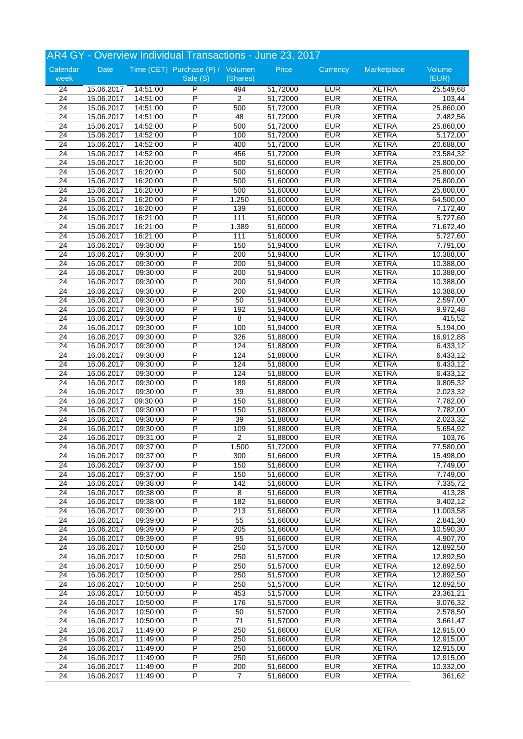|                 |            |          | AR4 GY - Overview Individual Transactions - June 23, 2017 |                |          |            |              |           |
|-----------------|------------|----------|-----------------------------------------------------------|----------------|----------|------------|--------------|-----------|
| Calendar        | Date       |          | Time (CET) Purchase (P) / Volumen                         |                | Price    | Currency   | Marketplace  | Volume    |
| week            |            |          | Sale (S)                                                  | (Shares)       |          |            |              | (EUR)     |
| 24              | 15.06.2017 | 14:51:00 | P                                                         | 494            | 51,72000 | <b>EUR</b> | <b>XETRA</b> | 25.549,68 |
| 24              | 15.06.2017 | 14:51:00 | P                                                         | $\overline{2}$ | 51,72000 | <b>EUR</b> | <b>XETRA</b> | 103,44    |
| 24              | 15.06.2017 | 14:51:00 | P                                                         | 500            | 51,72000 | <b>EUR</b> | <b>XETRA</b> | 25.860,00 |
| 24              | 15.06.2017 | 14:51:00 | P                                                         | 48             | 51,72000 | <b>EUR</b> | <b>XETRA</b> | 2.482,56  |
| $\overline{24}$ | 15.06.2017 | 14:52:00 | P                                                         | 500            | 51,72000 | <b>EUR</b> | <b>XETRA</b> | 25.860,00 |
| 24              | 15.06.2017 | 14:52:00 | P                                                         | 100            | 51,72000 | <b>EUR</b> | <b>XETRA</b> | 5.172,00  |
| 24              | 15.06.2017 | 14:52:00 | P                                                         | 400            | 51,72000 | <b>EUR</b> | <b>XETRA</b> | 20.688,00 |
| 24              | 15.06.2017 | 14:52:00 | P                                                         | 456            | 51,72000 | <b>EUR</b> | <b>XETRA</b> | 23.584,32 |
| 24              | 15.06.2017 | 16:20:00 | P                                                         | 500            | 51,60000 | <b>EUR</b> | <b>XETRA</b> | 25.800,00 |
| 24              | 15.06.2017 | 16:20:00 | P                                                         | 500            | 51,60000 | <b>EUR</b> | <b>XETRA</b> | 25.800,00 |
| $\overline{24}$ | 15.06.2017 | 16:20:00 | P                                                         | 500            | 51,60000 | <b>EUR</b> | <b>XETRA</b> | 25.800,00 |
| $\overline{24}$ | 15.06.2017 | 16:20:00 | P                                                         | 500            | 51,60000 | <b>EUR</b> | <b>XETRA</b> | 25.800,00 |
| $\overline{24}$ | 15.06.2017 | 16:20:00 | P                                                         | 1.250          | 51,60000 | <b>EUR</b> | <b>XETRA</b> | 64.500,00 |
| 24              | 15.06.2017 | 16:20:00 | P                                                         | 139            | 51,60000 | <b>EUR</b> | <b>XETRA</b> | 7.172,40  |
| $\overline{24}$ | 15.06.2017 | 16:21:00 | P                                                         | 111            | 51,60000 | <b>EUR</b> | <b>XETRA</b> | 5.727,60  |
| 24              | 15.06.2017 | 16:21:00 | P                                                         | 1.389          | 51,60000 | <b>EUR</b> | <b>XETRA</b> | 71.672,40 |
| 24              | 15.06.2017 | 16:21:00 | P                                                         | 111            | 51,60000 | <b>EUR</b> | <b>XETRA</b> | 5.727,60  |
| $\overline{24}$ | 16.06.2017 | 09:30:00 | P                                                         | 150            | 51,94000 | <b>EUR</b> | <b>XETRA</b> | 7.791,00  |
| $\overline{24}$ | 16.06.2017 | 09:30:00 | P                                                         | 200            | 51,94000 | <b>EUR</b> | <b>XETRA</b> | 10.388,00 |
| $\overline{24}$ | 16.06.2017 | 09:30:00 | P                                                         | 200            | 51,94000 | <b>EUR</b> | <b>XETRA</b> | 10.388,00 |
| $\overline{24}$ | 16.06.2017 | 09:30:00 | P                                                         | 200            | 51,94000 | <b>EUR</b> | <b>XETRA</b> | 10.388,00 |
| $\overline{24}$ | 16.06.2017 | 09:30:00 | P                                                         | 200            | 51,94000 | <b>EUR</b> | <b>XETRA</b> | 10.388,00 |
| 24              | 16.06.2017 | 09:30:00 | P                                                         | 200            | 51,94000 | <b>EUR</b> | <b>XETRA</b> | 10.388,00 |
| $\overline{24}$ | 16.06.2017 | 09:30:00 | P                                                         | 50             | 51,94000 | <b>EUR</b> | <b>XETRA</b> | 2.597,00  |
| 24              | 16.06.2017 | 09:30:00 | P                                                         | 192            | 51,94000 | <b>EUR</b> | <b>XETRA</b> | 9.972,48  |
| $\overline{24}$ | 16.06.2017 | 09:30:00 | P                                                         | $\overline{8}$ | 51,94000 | <b>EUR</b> | <b>XETRA</b> | 415,52    |
| 24              | 16.06.2017 | 09:30:00 | $\overline{P}$                                            | 100            | 51,94000 | <b>EUR</b> | <b>XETRA</b> | 5.194,00  |
| $\overline{24}$ | 16.06.2017 | 09:30:00 | P                                                         | 326            | 51,88000 | <b>EUR</b> | <b>XETRA</b> | 16.912,88 |
| 24              | 16.06.2017 | 09:30:00 | P                                                         | 124            | 51,88000 | <b>EUR</b> | <b>XETRA</b> | 6.433,12  |
| 24              | 16.06.2017 | 09:30:00 | P                                                         | 124            | 51,88000 | <b>EUR</b> | <b>XETRA</b> | 6.433,12  |
| 24              | 16.06.2017 | 09:30:00 | P                                                         | 124            | 51,88000 | <b>EUR</b> | <b>XETRA</b> | 6.433,12  |
| $\overline{24}$ | 16.06.2017 | 09:30:00 | P                                                         | 124            | 51,88000 | <b>EUR</b> | <b>XETRA</b> | 6.433,12  |
| 24              | 16.06.2017 | 09:30:00 | P                                                         | 189            | 51,88000 | <b>EUR</b> | <b>XETRA</b> | 9.805,32  |
| $\overline{24}$ | 16.06.2017 | 09:30:00 | P                                                         | 39             | 51,88000 | <b>EUR</b> | <b>XETRA</b> | 2.023,32  |
| 24              | 16.06.2017 | 09:30:00 | P                                                         | 150            | 51,88000 | <b>EUR</b> | <b>XETRA</b> | 7.782,00  |
| 24              | 16.06.2017 | 09:30:00 | P                                                         | 150            | 51,88000 | <b>EUR</b> | <b>XETRA</b> | 7.782,00  |
| 24              | 16.06.2017 | 09:30:00 | P                                                         | 39             | 51,88000 | <b>EUR</b> | <b>XETRA</b> | 2.023,32  |
| $\overline{24}$ | 16.06.2017 | 09:30:00 | P                                                         | 109            | 51,88000 | <b>EUR</b> | <b>XETRA</b> | 5.654,92  |
| 24              | 16.06.2017 | 09:31:00 | P                                                         | 2              | 51,88000 | <b>EUR</b> | <b>XETRA</b> | 103,76    |
| 24              | 16.06.2017 | 09:37:00 | P                                                         | 1.500          | 51,72000 | <b>EUR</b> | <b>XETRA</b> | 77.580,00 |
| 24              | 16.06.2017 | 09:37:00 | P                                                         | 300            | 51,66000 | <b>EUR</b> | <b>XETRA</b> | 15.498,00 |
| 24              | 16.06.2017 | 09:37:00 | $\overline{\mathsf{P}}$                                   | 150            | 51,66000 | <b>EUR</b> | <b>XETRA</b> | 7.749,00  |
| 24              | 16.06.2017 | 09:37:00 | $\overline{P}$                                            | 150            | 51.66000 | <b>EUR</b> | <b>XETRA</b> | 7.749,00  |
| $\overline{24}$ | 16.06.2017 | 09:38:00 | P                                                         | 142            | 51,66000 | <b>EUR</b> | <b>XETRA</b> | 7.335,72  |
| $\overline{24}$ | 16.06.2017 | 09:38:00 | P                                                         | 8              | 51,66000 | <b>EUR</b> | <b>XETRA</b> | 413,28    |
| 24              | 16.06.2017 | 09:38:00 | P                                                         | 182            | 51,66000 | <b>EUR</b> | <b>XETRA</b> | 9.402, 12 |
| $\overline{24}$ | 16.06.2017 | 09:39:00 | P                                                         | 213            | 51,66000 | <b>EUR</b> | <b>XETRA</b> | 11.003,58 |
| 24              | 16.06.2017 | 09:39:00 | Ρ                                                         | 55             | 51,66000 | <b>EUR</b> | <b>XETRA</b> | 2.841,30  |
| 24              | 16.06.2017 | 09:39:00 | $\overline{P}$                                            | 205            | 51,66000 | <b>EUR</b> | <b>XETRA</b> | 10.590,30 |
| 24              | 16.06.2017 | 09:39:00 | P                                                         | 95             | 51,66000 | <b>EUR</b> | <b>XETRA</b> | 4.907,70  |
| 24              | 16.06.2017 | 10:50:00 | P                                                         | 250            | 51,57000 | <b>EUR</b> | <b>XETRA</b> | 12.892,50 |
| 24              | 16.06.2017 | 10:50:00 | P                                                         | 250            | 51,57000 | <b>EUR</b> | <b>XETRA</b> | 12.892,50 |
| 24              | 16.06.2017 | 10:50:00 | P                                                         | 250            | 51,57000 | <b>EUR</b> | <b>XETRA</b> | 12.892,50 |
| 24              | 16.06.2017 | 10:50:00 | $\overline{P}$                                            | 250            | 51,57000 | <b>EUR</b> | <b>XETRA</b> | 12.892,50 |
| $\overline{24}$ | 16.06.2017 | 10:50:00 | P                                                         | 250            | 51,57000 | <b>EUR</b> | <b>XETRA</b> | 12.892,50 |
| 24              | 16.06.2017 | 10:50:00 | P                                                         | 453            | 51,57000 | <b>EUR</b> | <b>XETRA</b> | 23.361,21 |
| 24              |            |          | $\overline{P}$                                            |                |          | <b>EUR</b> |              |           |
| 24              | 16.06.2017 | 10:50:00 | $\overline{\mathsf{P}}$                                   | 176<br>50      | 51,57000 | <b>EUR</b> | <b>XETRA</b> | 9.076,32  |
|                 | 16.06.2017 | 10:50:00 | P                                                         |                | 51,57000 |            | <b>XETRA</b> | 2.578,50  |
| 24              | 16.06.2017 | 10:50:00 |                                                           | 71             | 51,57000 | <b>EUR</b> | <b>XETRA</b> | 3.661,47  |
| 24              | 16.06.2017 | 11:49:00 | P                                                         | 250            | 51,66000 | <b>EUR</b> | <b>XETRA</b> | 12.915,00 |
| 24              | 16.06.2017 | 11:49:00 | P<br>$\overline{\mathsf{P}}$                              | 250            | 51,66000 | <b>EUR</b> | <b>XETRA</b> | 12.915,00 |
| 24              | 16.06.2017 | 11:49:00 |                                                           | 250            | 51,66000 | <b>EUR</b> | <b>XETRA</b> | 12.915,00 |
| 24              | 16.06.2017 | 11:49:00 | P                                                         | 250            | 51,66000 | <b>EUR</b> | <b>XETRA</b> | 12.915,00 |
| 24              | 16.06.2017 | 11:49:00 | P                                                         | 200            | 51,66000 | <b>EUR</b> | <b>XETRA</b> | 10.332,00 |
| 24              | 16.06.2017 | 11:49:00 | $\overline{\mathsf{P}}$                                   | 7              | 51,66000 | <b>EUR</b> | <b>XETRA</b> | 361,62    |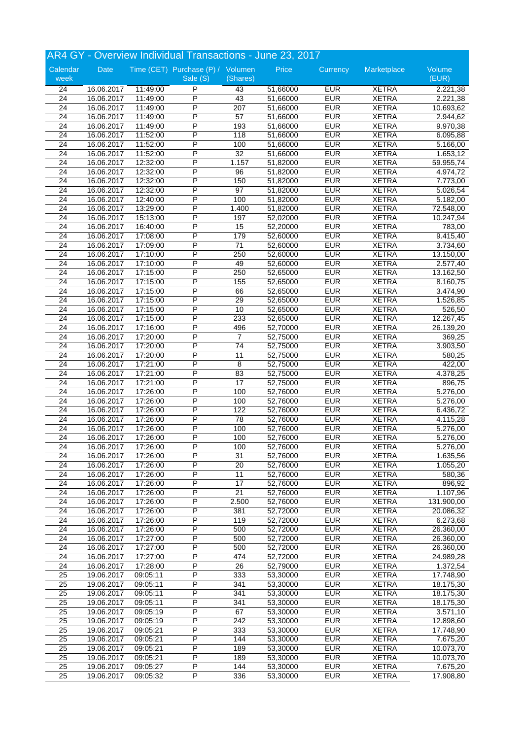|                 |                          |                      | AR4 GY - Overview Individual Transactions - June 23, 2017 |                        |                      |                          |                              |                       |
|-----------------|--------------------------|----------------------|-----------------------------------------------------------|------------------------|----------------------|--------------------------|------------------------------|-----------------------|
| Calendar        | Date                     |                      | Time (CET) Purchase (P) / Volumen                         |                        | Price                | Currency                 | Marketplace                  | Volume                |
| week            |                          |                      | Sale (S)                                                  | (Shares)               |                      |                          |                              | (EUR)                 |
| 24              | 16.06.2017               | 11:49:00             | P                                                         | 43                     | 51,66000             | <b>EUR</b>               | <b>XETRA</b>                 | 2.221,38              |
| 24              | 16.06.2017               | 11:49:00             | P                                                         | 43                     | 51,66000             | <b>EUR</b>               | <b>XETRA</b>                 | 2.221,38              |
| 24              | 16.06.2017               | 11:49:00             | P                                                         | 207                    | 51,66000             | <b>EUR</b>               | <b>XETRA</b>                 | 10.693,62             |
| $\overline{24}$ | 16.06.2017               | 11:49:00             | P                                                         | 57                     | 51,66000             | <b>EUR</b>               | <b>XETRA</b>                 | 2.944,62              |
| $\overline{24}$ | 16.06.2017               | 11:49:00             | P                                                         | 193                    | 51,66000             | <b>EUR</b>               | <b>XETRA</b>                 | 9.970,38              |
| 24              | 16.06.2017               | 11:52:00             | P                                                         | 118                    | 51,66000             | <b>EUR</b>               | <b>XETRA</b>                 | 6.095,88              |
| 24              | 16.06.2017               | 11:52:00             | P                                                         | 100                    | 51,66000             | <b>EUR</b>               | <b>XETRA</b>                 | 5.166,00              |
| $\overline{24}$ | 16.06.2017               | 11:52:00             | P                                                         | 32                     | 51,66000             | <b>EUR</b>               | <b>XETRA</b>                 | 1.653,12              |
| 24              | 16.06.2017               | 12:32:00             | P                                                         | 1.157                  | 51,82000             | <b>EUR</b>               | <b>XETRA</b>                 | 59.955,74             |
| 24              | 16.06.2017               | 12:32:00             | P<br>P                                                    | 96                     | 51,82000             | <b>EUR</b>               | <b>XETRA</b>                 | 4.974,72              |
| $\overline{24}$ | 16.06.2017               | 12:32:00             | P                                                         | 150<br>97              | 51,82000             | <b>EUR</b><br><b>EUR</b> | <b>XETRA</b><br><b>XETRA</b> | 7.773,00              |
| $\overline{24}$ | 16.06.2017               | 12:32:00             | P                                                         |                        | 51,82000             |                          |                              | 5.026,54              |
| $\overline{24}$ | 16.06.2017               | 12:40:00             |                                                           | 100                    | 51,82000             | <b>EUR</b><br><b>EUR</b> | <b>XETRA</b>                 | 5.182,00              |
| $\overline{24}$ | 16.06.2017               | 13:29:00             | P<br>P                                                    | 1.400                  | 51,82000             | <b>EUR</b>               | <b>XETRA</b>                 | 72.548,00             |
| $\overline{24}$ | 16.06.2017               | 15:13:00             | P                                                         | 197                    | 52,02000             |                          | <b>XETRA</b>                 | 10.247,94             |
| 24              | 16.06.2017<br>16.06.2017 | 16:40:00<br>17:08:00 | P                                                         | 15                     | 52,20000             | <b>EUR</b><br><b>EUR</b> | <b>XETRA</b><br><b>XETRA</b> | 783,00                |
| 24              |                          |                      | P                                                         | 179<br>$\overline{71}$ | 52,60000<br>52,60000 | <b>EUR</b>               | <b>XETRA</b>                 | 9.415,40<br>3.734,60  |
| 24<br>24        | 16.06.2017<br>16.06.2017 | 17:09:00<br>17:10:00 | P                                                         | 250                    | 52,60000             | <b>EUR</b>               | <b>XETRA</b>                 | 13.150,00             |
| $\overline{24}$ |                          | 17:10:00             | P                                                         | 49                     | 52,60000             | <b>EUR</b>               | <b>XETRA</b>                 | 2.577,40              |
|                 | 16.06.2017<br>16.06.2017 | 17:15:00             | Ρ                                                         |                        | 52,65000             | <b>EUR</b>               | <b>XETRA</b>                 |                       |
| 24<br>24        | 16.06.2017               | 17:15:00             | P                                                         | 250<br>155             | 52,65000             | <b>EUR</b>               | <b>XETRA</b>                 | 13.162,50<br>8.160,75 |
| 24              | 16.06.2017               | 17:15:00             | P                                                         | 66                     | 52,65000             | <b>EUR</b>               | <b>XETRA</b>                 | 3.474,90              |
| $\overline{24}$ | 16.06.2017               | 17:15:00             | P                                                         | 29                     | 52,65000             | <b>EUR</b>               | <b>XETRA</b>                 | 1.526,85              |
| 24              | 16.06.2017               | 17:15:00             | P                                                         | 10                     | 52,65000             | <b>EUR</b>               | <b>XETRA</b>                 | 526,50                |
| $\overline{24}$ | 16.06.2017               | 17:15:00             | P                                                         | 233                    | 52,65000             | <b>EUR</b>               | <b>XETRA</b>                 | 12.267,45             |
| 24              | 16.06.2017               | 17:16:00             | P                                                         | 496                    | 52,70000             | <b>EUR</b>               | <b>XETRA</b>                 | 26.139,20             |
| $\overline{24}$ | 16.06.2017               | 17:20:00             | P                                                         | $\overline{7}$         | 52,75000             | <b>EUR</b>               | <b>XETRA</b>                 | 369,25                |
| 24              | 16.06.2017               | 17:20:00             | P                                                         | 74                     | 52,75000             | <b>EUR</b>               | <b>XETRA</b>                 | 3.903,50              |
| 24              | 16.06.2017               | 17:20:00             | P                                                         | 11                     | 52,75000             | <b>EUR</b>               | <b>XETRA</b>                 | 580,25                |
| $\overline{24}$ | 16.06.2017               | 17:21:00             | P                                                         | 8                      | 52,75000             | <b>EUR</b>               | <b>XETRA</b>                 | 422,00                |
| $\overline{24}$ | 16.06.2017               | 17:21:00             | P                                                         | 83                     | 52,75000             | <b>EUR</b>               | <b>XETRA</b>                 | 4.378,25              |
| 24              | 16.06.2017               | 17:21:00             | P                                                         | 17                     | 52,75000             | <b>EUR</b>               | <b>XETRA</b>                 | 896,75                |
| $\overline{24}$ | 16.06.2017               | 17:26:00             | P                                                         | 100                    | 52,76000             | <b>EUR</b>               | <b>XETRA</b>                 | 5.276,00              |
| 24              | 16.06.2017               | 17:26:00             | P                                                         | 100                    | 52,76000             | <b>EUR</b>               | <b>XETRA</b>                 | 5.276,00              |
| 24              | 16.06.2017               | 17:26:00             | P                                                         | 122                    | 52,76000             | <b>EUR</b>               | <b>XETRA</b>                 | 6.436,72              |
| 24              | 16.06.2017               | 17:26:00             | P                                                         | 78                     | 52,76000             | <b>EUR</b>               | <b>XETRA</b>                 | 4.115,28              |
| $\overline{24}$ | 16.06.2017               | 17:26:00             | P                                                         | 100                    | 52,76000             | <b>EUR</b>               | <b>XETRA</b>                 | 5.276,00              |
| $\overline{24}$ | 16.06.2017               | 17:26:00             | P                                                         | 100                    | 52,76000             | <b>EUR</b>               | <b>XETRA</b>                 | 5.276,00              |
| 24              | 16.06.2017               | 17:26:00             | P                                                         | 100                    | 52,76000             | <b>EUR</b>               | <b>XETRA</b>                 | 5.276,00              |
| 24              | 16.06.2017               | 17:26:00             | P                                                         | 31                     | 52,76000             | <b>EUR</b>               | <b>XETRA</b>                 | 1.635,56              |
| 24              | 16.06.2017               | 17:26:00             | $\overline{\mathsf{P}}$                                   | 20                     | 52,76000             | <b>EUR</b>               | <b>XETRA</b>                 | 1.055,20              |
| 24              | 16.06.2017               | 17:26:00             | $\overline{P}$                                            | 11                     | 52,76000             | <b>EUR</b>               | <b>XETRA</b>                 | 580,36                |
| 24              | 16.06.2017               | 17:26:00             | P                                                         | $\overline{17}$        | 52,76000             | <b>EUR</b>               | <b>XETRA</b>                 | 896,92                |
| $\overline{24}$ | 16.06.2017               | 17:26:00             | P                                                         | $\overline{21}$        | 52,76000             | <b>EUR</b>               | <b>XETRA</b>                 | 1.107,96              |
| 24              | 16.06.2017               | 17:26:00             | P                                                         | 2.500                  | 52,76000             | <b>EUR</b>               | <b>XETRA</b>                 | 131.900,00            |
| $\overline{24}$ | 16.06.2017               | 17:26:00             | P                                                         | 381                    | 52,72000             | <b>EUR</b>               | <b>XETRA</b>                 | 20.086,32             |
| 24              | 16.06.2017               | 17:26:00             | P                                                         | 119                    | 52,72000             | <b>EUR</b>               | <b>XETRA</b>                 | 6.273,68              |
| 24              | 16.06.2017               | 17:26:00             | $\overline{P}$                                            | 500                    | 52,72000             | <b>EUR</b>               | <b>XETRA</b>                 | 26.360,00             |
| 24              | 16.06.2017               | 17:27:00             | $\overline{P}$                                            | 500                    | 52,72000             | <b>EUR</b>               | <b>XETRA</b>                 | 26.360,00             |
| 24              | 16.06.2017               | 17:27:00             | $\overline{P}$                                            | 500                    | 52,72000             | <b>EUR</b>               | <b>XETRA</b>                 | 26.360,00             |
| 24              | 16.06.2017               | 17:27:00             | P                                                         | 474                    | 52,72000             | <b>EUR</b>               | <b>XETRA</b>                 | 24.989,28             |
| $\overline{24}$ | 16.06.2017               | 17:28:00             | P                                                         | $\overline{26}$        | 52,79000             | <b>EUR</b>               | <b>XETRA</b>                 | 1.372,54              |
| 25              | 19.06.2017               | 09:05:11             | P                                                         | 333                    | 53,30000             | <b>EUR</b>               | <b>XETRA</b>                 | 17.748,90             |
| $\overline{25}$ | 19.06.2017               | 09:05:11             | $\overline{P}$                                            | 341                    | 53,30000             | <b>EUR</b>               | <b>XETRA</b>                 | 18.175,30             |
| 25              | 19.06.2017               | 09:05:11             | $\overline{P}$                                            | 341                    | 53,30000             | <b>EUR</b>               | <b>XETRA</b>                 | 18.175,30             |
| 25              | 19.06.2017               | 09:05:11             | P                                                         | 341                    | 53,30000             | <b>EUR</b>               | <b>XETRA</b>                 | 18.175,30             |
| 25              | 19.06.2017               | 09:05:19             | $\overline{\mathsf{P}}$                                   | 67                     | 53,30000             | <b>EUR</b>               | <b>XETRA</b>                 | 3.571,10              |
| $\overline{25}$ | 19.06.2017               | 09:05:19             | P                                                         | 242                    | 53,30000             | <b>EUR</b>               | XETRA                        | 12.898,60             |
| $\overline{25}$ | 19.06.2017               | 09:05:21             | P                                                         | 333                    | 53,30000             | <b>EUR</b>               | <b>XETRA</b>                 | 17.748,90             |
| $\overline{25}$ | 19.06.2017               | 09:05:21             | $\overline{P}$                                            | 144                    | 53,30000             | <b>EUR</b>               | <b>XETRA</b>                 | 7.675,20              |
| 25              | 19.06.2017               | 09:05:21             | P                                                         | 189                    | 53,30000             | <b>EUR</b>               | <b>XETRA</b>                 | 10.073,70             |
| 25              | 19.06.2017               | 09:05:21             | P                                                         | 189                    | 53,30000             | <b>EUR</b>               | <b>XETRA</b>                 | 10.073,70             |
| $\overline{25}$ | 19.06.2017               | 09:05:27             | P                                                         | 144                    | 53,30000             | <b>EUR</b>               | <b>XETRA</b>                 | 7.675,20              |
| 25              | 19.06.2017               | 09:05:32             | $\overline{P}$                                            | 336                    | 53,30000             | <b>EUR</b>               | <b>XETRA</b>                 | 17.908,80             |
|                 |                          |                      |                                                           |                        |                      |                          |                              |                       |